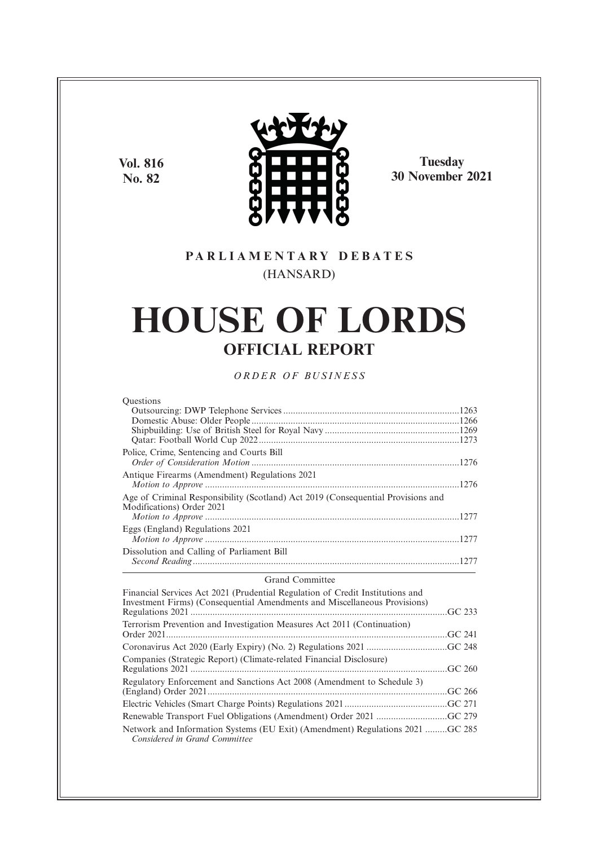**Vol. 816 No. 82**



**Tuesday 30 November 2021**

# **P A R L I A M E N T A R Y D E B A T E S** (HANSARD)

# **HOUSE OF LORDS OFFICIAL REPORT**

*O R D E R O F BU S I N E S S*

| <b>Ouestions</b>                                                                                              |  |
|---------------------------------------------------------------------------------------------------------------|--|
|                                                                                                               |  |
|                                                                                                               |  |
|                                                                                                               |  |
|                                                                                                               |  |
| Police, Crime, Sentencing and Courts Bill                                                                     |  |
|                                                                                                               |  |
| Antique Firearms (Amendment) Regulations 2021                                                                 |  |
|                                                                                                               |  |
| Age of Criminal Responsibility (Scotland) Act 2019 (Consequential Provisions and<br>Modifications) Order 2021 |  |
|                                                                                                               |  |
| Eggs (England) Regulations 2021                                                                               |  |
|                                                                                                               |  |
| Dissolution and Calling of Parliament Bill                                                                    |  |
|                                                                                                               |  |

# Grand Committee

| Financial Services Act 2021 (Prudential Regulation of Credit Institutions and<br>Investment Firms) (Consequential Amendments and Miscellaneous Provisions) |  |
|------------------------------------------------------------------------------------------------------------------------------------------------------------|--|
|                                                                                                                                                            |  |
| Terrorism Prevention and Investigation Measures Act 2011 (Continuation)                                                                                    |  |
|                                                                                                                                                            |  |
|                                                                                                                                                            |  |
| Companies (Strategic Report) (Climate-related Financial Disclosure)                                                                                        |  |
|                                                                                                                                                            |  |
| Regulatory Enforcement and Sanctions Act 2008 (Amendment to Schedule 3)                                                                                    |  |
|                                                                                                                                                            |  |
|                                                                                                                                                            |  |
|                                                                                                                                                            |  |
| Network and Information Systems (EU Exit) (Amendment) Regulations 2021 GC 285<br>Considered in Grand Committee                                             |  |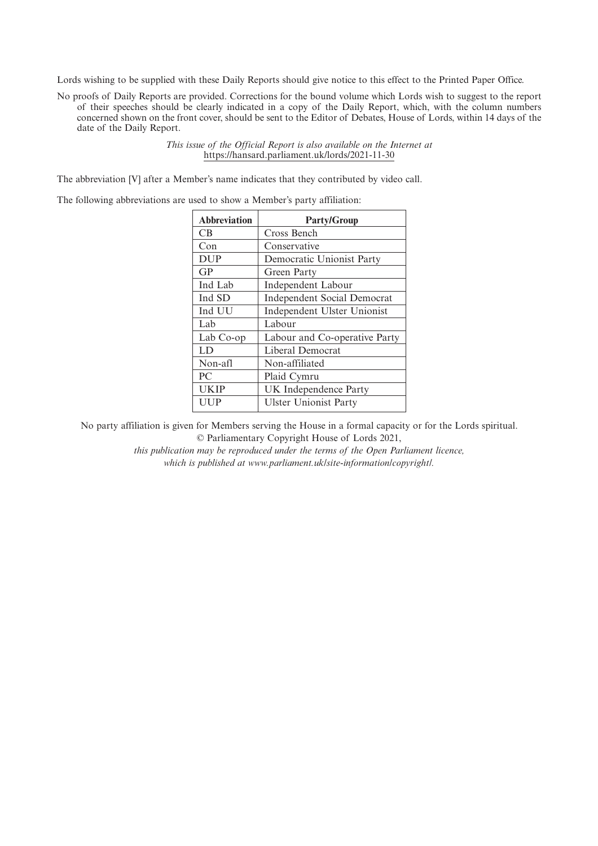Lords wishing to be supplied with these Daily Reports should give notice to this effect to the Printed Paper Office.

No proofs of Daily Reports are provided. Corrections for the bound volume which Lords wish to suggest to the report of their speeches should be clearly indicated in a copy of the Daily Report, which, with the column numbers concerned shown on the front cover, should be sent to the Editor of Debates, House of Lords, within 14 days of the date of the Daily Report.

> *This issue of the Official Report is also available on the Internet at* https://hansard.parliament.uk/lords/2021-11-30

The abbreviation [V] after a Member's name indicates that they contributed by video call.

The following abbreviations are used to show a Member's party affiliation:

| <b>Abbreviation</b> | <b>Party/Group</b>                 |
|---------------------|------------------------------------|
| CB                  | Cross Bench                        |
| Con                 | Conservative                       |
| <b>DUP</b>          | Democratic Unionist Party          |
| GP                  | Green Party                        |
| Ind Lab             | Independent Labour                 |
| Ind SD              | <b>Independent Social Democrat</b> |
| Ind UU              | Independent Ulster Unionist        |
| Lab                 | Labour                             |
| Lab Co-op           | Labour and Co-operative Party      |
| LD                  | Liberal Democrat                   |
| Non-afl             | Non-affiliated                     |
| PC.                 | Plaid Cymru                        |
| <b>UKIP</b>         | UK Independence Party              |
| UUP                 | <b>Ulster Unionist Party</b>       |

No party affiliation is given for Members serving the House in a formal capacity or for the Lords spiritual. © Parliamentary Copyright House of Lords 2021,

> *this publication may be reproduced under the terms of the Open Parliament licence, which is published at www.parliament.uk/site-information/copyright/.*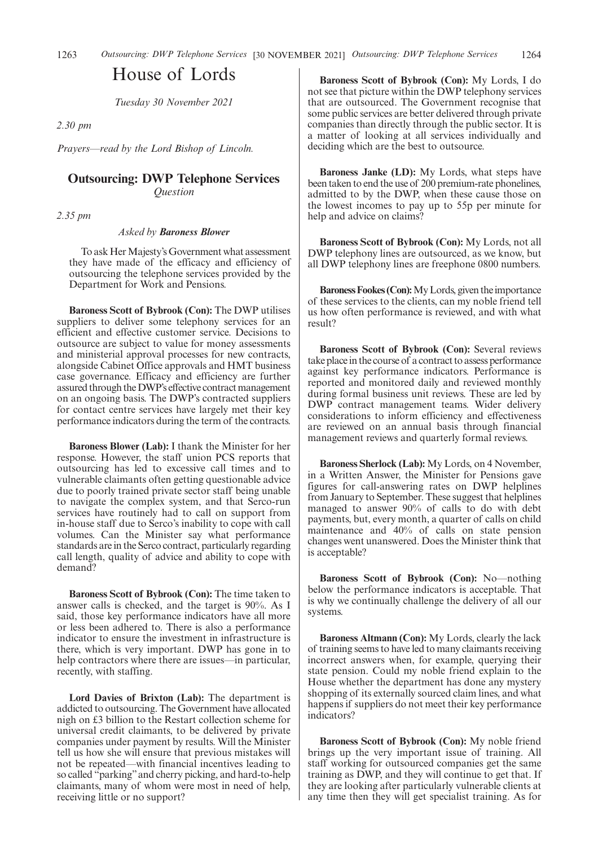1263 Outsourcing: DWP Telephone Services [30 NOVEMBER 2021] Outsourcing: DWP Telephone Services 1264

# House of Lords

*Tuesday 30 November 2021*

*2.30 pm*

*Prayers—read by the Lord Bishop of Lincoln.*

# **Outsourcing: DWP Telephone Services** *Question*

*2.35 pm*

### *Asked by Baroness Blower*

To ask Her Majesty's Government what assessment they have made of the efficacy and efficiency of outsourcing the telephone services provided by the Department for Work and Pensions.

**Baroness Scott of Bybrook (Con):** The DWP utilises suppliers to deliver some telephony services for an efficient and effective customer service. Decisions to outsource are subject to value for money assessments and ministerial approval processes for new contracts, alongside Cabinet Office approvals and HMT business case governance. Efficacy and efficiency are further assured through the DWP's effective contract management on an ongoing basis. The DWP's contracted suppliers for contact centre services have largely met their key performance indicators during the term of the contracts.

**Baroness Blower (Lab):** I thank the Minister for her response. However, the staff union PCS reports that outsourcing has led to excessive call times and to vulnerable claimants often getting questionable advice due to poorly trained private sector staff being unable to navigate the complex system, and that Serco-run services have routinely had to call on support from in-house staff due to Serco's inability to cope with call volumes. Can the Minister say what performance standards are in the Serco contract, particularly regarding call length, quality of advice and ability to cope with demand?

**Baroness Scott of Bybrook (Con):** The time taken to answer calls is checked, and the target is 90%. As I said, those key performance indicators have all more or less been adhered to. There is also a performance indicator to ensure the investment in infrastructure is there, which is very important. DWP has gone in to help contractors where there are issues—in particular, recently, with staffing.

**Lord Davies of Brixton (Lab):** The department is addicted to outsourcing. The Government have allocated nigh on £3 billion to the Restart collection scheme for universal credit claimants, to be delivered by private companies under payment by results. Will the Minister tell us how she will ensure that previous mistakes will not be repeated—with financial incentives leading to so called "parking"and cherry picking, and hard-to-help claimants, many of whom were most in need of help, receiving little or no support?

**Baroness Scott of Bybrook (Con):** My Lords, I do not see that picture within the DWP telephony services that are outsourced. The Government recognise that some public services are better delivered through private companies than directly through the public sector. It is a matter of looking at all services individually and deciding which are the best to outsource.

**Baroness Janke (LD):** My Lords, what steps have been taken to end the use of 200 premium-rate phonelines, admitted to by the DWP, when these cause those on the lowest incomes to pay up to 55p per minute for help and advice on claims?

**Baroness Scott of Bybrook (Con):** My Lords, not all DWP telephony lines are outsourced, as we know, but all DWP telephony lines are freephone 0800 numbers.

**Baroness Fookes (Con):**My Lords, given the importance of these services to the clients, can my noble friend tell us how often performance is reviewed, and with what result?

**Baroness Scott of Bybrook (Con):** Several reviews take place in the course of a contract to assess performance against key performance indicators. Performance is reported and monitored daily and reviewed monthly during formal business unit reviews. These are led by DWP contract management teams. Wider delivery considerations to inform efficiency and effectiveness are reviewed on an annual basis through financial management reviews and quarterly formal reviews.

**Baroness Sherlock (Lab):** My Lords, on 4 November, in a Written Answer, the Minister for Pensions gave figures for call-answering rates on DWP helplines from January to September. These suggest that helplines managed to answer 90% of calls to do with debt payments, but, every month, a quarter of calls on child maintenance and 40% of calls on state pension changes went unanswered. Does the Minister think that is acceptable?

**Baroness Scott of Bybrook (Con):** No—nothing below the performance indicators is acceptable. That is why we continually challenge the delivery of all our systems.

**Baroness Altmann (Con):** My Lords, clearly the lack of training seems to have led to many claimants receiving incorrect answers when, for example, querying their state pension. Could my noble friend explain to the House whether the department has done any mystery shopping of its externally sourced claim lines, and what happens if suppliers do not meet their key performance indicators?

**Baroness Scott of Bybrook (Con):** My noble friend brings up the very important issue of training. All staff working for outsourced companies get the same training as DWP, and they will continue to get that. If they are looking after particularly vulnerable clients at any time then they will get specialist training. As for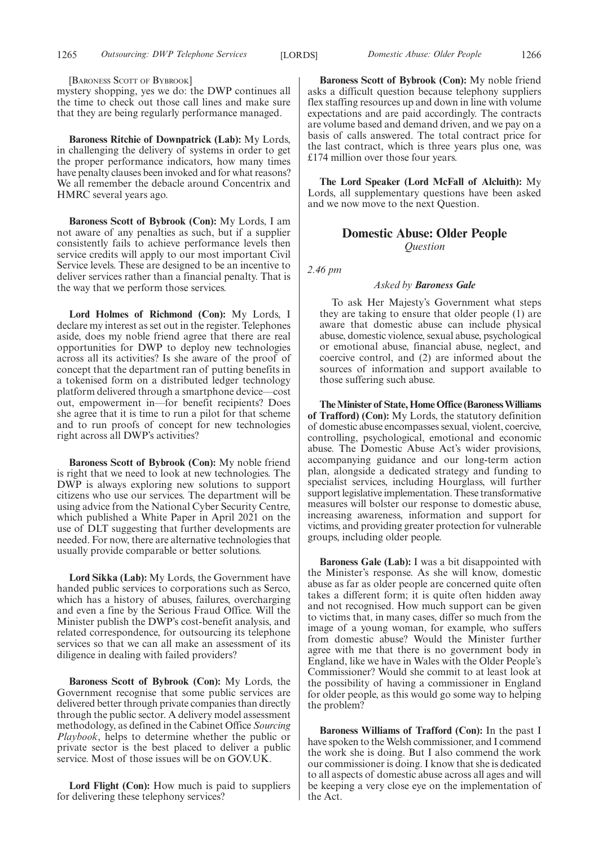[BARONESS SCOTT OF BYBROOK]

mystery shopping, yes we do: the DWP continues all the time to check out those call lines and make sure that they are being regularly performance managed.

**Baroness Ritchie of Downpatrick (Lab):** My Lords, in challenging the delivery of systems in order to get the proper performance indicators, how many times have penalty clauses been invoked and for what reasons? We all remember the debacle around Concentrix and HMRC several years ago.

**Baroness Scott of Bybrook (Con):** My Lords, I am not aware of any penalties as such, but if a supplier consistently fails to achieve performance levels then service credits will apply to our most important Civil Service levels. These are designed to be an incentive to deliver services rather than a financial penalty. That is the way that we perform those services.

**Lord Holmes of Richmond (Con):** My Lords, I declare my interest as set out in the register. Telephones aside, does my noble friend agree that there are real opportunities for DWP to deploy new technologies across all its activities? Is she aware of the proof of concept that the department ran of putting benefits in a tokenised form on a distributed ledger technology platform delivered through a smartphone device—cost out, empowerment in—for benefit recipients? Does she agree that it is time to run a pilot for that scheme and to run proofs of concept for new technologies right across all DWP's activities?

**Baroness Scott of Bybrook (Con):** My noble friend is right that we need to look at new technologies. The DWP is always exploring new solutions to support citizens who use our services. The department will be using advice from the National Cyber Security Centre, which published a White Paper in April 2021 on the use of DLT suggesting that further developments are needed. For now, there are alternative technologies that usually provide comparable or better solutions.

**Lord Sikka (Lab):** My Lords, the Government have handed public services to corporations such as Serco, which has a history of abuses, failures, overcharging and even a fine by the Serious Fraud Office. Will the Minister publish the DWP's cost-benefit analysis, and related correspondence, for outsourcing its telephone services so that we can all make an assessment of its diligence in dealing with failed providers?

**Baroness Scott of Bybrook (Con):** My Lords, the Government recognise that some public services are delivered better through private companies than directly through the public sector. A delivery model assessment methodology, as defined in the Cabinet Office *Sourcing Playbook*, helps to determine whether the public or private sector is the best placed to deliver a public service. Most of those issues will be on GOV.UK.

**Lord Flight (Con):** How much is paid to suppliers for delivering these telephony services?

**Baroness Scott of Bybrook (Con):** My noble friend asks a difficult question because telephony suppliers flex staffing resources up and down in line with volume expectations and are paid accordingly. The contracts are volume based and demand driven, and we pay on a basis of calls answered. The total contract price for the last contract, which is three years plus one, was £174 million over those four years.

**The Lord Speaker (Lord McFall of Alcluith):** My Lords, all supplementary questions have been asked and we now move to the next Question.

### **Domestic Abuse: Older People** *Question*

*2.46 pm*

#### *Asked by Baroness Gale*

To ask Her Majesty's Government what steps they are taking to ensure that older people (1) are aware that domestic abuse can include physical abuse, domestic violence, sexual abuse, psychological or emotional abuse, financial abuse, neglect, and coercive control, and (2) are informed about the sources of information and support available to those suffering such abuse.

**The Minister of State, Home Office (Baroness Williams of Trafford) (Con):** My Lords, the statutory definition of domestic abuse encompasses sexual, violent, coercive, controlling, psychological, emotional and economic abuse. The Domestic Abuse Act's wider provisions, accompanying guidance and our long-term action plan, alongside a dedicated strategy and funding to specialist services, including Hourglass, will further support legislative implementation. These transformative measures will bolster our response to domestic abuse, increasing awareness, information and support for victims, and providing greater protection for vulnerable groups, including older people.

**Baroness Gale (Lab):** I was a bit disappointed with the Minister's response. As she will know, domestic abuse as far as older people are concerned quite often takes a different form; it is quite often hidden away and not recognised. How much support can be given to victims that, in many cases, differ so much from the image of a young woman, for example, who suffers from domestic abuse? Would the Minister further agree with me that there is no government body in England, like we have in Wales with the Older People's Commissioner? Would she commit to at least look at the possibility of having a commissioner in England for older people, as this would go some way to helping the problem?

**Baroness Williams of Trafford (Con):** In the past I have spoken to the Welsh commissioner, and I commend the work she is doing. But I also commend the work our commissioner is doing. I know that she is dedicated to all aspects of domestic abuse across all ages and will be keeping a very close eye on the implementation of the Act.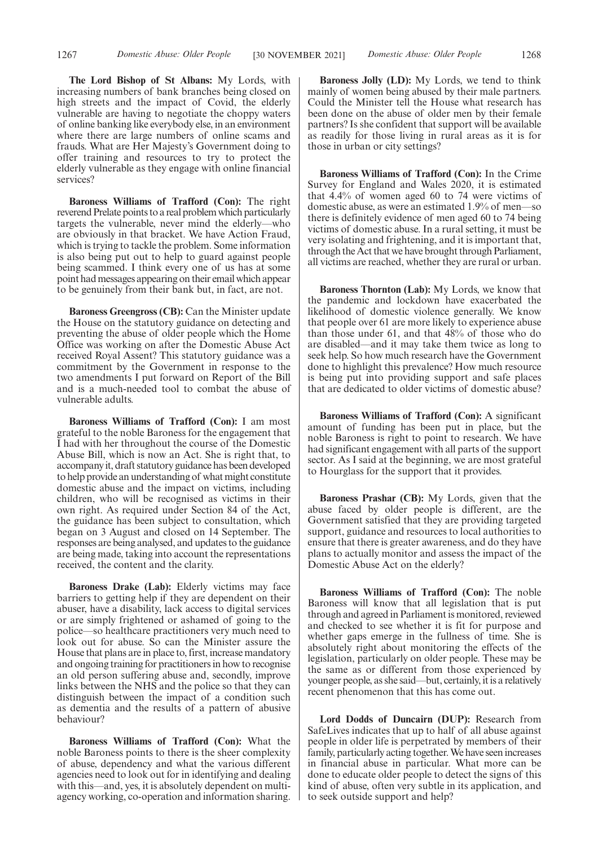**The Lord Bishop of St Albans:** My Lords, with increasing numbers of bank branches being closed on high streets and the impact of Covid, the elderly vulnerable are having to negotiate the choppy waters of online banking like everybody else, in an environment where there are large numbers of online scams and frauds. What are Her Majesty's Government doing to offer training and resources to try to protect the elderly vulnerable as they engage with online financial services?

**Baroness Williams of Trafford (Con):** The right reverend Prelate points to a real problem which particularly targets the vulnerable, never mind the elderly—who are obviously in that bracket. We have Action Fraud, which is trying to tackle the problem. Some information is also being put out to help to guard against people being scammed. I think every one of us has at some point had messages appearing on their email which appear to be genuinely from their bank but, in fact, are not.

**Baroness Greengross (CB):** Can the Minister update the House on the statutory guidance on detecting and preventing the abuse of older people which the Home Office was working on after the Domestic Abuse Act received Royal Assent? This statutory guidance was a commitment by the Government in response to the two amendments I put forward on Report of the Bill and is a much-needed tool to combat the abuse of vulnerable adults.

**Baroness Williams of Trafford (Con):** I am most grateful to the noble Baroness for the engagement that I had with her throughout the course of the Domestic Abuse Bill, which is now an Act. She is right that, to accompany it, draft statutory guidance has been developed to help provide an understanding of what might constitute domestic abuse and the impact on victims, including children, who will be recognised as victims in their own right. As required under Section 84 of the Act, the guidance has been subject to consultation, which began on 3 August and closed on 14 September. The responses are being analysed, and updates to the guidance are being made, taking into account the representations received, the content and the clarity.

**Baroness Drake (Lab):** Elderly victims may face barriers to getting help if they are dependent on their abuser, have a disability, lack access to digital services or are simply frightened or ashamed of going to the police—so healthcare practitioners very much need to look out for abuse. So can the Minister assure the House that plans are in place to, first, increase mandatory and ongoing training for practitioners in how to recognise an old person suffering abuse and, secondly, improve links between the NHS and the police so that they can distinguish between the impact of a condition such as dementia and the results of a pattern of abusive behaviour?

**Baroness Williams of Trafford (Con):** What the noble Baroness points to there is the sheer complexity of abuse, dependency and what the various different agencies need to look out for in identifying and dealing with this—and, yes, it is absolutely dependent on multiagency working, co-operation and information sharing.

**Baroness Jolly (LD):** My Lords, we tend to think mainly of women being abused by their male partners. Could the Minister tell the House what research has been done on the abuse of older men by their female partners? Is she confident that support will be available as readily for those living in rural areas as it is for those in urban or city settings?

**Baroness Williams of Trafford (Con):** In the Crime Survey for England and Wales 2020, it is estimated that 4.4% of women aged 60 to 74 were victims of domestic abuse, as were an estimated 1.9% of men—so there is definitely evidence of men aged 60 to 74 being victims of domestic abuse. In a rural setting, it must be very isolating and frightening, and it is important that, through the Act that we have brought through Parliament, all victims are reached, whether they are rural or urban.

**Baroness Thornton (Lab):** My Lords, we know that the pandemic and lockdown have exacerbated the likelihood of domestic violence generally. We know that people over 61 are more likely to experience abuse than those under 61, and that 48% of those who do are disabled—and it may take them twice as long to seek help. So how much research have the Government done to highlight this prevalence? How much resource is being put into providing support and safe places that are dedicated to older victims of domestic abuse?

**Baroness Williams of Trafford (Con):** A significant amount of funding has been put in place, but the noble Baroness is right to point to research. We have had significant engagement with all parts of the support sector. As I said at the beginning, we are most grateful to Hourglass for the support that it provides.

**Baroness Prashar (CB):** My Lords, given that the abuse faced by older people is different, are the Government satisfied that they are providing targeted support, guidance and resources to local authorities to ensure that there is greater awareness, and do they have plans to actually monitor and assess the impact of the Domestic Abuse Act on the elderly?

**Baroness Williams of Trafford (Con):** The noble Baroness will know that all legislation that is put through and agreed in Parliament is monitored, reviewed and checked to see whether it is fit for purpose and whether gaps emerge in the fullness of time. She is absolutely right about monitoring the effects of the legislation, particularly on older people. These may be the same as or different from those experienced by younger people, as she said—but, certainly, it is a relatively recent phenomenon that this has come out.

**Lord Dodds of Duncairn (DUP):** Research from SafeLives indicates that up to half of all abuse against people in older life is perpetrated by members of their family, particularly acting together. We have seen increases in financial abuse in particular. What more can be done to educate older people to detect the signs of this kind of abuse, often very subtle in its application, and to seek outside support and help?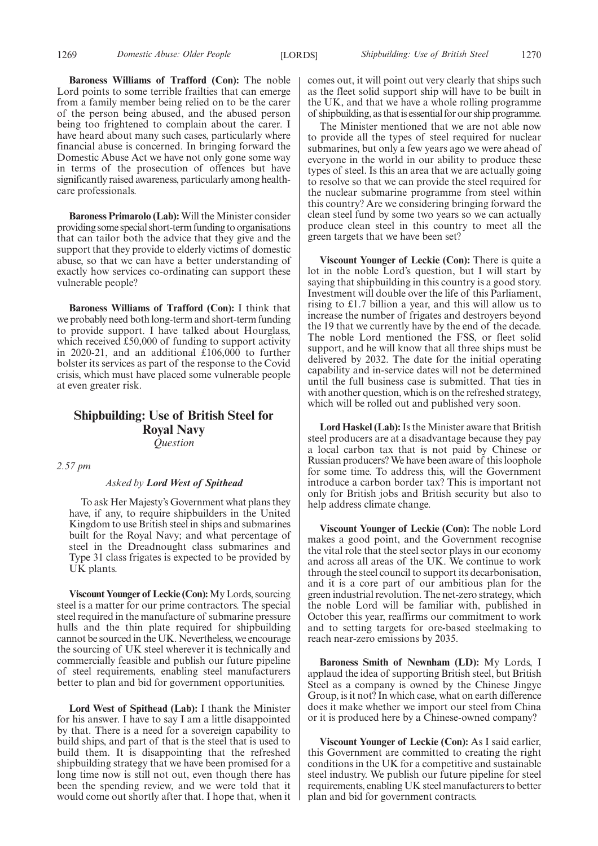**Baroness Williams of Trafford (Con):** The noble Lord points to some terrible frailties that can emerge from a family member being relied on to be the carer of the person being abused, and the abused person being too frightened to complain about the carer. I have heard about many such cases, particularly where financial abuse is concerned. In bringing forward the Domestic Abuse Act we have not only gone some way in terms of the prosecution of offences but have significantly raised awareness, particularly among healthcare professionals.

**Baroness Primarolo (Lab):** Will the Minister consider providing some special short-term funding to organisations that can tailor both the advice that they give and the support that they provide to elderly victims of domestic abuse, so that we can have a better understanding of exactly how services co-ordinating can support these vulnerable people?

**Baroness Williams of Trafford (Con):** I think that we probably need both long-term and short-term funding to provide support. I have talked about Hourglass, which received £50,000 of funding to support activity in 2020-21, and an additional £106,000 to further bolster its services as part of the response to the Covid crisis, which must have placed some vulnerable people at even greater risk.

# **Shipbuilding: Use of British Steel for Royal Navy** *Question*

*2.57 pm*

#### *Asked by Lord West of Spithead*

To ask Her Majesty's Government what plans they have, if any, to require shipbuilders in the United Kingdom to use British steel in ships and submarines built for the Royal Navy; and what percentage of steel in the Dreadnought class submarines and Type 31 class frigates is expected to be provided by UK plants.

**Viscount Younger of Leckie (Con):**My Lords, sourcing steel is a matter for our prime contractors. The special steel required in the manufacture of submarine pressure hulls and the thin plate required for shipbuilding cannot be sourced in the UK. Nevertheless, we encourage the sourcing of UK steel wherever it is technically and commercially feasible and publish our future pipeline of steel requirements, enabling steel manufacturers better to plan and bid for government opportunities.

**Lord West of Spithead (Lab):** I thank the Minister for his answer. I have to say I am a little disappointed by that. There is a need for a sovereign capability to build ships, and part of that is the steel that is used to build them. It is disappointing that the refreshed shipbuilding strategy that we have been promised for a long time now is still not out, even though there has been the spending review, and we were told that it would come out shortly after that. I hope that, when it comes out, it will point out very clearly that ships such as the fleet solid support ship will have to be built in the UK, and that we have a whole rolling programme of shipbuilding, as that is essential for our ship programme.

The Minister mentioned that we are not able now to provide all the types of steel required for nuclear submarines, but only a few years ago we were ahead of everyone in the world in our ability to produce these types of steel. Is this an area that we are actually going to resolve so that we can provide the steel required for the nuclear submarine programme from steel within this country? Are we considering bringing forward the clean steel fund by some two years so we can actually produce clean steel in this country to meet all the green targets that we have been set?

**Viscount Younger of Leckie (Con):** There is quite a lot in the noble Lord's question, but I will start by saying that shipbuilding in this country is a good story. Investment will double over the life of this Parliament, rising to £1.7 billion a year, and this will allow us to increase the number of frigates and destroyers beyond the 19 that we currently have by the end of the decade. The noble Lord mentioned the FSS, or fleet solid support, and he will know that all three ships must be delivered by 2032. The date for the initial operating capability and in-service dates will not be determined until the full business case is submitted. That ties in with another question, which is on the refreshed strategy, which will be rolled out and published very soon.

**Lord Haskel (Lab):**Is the Minister aware that British steel producers are at a disadvantage because they pay a local carbon tax that is not paid by Chinese or Russian producers? We have been aware of this loophole for some time. To address this, will the Government introduce a carbon border tax? This is important not only for British jobs and British security but also to help address climate change.

**Viscount Younger of Leckie (Con):** The noble Lord makes a good point, and the Government recognise the vital role that the steel sector plays in our economy and across all areas of the UK. We continue to work through the steel council to support its decarbonisation, and it is a core part of our ambitious plan for the green industrial revolution. The net-zero strategy, which the noble Lord will be familiar with, published in October this year, reaffirms our commitment to work and to setting targets for ore-based steelmaking to reach near-zero emissions by 2035.

**Baroness Smith of Newnham (LD):** My Lords, I applaud the idea of supporting British steel, but British Steel as a company is owned by the Chinese Jingye Group, is it not? In which case, what on earth difference does it make whether we import our steel from China or it is produced here by a Chinese-owned company?

**Viscount Younger of Leckie (Con):** As I said earlier, this Government are committed to creating the right conditions in the UK for a competitive and sustainable steel industry. We publish our future pipeline for steel requirements, enabling UK steel manufacturers to better plan and bid for government contracts.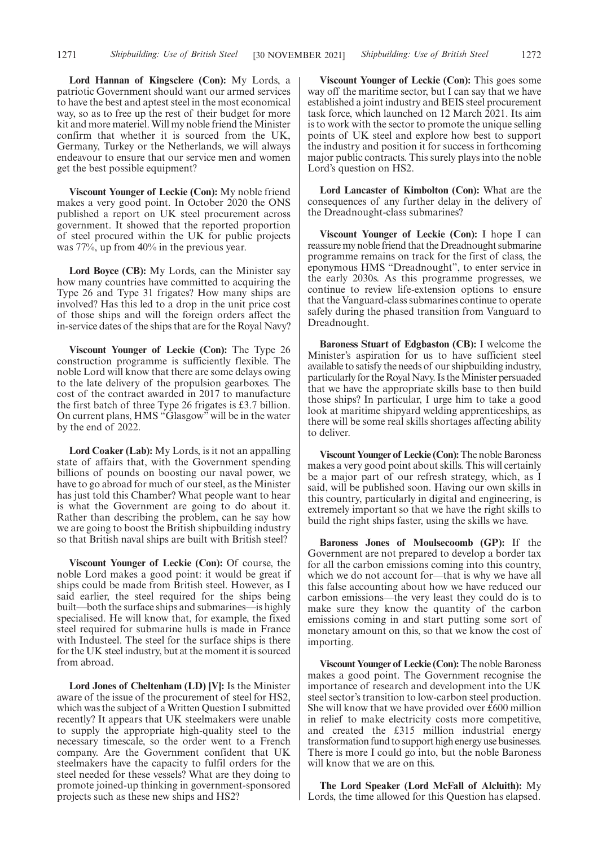**Lord Hannan of Kingsclere (Con):** My Lords, a patriotic Government should want our armed services to have the best and aptest steel in the most economical way, so as to free up the rest of their budget for more kit and more materiel. Will my noble friend the Minister confirm that whether it is sourced from the UK, Germany, Turkey or the Netherlands, we will always endeavour to ensure that our service men and women get the best possible equipment?

**Viscount Younger of Leckie (Con):** My noble friend makes a very good point. In October 2020 the ONS published a report on UK steel procurement across government. It showed that the reported proportion of steel procured within the UK for public projects was 77%, up from 40% in the previous year.

**Lord Boyce (CB):** My Lords, can the Minister say how many countries have committed to acquiring the Type 26 and Type 31 frigates? How many ships are involved? Has this led to a drop in the unit price cost of those ships and will the foreign orders affect the in-service dates of the ships that are for the Royal Navy?

**Viscount Younger of Leckie (Con):** The Type 26 construction programme is sufficiently flexible. The noble Lord will know that there are some delays owing to the late delivery of the propulsion gearboxes. The cost of the contract awarded in 2017 to manufacture the first batch of three Type 26 frigates is £3.7 billion. On current plans, HMS "Glasgow" will be in the water by the end of 2022.

**Lord Coaker (Lab):** My Lords, is it not an appalling state of affairs that, with the Government spending billions of pounds on boosting our naval power, we have to go abroad for much of our steel, as the Minister has just told this Chamber? What people want to hear is what the Government are going to do about it. Rather than describing the problem, can he say how we are going to boost the British shipbuilding industry so that British naval ships are built with British steel?

**Viscount Younger of Leckie (Con):** Of course, the noble Lord makes a good point: it would be great if ships could be made from British steel. However, as I said earlier, the steel required for the ships being built—both the surface ships and submarines—is highly specialised. He will know that, for example, the fixed steel required for submarine hulls is made in France with Industeel. The steel for the surface ships is there for the UK steel industry, but at the moment it is sourced from abroad.

**Lord Jones of Cheltenham (LD) [V]:** Is the Minister aware of the issue of the procurement of steel for HS2, which was the subject of a Written Question I submitted recently? It appears that UK steelmakers were unable to supply the appropriate high-quality steel to the necessary timescale, so the order went to a French company. Are the Government confident that UK steelmakers have the capacity to fulfil orders for the steel needed for these vessels? What are they doing to promote joined-up thinking in government-sponsored projects such as these new ships and HS2?

**Viscount Younger of Leckie (Con):** This goes some way off the maritime sector, but I can say that we have established a joint industry and BEIS steel procurement task force, which launched on 12 March 2021. Its aim is to work with the sector to promote the unique selling points of UK steel and explore how best to support the industry and position it for success in forthcoming major public contracts. This surely plays into the noble Lord's question on HS2.

**Lord Lancaster of Kimbolton (Con):** What are the consequences of any further delay in the delivery of the Dreadnought-class submarines?

**Viscount Younger of Leckie (Con):** I hope I can reassure my noble friend that the Dreadnought submarine programme remains on track for the first of class, the eponymous HMS "Dreadnought", to enter service in the early 2030s. As this programme progresses, we continue to review life-extension options to ensure that the Vanguard-class submarines continue to operate safely during the phased transition from Vanguard to Dreadnought.

**Baroness Stuart of Edgbaston (CB):** I welcome the Minister's aspiration for us to have sufficient steel available to satisfy the needs of our shipbuilding industry, particularly for the Royal Navy. Is the Minister persuaded that we have the appropriate skills base to then build those ships? In particular, I urge him to take a good look at maritime shipyard welding apprenticeships, as there will be some real skills shortages affecting ability to deliver.

**Viscount Younger of Leckie (Con):**The noble Baroness makes a very good point about skills. This will certainly be a major part of our refresh strategy, which, as I said, will be published soon. Having our own skills in this country, particularly in digital and engineering, is extremely important so that we have the right skills to build the right ships faster, using the skills we have.

**Baroness Jones of Moulsecoomb (GP):** If the Government are not prepared to develop a border tax for all the carbon emissions coming into this country, which we do not account for—that is why we have all this false accounting about how we have reduced our carbon emissions—the very least they could do is to make sure they know the quantity of the carbon emissions coming in and start putting some sort of monetary amount on this, so that we know the cost of importing.

**Viscount Younger of Leckie (Con):**The noble Baroness makes a good point. The Government recognise the importance of research and development into the UK steel sector's transition to low-carbon steel production. She will know that we have provided over  $£600$  million in relief to make electricity costs more competitive, and created the £315 million industrial energy transformation fund to support high energy use businesses. There is more I could go into, but the noble Baroness will know that we are on this.

**The Lord Speaker (Lord McFall of Alcluith):** My Lords, the time allowed for this Question has elapsed.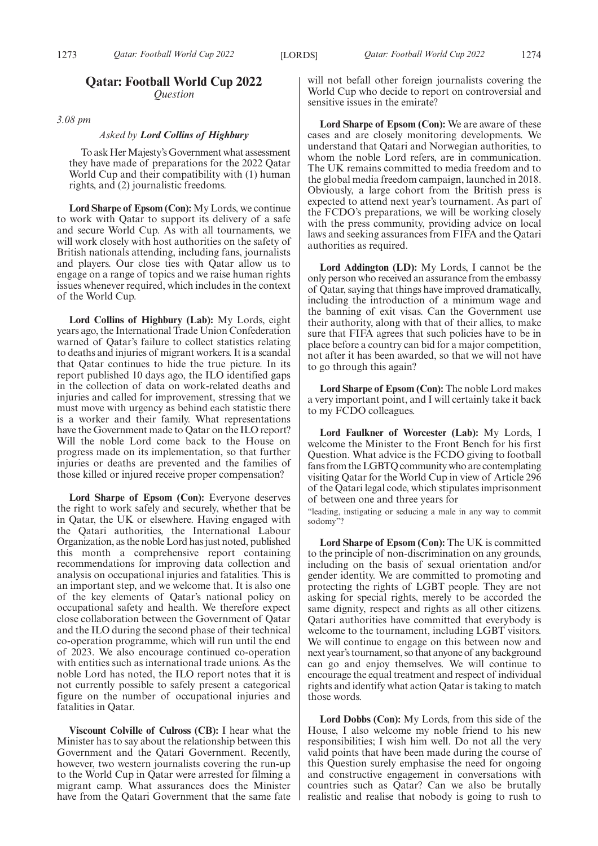# **Qatar: Football World Cup 2022** *Question*

*3.08 pm*

#### *Asked by Lord Collins of Highbury*

To ask Her Majesty's Government what assessment they have made of preparations for the 2022 Qatar World Cup and their compatibility with (1) human rights, and (2) journalistic freedoms.

**Lord Sharpe of Epsom (Con):** My Lords, we continue to work with Qatar to support its delivery of a safe and secure World Cup. As with all tournaments, we will work closely with host authorities on the safety of British nationals attending, including fans, journalists and players. Our close ties with Qatar allow us to engage on a range of topics and we raise human rights issues whenever required, which includes in the context of the World Cup.

**Lord Collins of Highbury (Lab):** My Lords, eight years ago, the International Trade Union Confederation warned of Qatar's failure to collect statistics relating to deaths and injuries of migrant workers. It is a scandal that Qatar continues to hide the true picture. In its report published 10 days ago, the ILO identified gaps in the collection of data on work-related deaths and injuries and called for improvement, stressing that we must move with urgency as behind each statistic there is a worker and their family. What representations have the Government made to Qatar on the ILO report? Will the noble Lord come back to the House on progress made on its implementation, so that further injuries or deaths are prevented and the families of those killed or injured receive proper compensation?

**Lord Sharpe of Epsom (Con):** Everyone deserves the right to work safely and securely, whether that be in Qatar, the UK or elsewhere. Having engaged with the Qatari authorities, the International Labour Organization, as the noble Lord has just noted, published this month a comprehensive report containing recommendations for improving data collection and analysis on occupational injuries and fatalities. This is an important step, and we welcome that. It is also one of the key elements of Qatar's national policy on occupational safety and health. We therefore expect close collaboration between the Government of Qatar and the ILO during the second phase of their technical co-operation programme, which will run until the end of 2023. We also encourage continued co-operation with entities such as international trade unions. As the noble Lord has noted, the ILO report notes that it is not currently possible to safely present a categorical figure on the number of occupational injuries and fatalities in Qatar.

**Viscount Colville of Culross (CB):** I hear what the Minister has to say about the relationship between this Government and the Qatari Government. Recently, however, two western journalists covering the run-up to the World Cup in Qatar were arrested for filming a migrant camp. What assurances does the Minister have from the Qatari Government that the same fate will not befall other foreign journalists covering the World Cup who decide to report on controversial and sensitive issues in the emirate?

**Lord Sharpe of Epsom (Con):** We are aware of these cases and are closely monitoring developments. We understand that Qatari and Norwegian authorities, to whom the noble Lord refers, are in communication. The UK remains committed to media freedom and to the global media freedom campaign, launched in 2018. Obviously, a large cohort from the British press is expected to attend next year's tournament. As part of the FCDO's preparations, we will be working closely with the press community, providing advice on local laws and seeking assurances from FIFA and the Qatari authorities as required.

**Lord Addington (LD):** My Lords, I cannot be the only person who received an assurance from the embassy of Qatar, saying that things have improved dramatically, including the introduction of a minimum wage and the banning of exit visas. Can the Government use their authority, along with that of their allies, to make sure that FIFA agrees that such policies have to be in place before a country can bid for a major competition, not after it has been awarded, so that we will not have to go through this again?

**Lord Sharpe of Epsom (Con):** The noble Lord makes a very important point, and I will certainly take it back to my FCDO colleagues.

**Lord Faulkner of Worcester (Lab):** My Lords, I welcome the Minister to the Front Bench for his first Question. What advice is the FCDO giving to football fans from the LGBTQ community who are contemplating visiting Qatar for the World Cup in view of Article 296 of the Qatari legal code, which stipulates imprisonment of between one and three years for

"leading, instigating or seducing a male in any way to commit sodomy"?

**Lord Sharpe of Epsom (Con):** The UK is committed to the principle of non-discrimination on any grounds, including on the basis of sexual orientation and/or gender identity. We are committed to promoting and protecting the rights of LGBT people. They are not asking for special rights, merely to be accorded the same dignity, respect and rights as all other citizens. Qatari authorities have committed that everybody is welcome to the tournament, including LGBT visitors. We will continue to engage on this between now and next year's tournament, so that anyone of any background can go and enjoy themselves. We will continue to encourage the equal treatment and respect of individual rights and identify what action Qatar is taking to match those words.

**Lord Dobbs (Con):** My Lords, from this side of the House, I also welcome my noble friend to his new responsibilities; I wish him well. Do not all the very valid points that have been made during the course of this Question surely emphasise the need for ongoing and constructive engagement in conversations with countries such as Qatar? Can we also be brutally realistic and realise that nobody is going to rush to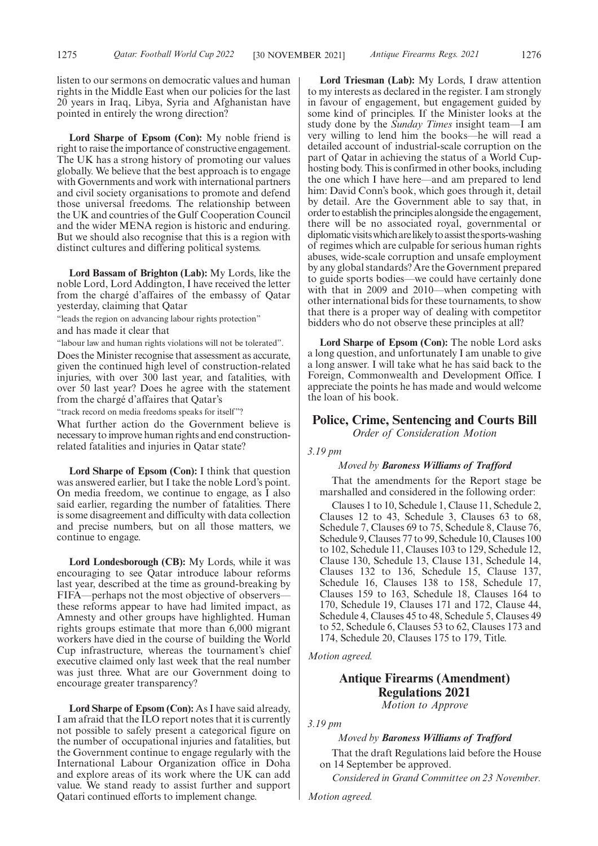listen to our sermons on democratic values and human rights in the Middle East when our policies for the last 20 years in Iraq, Libya, Syria and Afghanistan have pointed in entirely the wrong direction?

**Lord Sharpe of Epsom (Con):** My noble friend is right to raise the importance of constructive engagement. The UK has a strong history of promoting our values globally. We believe that the best approach is to engage with Governments and work with international partners and civil society organisations to promote and defend those universal freedoms. The relationship between the UK and countries of the Gulf Cooperation Council and the wider MENA region is historic and enduring. But we should also recognise that this is a region with distinct cultures and differing political systems.

**Lord Bassam of Brighton (Lab):** My Lords, like the noble Lord, Lord Addington, I have received the letter from the chargé d'affaires of the embassy of Qatar yesterday, claiming that Qatar

"leads the region on advancing labour rights protection"

and has made it clear that

"labour law and human rights violations will not be tolerated".

Does the Minister recognise that assessment as accurate, given the continued high level of construction-related injuries, with over 300 last year, and fatalities, with over 50 last year? Does he agree with the statement from the chargé d'affaires that Qatar's

"track record on media freedoms speaks for itself"?

What further action do the Government believe is necessary to improve human rights and end constructionrelated fatalities and injuries in Qatar state?

**Lord Sharpe of Epsom (Con):** I think that question was answered earlier, but I take the noble Lord's point. On media freedom, we continue to engage, as I also said earlier, regarding the number of fatalities. There is some disagreement and difficulty with data collection and precise numbers, but on all those matters, we continue to engage.

**Lord Londesborough (CB):** My Lords, while it was encouraging to see Qatar introduce labour reforms last year, described at the time as ground-breaking by FIFA—perhaps not the most objective of observers these reforms appear to have had limited impact, as Amnesty and other groups have highlighted. Human rights groups estimate that more than 6,000 migrant workers have died in the course of building the World Cup infrastructure, whereas the tournament's chief executive claimed only last week that the real number was just three. What are our Government doing to encourage greater transparency?

**Lord Sharpe of Epsom (Con):** As I have said already, I am afraid that the ILO report notes that it is currently not possible to safely present a categorical figure on the number of occupational injuries and fatalities, but the Government continue to engage regularly with the International Labour Organization office in Doha and explore areas of its work where the UK can add value. We stand ready to assist further and support Qatari continued efforts to implement change.

**Lord Triesman (Lab):** My Lords, I draw attention to my interests as declared in the register. I am strongly in favour of engagement, but engagement guided by some kind of principles. If the Minister looks at the study done by the *Sunday Times* insight team—I am very willing to lend him the books—he will read a detailed account of industrial-scale corruption on the part of Qatar in achieving the status of a World Cuphosting body. This is confirmed in other books, including the one which I have here—and am prepared to lend him: David Conn's book, which goes through it, detail by detail. Are the Government able to say that, in order to establish the principles alongside the engagement, there will be no associated royal, governmental or diplomatic visits which are likely to assist the sports-washing of regimes which are culpable for serious human rights abuses, wide-scale corruption and unsafe employment by any global standards? Are the Government prepared to guide sports bodies—we could have certainly done with that in 2009 and 2010—when competing with other international bids for these tournaments, to show that there is a proper way of dealing with competitor bidders who do not observe these principles at all?

**Lord Sharpe of Epsom (Con):** The noble Lord asks a long question, and unfortunately I am unable to give a long answer. I will take what he has said back to the Foreign, Commonwealth and Development Office. I appreciate the points he has made and would welcome the loan of his book.

# **Police, Crime, Sentencing and Courts Bill**

*Order of Consideration Motion*

#### *3.19 pm*

#### *Moved by Baroness Williams of Trafford*

That the amendments for the Report stage be marshalled and considered in the following order:

Clauses 1 to 10, Schedule 1, Clause 11, Schedule 2, Clauses 12 to 43, Schedule 3, Clauses 63 to 68, Schedule 7, Clauses 69 to 75, Schedule 8, Clause 76, Schedule 9, Clauses 77 to 99, Schedule 10, Clauses 100 to 102, Schedule 11, Clauses 103 to 129, Schedule 12, Clause 130, Schedule 13, Clause 131, Schedule 14, Clauses 132 to 136, Schedule 15, Clause 137, Schedule 16, Clauses 138 to 158, Schedule 17, Clauses 159 to 163, Schedule 18, Clauses 164 to 170, Schedule 19, Clauses 171 and 172, Clause 44, Schedule 4, Clauses 45 to 48, Schedule 5, Clauses 49 to 52, Schedule 6, Clauses 53 to 62, Clauses 173 and 174, Schedule 20, Clauses 175 to 179, Title.

*Motion agreed.*

# **Antique Firearms (Amendment) Regulations 2021**

*Motion to Approve*

*3.19 pm*

#### *Moved by Baroness Williams of Trafford*

That the draft Regulations laid before the House on 14 September be approved.

*Considered in Grand Committee on 23 November.*

*Motion agreed.*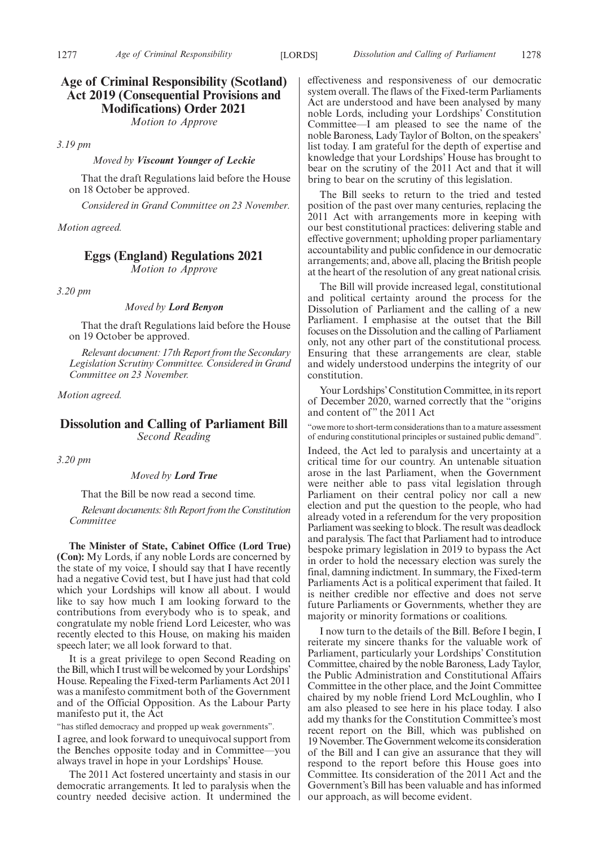# **Age of Criminal Responsibility (Scotland) Act 2019 (Consequential Provisions and Modifications) Order 2021**

*Motion to Approve*

*3.19 pm*

*Moved by Viscount Younger of Leckie*

That the draft Regulations laid before the House on 18 October be approved.

*Considered in Grand Committee on 23 November.*

#### *Motion agreed.*

# **Eggs (England) Regulations 2021**

*Motion to Approve*

*3.20 pm*

*Moved by Lord Benyon*

That the draft Regulations laid before the House on 19 October be approved.

*Relevant document: 17th Report from the Secondary Legislation Scrutiny Committee. Considered in Grand Committee on 23 November.*

*Motion agreed.*

# **Dissolution and Calling of Parliament Bill** *Second Reading*

*3.20 pm*

*Moved by Lord True*

That the Bill be now read a second time.

*Relevant documents: 8th Report from the Constitution Committee*

**The Minister of State, Cabinet Office (Lord True) (Con):** My Lords, if any noble Lords are concerned by the state of my voice, I should say that I have recently had a negative Covid test, but I have just had that cold which your Lordships will know all about. I would like to say how much I am looking forward to the contributions from everybody who is to speak, and congratulate my noble friend Lord Leicester, who was recently elected to this House, on making his maiden speech later; we all look forward to that.

It is a great privilege to open Second Reading on the Bill, which I trust will be welcomed by your Lordships' House. Repealing the Fixed-term Parliaments Act 2011 was a manifesto commitment both of the Government and of the Official Opposition. As the Labour Party manifesto put it, the Act

"has stifled democracy and propped up weak governments".

I agree, and look forward to unequivocal support from the Benches opposite today and in Committee—you always travel in hope in your Lordships' House.

The 2011 Act fostered uncertainty and stasis in our democratic arrangements. It led to paralysis when the country needed decisive action. It undermined the effectiveness and responsiveness of our democratic system overall. The flaws of the Fixed-term Parliaments Act are understood and have been analysed by many noble Lords, including your Lordships' Constitution Committee—I am pleased to see the name of the noble Baroness, Lady Taylor of Bolton, on the speakers' list today. I am grateful for the depth of expertise and knowledge that your Lordships' House has brought to bear on the scrutiny of the 2011 Act and that it will bring to bear on the scrutiny of this legislation.

The Bill seeks to return to the tried and tested position of the past over many centuries, replacing the 2011 Act with arrangements more in keeping with our best constitutional practices: delivering stable and effective government; upholding proper parliamentary accountability and public confidence in our democratic arrangements; and, above all, placing the British people at the heart of the resolution of any great national crisis.

The Bill will provide increased legal, constitutional and political certainty around the process for the Dissolution of Parliament and the calling of a new Parliament. I emphasise at the outset that the Bill focuses on the Dissolution and the calling of Parliament only, not any other part of the constitutional process. Ensuring that these arrangements are clear, stable and widely understood underpins the integrity of our constitution.

Your Lordships'Constitution Committee, in its report of December 2020, warned correctly that the "origins and content of" the 2011 Act

"owe more to short-term considerations than to a mature assessment of enduring constitutional principles or sustained public demand".

Indeed, the Act led to paralysis and uncertainty at a critical time for our country. An untenable situation arose in the last Parliament, when the Government were neither able to pass vital legislation through Parliament on their central policy nor call a new election and put the question to the people, who had already voted in a referendum for the very proposition Parliament was seeking to block. The result was deadlock and paralysis. The fact that Parliament had to introduce bespoke primary legislation in 2019 to bypass the Act in order to hold the necessary election was surely the final, damning indictment. In summary, the Fixed-term Parliaments Act is a political experiment that failed. It is neither credible nor effective and does not serve future Parliaments or Governments, whether they are majority or minority formations or coalitions.

I now turn to the details of the Bill. Before I begin, I reiterate my sincere thanks for the valuable work of Parliament, particularly your Lordships' Constitution Committee, chaired by the noble Baroness, Lady Taylor, the Public Administration and Constitutional Affairs Committee in the other place, and the Joint Committee chaired by my noble friend Lord McLoughlin, who I am also pleased to see here in his place today. I also add my thanks for the Constitution Committee's most recent report on the Bill, which was published on 19 November. The Government welcome its consideration of the Bill and I can give an assurance that they will respond to the report before this House goes into Committee. Its consideration of the 2011 Act and the Government's Bill has been valuable and has informed our approach, as will become evident.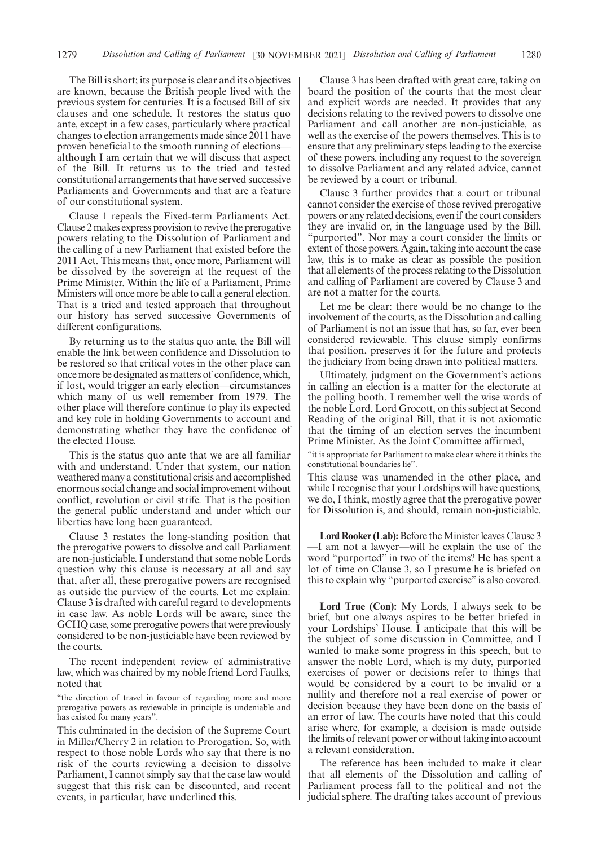The Bill is short; its purpose is clear and its objectives are known, because the British people lived with the previous system for centuries. It is a focused Bill of six clauses and one schedule. It restores the status quo ante, except in a few cases, particularly where practical changes to election arrangements made since 2011 have proven beneficial to the smooth running of elections although I am certain that we will discuss that aspect of the Bill. It returns us to the tried and tested constitutional arrangements that have served successive Parliaments and Governments and that are a feature of our constitutional system.

Clause 1 repeals the Fixed-term Parliaments Act. Clause 2 makes express provision to revive the prerogative powers relating to the Dissolution of Parliament and the calling of a new Parliament that existed before the 2011 Act. This means that, once more, Parliament will be dissolved by the sovereign at the request of the Prime Minister. Within the life of a Parliament, Prime Ministers will once more be able to call a general election. That is a tried and tested approach that throughout our history has served successive Governments of different configurations.

By returning us to the status quo ante, the Bill will enable the link between confidence and Dissolution to be restored so that critical votes in the other place can once more be designated as matters of confidence, which, if lost, would trigger an early election—circumstances which many of us well remember from 1979. The other place will therefore continue to play its expected and key role in holding Governments to account and demonstrating whether they have the confidence of the elected House.

This is the status quo ante that we are all familiar with and understand. Under that system, our nation weathered many a constitutional crisis and accomplished enormous social change and social improvement without conflict, revolution or civil strife. That is the position the general public understand and under which our liberties have long been guaranteed.

Clause 3 restates the long-standing position that the prerogative powers to dissolve and call Parliament are non-justiciable. I understand that some noble Lords question why this clause is necessary at all and say that, after all, these prerogative powers are recognised as outside the purview of the courts. Let me explain: Clause 3 is drafted with careful regard to developments in case law. As noble Lords will be aware, since the GCHQ case, some prerogative powers that were previously considered to be non-justiciable have been reviewed by the courts.

The recent independent review of administrative law, which was chaired by my noble friend Lord Faulks, noted that

"the direction of travel in favour of regarding more and more prerogative powers as reviewable in principle is undeniable and has existed for many years".

This culminated in the decision of the Supreme Court in Miller/Cherry 2 in relation to Prorogation. So, with respect to those noble Lords who say that there is no risk of the courts reviewing a decision to dissolve Parliament, I cannot simply say that the case law would suggest that this risk can be discounted, and recent events, in particular, have underlined this.

Clause 3 has been drafted with great care, taking on board the position of the courts that the most clear and explicit words are needed. It provides that any decisions relating to the revived powers to dissolve one Parliament and call another are non-justiciable, as well as the exercise of the powers themselves. This is to ensure that any preliminary steps leading to the exercise of these powers, including any request to the sovereign to dissolve Parliament and any related advice, cannot be reviewed by a court or tribunal.

Clause 3 further provides that a court or tribunal cannot consider the exercise of those revived prerogative powers or any related decisions, even if the court considers they are invalid or, in the language used by the Bill, "purported". Nor may a court consider the limits or extent of those powers. Again, taking into account the case law, this is to make as clear as possible the position that all elements of the process relating to the Dissolution and calling of Parliament are covered by Clause 3 and are not a matter for the courts.

Let me be clear: there would be no change to the involvement of the courts, as the Dissolution and calling of Parliament is not an issue that has, so far, ever been considered reviewable. This clause simply confirms that position, preserves it for the future and protects the judiciary from being drawn into political matters.

Ultimately, judgment on the Government's actions in calling an election is a matter for the electorate at the polling booth. I remember well the wise words of the noble Lord, Lord Grocott, on this subject at Second Reading of the original Bill, that it is not axiomatic that the timing of an election serves the incumbent Prime Minister. As the Joint Committee affirmed,

"it is appropriate for Parliament to make clear where it thinks the constitutional boundaries lie".

This clause was unamended in the other place, and while I recognise that your Lordships will have questions, we do, I think, mostly agree that the prerogative power for Dissolution is, and should, remain non-justiciable.

Lord Rooker (Lab): Before the Minister leaves Clause 3 —I am not a lawyer—will he explain the use of the word "purported" in two of the items? He has spent a lot of time on Clause 3, so I presume he is briefed on this to explain why "purported exercise" is also covered.

**Lord True (Con):** My Lords, I always seek to be brief, but one always aspires to be better briefed in your Lordships' House. I anticipate that this will be the subject of some discussion in Committee, and I wanted to make some progress in this speech, but to answer the noble Lord, which is my duty, purported exercises of power or decisions refer to things that would be considered by a court to be invalid or a nullity and therefore not a real exercise of power or decision because they have been done on the basis of an error of law. The courts have noted that this could arise where, for example, a decision is made outside the limits of relevant power or without taking into account a relevant consideration.

The reference has been included to make it clear that all elements of the Dissolution and calling of Parliament process fall to the political and not the judicial sphere. The drafting takes account of previous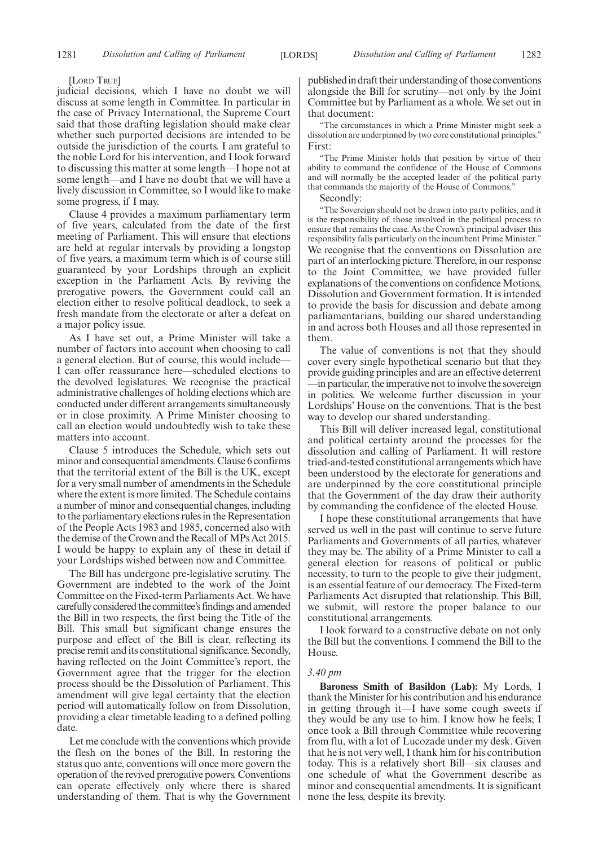[LORD TRUE]

judicial decisions, which I have no doubt we will discuss at some length in Committee. In particular in the case of Privacy International, the Supreme Court said that those drafting legislation should make clear whether such purported decisions are intended to be outside the jurisdiction of the courts. I am grateful to the noble Lord for his intervention, and I look forward to discussing this matter at some length—I hope not at some length—and I have no doubt that we will have a lively discussion in Committee, so I would like to make some progress, if I may.

Clause 4 provides a maximum parliamentary term of five years, calculated from the date of the first meeting of Parliament. This will ensure that elections are held at regular intervals by providing a longstop of five years, a maximum term which is of course still guaranteed by your Lordships through an explicit exception in the Parliament Acts. By reviving the prerogative powers, the Government could call an election either to resolve political deadlock, to seek a fresh mandate from the electorate or after a defeat on a major policy issue.

As I have set out, a Prime Minister will take a number of factors into account when choosing to call a general election. But of course, this would include— I can offer reassurance here—scheduled elections to the devolved legislatures. We recognise the practical administrative challenges of holding elections which are conducted under different arrangements simultaneously or in close proximity. A Prime Minister choosing to call an election would undoubtedly wish to take these matters into account.

Clause 5 introduces the Schedule, which sets out minor and consequential amendments. Clause 6 confirms that the territorial extent of the Bill is the UK, except for a very small number of amendments in the Schedule where the extent is more limited. The Schedule contains a number of minor and consequential changes, including to the parliamentary elections rules in the Representation of the People Acts 1983 and 1985, concerned also with the demise of the Crown and the Recall of MPs Act 2015. I would be happy to explain any of these in detail if your Lordships wished between now and Committee.

The Bill has undergone pre-legislative scrutiny. The Government are indebted to the work of the Joint Committee on the Fixed-term Parliaments Act. We have carefully considered the committee's findings and amended the Bill in two respects, the first being the Title of the Bill. This small but significant change ensures the purpose and effect of the Bill is clear, reflecting its precise remit and its constitutional significance. Secondly, having reflected on the Joint Committee's report, the Government agree that the trigger for the election process should be the Dissolution of Parliament. This amendment will give legal certainty that the election period will automatically follow on from Dissolution, providing a clear timetable leading to a defined polling date.

Let me conclude with the conventions which provide the flesh on the bones of the Bill. In restoring the status quo ante, conventions will once more govern the operation of the revived prerogative powers. Conventions can operate effectively only where there is shared understanding of them. That is why the Government published in draft their understanding of those conventions alongside the Bill for scrutiny—not only by the Joint Committee but by Parliament as a whole. We set out in that document:

"The circumstances in which a Prime Minister might seek a dissolution are underpinned by two core constitutional principles." First:

"The Prime Minister holds that position by virtue of their ability to command the confidence of the House of Commons and will normally be the accepted leader of the political party that commands the majority of the House of Commons."

Secondly:

"The Sovereign should not be drawn into party politics, and it is the responsibility of those involved in the political process to ensure that remains the case. As the Crown's principal adviser this responsibility falls particularly on the incumbent Prime Minister." We recognise that the conventions on Dissolution are part of an interlocking picture. Therefore, in our response to the Joint Committee, we have provided fuller explanations of the conventions on confidence Motions, Dissolution and Government formation. It is intended to provide the basis for discussion and debate among parliamentarians, building our shared understanding in and across both Houses and all those represented in them.

The value of conventions is not that they should cover every single hypothetical scenario but that they provide guiding principles and are an effective deterrent —in particular, the imperative not to involve the sovereign in politics. We welcome further discussion in your Lordships' House on the conventions. That is the best way to develop our shared understanding.

This Bill will deliver increased legal, constitutional and political certainty around the processes for the dissolution and calling of Parliament. It will restore tried-and-tested constitutional arrangements which have been understood by the electorate for generations and are underpinned by the core constitutional principle that the Government of the day draw their authority by commanding the confidence of the elected House.

I hope these constitutional arrangements that have served us well in the past will continue to serve future Parliaments and Governments of all parties, whatever they may be. The ability of a Prime Minister to call a general election for reasons of political or public necessity, to turn to the people to give their judgment, is an essential feature of our democracy. The Fixed-term Parliaments Act disrupted that relationship. This Bill, we submit, will restore the proper balance to our constitutional arrangements.

I look forward to a constructive debate on not only the Bill but the conventions. I commend the Bill to the House.

#### *3.40 pm*

**Baroness Smith of Basildon (Lab):** My Lords, I thank the Minister for his contribution and his endurance in getting through it—I have some cough sweets if they would be any use to him. I know how he feels; I once took a Bill through Committee while recovering from flu, with a lot of Lucozade under my desk. Given that he is not very well, I thank him for his contribution today. This is a relatively short Bill—six clauses and one schedule of what the Government describe as minor and consequential amendments. It is significant none the less, despite its brevity.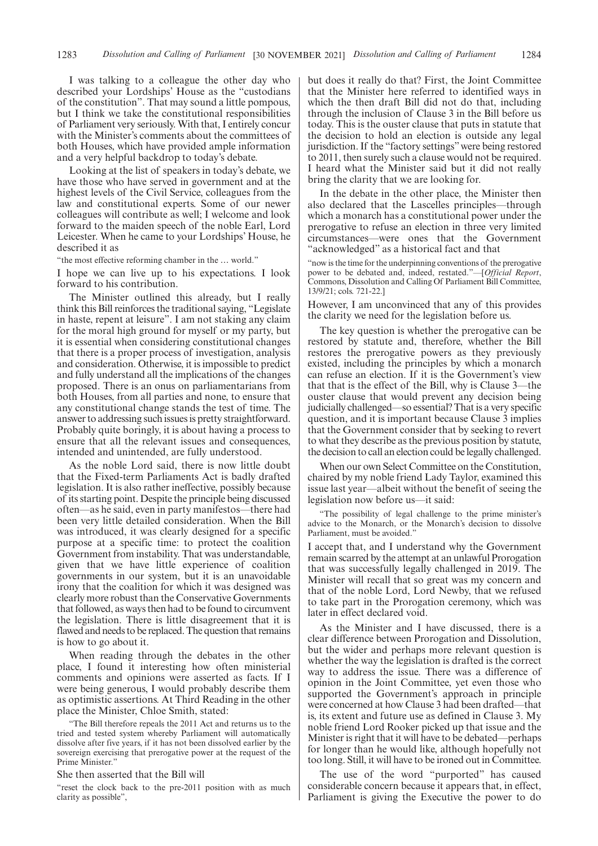I was talking to a colleague the other day who described your Lordships' House as the "custodians of the constitution". That may sound a little pompous, but I think we take the constitutional responsibilities of Parliament very seriously. With that, I entirely concur with the Minister's comments about the committees of both Houses, which have provided ample information and a very helpful backdrop to today's debate.

Looking at the list of speakers in today's debate, we have those who have served in government and at the highest levels of the Civil Service, colleagues from the law and constitutional experts. Some of our newer colleagues will contribute as well; I welcome and look forward to the maiden speech of the noble Earl, Lord Leicester. When he came to your Lordships' House, he described it as

"the most effective reforming chamber in the … world."

I hope we can live up to his expectations. I look forward to his contribution.

The Minister outlined this already, but I really think this Bill reinforces the traditional saying, "Legislate in haste, repent at leisure". I am not staking any claim for the moral high ground for myself or my party, but it is essential when considering constitutional changes that there is a proper process of investigation, analysis and consideration. Otherwise, it is impossible to predict and fully understand all the implications of the changes proposed. There is an onus on parliamentarians from both Houses, from all parties and none, to ensure that any constitutional change stands the test of time. The answer to addressing such issues is pretty straightforward. Probably quite boringly, it is about having a process to ensure that all the relevant issues and consequences, intended and unintended, are fully understood.

As the noble Lord said, there is now little doubt that the Fixed-term Parliaments Act is badly drafted legislation. It is also rather ineffective, possibly because of its starting point. Despite the principle being discussed often—as he said, even in party manifestos—there had been very little detailed consideration. When the Bill was introduced, it was clearly designed for a specific purpose at a specific time: to protect the coalition Government from instability. That was understandable, given that we have little experience of coalition governments in our system, but it is an unavoidable irony that the coalition for which it was designed was clearly more robust than the Conservative Governments that followed, as ways then had to be found to circumvent the legislation. There is little disagreement that it is flawed and needs to be replaced. The question that remains is how to go about it.

When reading through the debates in the other place, I found it interesting how often ministerial comments and opinions were asserted as facts. If I were being generous, I would probably describe them as optimistic assertions. At Third Reading in the other place the Minister, Chloe Smith, stated:

"The Bill therefore repeals the 2011 Act and returns us to the tried and tested system whereby Parliament will automatically dissolve after five years, if it has not been dissolved earlier by the sovereign exercising that prerogative power at the request of the Prime Minister."

#### She then asserted that the Bill will

"reset the clock back to the pre-2011 position with as much clarity as possible",

but does it really do that? First, the Joint Committee that the Minister here referred to identified ways in which the then draft Bill did not do that, including through the inclusion of Clause 3 in the Bill before us today. This is the ouster clause that puts in statute that the decision to hold an election is outside any legal jurisdiction. If the "factory settings"were being restored to 2011, then surely such a clause would not be required. I heard what the Minister said but it did not really bring the clarity that we are looking for.

In the debate in the other place, the Minister then also declared that the Lascelles principles—through which a monarch has a constitutional power under the prerogative to refuse an election in three very limited circumstances—were ones that the Government "acknowledged" as a historical fact and that

"now is the time for the underpinning conventions of the prerogative power to be debated and, indeed, restated."—[*Official Report*, Commons, Dissolution and Calling Of Parliament Bill Committee, 13/9/21; cols. 721-22.]

However, I am unconvinced that any of this provides the clarity we need for the legislation before us.

The key question is whether the prerogative can be restored by statute and, therefore, whether the Bill restores the prerogative powers as they previously existed, including the principles by which a monarch can refuse an election. If it is the Government's view that that is the effect of the Bill, why is Clause 3—the ouster clause that would prevent any decision being judicially challenged—so essential? That is a very specific question, and it is important because Clause 3 implies that the Government consider that by seeking to revert to what they describe as the previous position by statute, the decision to call an election could be legally challenged.

When our own Select Committee on the Constitution, chaired by my noble friend Lady Taylor, examined this issue last year—albeit without the benefit of seeing the legislation now before us—it said:

The possibility of legal challenge to the prime minister's advice to the Monarch, or the Monarch's decision to dissolve Parliament, must be avoided."

I accept that, and I understand why the Government remain scarred by the attempt at an unlawful Prorogation that was successfully legally challenged in 2019. The Minister will recall that so great was my concern and that of the noble Lord, Lord Newby, that we refused to take part in the Prorogation ceremony, which was later in effect declared void.

As the Minister and I have discussed, there is a clear difference between Prorogation and Dissolution, but the wider and perhaps more relevant question is whether the way the legislation is drafted is the correct way to address the issue. There was a difference of opinion in the Joint Committee, yet even those who supported the Government's approach in principle were concerned at how Clause 3 had been drafted—that is, its extent and future use as defined in Clause 3. My noble friend Lord Rooker picked up that issue and the Minister is right that it will have to be debated—perhaps for longer than he would like, although hopefully not too long. Still, it will have to be ironed out in Committee.

The use of the word "purported" has caused considerable concern because it appears that, in effect, Parliament is giving the Executive the power to do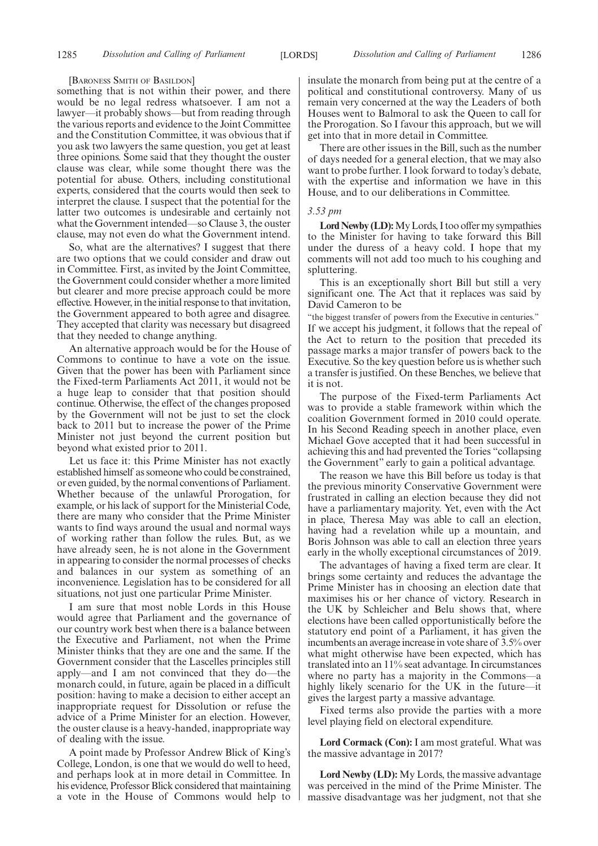#### [BARONESS SMITH OF BASILDON]

something that is not within their power, and there would be no legal redress whatsoever. I am not a lawyer—it probably shows—but from reading through the various reports and evidence to the Joint Committee and the Constitution Committee, it was obvious that if you ask two lawyers the same question, you get at least three opinions. Some said that they thought the ouster clause was clear, while some thought there was the potential for abuse. Others, including constitutional experts, considered that the courts would then seek to interpret the clause. I suspect that the potential for the latter two outcomes is undesirable and certainly not what the Government intended—so Clause 3, the ouster clause, may not even do what the Government intend.

So, what are the alternatives? I suggest that there are two options that we could consider and draw out in Committee. First, as invited by the Joint Committee, the Government could consider whether a more limited but clearer and more precise approach could be more effective. However, in the initial response to that invitation, the Government appeared to both agree and disagree. They accepted that clarity was necessary but disagreed that they needed to change anything.

An alternative approach would be for the House of Commons to continue to have a vote on the issue. Given that the power has been with Parliament since the Fixed-term Parliaments Act 2011, it would not be a huge leap to consider that that position should continue. Otherwise, the effect of the changes proposed by the Government will not be just to set the clock back to 2011 but to increase the power of the Prime Minister not just beyond the current position but beyond what existed prior to 2011.

Let us face it: this Prime Minister has not exactly established himself as someone who could be constrained, or even guided, by the normal conventions of Parliament. Whether because of the unlawful Prorogation, for example, or his lack of support for the Ministerial Code, there are many who consider that the Prime Minister wants to find ways around the usual and normal ways of working rather than follow the rules. But, as we have already seen, he is not alone in the Government in appearing to consider the normal processes of checks and balances in our system as something of an inconvenience. Legislation has to be considered for all situations, not just one particular Prime Minister.

I am sure that most noble Lords in this House would agree that Parliament and the governance of our country work best when there is a balance between the Executive and Parliament, not when the Prime Minister thinks that they are one and the same. If the Government consider that the Lascelles principles still apply—and I am not convinced that they do—the monarch could, in future, again be placed in a difficult position: having to make a decision to either accept an inappropriate request for Dissolution or refuse the advice of a Prime Minister for an election. However, the ouster clause is a heavy-handed, inappropriate way of dealing with the issue.

A point made by Professor Andrew Blick of King's College, London, is one that we would do well to heed, and perhaps look at in more detail in Committee. In his evidence, Professor Blick considered that maintaining a vote in the House of Commons would help to insulate the monarch from being put at the centre of a political and constitutional controversy. Many of us remain very concerned at the way the Leaders of both Houses went to Balmoral to ask the Queen to call for the Prorogation. So I favour this approach, but we will get into that in more detail in Committee.

There are other issues in the Bill, such as the number of days needed for a general election, that we may also want to probe further. I look forward to today's debate, with the expertise and information we have in this House, and to our deliberations in Committee.

#### *3.53 pm*

**Lord Newby (LD):**My Lords, I too offer my sympathies to the Minister for having to take forward this Bill under the duress of a heavy cold. I hope that my comments will not add too much to his coughing and spluttering.

This is an exceptionally short Bill but still a very significant one. The Act that it replaces was said by David Cameron to be

"the biggest transfer of powers from the Executive in centuries." If we accept his judgment, it follows that the repeal of the Act to return to the position that preceded its passage marks a major transfer of powers back to the Executive. So the key question before us is whether such a transfer is justified. On these Benches, we believe that it is not.

The purpose of the Fixed-term Parliaments Act was to provide a stable framework within which the coalition Government formed in 2010 could operate. In his Second Reading speech in another place, even Michael Gove accepted that it had been successful in achieving this and had prevented the Tories "collapsing the Government" early to gain a political advantage.

The reason we have this Bill before us today is that the previous minority Conservative Government were frustrated in calling an election because they did not have a parliamentary majority. Yet, even with the Act in place, Theresa May was able to call an election, having had a revelation while up a mountain, and Boris Johnson was able to call an election three years early in the wholly exceptional circumstances of 2019.

The advantages of having a fixed term are clear. It brings some certainty and reduces the advantage the Prime Minister has in choosing an election date that maximises his or her chance of victory. Research in the UK by Schleicher and Belu shows that, where elections have been called opportunistically before the statutory end point of a Parliament, it has given the incumbents an average increase in vote share of 3.5% over what might otherwise have been expected, which has translated into an 11% seat advantage. In circumstances where no party has a majority in the Commons—a highly likely scenario for the UK in the future—it gives the largest party a massive advantage.

Fixed terms also provide the parties with a more level playing field on electoral expenditure.

**Lord Cormack (Con):** I am most grateful. What was the massive advantage in 2017?

**Lord Newby (LD):** My Lords, the massive advantage was perceived in the mind of the Prime Minister. The massive disadvantage was her judgment, not that she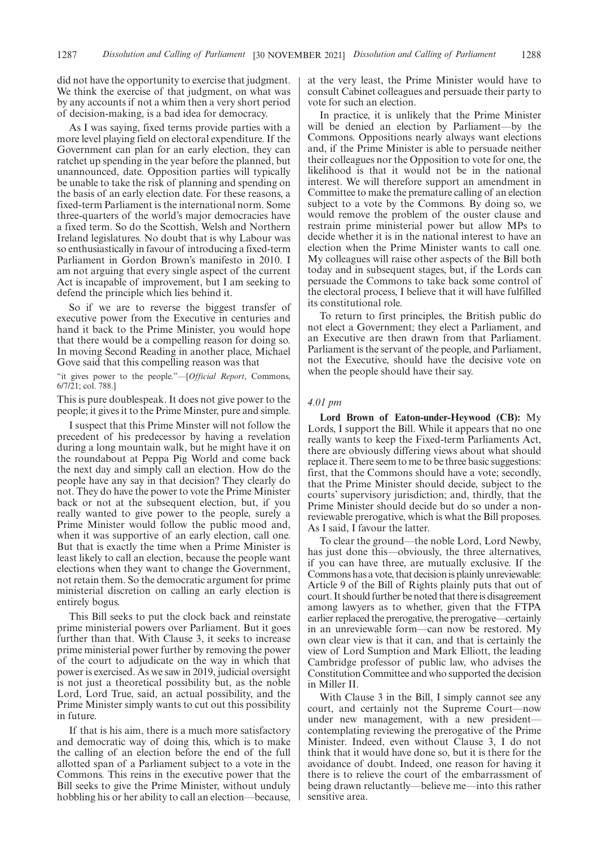did not have the opportunity to exercise that judgment. We think the exercise of that judgment, on what was by any accounts if not a whim then a very short period of decision-making, is a bad idea for democracy.

As I was saying, fixed terms provide parties with a more level playing field on electoral expenditure. If the Government can plan for an early election, they can ratchet up spending in the year before the planned, but unannounced, date. Opposition parties will typically be unable to take the risk of planning and spending on the basis of an early election date. For these reasons, a fixed-term Parliament is the international norm. Some three-quarters of the world's major democracies have a fixed term. So do the Scottish, Welsh and Northern Ireland legislatures. No doubt that is why Labour was so enthusiastically in favour of introducing a fixed-term Parliament in Gordon Brown's manifesto in 2010. I am not arguing that every single aspect of the current Act is incapable of improvement, but I am seeking to defend the principle which lies behind it.

So if we are to reverse the biggest transfer of executive power from the Executive in centuries and hand it back to the Prime Minister, you would hope that there would be a compelling reason for doing so. In moving Second Reading in another place, Michael Gove said that this compelling reason was that

"it gives power to the people."—[*Official Report*, Commons, 6/7/21; col. 788.]

This is pure doublespeak. It does not give power to the people; it gives it to the Prime Minster, pure and simple.

I suspect that this Prime Minster will not follow the precedent of his predecessor by having a revelation during a long mountain walk, but he might have it on the roundabout at Peppa Pig World and come back the next day and simply call an election. How do the people have any say in that decision? They clearly do not. They do have the power to vote the Prime Minister back or not at the subsequent election, but, if you really wanted to give power to the people, surely a Prime Minister would follow the public mood and, when it was supportive of an early election, call one. But that is exactly the time when a Prime Minister is least likely to call an election, because the people want elections when they want to change the Government, not retain them. So the democratic argument for prime ministerial discretion on calling an early election is entirely bogus.

This Bill seeks to put the clock back and reinstate prime ministerial powers over Parliament. But it goes further than that. With Clause 3, it seeks to increase prime ministerial power further by removing the power of the court to adjudicate on the way in which that power is exercised. As we saw in 2019, judicial oversight is not just a theoretical possibility but, as the noble Lord, Lord True, said, an actual possibility, and the Prime Minister simply wants to cut out this possibility in future.

If that is his aim, there is a much more satisfactory and democratic way of doing this, which is to make the calling of an election before the end of the full allotted span of a Parliament subject to a vote in the Commons. This reins in the executive power that the Bill seeks to give the Prime Minister, without unduly hobbling his or her ability to call an election—because, at the very least, the Prime Minister would have to consult Cabinet colleagues and persuade their party to vote for such an election.

In practice, it is unlikely that the Prime Minister will be denied an election by Parliament—by the Commons. Oppositions nearly always want elections and, if the Prime Minister is able to persuade neither their colleagues nor the Opposition to vote for one, the likelihood is that it would not be in the national interest. We will therefore support an amendment in Committee to make the premature calling of an election subject to a vote by the Commons. By doing so, we would remove the problem of the ouster clause and restrain prime ministerial power but allow MPs to decide whether it is in the national interest to have an election when the Prime Minister wants to call one. My colleagues will raise other aspects of the Bill both today and in subsequent stages, but, if the Lords can persuade the Commons to take back some control of the electoral process, I believe that it will have fulfilled its constitutional role.

To return to first principles, the British public do not elect a Government; they elect a Parliament, and an Executive are then drawn from that Parliament. Parliament is the servant of the people, and Parliament, not the Executive, should have the decisive vote on when the people should have their say.

#### *4.01 pm*

**Lord Brown of Eaton-under-Heywood (CB):** My Lords, I support the Bill. While it appears that no one really wants to keep the Fixed-term Parliaments Act, there are obviously differing views about what should replace it. There seem to me to be three basic suggestions: first, that the Commons should have a vote; secondly, that the Prime Minister should decide, subject to the courts' supervisory jurisdiction; and, thirdly, that the Prime Minister should decide but do so under a nonreviewable prerogative, which is what the Bill proposes. As I said, I favour the latter.

To clear the ground—the noble Lord, Lord Newby, has just done this—obviously, the three alternatives, if you can have three, are mutually exclusive. If the Commons has a vote, that decision is plainly unreviewable: Article 9 of the Bill of Rights plainly puts that out of court. It should further be noted that there is disagreement among lawyers as to whether, given that the FTPA earlier replaced the prerogative, the prerogative—certainly in an unreviewable form—can now be restored. My own clear view is that it can, and that is certainly the view of Lord Sumption and Mark Elliott, the leading Cambridge professor of public law, who advises the Constitution Committee and who supported the decision in Miller II.

With Clause 3 in the Bill, I simply cannot see any court, and certainly not the Supreme Court—now under new management, with a new president contemplating reviewing the prerogative of the Prime Minister. Indeed, even without Clause 3, I do not think that it would have done so, but it is there for the avoidance of doubt. Indeed, one reason for having it there is to relieve the court of the embarrassment of being drawn reluctantly—believe me—into this rather sensitive area.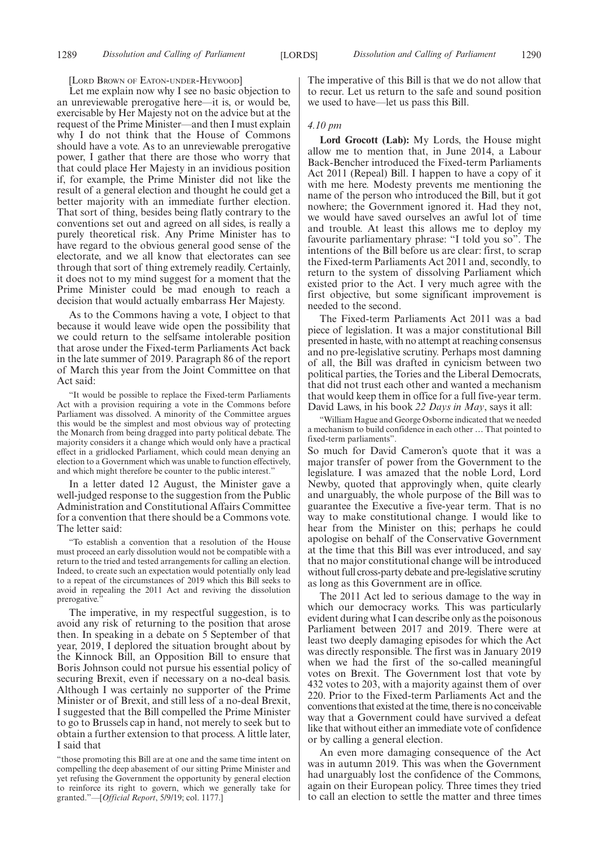[LORD BROWN OF EATON-UNDER-HEYWOOD]

Let me explain now why I see no basic objection to an unreviewable prerogative here—it is, or would be, exercisable by Her Majesty not on the advice but at the request of the Prime Minister—and then I must explain why I do not think that the House of Commons should have a vote. As to an unreviewable prerogative power, I gather that there are those who worry that that could place Her Majesty in an invidious position if, for example, the Prime Minister did not like the result of a general election and thought he could get a better majority with an immediate further election. That sort of thing, besides being flatly contrary to the conventions set out and agreed on all sides, is really a purely theoretical risk. Any Prime Minister has to have regard to the obvious general good sense of the electorate, and we all know that electorates can see through that sort of thing extremely readily. Certainly, it does not to my mind suggest for a moment that the Prime Minister could be mad enough to reach a decision that would actually embarrass Her Majesty.

As to the Commons having a vote, I object to that because it would leave wide open the possibility that we could return to the selfsame intolerable position that arose under the Fixed-term Parliaments Act back in the late summer of 2019. Paragraph 86 of the report of March this year from the Joint Committee on that Act said:

"It would be possible to replace the Fixed-term Parliaments Act with a provision requiring a vote in the Commons before Parliament was dissolved. A minority of the Committee argues this would be the simplest and most obvious way of protecting the Monarch from being dragged into party political debate. The majority considers it a change which would only have a practical effect in a gridlocked Parliament, which could mean denying an election to a Government which was unable to function effectively, and which might therefore be counter to the public interest."

In a letter dated 12 August, the Minister gave a well-judged response to the suggestion from the Public Administration and Constitutional Affairs Committee for a convention that there should be a Commons vote. The letter said:

"To establish a convention that a resolution of the House must proceed an early dissolution would not be compatible with a return to the tried and tested arrangements for calling an election. Indeed, to create such an expectation would potentially only lead to a repeat of the circumstances of 2019 which this Bill seeks to avoid in repealing the 2011 Act and reviving the dissolution prerogative."

The imperative, in my respectful suggestion, is to avoid any risk of returning to the position that arose then. In speaking in a debate on 5 September of that year, 2019, I deplored the situation brought about by the Kinnock Bill, an Opposition Bill to ensure that Boris Johnson could not pursue his essential policy of securing Brexit, even if necessary on a no-deal basis. Although I was certainly no supporter of the Prime Minister or of Brexit, and still less of a no-deal Brexit, I suggested that the Bill compelled the Prime Minister to go to Brussels cap in hand, not merely to seek but to obtain a further extension to that process. A little later, I said that

"those promoting this Bill are at one and the same time intent on compelling the deep abasement of our sitting Prime Minister and yet refusing the Government the opportunity by general election to reinforce its right to govern, which we generally take for granted."—[*Official Report*, 5/9/19; col. 1177.]

The imperative of this Bill is that we do not allow that to recur. Let us return to the safe and sound position we used to have—let us pass this Bill.

#### *4.10 pm*

**Lord Grocott (Lab):** My Lords, the House might allow me to mention that, in June 2014, a Labour Back-Bencher introduced the Fixed-term Parliaments Act 2011 (Repeal) Bill. I happen to have a copy of it with me here. Modesty prevents me mentioning the name of the person who introduced the Bill, but it got nowhere; the Government ignored it. Had they not, we would have saved ourselves an awful lot of time and trouble. At least this allows me to deploy my favourite parliamentary phrase: "I told you so". The intentions of the Bill before us are clear: first, to scrap the Fixed-term Parliaments Act 2011 and, secondly, to return to the system of dissolving Parliament which existed prior to the Act. I very much agree with the first objective, but some significant improvement is needed to the second.

The Fixed-term Parliaments Act 2011 was a bad piece of legislation. It was a major constitutional Bill presented in haste, with no attempt at reaching consensus and no pre-legislative scrutiny. Perhaps most damning of all, the Bill was drafted in cynicism between two political parties, the Tories and the Liberal Democrats, that did not trust each other and wanted a mechanism that would keep them in office for a full five-year term. David Laws, in his book *22 Days in May*, says it all:

"William Hague and George Osborne indicated that we needed a mechanism to build confidence in each other … That pointed to fixed-term parliaments".

So much for David Cameron's quote that it was a major transfer of power from the Government to the legislature. I was amazed that the noble Lord, Lord Newby, quoted that approvingly when, quite clearly and unarguably, the whole purpose of the Bill was to guarantee the Executive a five-year term. That is no way to make constitutional change. I would like to hear from the Minister on this; perhaps he could apologise on behalf of the Conservative Government at the time that this Bill was ever introduced, and say that no major constitutional change will be introduced without full cross-party debate and pre-legislative scrutiny as long as this Government are in office.

The 2011 Act led to serious damage to the way in which our democracy works. This was particularly evident during what I can describe only as the poisonous Parliament between 2017 and 2019. There were at least two deeply damaging episodes for which the Act was directly responsible. The first was in January 2019 when we had the first of the so-called meaningful votes on Brexit. The Government lost that vote by 432 votes to 203, with a majority against them of over 220. Prior to the Fixed-term Parliaments Act and the conventions that existed at the time, there is no conceivable way that a Government could have survived a defeat like that without either an immediate vote of confidence or by calling a general election.

An even more damaging consequence of the Act was in autumn 2019. This was when the Government had unarguably lost the confidence of the Commons, again on their European policy. Three times they tried to call an election to settle the matter and three times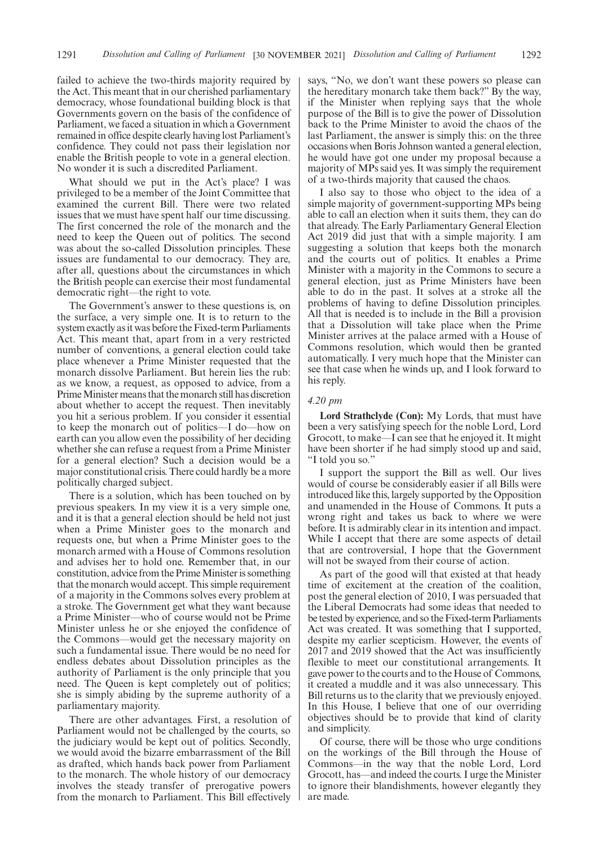failed to achieve the two-thirds majority required by the Act. This meant that in our cherished parliamentary democracy, whose foundational building block is that Governments govern on the basis of the confidence of Parliament, we faced a situation in which a Government remained in office despite clearly having lost Parliament's confidence. They could not pass their legislation nor enable the British people to vote in a general election. No wonder it is such a discredited Parliament.

What should we put in the Act's place? I was privileged to be a member of the Joint Committee that examined the current Bill. There were two related issues that we must have spent half our time discussing. The first concerned the role of the monarch and the need to keep the Queen out of politics. The second was about the so-called Dissolution principles. These issues are fundamental to our democracy. They are, after all, questions about the circumstances in which the British people can exercise their most fundamental democratic right—the right to vote.

The Government's answer to these questions is, on the surface, a very simple one. It is to return to the system exactly as it was before the Fixed-term Parliaments Act. This meant that, apart from in a very restricted number of conventions, a general election could take place whenever a Prime Minister requested that the monarch dissolve Parliament. But herein lies the rub: as we know, a request, as opposed to advice, from a Prime Minister means that the monarch still has discretion about whether to accept the request. Then inevitably you hit a serious problem. If you consider it essential to keep the monarch out of politics—I do—how on earth can you allow even the possibility of her deciding whether she can refuse a request from a Prime Minister for a general election? Such a decision would be a major constitutional crisis. There could hardly be a more politically charged subject.

There is a solution, which has been touched on by previous speakers. In my view it is a very simple one, and it is that a general election should be held not just when a Prime Minister goes to the monarch and requests one, but when a Prime Minister goes to the monarch armed with a House of Commons resolution and advises her to hold one. Remember that, in our constitution, advice from the Prime Minister is something that the monarch would accept. This simple requirement of a majority in the Commons solves every problem at a stroke. The Government get what they want because a Prime Minister—who of course would not be Prime Minister unless he or she enjoyed the confidence of the Commons—would get the necessary majority on such a fundamental issue. There would be no need for endless debates about Dissolution principles as the authority of Parliament is the only principle that you need. The Queen is kept completely out of politics; she is simply abiding by the supreme authority of a parliamentary majority.

There are other advantages. First, a resolution of Parliament would not be challenged by the courts, so the judiciary would be kept out of politics. Secondly, we would avoid the bizarre embarrassment of the Bill as drafted, which hands back power from Parliament to the monarch. The whole history of our democracy involves the steady transfer of prerogative powers from the monarch to Parliament. This Bill effectively says, "No, we don't want these powers so please can the hereditary monarch take them back?" By the way, if the Minister when replying says that the whole purpose of the Bill is to give the power of Dissolution back to the Prime Minister to avoid the chaos of the last Parliament, the answer is simply this: on the three occasions when Boris Johnson wanted a general election, he would have got one under my proposal because a majority of MPs said yes. It was simply the requirement of a two-thirds majority that caused the chaos.

I also say to those who object to the idea of a simple majority of government-supporting MPs being able to call an election when it suits them, they can do that already. The Early Parliamentary General Election Act 2019 did just that with a simple majority. I am suggesting a solution that keeps both the monarch and the courts out of politics. It enables a Prime Minister with a majority in the Commons to secure a general election, just as Prime Ministers have been able to do in the past. It solves at a stroke all the problems of having to define Dissolution principles. All that is needed is to include in the Bill a provision that a Dissolution will take place when the Prime Minister arrives at the palace armed with a House of Commons resolution, which would then be granted automatically. I very much hope that the Minister can see that case when he winds up, and I look forward to his reply.

#### *4.20 pm*

**Lord Strathclyde (Con):** My Lords, that must have been a very satisfying speech for the noble Lord, Lord Grocott, to make—I can see that he enjoyed it. It might have been shorter if he had simply stood up and said, "I told you so."

I support the support the Bill as well. Our lives would of course be considerably easier if all Bills were introduced like this, largely supported by the Opposition and unamended in the House of Commons. It puts a wrong right and takes us back to where we were before. It is admirably clear in its intention and impact. While I accept that there are some aspects of detail that are controversial, I hope that the Government will not be swayed from their course of action.

As part of the good will that existed at that heady time of excitement at the creation of the coalition, post the general election of 2010, I was persuaded that the Liberal Democrats had some ideas that needed to be tested by experience, and so the Fixed-term Parliaments Act was created. It was something that I supported, despite my earlier scepticism. However, the events of 2017 and 2019 showed that the Act was insufficiently flexible to meet our constitutional arrangements. It gave power to the courts and to the House of Commons, it created a muddle and it was also unnecessary. This Bill returns us to the clarity that we previously enjoyed. In this House, I believe that one of our overriding objectives should be to provide that kind of clarity and simplicity.

Of course, there will be those who urge conditions on the workings of the Bill through the House of Commons—in the way that the noble Lord, Lord Grocott, has—and indeed the courts. I urge the Minister to ignore their blandishments, however elegantly they are made.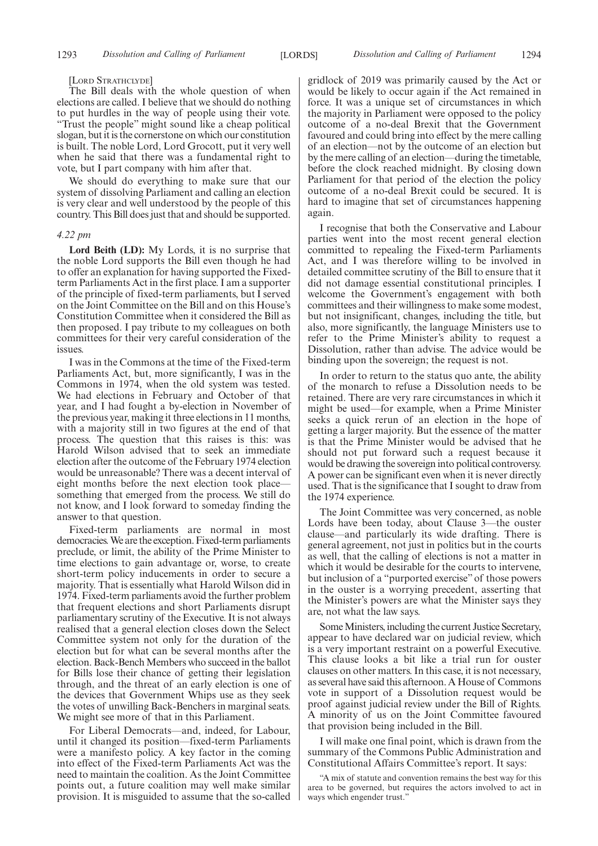#### [LORD STRATHCLYDE]

The Bill deals with the whole question of when elections are called. I believe that we should do nothing to put hurdles in the way of people using their vote. "Trust the people" might sound like a cheap political slogan, but it is the cornerstone on which our constitution is built. The noble Lord, Lord Grocott, put it very well when he said that there was a fundamental right to vote, but I part company with him after that.

We should do everything to make sure that our system of dissolving Parliament and calling an election is very clear and well understood by the people of this country. This Bill does just that and should be supported.

#### *4.22 pm*

**Lord Beith (LD):** My Lords, it is no surprise that the noble Lord supports the Bill even though he had to offer an explanation for having supported the Fixedterm Parliaments Act in the first place. I am a supporter of the principle of fixed-term parliaments, but I served on the Joint Committee on the Bill and on this House's Constitution Committee when it considered the Bill as then proposed. I pay tribute to my colleagues on both committees for their very careful consideration of the issues.

I was in the Commons at the time of the Fixed-term Parliaments Act, but, more significantly, I was in the Commons in 1974, when the old system was tested. We had elections in February and October of that year, and I had fought a by-election in November of the previous year, making it three elections in 11 months, with a majority still in two figures at the end of that process. The question that this raises is this: was Harold Wilson advised that to seek an immediate election after the outcome of the February 1974 election would be unreasonable? There was a decent interval of eight months before the next election took place something that emerged from the process. We still do not know, and I look forward to someday finding the answer to that question.

Fixed-term parliaments are normal in most democracies. We are the exception. Fixed-term parliaments preclude, or limit, the ability of the Prime Minister to time elections to gain advantage or, worse, to create short-term policy inducements in order to secure a majority. That is essentially what Harold Wilson did in 1974. Fixed-term parliaments avoid the further problem that frequent elections and short Parliaments disrupt parliamentary scrutiny of the Executive. It is not always realised that a general election closes down the Select Committee system not only for the duration of the election but for what can be several months after the election. Back-Bench Members who succeed in the ballot for Bills lose their chance of getting their legislation through, and the threat of an early election is one of the devices that Government Whips use as they seek the votes of unwilling Back-Benchers in marginal seats. We might see more of that in this Parliament.

For Liberal Democrats—and, indeed, for Labour, until it changed its position—fixed-term Parliaments were a manifesto policy. A key factor in the coming into effect of the Fixed-term Parliaments Act was the need to maintain the coalition. As the Joint Committee points out, a future coalition may well make similar provision. It is misguided to assume that the so-called gridlock of 2019 was primarily caused by the Act or would be likely to occur again if the Act remained in force. It was a unique set of circumstances in which the majority in Parliament were opposed to the policy outcome of a no-deal Brexit that the Government favoured and could bring into effect by the mere calling of an election—not by the outcome of an election but by the mere calling of an election—during the timetable, before the clock reached midnight. By closing down Parliament for that period of the election the policy outcome of a no-deal Brexit could be secured. It is hard to imagine that set of circumstances happening again.

I recognise that both the Conservative and Labour parties went into the most recent general election committed to repealing the Fixed-term Parliaments Act, and I was therefore willing to be involved in detailed committee scrutiny of the Bill to ensure that it did not damage essential constitutional principles. I welcome the Government's engagement with both committees and their willingness to make some modest, but not insignificant, changes, including the title, but also, more significantly, the language Ministers use to refer to the Prime Minister's ability to request a Dissolution, rather than advise. The advice would be binding upon the sovereign; the request is not.

In order to return to the status quo ante, the ability of the monarch to refuse a Dissolution needs to be retained. There are very rare circumstances in which it might be used—for example, when a Prime Minister seeks a quick rerun of an election in the hope of getting a larger majority. But the essence of the matter is that the Prime Minister would be advised that he should not put forward such a request because it would be drawing the sovereign into political controversy. A power can be significant even when it is never directly used. That is the significance that I sought to draw from the 1974 experience.

The Joint Committee was very concerned, as noble Lords have been today, about Clause 3—the ouster clause—and particularly its wide drafting. There is general agreement, not just in politics but in the courts as well, that the calling of elections is not a matter in which it would be desirable for the courts to intervene, but inclusion of a "purported exercise" of those powers in the ouster is a worrying precedent, asserting that the Minister's powers are what the Minister says they are, not what the law says.

Some Ministers, including the current Justice Secretary, appear to have declared war on judicial review, which is a very important restraint on a powerful Executive. This clause looks a bit like a trial run for ouster clauses on other matters. In this case, it is not necessary, as several have said this afternoon. A House of Commons vote in support of a Dissolution request would be proof against judicial review under the Bill of Rights. A minority of us on the Joint Committee favoured that provision being included in the Bill.

I will make one final point, which is drawn from the summary of the Commons Public Administration and Constitutional Affairs Committee's report. It says:

"A mix of statute and convention remains the best way for this area to be governed, but requires the actors involved to act in ways which engender trust."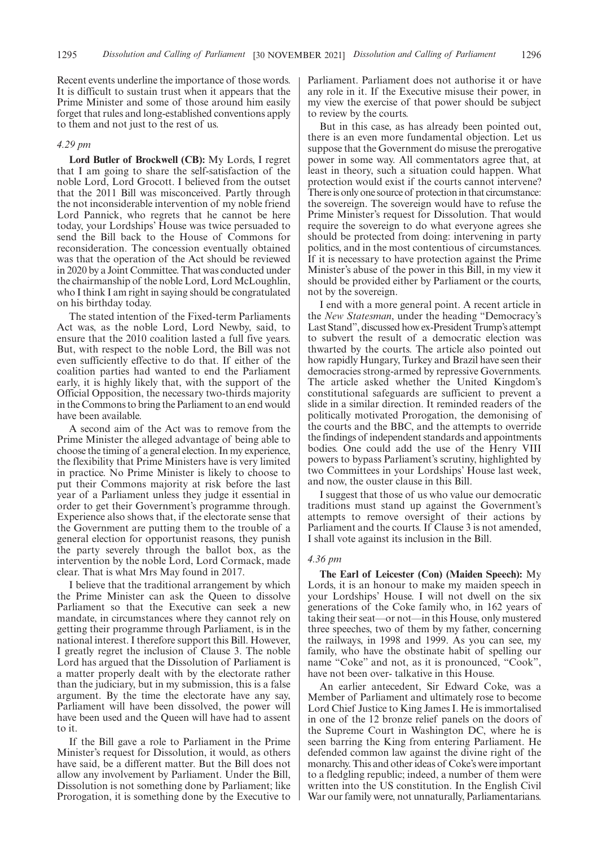Recent events underline the importance of those words. It is difficult to sustain trust when it appears that the Prime Minister and some of those around him easily forget that rules and long-established conventions apply to them and not just to the rest of us.

### *4.29 pm*

**Lord Butler of Brockwell (CB):** My Lords, I regret that I am going to share the self-satisfaction of the noble Lord, Lord Grocott. I believed from the outset that the 2011 Bill was misconceived. Partly through the not inconsiderable intervention of my noble friend Lord Pannick, who regrets that he cannot be here today, your Lordships' House was twice persuaded to send the Bill back to the House of Commons for reconsideration. The concession eventually obtained was that the operation of the Act should be reviewed in 2020 by a Joint Committee. That was conducted under the chairmanship of the noble Lord, Lord McLoughlin, who I think I am right in saying should be congratulated on his birthday today.

The stated intention of the Fixed-term Parliaments Act was, as the noble Lord, Lord Newby, said, to ensure that the 2010 coalition lasted a full five years. But, with respect to the noble Lord, the Bill was not even sufficiently effective to do that. If either of the coalition parties had wanted to end the Parliament early, it is highly likely that, with the support of the Official Opposition, the necessary two-thirds majority in the Commons to bring the Parliament to an end would have been available.

A second aim of the Act was to remove from the Prime Minister the alleged advantage of being able to choose the timing of a general election. In my experience, the flexibility that Prime Ministers have is very limited in practice. No Prime Minister is likely to choose to put their Commons majority at risk before the last year of a Parliament unless they judge it essential in order to get their Government's programme through. Experience also shows that, if the electorate sense that the Government are putting them to the trouble of a general election for opportunist reasons, they punish the party severely through the ballot box, as the intervention by the noble Lord, Lord Cormack, made clear. That is what Mrs May found in 2017.

I believe that the traditional arrangement by which the Prime Minister can ask the Queen to dissolve Parliament so that the Executive can seek a new mandate, in circumstances where they cannot rely on getting their programme through Parliament, is in the national interest. I therefore support this Bill. However, I greatly regret the inclusion of Clause 3. The noble Lord has argued that the Dissolution of Parliament is a matter properly dealt with by the electorate rather than the judiciary, but in my submission, this is a false argument. By the time the electorate have any say, Parliament will have been dissolved, the power will have been used and the Queen will have had to assent to it.

If the Bill gave a role to Parliament in the Prime Minister's request for Dissolution, it would, as others have said, be a different matter. But the Bill does not allow any involvement by Parliament. Under the Bill, Dissolution is not something done by Parliament; like Prorogation, it is something done by the Executive to Parliament. Parliament does not authorise it or have any role in it. If the Executive misuse their power, in my view the exercise of that power should be subject to review by the courts.

But in this case, as has already been pointed out, there is an even more fundamental objection. Let us suppose that the Government do misuse the prerogative power in some way. All commentators agree that, at least in theory, such a situation could happen. What protection would exist if the courts cannot intervene? There is only one source of protection in that circumstance: the sovereign. The sovereign would have to refuse the Prime Minister's request for Dissolution. That would require the sovereign to do what everyone agrees she should be protected from doing: intervening in party politics, and in the most contentious of circumstances. If it is necessary to have protection against the Prime Minister's abuse of the power in this Bill, in my view it should be provided either by Parliament or the courts, not by the sovereign.

I end with a more general point. A recent article in the *New Statesman*, under the heading "Democracy's Last Stand", discussed how ex-President Trump's attempt to subvert the result of a democratic election was thwarted by the courts. The article also pointed out how rapidly Hungary, Turkey and Brazil have seen their democracies strong-armed by repressive Governments. The article asked whether the United Kingdom's constitutional safeguards are sufficient to prevent a slide in a similar direction. It reminded readers of the politically motivated Prorogation, the demonising of the courts and the BBC, and the attempts to override the findings of independent standards and appointments bodies. One could add the use of the Henry VIII powers to bypass Parliament's scrutiny, highlighted by two Committees in your Lordships' House last week, and now, the ouster clause in this Bill.

I suggest that those of us who value our democratic traditions must stand up against the Government's attempts to remove oversight of their actions by Parliament and the courts. If Clause 3 is not amended, I shall vote against its inclusion in the Bill.

### *4.36 pm*

**The Earl of Leicester (Con) (Maiden Speech):** My Lords, it is an honour to make my maiden speech in your Lordships' House. I will not dwell on the six generations of the Coke family who, in 162 years of taking their seat—or not—in this House, only mustered three speeches, two of them by my father, concerning the railways, in 1998 and 1999. As you can see, my family, who have the obstinate habit of spelling our name "Coke" and not, as it is pronounced, "Cook", have not been over- talkative in this House.

An earlier antecedent, Sir Edward Coke, was a Member of Parliament and ultimately rose to become Lord Chief Justice to King James I. He is immortalised in one of the 12 bronze relief panels on the doors of the Supreme Court in Washington DC, where he is seen barring the King from entering Parliament. He defended common law against the divine right of the monarchy. This and other ideas of Coke's were important to a fledgling republic; indeed, a number of them were written into the US constitution. In the English Civil War our family were, not unnaturally, Parliamentarians.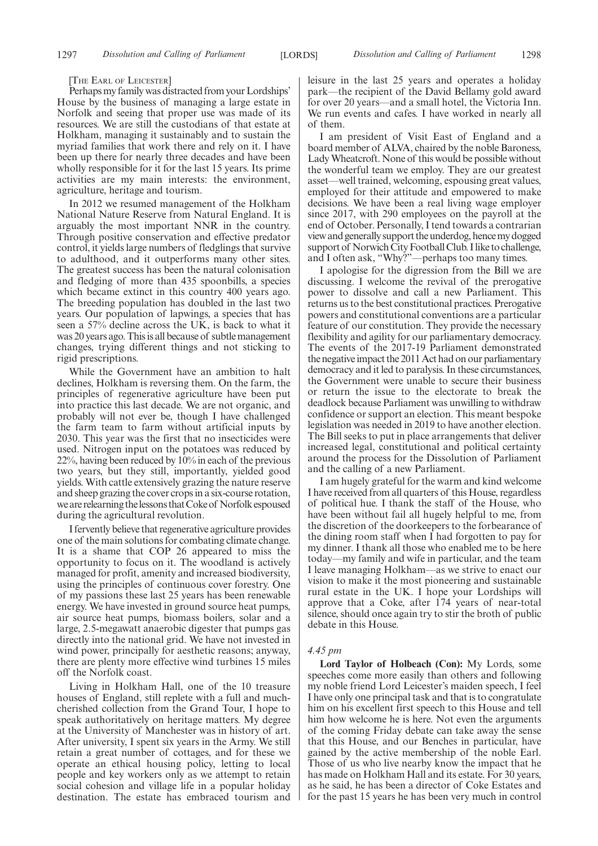[THE EARL OF LEICESTER]

Perhaps my family was distracted from your Lordships' House by the business of managing a large estate in Norfolk and seeing that proper use was made of its resources. We are still the custodians of that estate at Holkham, managing it sustainably and to sustain the myriad families that work there and rely on it. I have been up there for nearly three decades and have been wholly responsible for it for the last 15 years. Its prime activities are my main interests: the environment, agriculture, heritage and tourism.

In 2012 we resumed management of the Holkham National Nature Reserve from Natural England. It is arguably the most important NNR in the country. Through positive conservation and effective predator control, it yields large numbers of fledglings that survive to adulthood, and it outperforms many other sites. The greatest success has been the natural colonisation and fledging of more than 435 spoonbills, a species which became extinct in this country 400 years ago. The breeding population has doubled in the last two years. Our population of lapwings, a species that has seen a 57% decline across the UK, is back to what it was 20 years ago. This is all because of subtle management changes, trying different things and not sticking to rigid prescriptions.

While the Government have an ambition to halt declines, Holkham is reversing them. On the farm, the principles of regenerative agriculture have been put into practice this last decade. We are not organic, and probably will not ever be, though I have challenged the farm team to farm without artificial inputs by 2030. This year was the first that no insecticides were used. Nitrogen input on the potatoes was reduced by 22%, having been reduced by 10% in each of the previous two years, but they still, importantly, yielded good yields. With cattle extensively grazing the nature reserve and sheep grazing the cover crops in a six-course rotation, we are relearning the lessons that Coke of Norfolk espoused during the agricultural revolution.

I fervently believe that regenerative agriculture provides one of the main solutions for combating climate change. It is a shame that COP 26 appeared to miss the opportunity to focus on it. The woodland is actively managed for profit, amenity and increased biodiversity, using the principles of continuous cover forestry. One of my passions these last 25 years has been renewable energy. We have invested in ground source heat pumps, air source heat pumps, biomass boilers, solar and a large, 2.5-megawatt anaerobic digester that pumps gas directly into the national grid. We have not invested in wind power, principally for aesthetic reasons; anyway, there are plenty more effective wind turbines 15 miles off the Norfolk coast.

Living in Holkham Hall, one of the 10 treasure houses of England, still replete with a full and muchcherished collection from the Grand Tour, I hope to speak authoritatively on heritage matters. My degree at the University of Manchester was in history of art. After university, I spent six years in the Army. We still retain a great number of cottages, and for these we operate an ethical housing policy, letting to local people and key workers only as we attempt to retain social cohesion and village life in a popular holiday destination. The estate has embraced tourism and leisure in the last 25 years and operates a holiday park—the recipient of the David Bellamy gold award for over 20 years—and a small hotel, the Victoria Inn. We run events and cafes. I have worked in nearly all of them.

I am president of Visit East of England and a board member of ALVA, chaired by the noble Baroness, Lady Wheatcroft. None of this would be possible without the wonderful team we employ. They are our greatest asset—well trained, welcoming, espousing great values, employed for their attitude and empowered to make decisions. We have been a real living wage employer since 2017, with 290 employees on the payroll at the end of October. Personally, I tend towards a contrarian view and generally support the underdog, hence my dogged support of Norwich City Football Club. I like to challenge, and I often ask, "Why?"—perhaps too many times.

I apologise for the digression from the Bill we are discussing. I welcome the revival of the prerogative power to dissolve and call a new Parliament. This returns us to the best constitutional practices. Prerogative powers and constitutional conventions are a particular feature of our constitution. They provide the necessary flexibility and agility for our parliamentary democracy. The events of the 2017-19 Parliament demonstrated the negative impact the 2011 Act had on our parliamentary democracy and it led to paralysis. In these circumstances, the Government were unable to secure their business or return the issue to the electorate to break the deadlock because Parliament was unwilling to withdraw confidence or support an election. This meant bespoke legislation was needed in 2019 to have another election. The Bill seeks to put in place arrangements that deliver increased legal, constitutional and political certainty around the process for the Dissolution of Parliament and the calling of a new Parliament.

I am hugely grateful for the warm and kind welcome I have received from all quarters of this House, regardless of political hue. I thank the staff of the House, who have been without fail all hugely helpful to me, from the discretion of the doorkeepers to the forbearance of the dining room staff when I had forgotten to pay for my dinner. I thank all those who enabled me to be here today—my family and wife in particular, and the team I leave managing Holkham—as we strive to enact our vision to make it the most pioneering and sustainable rural estate in the UK. I hope your Lordships will approve that a Coke, after 174 years of near-total silence, should once again try to stir the broth of public debate in this House.

#### *4.45 pm*

**Lord Taylor of Holbeach (Con):** My Lords, some speeches come more easily than others and following my noble friend Lord Leicester's maiden speech, I feel I have only one principal task and that is to congratulate him on his excellent first speech to this House and tell him how welcome he is here. Not even the arguments of the coming Friday debate can take away the sense that this House, and our Benches in particular, have gained by the active membership of the noble Earl. Those of us who live nearby know the impact that he has made on Holkham Hall and its estate. For 30 years, as he said, he has been a director of Coke Estates and for the past 15 years he has been very much in control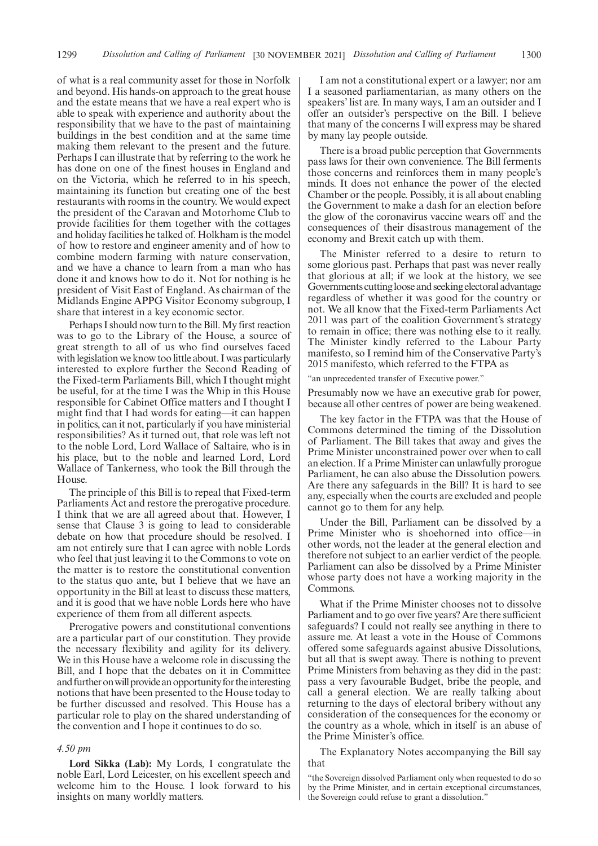of what is a real community asset for those in Norfolk and beyond. His hands-on approach to the great house and the estate means that we have a real expert who is able to speak with experience and authority about the responsibility that we have to the past of maintaining buildings in the best condition and at the same time making them relevant to the present and the future. Perhaps I can illustrate that by referring to the work he has done on one of the finest houses in England and on the Victoria, which he referred to in his speech, maintaining its function but creating one of the best restaurants with rooms in the country. We would expect the president of the Caravan and Motorhome Club to provide facilities for them together with the cottages and holiday facilities he talked of. Holkham is the model of how to restore and engineer amenity and of how to combine modern farming with nature conservation, and we have a chance to learn from a man who has done it and knows how to do it. Not for nothing is he president of Visit East of England. As chairman of the Midlands Engine APPG Visitor Economy subgroup, I share that interest in a key economic sector.

Perhaps I should now turn to the Bill. My first reaction was to go to the Library of the House, a source of great strength to all of us who find ourselves faced with legislation we know too little about. I was particularly interested to explore further the Second Reading of the Fixed-term Parliaments Bill, which I thought might be useful, for at the time I was the Whip in this House responsible for Cabinet Office matters and I thought I might find that I had words for eating—it can happen in politics, can it not, particularly if you have ministerial responsibilities? As it turned out, that role was left not to the noble Lord, Lord Wallace of Saltaire, who is in his place, but to the noble and learned Lord, Lord Wallace of Tankerness, who took the Bill through the House.

The principle of this Bill is to repeal that Fixed-term Parliaments Act and restore the prerogative procedure. I think that we are all agreed about that. However, I sense that Clause 3 is going to lead to considerable debate on how that procedure should be resolved. I am not entirely sure that I can agree with noble Lords who feel that just leaving it to the Commons to vote on the matter is to restore the constitutional convention to the status quo ante, but I believe that we have an opportunity in the Bill at least to discuss these matters, and it is good that we have noble Lords here who have experience of them from all different aspects.

Prerogative powers and constitutional conventions are a particular part of our constitution. They provide the necessary flexibility and agility for its delivery. We in this House have a welcome role in discussing the Bill, and I hope that the debates on it in Committee and further on will provide an opportunity for the interesting notions that have been presented to the House today to be further discussed and resolved. This House has a particular role to play on the shared understanding of the convention and I hope it continues to do so.

#### *4.50 pm*

**Lord Sikka (Lab):** My Lords, I congratulate the noble Earl, Lord Leicester, on his excellent speech and welcome him to the House. I look forward to his insights on many worldly matters.

I am not a constitutional expert or a lawyer; nor am I a seasoned parliamentarian, as many others on the speakers' list are. In many ways, I am an outsider and I offer an outsider's perspective on the Bill. I believe that many of the concerns I will express may be shared by many lay people outside.

There is a broad public perception that Governments pass laws for their own convenience. The Bill ferments those concerns and reinforces them in many people's minds. It does not enhance the power of the elected Chamber or the people. Possibly, it is all about enabling the Government to make a dash for an election before the glow of the coronavirus vaccine wears off and the consequences of their disastrous management of the economy and Brexit catch up with them.

The Minister referred to a desire to return to some glorious past. Perhaps that past was never really that glorious at all; if we look at the history, we see Governments cutting loose and seeking electoral advantage regardless of whether it was good for the country or not. We all know that the Fixed-term Parliaments Act 2011 was part of the coalition Government's strategy to remain in office; there was nothing else to it really. The Minister kindly referred to the Labour Party manifesto, so I remind him of the Conservative Party's 2015 manifesto, which referred to the FTPA as

"an unprecedented transfer of Executive power."

Presumably now we have an executive grab for power, because all other centres of power are being weakened.

The key factor in the FTPA was that the House of Commons determined the timing of the Dissolution of Parliament. The Bill takes that away and gives the Prime Minister unconstrained power over when to call an election. If a Prime Minister can unlawfully prorogue Parliament, he can also abuse the Dissolution powers. Are there any safeguards in the Bill? It is hard to see any, especially when the courts are excluded and people cannot go to them for any help.

Under the Bill, Parliament can be dissolved by a Prime Minister who is shoehorned into office—in other words, not the leader at the general election and therefore not subject to an earlier verdict of the people. Parliament can also be dissolved by a Prime Minister whose party does not have a working majority in the Commons.

What if the Prime Minister chooses not to dissolve Parliament and to go over five years? Are there sufficient safeguards? I could not really see anything in there to assure me. At least a vote in the House of Commons offered some safeguards against abusive Dissolutions, but all that is swept away. There is nothing to prevent Prime Ministers from behaving as they did in the past: pass a very favourable Budget, bribe the people, and call a general election. We are really talking about returning to the days of electoral bribery without any consideration of the consequences for the economy or the country as a whole, which in itself is an abuse of the Prime Minister's office.

The Explanatory Notes accompanying the Bill say that

<sup>&</sup>quot;the Sovereign dissolved Parliament only when requested to do so by the Prime Minister, and in certain exceptional circumstances, the Sovereign could refuse to grant a dissolution."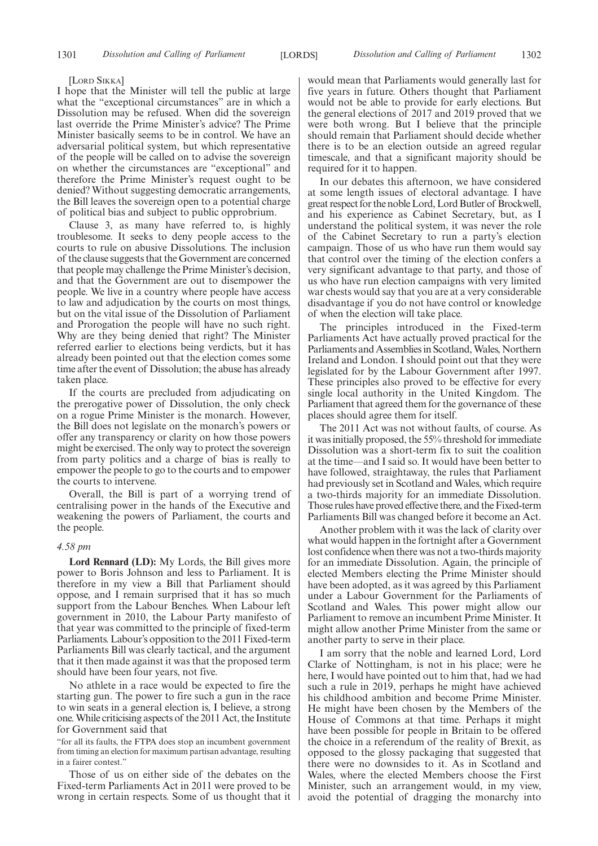#### [LORD SIKKA]

I hope that the Minister will tell the public at large what the "exceptional circumstances" are in which a Dissolution may be refused. When did the sovereign last override the Prime Minister's advice? The Prime Minister basically seems to be in control. We have an adversarial political system, but which representative of the people will be called on to advise the sovereign on whether the circumstances are "exceptional" and therefore the Prime Minister's request ought to be denied? Without suggesting democratic arrangements, the Bill leaves the sovereign open to a potential charge of political bias and subject to public opprobrium.

Clause 3, as many have referred to, is highly troublesome. It seeks to deny people access to the courts to rule on abusive Dissolutions. The inclusion of the clause suggests that the Government are concerned that people may challenge the Prime Minister's decision, and that the Government are out to disempower the people. We live in a country where people have access to law and adjudication by the courts on most things, but on the vital issue of the Dissolution of Parliament and Prorogation the people will have no such right. Why are they being denied that right? The Minister referred earlier to elections being verdicts, but it has already been pointed out that the election comes some time after the event of Dissolution; the abuse has already taken place.

If the courts are precluded from adjudicating on the prerogative power of Dissolution, the only check on a rogue Prime Minister is the monarch. However, the Bill does not legislate on the monarch's powers or offer any transparency or clarity on how those powers might be exercised. The only way to protect the sovereign from party politics and a charge of bias is really to empower the people to go to the courts and to empower the courts to intervene.

Overall, the Bill is part of a worrying trend of centralising power in the hands of the Executive and weakening the powers of Parliament, the courts and the people.

#### *4.58 pm*

**Lord Rennard (LD):** My Lords, the Bill gives more power to Boris Johnson and less to Parliament. It is therefore in my view a Bill that Parliament should oppose, and I remain surprised that it has so much support from the Labour Benches. When Labour left government in 2010, the Labour Party manifesto of that year was committed to the principle of fixed-term Parliaments. Labour's opposition to the 2011 Fixed-term Parliaments Bill was clearly tactical, and the argument that it then made against it was that the proposed term should have been four years, not five.

No athlete in a race would be expected to fire the starting gun. The power to fire such a gun in the race to win seats in a general election is, I believe, a strong one. While criticising aspects of the 2011 Act, the Institute for Government said that

"for all its faults, the FTPA does stop an incumbent government from timing an election for maximum partisan advantage, resulting in a fairer contest."

Those of us on either side of the debates on the Fixed-term Parliaments Act in 2011 were proved to be wrong in certain respects. Some of us thought that it would mean that Parliaments would generally last for five years in future. Others thought that Parliament would not be able to provide for early elections. But the general elections of 2017 and 2019 proved that we were both wrong. But I believe that the principle should remain that Parliament should decide whether there is to be an election outside an agreed regular timescale, and that a significant majority should be required for it to happen.

In our debates this afternoon, we have considered at some length issues of electoral advantage. I have great respect for the noble Lord, Lord Butler of Brockwell, and his experience as Cabinet Secretary, but, as I understand the political system, it was never the role of the Cabinet Secretary to run a party's election campaign. Those of us who have run them would say that control over the timing of the election confers a very significant advantage to that party, and those of us who have run election campaigns with very limited war chests would say that you are at a very considerable disadvantage if you do not have control or knowledge of when the election will take place.

The principles introduced in the Fixed-term Parliaments Act have actually proved practical for the Parliaments and Assemblies in Scotland, Wales, Northern Ireland and London. I should point out that they were legislated for by the Labour Government after 1997. These principles also proved to be effective for every single local authority in the United Kingdom. The Parliament that agreed them for the governance of these places should agree them for itself.

The 2011 Act was not without faults, of course. As it was initially proposed, the 55% threshold for immediate Dissolution was a short-term fix to suit the coalition at the time—and I said so. It would have been better to have followed, straightaway, the rules that Parliament had previously set in Scotland and Wales, which require a two-thirds majority for an immediate Dissolution. Those rules have proved effective there, and the Fixed-term Parliaments Bill was changed before it become an Act.

Another problem with it was the lack of clarity over what would happen in the fortnight after a Government lost confidence when there was not a two-thirds majority for an immediate Dissolution. Again, the principle of elected Members electing the Prime Minister should have been adopted, as it was agreed by this Parliament under a Labour Government for the Parliaments of Scotland and Wales. This power might allow our Parliament to remove an incumbent Prime Minister. It might allow another Prime Minister from the same or another party to serve in their place.

I am sorry that the noble and learned Lord, Lord Clarke of Nottingham, is not in his place; were he here, I would have pointed out to him that, had we had such a rule in 2019, perhaps he might have achieved his childhood ambition and become Prime Minister. He might have been chosen by the Members of the House of Commons at that time. Perhaps it might have been possible for people in Britain to be offered the choice in a referendum of the reality of Brexit, as opposed to the glossy packaging that suggested that there were no downsides to it. As in Scotland and Wales, where the elected Members choose the First Minister, such an arrangement would, in my view, avoid the potential of dragging the monarchy into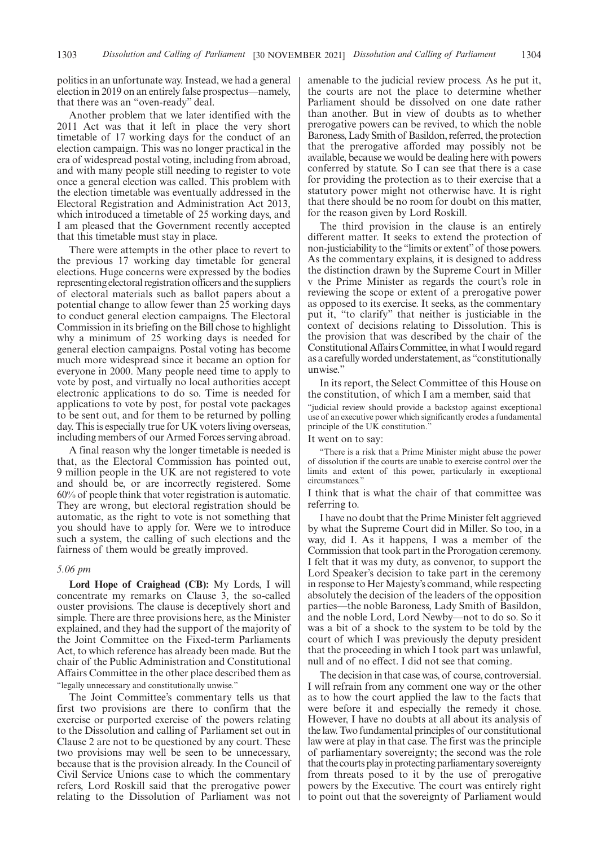politics in an unfortunate way. Instead, we had a general election in 2019 on an entirely false prospectus—namely, that there was an "oven-ready" deal.

Another problem that we later identified with the 2011 Act was that it left in place the very short timetable of 17 working days for the conduct of an election campaign. This was no longer practical in the era of widespread postal voting, including from abroad, and with many people still needing to register to vote once a general election was called. This problem with the election timetable was eventually addressed in the Electoral Registration and Administration Act 2013, which introduced a timetable of 25 working days, and I am pleased that the Government recently accepted that this timetable must stay in place.

There were attempts in the other place to revert to the previous 17 working day timetable for general elections. Huge concerns were expressed by the bodies representing electoral registration officers and the suppliers of electoral materials such as ballot papers about a potential change to allow fewer than 25 working days to conduct general election campaigns. The Electoral Commission in its briefing on the Bill chose to highlight why a minimum of 25 working days is needed for general election campaigns. Postal voting has become much more widespread since it became an option for everyone in 2000. Many people need time to apply to vote by post, and virtually no local authorities accept electronic applications to do so. Time is needed for applications to vote by post, for postal vote packages to be sent out, and for them to be returned by polling day. This is especially true for UK voters living overseas, including members of our Armed Forces serving abroad.

A final reason why the longer timetable is needed is that, as the Electoral Commission has pointed out, 9 million people in the UK are not registered to vote and should be, or are incorrectly registered. Some 60% of people think that voter registration is automatic. They are wrong, but electoral registration should be automatic, as the right to vote is not something that you should have to apply for. Were we to introduce such a system, the calling of such elections and the fairness of them would be greatly improved.

#### *5.06 pm*

**Lord Hope of Craighead (CB):** My Lords, I will concentrate my remarks on Clause 3, the so-called ouster provisions. The clause is deceptively short and simple. There are three provisions here, as the Minister explained, and they had the support of the majority of the Joint Committee on the Fixed-term Parliaments Act, to which reference has already been made. But the chair of the Public Administration and Constitutional Affairs Committee in the other place described them as "legally unnecessary and constitutionally unwise."

The Joint Committee's commentary tells us that first two provisions are there to confirm that the exercise or purported exercise of the powers relating to the Dissolution and calling of Parliament set out in Clause 2 are not to be questioned by any court. These two provisions may well be seen to be unnecessary, because that is the provision already. In the Council of Civil Service Unions case to which the commentary refers, Lord Roskill said that the prerogative power relating to the Dissolution of Parliament was not amenable to the judicial review process. As he put it, the courts are not the place to determine whether Parliament should be dissolved on one date rather than another. But in view of doubts as to whether prerogative powers can be revived, to which the noble Baroness, Lady Smith of Basildon, referred, the protection that the prerogative afforded may possibly not be available, because we would be dealing here with powers conferred by statute. So I can see that there is a case for providing the protection as to their exercise that a statutory power might not otherwise have. It is right that there should be no room for doubt on this matter, for the reason given by Lord Roskill.

The third provision in the clause is an entirely different matter. It seeks to extend the protection of non-justiciability to the "limits or extent" of those powers. As the commentary explains, it is designed to address the distinction drawn by the Supreme Court in Miller v the Prime Minister as regards the court's role in reviewing the scope or extent of a prerogative power as opposed to its exercise. It seeks, as the commentary put it, "to clarify" that neither is justiciable in the context of decisions relating to Dissolution. This is the provision that was described by the chair of the Constitutional Affairs Committee, in what I would regard as a carefully worded understatement, as "constitutionally unwise."

In its report, the Select Committee of this House on the constitution, of which I am a member, said that

"judicial review should provide a backstop against exceptional use of an executive power which significantly erodes a fundamental principle of the UK constitution."

#### It went on to say:

"There is a risk that a Prime Minister might abuse the power of dissolution if the courts are unable to exercise control over the limits and extent of this power, particularly in exceptional circumstances."

I think that is what the chair of that committee was referring to.

I have no doubt that the Prime Minister felt aggrieved by what the Supreme Court did in Miller. So too, in a way, did I. As it happens, I was a member of the Commission that took part in the Prorogation ceremony. I felt that it was my duty, as convenor, to support the Lord Speaker's decision to take part in the ceremony in response to Her Majesty's command, while respecting absolutely the decision of the leaders of the opposition parties—the noble Baroness, Lady Smith of Basildon, and the noble Lord, Lord Newby—not to do so. So it was a bit of a shock to the system to be told by the court of which I was previously the deputy president that the proceeding in which I took part was unlawful, null and of no effect. I did not see that coming.

The decision in that case was, of course, controversial. I will refrain from any comment one way or the other as to how the court applied the law to the facts that were before it and especially the remedy it chose. However, I have no doubts at all about its analysis of the law. Two fundamental principles of our constitutional law were at play in that case. The first was the principle of parliamentary sovereignty; the second was the role that the courts play in protecting parliamentary sovereignty from threats posed to it by the use of prerogative powers by the Executive. The court was entirely right to point out that the sovereignty of Parliament would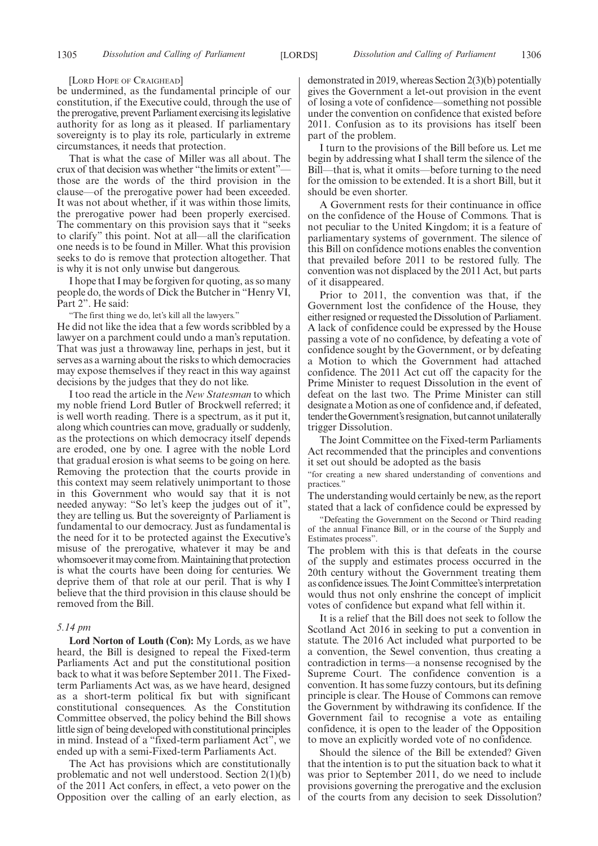#### [LORD HOPE OF CRAIGHEAD]

be undermined, as the fundamental principle of our constitution, if the Executive could, through the use of the prerogative, prevent Parliament exercising its legislative authority for as long as it pleased. If parliamentary sovereignty is to play its role, particularly in extreme circumstances, it needs that protection.

That is what the case of Miller was all about. The crux of that decision was whether "the limits or extent" those are the words of the third provision in the clause—of the prerogative power had been exceeded. It was not about whether, if it was within those limits, the prerogative power had been properly exercised. The commentary on this provision says that it "seeks to clarify" this point. Not at all—all the clarification one needs is to be found in Miller. What this provision seeks to do is remove that protection altogether. That is why it is not only unwise but dangerous.

I hope that I may be forgiven for quoting, as so many people do, the words of Dick the Butcher in "Henry VI, Part 2". He said:

"The first thing we do, let's kill all the lawyers."

He did not like the idea that a few words scribbled by a lawyer on a parchment could undo a man's reputation. That was just a throwaway line, perhaps in jest, but it serves as a warning about the risks to which democracies may expose themselves if they react in this way against decisions by the judges that they do not like.

I too read the article in the *New Statesman* to which my noble friend Lord Butler of Brockwell referred; it is well worth reading. There is a spectrum, as it put it, along which countries can move, gradually or suddenly, as the protections on which democracy itself depends are eroded, one by one. I agree with the noble Lord that gradual erosion is what seems to be going on here. Removing the protection that the courts provide in this context may seem relatively unimportant to those in this Government who would say that it is not needed anyway: "So let's keep the judges out of it", they are telling us. But the sovereignty of Parliament is fundamental to our democracy. Just as fundamental is the need for it to be protected against the Executive's misuse of the prerogative, whatever it may be and whomsoever it may come from. Maintaining that protection is what the courts have been doing for centuries. We deprive them of that role at our peril. That is why I believe that the third provision in this clause should be removed from the Bill.

#### *5.14 pm*

**Lord Norton of Louth (Con):** My Lords, as we have heard, the Bill is designed to repeal the Fixed-term Parliaments Act and put the constitutional position back to what it was before September 2011. The Fixedterm Parliaments Act was, as we have heard, designed as a short-term political fix but with significant constitutional consequences. As the Constitution Committee observed, the policy behind the Bill shows little sign of being developed with constitutional principles in mind. Instead of a "fixed-term parliament Act", we ended up with a semi-Fixed-term Parliaments Act.

The Act has provisions which are constitutionally problematic and not well understood. Section 2(1)(b) of the 2011 Act confers, in effect, a veto power on the Opposition over the calling of an early election, as demonstrated in 2019, whereas Section 2(3)(b) potentially gives the Government a let-out provision in the event of losing a vote of confidence—something not possible under the convention on confidence that existed before 2011. Confusion as to its provisions has itself been part of the problem.

I turn to the provisions of the Bill before us. Let me begin by addressing what I shall term the silence of the Bill—that is, what it omits—before turning to the need for the omission to be extended. It is a short Bill, but it should be even shorter.

A Government rests for their continuance in office on the confidence of the House of Commons. That is not peculiar to the United Kingdom; it is a feature of parliamentary systems of government. The silence of this Bill on confidence motions enables the convention that prevailed before 2011 to be restored fully. The convention was not displaced by the 2011 Act, but parts of it disappeared.

Prior to 2011, the convention was that, if the Government lost the confidence of the House, they either resigned or requested the Dissolution of Parliament. A lack of confidence could be expressed by the House passing a vote of no confidence, by defeating a vote of confidence sought by the Government, or by defeating a Motion to which the Government had attached confidence. The 2011 Act cut off the capacity for the Prime Minister to request Dissolution in the event of defeat on the last two. The Prime Minister can still designate a Motion as one of confidence and, if defeated, tender the Government's resignation, but cannot unilaterally trigger Dissolution.

The Joint Committee on the Fixed-term Parliaments Act recommended that the principles and conventions it set out should be adopted as the basis

"for creating a new shared understanding of conventions and practices."

The understanding would certainly be new, as the report stated that a lack of confidence could be expressed by

"Defeating the Government on the Second or Third reading of the annual Finance Bill, or in the course of the Supply and Estimates process".

The problem with this is that defeats in the course of the supply and estimates process occurred in the 20th century without the Government treating them as confidence issues. The Joint Committee's interpretation would thus not only enshrine the concept of implicit votes of confidence but expand what fell within it.

It is a relief that the Bill does not seek to follow the Scotland Act 2016 in seeking to put a convention in statute. The 2016 Act included what purported to be a convention, the Sewel convention, thus creating a contradiction in terms—a nonsense recognised by the Supreme Court. The confidence convention is a convention. It has some fuzzy contours, but its defining principle is clear. The House of Commons can remove the Government by withdrawing its confidence. If the Government fail to recognise a vote as entailing confidence, it is open to the leader of the Opposition to move an explicitly worded vote of no confidence.

Should the silence of the Bill be extended? Given that the intention is to put the situation back to what it was prior to September 2011, do we need to include provisions governing the prerogative and the exclusion of the courts from any decision to seek Dissolution?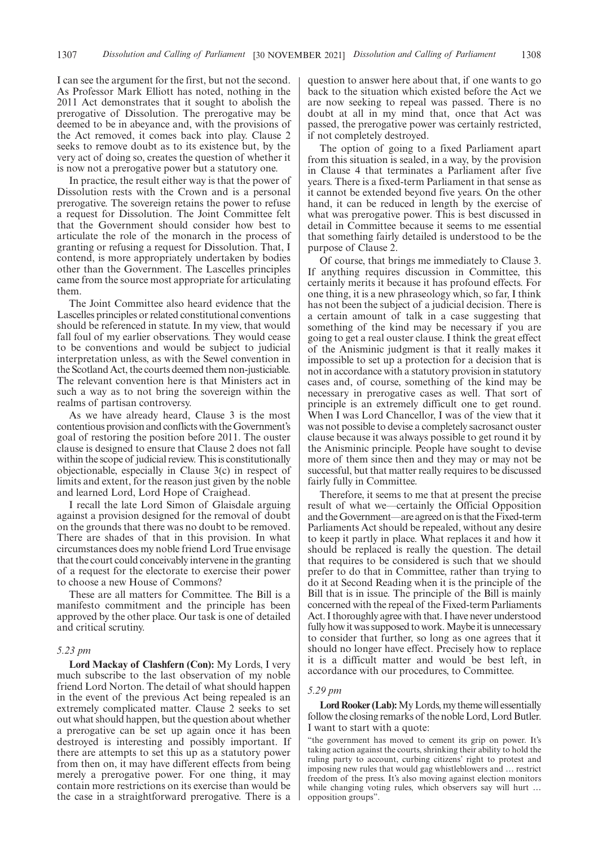I can see the argument for the first, but not the second. As Professor Mark Elliott has noted, nothing in the 2011 Act demonstrates that it sought to abolish the prerogative of Dissolution. The prerogative may be deemed to be in abeyance and, with the provisions of the Act removed, it comes back into play. Clause 2 seeks to remove doubt as to its existence but, by the very act of doing so, creates the question of whether it is now not a prerogative power but a statutory one.

In practice, the result either way is that the power of Dissolution rests with the Crown and is a personal prerogative. The sovereign retains the power to refuse a request for Dissolution. The Joint Committee felt that the Government should consider how best to articulate the role of the monarch in the process of granting or refusing a request for Dissolution. That, I contend, is more appropriately undertaken by bodies other than the Government. The Lascelles principles came from the source most appropriate for articulating them.

The Joint Committee also heard evidence that the Lascelles principles or related constitutional conventions should be referenced in statute. In my view, that would fall foul of my earlier observations. They would cease to be conventions and would be subject to judicial interpretation unless, as with the Sewel convention in the Scotland Act, the courts deemed them non-justiciable. The relevant convention here is that Ministers act in such a way as to not bring the sovereign within the realms of partisan controversy.

As we have already heard, Clause 3 is the most contentious provision and conflicts with the Government's goal of restoring the position before 2011. The ouster clause is designed to ensure that Clause 2 does not fall within the scope of judicial review. This is constitutionally objectionable, especially in Clause 3(c) in respect of limits and extent, for the reason just given by the noble and learned Lord, Lord Hope of Craighead.

I recall the late Lord Simon of Glaisdale arguing against a provision designed for the removal of doubt on the grounds that there was no doubt to be removed. There are shades of that in this provision. In what circumstances does my noble friend Lord True envisage that the court could conceivably intervene in the granting of a request for the electorate to exercise their power to choose a new House of Commons?

These are all matters for Committee. The Bill is a manifesto commitment and the principle has been approved by the other place. Our task is one of detailed and critical scrutiny.

#### *5.23 pm*

**Lord Mackay of Clashfern (Con):** My Lords, I very much subscribe to the last observation of my noble friend Lord Norton. The detail of what should happen in the event of the previous Act being repealed is an extremely complicated matter. Clause 2 seeks to set out what should happen, but the question about whether a prerogative can be set up again once it has been destroyed is interesting and possibly important. If there are attempts to set this up as a statutory power from then on, it may have different effects from being merely a prerogative power. For one thing, it may contain more restrictions on its exercise than would be the case in a straightforward prerogative. There is a question to answer here about that, if one wants to go back to the situation which existed before the Act we are now seeking to repeal was passed. There is no doubt at all in my mind that, once that Act was passed, the prerogative power was certainly restricted, if not completely destroyed.

The option of going to a fixed Parliament apart from this situation is sealed, in a way, by the provision in Clause 4 that terminates a Parliament after five years. There is a fixed-term Parliament in that sense as it cannot be extended beyond five years. On the other hand, it can be reduced in length by the exercise of what was prerogative power. This is best discussed in detail in Committee because it seems to me essential that something fairly detailed is understood to be the purpose of Clause 2.

Of course, that brings me immediately to Clause 3. If anything requires discussion in Committee, this certainly merits it because it has profound effects. For one thing, it is a new phraseology which, so far, I think has not been the subject of a judicial decision. There is a certain amount of talk in a case suggesting that something of the kind may be necessary if you are going to get a real ouster clause. I think the great effect of the Anisminic judgment is that it really makes it impossible to set up a protection for a decision that is not in accordance with a statutory provision in statutory cases and, of course, something of the kind may be necessary in prerogative cases as well. That sort of principle is an extremely difficult one to get round. When I was Lord Chancellor, I was of the view that it was not possible to devise a completely sacrosanct ouster clause because it was always possible to get round it by the Anisminic principle. People have sought to devise more of them since then and they may or may not be successful, but that matter really requires to be discussed fairly fully in Committee.

Therefore, it seems to me that at present the precise result of what we—certainly the Official Opposition and the Government—are agreed on is that the Fixed-term Parliaments Act should be repealed, without any desire to keep it partly in place. What replaces it and how it should be replaced is really the question. The detail that requires to be considered is such that we should prefer to do that in Committee, rather than trying to do it at Second Reading when it is the principle of the Bill that is in issue. The principle of the Bill is mainly concerned with the repeal of the Fixed-term Parliaments Act. I thoroughly agree with that. I have never understood fully how it was supposed to work. Maybe it is unnecessary to consider that further, so long as one agrees that it should no longer have effect. Precisely how to replace it is a difficult matter and would be best left, in accordance with our procedures, to Committee.

#### *5.29 pm*

Lord Rooker (Lab): My Lords, my theme will essentially follow the closing remarks of the noble Lord, Lord Butler. I want to start with a quote:

"the government has moved to cement its grip on power. It's taking action against the courts, shrinking their ability to hold the ruling party to account, curbing citizens' right to protest and imposing new rules that would gag whistleblowers and … restrict freedom of the press. It's also moving against election monitors while changing voting rules, which observers say will hurt … opposition groups".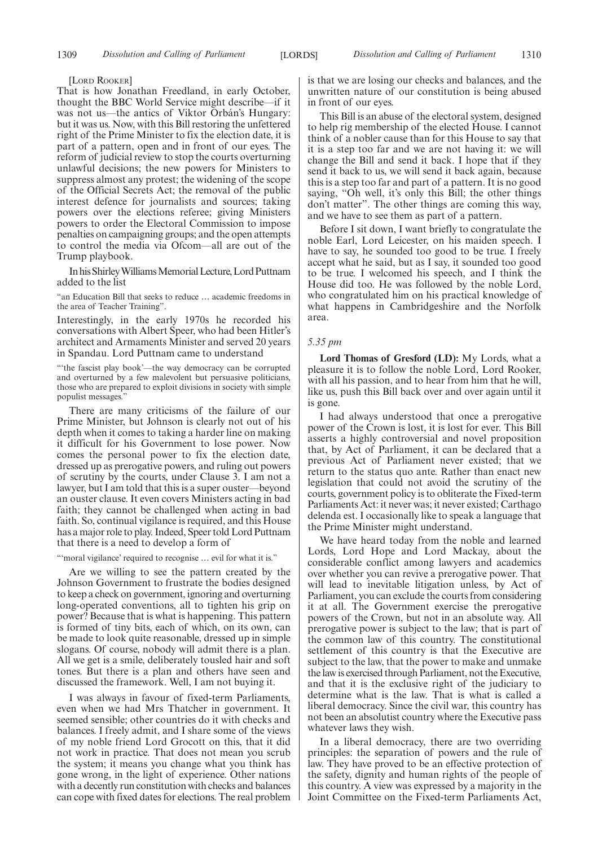#### [LORD ROOKER]

That is how Jonathan Freedland, in early October, thought the BBC World Service might describe—if it was not us—the antics of Viktor Orbán's Hungary: but it was us. Now, with this Bill restoring the unfettered right of the Prime Minister to fix the election date, it is part of a pattern, open and in front of our eyes. The reform of judicial review to stop the courts overturning unlawful decisions; the new powers for Ministers to suppress almost any protest; the widening of the scope of the Official Secrets Act; the removal of the public interest defence for journalists and sources; taking powers over the elections referee; giving Ministers powers to order the Electoral Commission to impose penalties on campaigning groups; and the open attempts to control the media via Ofcom—all are out of the Trump playbook.

InhisShirleyWilliamsMemorialLecture,LordPuttnam added to the list

"an Education Bill that seeks to reduce … academic freedoms in the area of Teacher Training".

Interestingly, in the early 1970s he recorded his conversations with Albert Speer, who had been Hitler's architect and Armaments Minister and served 20 years in Spandau. Lord Puttnam came to understand

"'the fascist play book'—the way democracy can be corrupted and overturned by a few malevolent but persuasive politicians, those who are prepared to exploit divisions in society with simple populist messages."

There are many criticisms of the failure of our Prime Minister, but Johnson is clearly not out of his depth when it comes to taking a harder line on making it difficult for his Government to lose power. Now comes the personal power to fix the election date, dressed up as prerogative powers, and ruling out powers of scrutiny by the courts, under Clause 3. I am not a lawyer, but I am told that this is a super ouster—beyond an ouster clause. It even covers Ministers acting in bad faith; they cannot be challenged when acting in bad faith. So, continual vigilance is required, and this House has a major role to play. Indeed, Speer told Lord Puttnam that there is a need to develop a form of

"'moral vigilance' required to recognise ... evil for what it is."

Are we willing to see the pattern created by the Johnson Government to frustrate the bodies designed to keep a check on government, ignoring and overturning long-operated conventions, all to tighten his grip on power? Because that is what is happening. This pattern is formed of tiny bits, each of which, on its own, can be made to look quite reasonable, dressed up in simple slogans. Of course, nobody will admit there is a plan. All we get is a smile, deliberately tousled hair and soft tones. But there is a plan and others have seen and discussed the framework. Well, I am not buying it.

I was always in favour of fixed-term Parliaments, even when we had Mrs Thatcher in government. It seemed sensible; other countries do it with checks and balances. I freely admit, and I share some of the views of my noble friend Lord Grocott on this, that it did not work in practice. That does not mean you scrub the system; it means you change what you think has gone wrong, in the light of experience. Other nations with a decently run constitution with checks and balances can cope with fixed dates for elections. The real problem is that we are losing our checks and balances, and the unwritten nature of our constitution is being abused in front of our eyes.

This Bill is an abuse of the electoral system, designed to help rig membership of the elected House. I cannot think of a nobler cause than for this House to say that it is a step too far and we are not having it: we will change the Bill and send it back. I hope that if they send it back to us, we will send it back again, because this is a step too far and part of a pattern. It is no good saying, "Oh well, it's only this Bill; the other things don't matter". The other things are coming this way, and we have to see them as part of a pattern.

Before I sit down, I want briefly to congratulate the noble Earl, Lord Leicester, on his maiden speech. I have to say, he sounded too good to be true. I freely accept what he said, but as I say, it sounded too good to be true. I welcomed his speech, and I think the House did too. He was followed by the noble Lord, who congratulated him on his practical knowledge of what happens in Cambridgeshire and the Norfolk area.

#### *5.35 pm*

**Lord Thomas of Gresford (LD):** My Lords, what a pleasure it is to follow the noble Lord, Lord Rooker, with all his passion, and to hear from him that he will. like us, push this Bill back over and over again until it is gone.

I had always understood that once a prerogative power of the Crown is lost, it is lost for ever. This Bill asserts a highly controversial and novel proposition that, by Act of Parliament, it can be declared that a previous Act of Parliament never existed; that we return to the status quo ante. Rather than enact new legislation that could not avoid the scrutiny of the courts, government policy is to obliterate the Fixed-term Parliaments Act: it never was; it never existed; Carthago delenda est. I occasionally like to speak a language that the Prime Minister might understand.

We have heard today from the noble and learned Lords, Lord Hope and Lord Mackay, about the considerable conflict among lawyers and academics over whether you can revive a prerogative power. That will lead to inevitable litigation unless, by Act of Parliament, you can exclude the courts from considering it at all. The Government exercise the prerogative powers of the Crown, but not in an absolute way. All prerogative power is subject to the law; that is part of the common law of this country. The constitutional settlement of this country is that the Executive are subject to the law, that the power to make and unmake the law is exercised through Parliament, not the Executive, and that it is the exclusive right of the judiciary to determine what is the law. That is what is called a liberal democracy. Since the civil war, this country has not been an absolutist country where the Executive pass whatever laws they wish.

In a liberal democracy, there are two overriding principles: the separation of powers and the rule of law. They have proved to be an effective protection of the safety, dignity and human rights of the people of this country. A view was expressed by a majority in the Joint Committee on the Fixed-term Parliaments Act,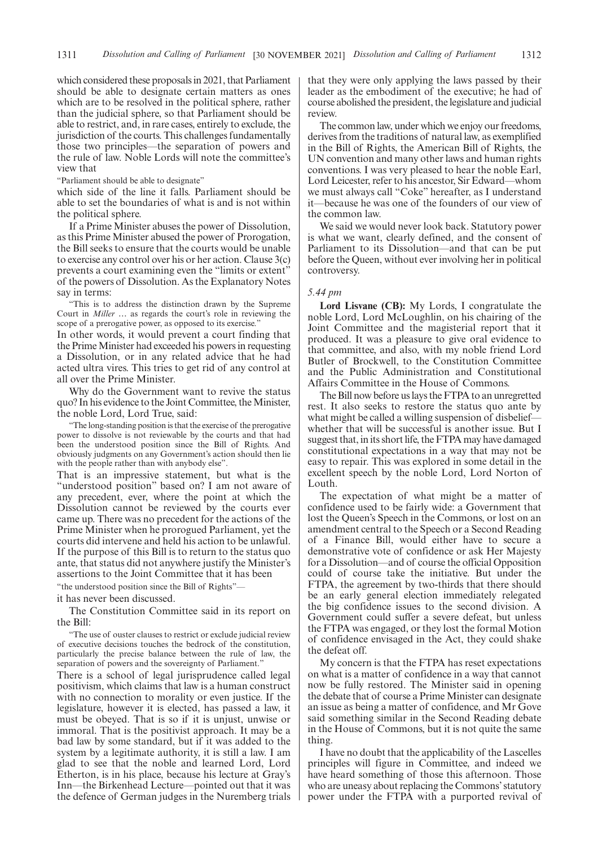which considered these proposals in 2021, that Parliament should be able to designate certain matters as ones which are to be resolved in the political sphere, rather than the judicial sphere, so that Parliament should be able to restrict, and, in rare cases, entirely to exclude, the jurisdiction of the courts. This challenges fundamentally those two principles—the separation of powers and the rule of law. Noble Lords will note the committee's view that

"Parliament should be able to designate"

which side of the line it falls. Parliament should be able to set the boundaries of what is and is not within the political sphere.

If a Prime Minister abuses the power of Dissolution, as this Prime Minister abused the power of Prorogation, the Bill seeks to ensure that the courts would be unable to exercise any control over his or her action. Clause 3(c) prevents a court examining even the "limits or extent" of the powers of Dissolution. As the Explanatory Notes say in terms:

"This is to address the distinction drawn by the Supreme Court in *Miller* … as regards the court's role in reviewing the scope of a prerogative power, as opposed to its exercise.

In other words, it would prevent a court finding that the Prime Minister had exceeded his powers in requesting a Dissolution, or in any related advice that he had acted ultra vires. This tries to get rid of any control at all over the Prime Minister.

Why do the Government want to revive the status quo? In his evidence to the Joint Committee, the Minister, the noble Lord, Lord True, said:

"The long-standing position is that the exercise of the prerogative power to dissolve is not reviewable by the courts and that had been the understood position since the Bill of Rights. And obviously judgments on any Government's action should then lie with the people rather than with anybody else".

That is an impressive statement, but what is the "understood position" based on? I am not aware of any precedent, ever, where the point at which the Dissolution cannot be reviewed by the courts ever came up. There was no precedent for the actions of the Prime Minister when he prorogued Parliament, yet the courts did intervene and held his action to be unlawful. If the purpose of this Bill is to return to the status quo ante, that status did not anywhere justify the Minister's assertions to the Joint Committee that it has been

"the understood position since the Bill of Rights"—

it has never been discussed.

The Constitution Committee said in its report on the Bill:

"The use of ouster clauses to restrict or exclude judicial review of executive decisions touches the bedrock of the constitution, particularly the precise balance between the rule of law, the separation of powers and the sovereignty of Parliament."

There is a school of legal jurisprudence called legal positivism, which claims that law is a human construct with no connection to morality or even justice. If the legislature, however it is elected, has passed a law, it must be obeyed. That is so if it is unjust, unwise or immoral. That is the positivist approach. It may be a bad law by some standard, but if it was added to the system by a legitimate authority, it is still a law. I am glad to see that the noble and learned Lord, Lord Etherton, is in his place, because his lecture at Gray's Inn—the Birkenhead Lecture—pointed out that it was the defence of German judges in the Nuremberg trials that they were only applying the laws passed by their leader as the embodiment of the executive; he had of course abolished the president, the legislature and judicial review.

The common law, under which we enjoy our freedoms, derives from the traditions of natural law, as exemplified in the Bill of Rights, the American Bill of Rights, the UN convention and many other laws and human rights conventions. I was very pleased to hear the noble Earl, Lord Leicester, refer to his ancestor, Sir Edward—whom we must always call "Coke" hereafter, as I understand it—because he was one of the founders of our view of the common law.

We said we would never look back. Statutory power is what we want, clearly defined, and the consent of Parliament to its Dissolution—and that can be put before the Queen, without ever involving her in political controversy.

#### *5.44 pm*

**Lord Lisvane (CB):** My Lords, I congratulate the noble Lord, Lord McLoughlin, on his chairing of the Joint Committee and the magisterial report that it produced. It was a pleasure to give oral evidence to that committee, and also, with my noble friend Lord Butler of Brockwell, to the Constitution Committee and the Public Administration and Constitutional Affairs Committee in the House of Commons.

The Bill now before us lays the FTPA to an unregretted rest. It also seeks to restore the status quo ante by what might be called a willing suspension of disbelief whether that will be successful is another issue. But I suggest that, in its short life, the FTPA may have damaged constitutional expectations in a way that may not be easy to repair. This was explored in some detail in the excellent speech by the noble Lord, Lord Norton of Louth.

The expectation of what might be a matter of confidence used to be fairly wide: a Government that lost the Queen's Speech in the Commons, or lost on an amendment central to the Speech or a Second Reading of a Finance Bill, would either have to secure a demonstrative vote of confidence or ask Her Majesty for a Dissolution—and of course the official Opposition could of course take the initiative. But under the FTPA, the agreement by two-thirds that there should be an early general election immediately relegated the big confidence issues to the second division. A Government could suffer a severe defeat, but unless the FTPA was engaged, or they lost the formal Motion of confidence envisaged in the Act, they could shake the defeat off.

My concern is that the FTPA has reset expectations on what is a matter of confidence in a way that cannot now be fully restored. The Minister said in opening the debate that of course a Prime Minister can designate an issue as being a matter of confidence, and Mr Gove said something similar in the Second Reading debate in the House of Commons, but it is not quite the same thing.

I have no doubt that the applicability of the Lascelles principles will figure in Committee, and indeed we have heard something of those this afternoon. Those who are uneasy about replacing the Commons'statutory power under the FTPA with a purported revival of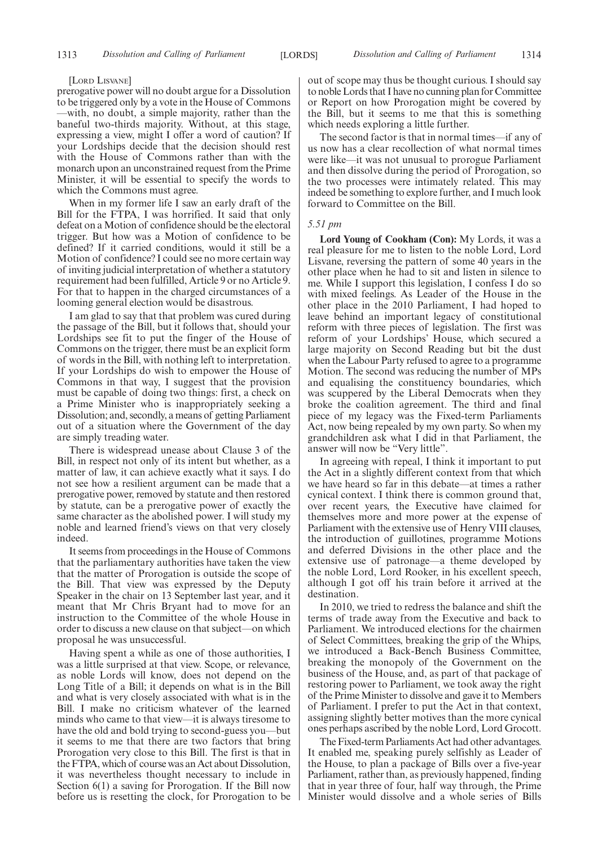#### [LORD LISVANE]

prerogative power will no doubt argue for a Dissolution to be triggered only by a vote in the House of Commons —with, no doubt, a simple majority, rather than the baneful two-thirds majority. Without, at this stage, expressing a view, might I offer a word of caution? If your Lordships decide that the decision should rest with the House of Commons rather than with the monarch upon an unconstrained request from the Prime Minister, it will be essential to specify the words to which the Commons must agree.

When in my former life I saw an early draft of the Bill for the FTPA, I was horrified. It said that only defeat on a Motion of confidence should be the electoral trigger. But how was a Motion of confidence to be defined? If it carried conditions, would it still be a Motion of confidence? I could see no more certain way of inviting judicial interpretation of whether a statutory requirement had been fulfilled, Article 9 or no Article 9. For that to happen in the charged circumstances of a looming general election would be disastrous.

I am glad to say that that problem was cured during the passage of the Bill, but it follows that, should your Lordships see fit to put the finger of the House of Commons on the trigger, there must be an explicit form of words in the Bill, with nothing left to interpretation. If your Lordships do wish to empower the House of Commons in that way, I suggest that the provision must be capable of doing two things: first, a check on a Prime Minister who is inappropriately seeking a Dissolution; and, secondly, a means of getting Parliament out of a situation where the Government of the day are simply treading water.

There is widespread unease about Clause 3 of the Bill, in respect not only of its intent but whether, as a matter of law, it can achieve exactly what it says. I do not see how a resilient argument can be made that a prerogative power, removed by statute and then restored by statute, can be a prerogative power of exactly the same character as the abolished power. I will study my noble and learned friend's views on that very closely indeed.

It seems from proceedings in the House of Commons that the parliamentary authorities have taken the view that the matter of Prorogation is outside the scope of the Bill. That view was expressed by the Deputy Speaker in the chair on 13 September last year, and it meant that Mr Chris Bryant had to move for an instruction to the Committee of the whole House in order to discuss a new clause on that subject—on which proposal he was unsuccessful.

Having spent a while as one of those authorities, I was a little surprised at that view. Scope, or relevance, as noble Lords will know, does not depend on the Long Title of a Bill; it depends on what is in the Bill and what is very closely associated with what is in the Bill. I make no criticism whatever of the learned minds who came to that view—it is always tiresome to have the old and bold trying to second-guess you—but it seems to me that there are two factors that bring Prorogation very close to this Bill. The first is that in the FTPA, which of course was an Act about Dissolution, it was nevertheless thought necessary to include in Section 6(1) a saving for Prorogation. If the Bill now before us is resetting the clock, for Prorogation to be

out of scope may thus be thought curious. I should say to noble Lords that I have no cunning plan for Committee or Report on how Prorogation might be covered by the Bill, but it seems to me that this is something which needs exploring a little further.

The second factor is that in normal times—if any of us now has a clear recollection of what normal times were like—it was not unusual to prorogue Parliament and then dissolve during the period of Prorogation, so the two processes were intimately related. This may indeed be something to explore further, and I much look forward to Committee on the Bill.

#### *5.51 pm*

**Lord Young of Cookham (Con):** My Lords, it was a real pleasure for me to listen to the noble Lord, Lord Lisvane, reversing the pattern of some 40 years in the other place when he had to sit and listen in silence to me. While I support this legislation, I confess I do so with mixed feelings. As Leader of the House in the other place in the 2010 Parliament, I had hoped to leave behind an important legacy of constitutional reform with three pieces of legislation. The first was reform of your Lordships' House, which secured a large majority on Second Reading but bit the dust when the Labour Party refused to agree to a programme Motion. The second was reducing the number of MPs and equalising the constituency boundaries, which was scuppered by the Liberal Democrats when they broke the coalition agreement. The third and final piece of my legacy was the Fixed-term Parliaments Act, now being repealed by my own party. So when my grandchildren ask what I did in that Parliament, the answer will now be "Very little".

In agreeing with repeal, I think it important to put the Act in a slightly different context from that which we have heard so far in this debate—at times a rather cynical context. I think there is common ground that, over recent years, the Executive have claimed for themselves more and more power at the expense of Parliament with the extensive use of Henry VIII clauses, the introduction of guillotines, programme Motions and deferred Divisions in the other place and the extensive use of patronage—a theme developed by the noble Lord, Lord Rooker, in his excellent speech, although I got off his train before it arrived at the destination.

In 2010, we tried to redress the balance and shift the terms of trade away from the Executive and back to Parliament. We introduced elections for the chairmen of Select Committees, breaking the grip of the Whips, we introduced a Back-Bench Business Committee, breaking the monopoly of the Government on the business of the House, and, as part of that package of restoring power to Parliament, we took away the right of the Prime Minister to dissolve and gave it to Members of Parliament. I prefer to put the Act in that context, assigning slightly better motives than the more cynical ones perhaps ascribed by the noble Lord, Lord Grocott.

The Fixed-term Parliaments Act had other advantages. It enabled me, speaking purely selfishly as Leader of the House, to plan a package of Bills over a five-year Parliament, rather than, as previously happened, finding that in year three of four, half way through, the Prime Minister would dissolve and a whole series of Bills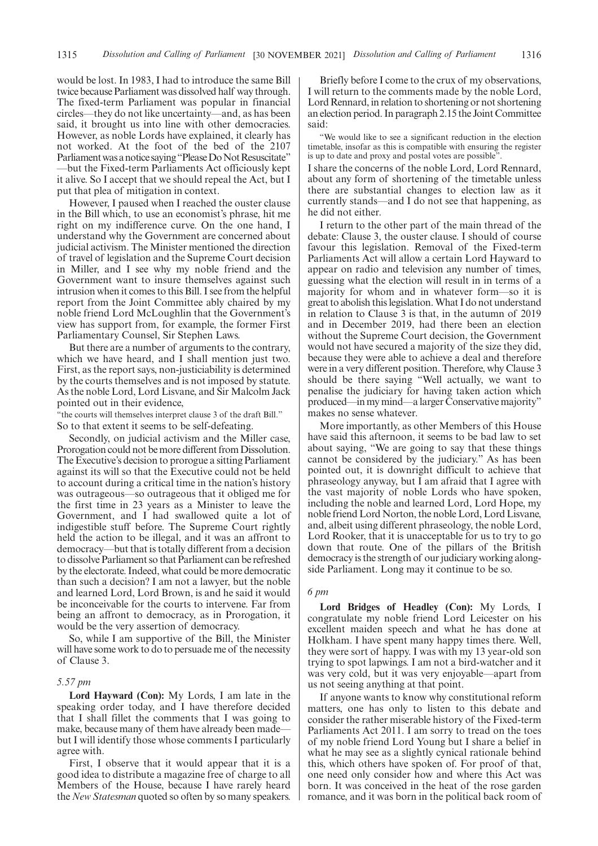would be lost. In 1983, I had to introduce the same Bill twice because Parliament was dissolved half way through. The fixed-term Parliament was popular in financial circles—they do not like uncertainty—and, as has been said, it brought us into line with other democracies. However, as noble Lords have explained, it clearly has not worked. At the foot of the bed of the 2107 Parliament was a notice saying "Please Do Not Resuscitate" —but the Fixed-term Parliaments Act officiously kept it alive. So I accept that we should repeal the Act, but I put that plea of mitigation in context.

However, I paused when I reached the ouster clause in the Bill which, to use an economist's phrase, hit me right on my indifference curve. On the one hand, I understand why the Government are concerned about judicial activism. The Minister mentioned the direction of travel of legislation and the Supreme Court decision in Miller, and I see why my noble friend and the Government want to insure themselves against such intrusion when it comes to this Bill. I see from the helpful report from the Joint Committee ably chaired by my noble friend Lord McLoughlin that the Government's view has support from, for example, the former First Parliamentary Counsel, Sir Stephen Laws.

But there are a number of arguments to the contrary, which we have heard, and I shall mention just two. First, as the report says, non-justiciability is determined by the courts themselves and is not imposed by statute. As the noble Lord, Lord Lisvane, and Sir Malcolm Jack pointed out in their evidence,

"the courts will themselves interpret clause 3 of the draft Bill." So to that extent it seems to be self-defeating.

Secondly, on judicial activism and the Miller case, Prorogation could not be more different from Dissolution. The Executive's decision to prorogue a sitting Parliament against its will so that the Executive could not be held to account during a critical time in the nation's history was outrageous—so outrageous that it obliged me for the first time in 23 years as a Minister to leave the Government, and I had swallowed quite a lot of indigestible stuff before. The Supreme Court rightly held the action to be illegal, and it was an affront to democracy—but that is totally different from a decision to dissolve Parliament so that Parliament can be refreshed by the electorate. Indeed, what could be more democratic than such a decision? I am not a lawyer, but the noble and learned Lord, Lord Brown, is and he said it would be inconceivable for the courts to intervene. Far from being an affront to democracy, as in Prorogation, it would be the very assertion of democracy.

So, while I am supportive of the Bill, the Minister will have some work to do to persuade me of the necessity of Clause 3.

### *5.57 pm*

**Lord Hayward (Con):** My Lords, I am late in the speaking order today, and I have therefore decided that I shall fillet the comments that I was going to make, because many of them have already been made but I will identify those whose comments I particularly agree with.

First, I observe that it would appear that it is a good idea to distribute a magazine free of charge to all Members of the House, because I have rarely heard the *New Statesman* quoted so often by so many speakers.

Briefly before I come to the crux of my observations, I will return to the comments made by the noble Lord, Lord Rennard, in relation to shortening or not shortening an election period. In paragraph 2.15 the Joint Committee said:

"We would like to see a significant reduction in the election timetable, insofar as this is compatible with ensuring the register is up to date and proxy and postal votes are possible".

I share the concerns of the noble Lord, Lord Rennard, about any form of shortening of the timetable unless there are substantial changes to election law as it currently stands—and I do not see that happening, as he did not either.

I return to the other part of the main thread of the debate: Clause 3, the ouster clause. I should of course favour this legislation. Removal of the Fixed-term Parliaments Act will allow a certain Lord Hayward to appear on radio and television any number of times, guessing what the election will result in in terms of a majority for whom and in whatever form—so it is great to abolish this legislation. What I do not understand in relation to Clause 3 is that, in the autumn of 2019 and in December 2019, had there been an election without the Supreme Court decision, the Government would not have secured a majority of the size they did, because they were able to achieve a deal and therefore were in a very different position. Therefore, why Clause 3 should be there saying "Well actually, we want to penalise the judiciary for having taken action which produced—in my mind—a larger Conservative majority" makes no sense whatever.

More importantly, as other Members of this House have said this afternoon, it seems to be bad law to set about saying, "We are going to say that these things cannot be considered by the judiciary." As has been pointed out, it is downright difficult to achieve that phraseology anyway, but I am afraid that I agree with the vast majority of noble Lords who have spoken, including the noble and learned Lord, Lord Hope, my noble friend Lord Norton, the noble Lord, Lord Lisvane, and, albeit using different phraseology, the noble Lord, Lord Rooker, that it is unacceptable for us to try to go down that route. One of the pillars of the British democracy is the strength of our judiciary working alongside Parliament. Long may it continue to be so.

#### *6 pm*

**Lord Bridges of Headley (Con):** My Lords, I congratulate my noble friend Lord Leicester on his excellent maiden speech and what he has done at Holkham. I have spent many happy times there. Well, they were sort of happy. I was with my 13 year-old son trying to spot lapwings. I am not a bird-watcher and it was very cold, but it was very enjoyable—apart from us not seeing anything at that point.

If anyone wants to know why constitutional reform matters, one has only to listen to this debate and consider the rather miserable history of the Fixed-term Parliaments Act 2011. I am sorry to tread on the toes of my noble friend Lord Young but I share a belief in what he may see as a slightly cynical rationale behind this, which others have spoken of. For proof of that, one need only consider how and where this Act was born. It was conceived in the heat of the rose garden romance, and it was born in the political back room of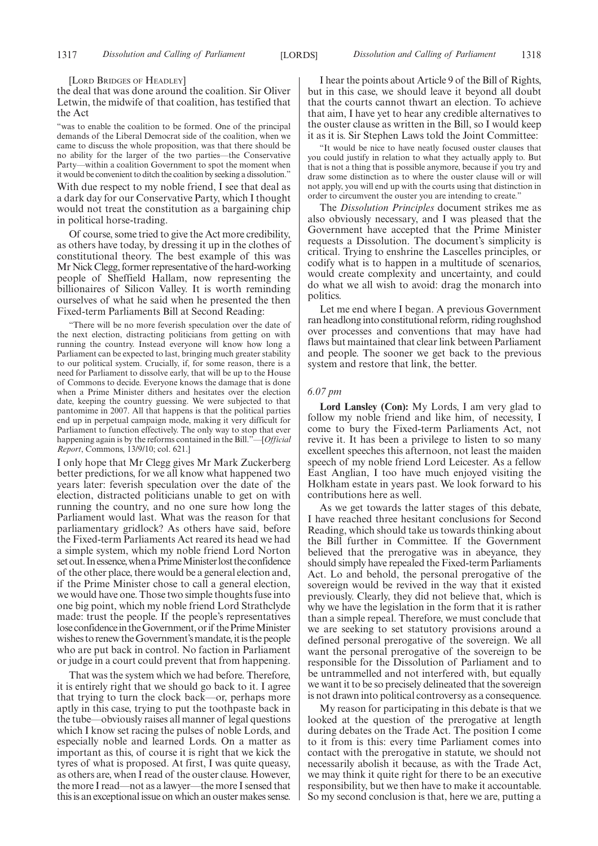[LORD BRIDGES OF HEADLEY]

the deal that was done around the coalition. Sir Oliver Letwin, the midwife of that coalition, has testified that the Act

"was to enable the coalition to be formed. One of the principal demands of the Liberal Democrat side of the coalition, when we came to discuss the whole proposition, was that there should be no ability for the larger of the two parties—the Conservative Party—within a coalition Government to spot the moment when it would be convenient to ditch the coalition by seeking a dissolution."

With due respect to my noble friend, I see that deal as a dark day for our Conservative Party, which I thought would not treat the constitution as a bargaining chip in political horse-trading.

Of course, some tried to give the Act more credibility, as others have today, by dressing it up in the clothes of constitutional theory. The best example of this was Mr Nick Clegg, former representative of the hard-working people of Sheffield Hallam, now representing the billionaires of Silicon Valley. It is worth reminding ourselves of what he said when he presented the then Fixed-term Parliaments Bill at Second Reading:

"There will be no more feverish speculation over the date of the next election, distracting politicians from getting on with running the country. Instead everyone will know how long a Parliament can be expected to last, bringing much greater stability to our political system. Crucially, if, for some reason, there is a need for Parliament to dissolve early, that will be up to the House of Commons to decide. Everyone knows the damage that is done when a Prime Minister dithers and hesitates over the election date, keeping the country guessing. We were subjected to that pantomime in 2007. All that happens is that the political parties end up in perpetual campaign mode, making it very difficult for Parliament to function effectively. The only way to stop that ever happening again is by the reforms contained in the Bill."—[*Official Report*, Commons, 13/9/10; col. 621.]

I only hope that Mr Clegg gives Mr Mark Zuckerberg better predictions, for we all know what happened two years later: feverish speculation over the date of the election, distracted politicians unable to get on with running the country, and no one sure how long the Parliament would last. What was the reason for that parliamentary gridlock? As others have said, before the Fixed-term Parliaments Act reared its head we had a simple system, which my noble friend Lord Norton set out. In essence, when a Prime Minister lost the confidence of the other place, there would be a general election and, if the Prime Minister chose to call a general election, we would have one. Those two simple thoughts fuse into one big point, which my noble friend Lord Strathclyde made: trust the people. If the people's representatives lose confidence in the Government, or if the Prime Minister wishes to renew the Government's mandate, it is the people who are put back in control. No faction in Parliament or judge in a court could prevent that from happening.

That was the system which we had before. Therefore, it is entirely right that we should go back to it. I agree that trying to turn the clock back—or, perhaps more aptly in this case, trying to put the toothpaste back in the tube—obviously raises all manner of legal questions which I know set racing the pulses of noble Lords, and especially noble and learned Lords. On a matter as important as this, of course it is right that we kick the tyres of what is proposed. At first, I was quite queasy, as others are, when I read of the ouster clause. However, the more I read—not as a lawyer—the more I sensed that this is an exceptional issue on which an ouster makes sense.

I hear the points about Article 9 of the Bill of Rights, but in this case, we should leave it beyond all doubt that the courts cannot thwart an election. To achieve that aim, I have yet to hear any credible alternatives to the ouster clause as written in the Bill, so I would keep it as it is. Sir Stephen Laws told the Joint Committee:

"It would be nice to have neatly focused ouster clauses that you could justify in relation to what they actually apply to. But that is not a thing that is possible anymore, because if you try and draw some distinction as to where the ouster clause will or will not apply, you will end up with the courts using that distinction in order to circumvent the ouster you are intending to create."

The *Dissolution Principles* document strikes me as also obviously necessary, and I was pleased that the Government have accepted that the Prime Minister requests a Dissolution. The document's simplicity is critical. Trying to enshrine the Lascelles principles, or codify what is to happen in a multitude of scenarios, would create complexity and uncertainty, and could do what we all wish to avoid: drag the monarch into politics.

Let me end where I began. A previous Government ran headlong into constitutional reform, riding roughshod over processes and conventions that may have had flaws but maintained that clear link between Parliament and people. The sooner we get back to the previous system and restore that link, the better.

#### *6.07 pm*

**Lord Lansley (Con):** My Lords, I am very glad to follow my noble friend and like him, of necessity, I come to bury the Fixed-term Parliaments Act, not revive it. It has been a privilege to listen to so many excellent speeches this afternoon, not least the maiden speech of my noble friend Lord Leicester. As a fellow East Anglian, I too have much enjoyed visiting the Holkham estate in years past. We look forward to his contributions here as well.

As we get towards the latter stages of this debate, I have reached three hesitant conclusions for Second Reading, which should take us towards thinking about the Bill further in Committee. If the Government believed that the prerogative was in abeyance, they should simply have repealed the Fixed-term Parliaments Act. Lo and behold, the personal prerogative of the sovereign would be revived in the way that it existed previously. Clearly, they did not believe that, which is why we have the legislation in the form that it is rather than a simple repeal. Therefore, we must conclude that we are seeking to set statutory provisions around a defined personal prerogative of the sovereign. We all want the personal prerogative of the sovereign to be responsible for the Dissolution of Parliament and to be untrammelled and not interfered with, but equally we want it to be so precisely delineated that the sovereign is not drawn into political controversy as a consequence.

My reason for participating in this debate is that we looked at the question of the prerogative at length during debates on the Trade Act. The position I come to it from is this: every time Parliament comes into contact with the prerogative in statute, we should not necessarily abolish it because, as with the Trade Act, we may think it quite right for there to be an executive responsibility, but we then have to make it accountable. So my second conclusion is that, here we are, putting a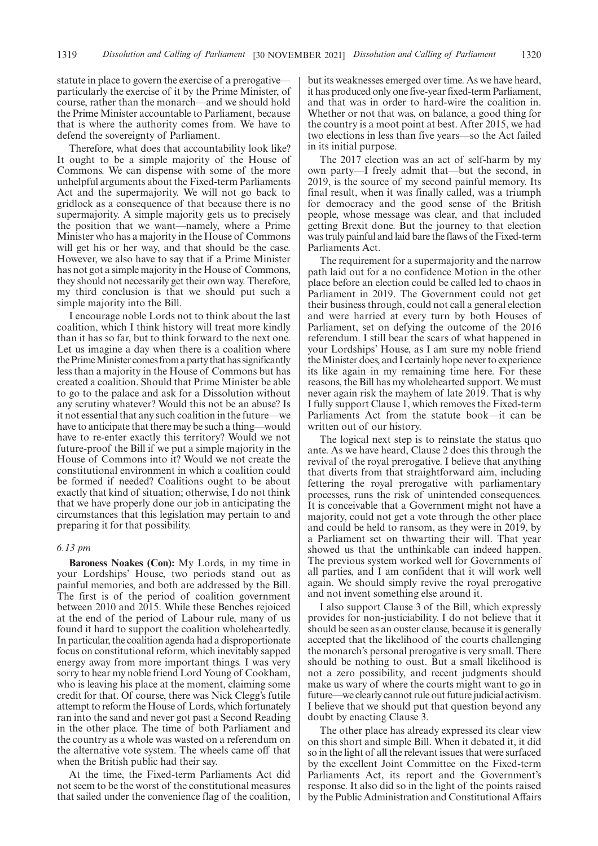statute in place to govern the exercise of a prerogative particularly the exercise of it by the Prime Minister, of course, rather than the monarch—and we should hold the Prime Minister accountable to Parliament, because that is where the authority comes from. We have to defend the sovereignty of Parliament.

Therefore, what does that accountability look like? It ought to be a simple majority of the House of Commons. We can dispense with some of the more unhelpful arguments about the Fixed-term Parliaments Act and the supermajority. We will not go back to gridlock as a consequence of that because there is no supermajority. A simple majority gets us to precisely the position that we want—namely, where a Prime Minister who has a majority in the House of Commons will get his or her way, and that should be the case. However, we also have to say that if a Prime Minister has not got a simple majority in the House of Commons, they should not necessarily get their own way. Therefore, my third conclusion is that we should put such a simple majority into the Bill.

I encourage noble Lords not to think about the last coalition, which I think history will treat more kindly than it has so far, but to think forward to the next one. Let us imagine a day when there is a coalition where the Prime Minister comes from a party that has significantly less than a majority in the House of Commons but has created a coalition. Should that Prime Minister be able to go to the palace and ask for a Dissolution without any scrutiny whatever? Would this not be an abuse? Is it not essential that any such coalition in the future—we have to anticipate that there may be such a thing—would have to re-enter exactly this territory? Would we not future-proof the Bill if we put a simple majority in the House of Commons into it? Would we not create the constitutional environment in which a coalition could be formed if needed? Coalitions ought to be about exactly that kind of situation; otherwise, I do not think that we have properly done our job in anticipating the circumstances that this legislation may pertain to and preparing it for that possibility.

### *6.13 pm*

**Baroness Noakes (Con):** My Lords, in my time in your Lordships' House, two periods stand out as painful memories, and both are addressed by the Bill. The first is of the period of coalition government between 2010 and 2015. While these Benches rejoiced at the end of the period of Labour rule, many of us found it hard to support the coalition wholeheartedly. In particular, the coalition agenda had a disproportionate focus on constitutional reform, which inevitably sapped energy away from more important things. I was very sorry to hear my noble friend Lord Young of Cookham, who is leaving his place at the moment, claiming some credit for that. Of course, there was Nick Clegg's futile attempt to reform the House of Lords, which fortunately ran into the sand and never got past a Second Reading in the other place. The time of both Parliament and the country as a whole was wasted on a referendum on the alternative vote system. The wheels came off that when the British public had their say.

At the time, the Fixed-term Parliaments Act did not seem to be the worst of the constitutional measures that sailed under the convenience flag of the coalition, but its weaknesses emerged over time. As we have heard, it has produced only one five-year fixed-term Parliament, and that was in order to hard-wire the coalition in. Whether or not that was, on balance, a good thing for the country is a moot point at best. After 2015, we had two elections in less than five years—so the Act failed in its initial purpose.

The 2017 election was an act of self-harm by my own party—I freely admit that—but the second, in 2019, is the source of my second painful memory. Its final result, when it was finally called, was a triumph for democracy and the good sense of the British people, whose message was clear, and that included getting Brexit done. But the journey to that election was truly painful and laid bare the flaws of the Fixed-term Parliaments Act.

The requirement for a supermajority and the narrow path laid out for a no confidence Motion in the other place before an election could be called led to chaos in Parliament in 2019. The Government could not get their business through, could not call a general election and were harried at every turn by both Houses of Parliament, set on defying the outcome of the 2016 referendum. I still bear the scars of what happened in your Lordships' House, as I am sure my noble friend the Minister does, and I certainly hope never to experience its like again in my remaining time here. For these reasons, the Bill has my wholehearted support. We must never again risk the mayhem of late 2019. That is why I fully support Clause 1, which removes the Fixed-term Parliaments Act from the statute book—it can be written out of our history.

The logical next step is to reinstate the status quo ante. As we have heard, Clause 2 does this through the revival of the royal prerogative. I believe that anything that diverts from that straightforward aim, including fettering the royal prerogative with parliamentary processes, runs the risk of unintended consequences. It is conceivable that a Government might not have a majority, could not get a vote through the other place and could be held to ransom, as they were in 2019, by a Parliament set on thwarting their will. That year showed us that the unthinkable can indeed happen. The previous system worked well for Governments of all parties, and I am confident that it will work well again. We should simply revive the royal prerogative and not invent something else around it.

I also support Clause 3 of the Bill, which expressly provides for non-justiciability. I do not believe that it should be seen as an ouster clause, because it is generally accepted that the likelihood of the courts challenging the monarch's personal prerogative is very small. There should be nothing to oust. But a small likelihood is not a zero possibility, and recent judgments should make us wary of where the courts might want to go in future—we clearly cannot rule out future judicial activism. I believe that we should put that question beyond any doubt by enacting Clause 3.

The other place has already expressed its clear view on this short and simple Bill. When it debated it, it did so in the light of all the relevant issues that were surfaced by the excellent Joint Committee on the Fixed-term Parliaments Act, its report and the Government's response. It also did so in the light of the points raised by the Public Administration and Constitutional Affairs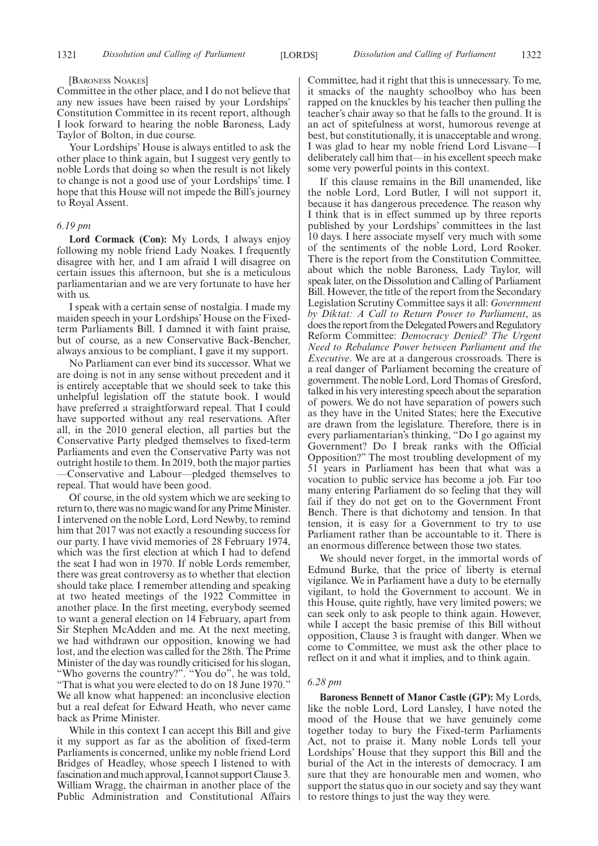#### [BARONESS NOAKES]

Committee in the other place, and I do not believe that any new issues have been raised by your Lordships' Constitution Committee in its recent report, although I look forward to hearing the noble Baroness, Lady Taylor of Bolton, in due course.

Your Lordships' House is always entitled to ask the other place to think again, but I suggest very gently to noble Lords that doing so when the result is not likely to change is not a good use of your Lordships' time. I hope that this House will not impede the Bill's journey to Royal Assent.

#### *6.19 pm*

**Lord Cormack (Con):** My Lords, I always enjoy following my noble friend Lady Noakes. I frequently disagree with her, and I am afraid I will disagree on certain issues this afternoon, but she is a meticulous parliamentarian and we are very fortunate to have her with us.

I speak with a certain sense of nostalgia. I made my maiden speech in your Lordships' House on the Fixedterm Parliaments Bill. I damned it with faint praise, but of course, as a new Conservative Back-Bencher, always anxious to be compliant, I gave it my support.

No Parliament can ever bind its successor. What we are doing is not in any sense without precedent and it is entirely acceptable that we should seek to take this unhelpful legislation off the statute book. I would have preferred a straightforward repeal. That I could have supported without any real reservations. After all, in the 2010 general election, all parties but the Conservative Party pledged themselves to fixed-term Parliaments and even the Conservative Party was not outright hostile to them. In 2019, both the major parties —Conservative and Labour—pledged themselves to repeal. That would have been good.

Of course, in the old system which we are seeking to return to, there was no magic wand for any Prime Minister. I intervened on the noble Lord, Lord Newby, to remind him that 2017 was not exactly a resounding success for our party. I have vivid memories of 28 February 1974, which was the first election at which I had to defend the seat I had won in 1970. If noble Lords remember, there was great controversy as to whether that election should take place. I remember attending and speaking at two heated meetings of the 1922 Committee in another place. In the first meeting, everybody seemed to want a general election on 14 February, apart from Sir Stephen McAdden and me. At the next meeting, we had withdrawn our opposition, knowing we had lost, and the election was called for the 28th. The Prime Minister of the day was roundly criticised for his slogan, "Who governs the country?". "You do", he was told, "That is what you were elected to do on 18 June 1970." We all know what happened: an inconclusive election but a real defeat for Edward Heath, who never came back as Prime Minister.

While in this context I can accept this Bill and give it my support as far as the abolition of fixed-term Parliaments is concerned, unlike my noble friend Lord Bridges of Headley, whose speech I listened to with fascination and much approval, I cannot support Clause 3. William Wragg, the chairman in another place of the Public Administration and Constitutional Affairs Committee, had it right that this is unnecessary. To me, it smacks of the naughty schoolboy who has been rapped on the knuckles by his teacher then pulling the teacher's chair away so that he falls to the ground. It is an act of spitefulness at worst, humorous revenge at best, but constitutionally, it is unacceptable and wrong. I was glad to hear my noble friend Lord Lisvane—I deliberately call him that—in his excellent speech make some very powerful points in this context.

If this clause remains in the Bill unamended, like the noble Lord, Lord Butler, I will not support it, because it has dangerous precedence. The reason why I think that is in effect summed up by three reports published by your Lordships' committees in the last 10 days. I here associate myself very much with some of the sentiments of the noble Lord, Lord Rooker. There is the report from the Constitution Committee, about which the noble Baroness, Lady Taylor, will speak later, on the Dissolution and Calling of Parliament Bill. However, the title of the report from the Secondary Legislation Scrutiny Committee says it all: *Government by Diktat: A Call to Return Power to Parliament*, as does the report from the Delegated Powers and Regulatory Reform Committee: *Democracy Denied? The Urgent Need to Rebalance Power between Parliament and the Executive*. We are at a dangerous crossroads. There is a real danger of Parliament becoming the creature of government. The noble Lord, Lord Thomas of Gresford, talked in his very interesting speech about the separation of powers. We do not have separation of powers such as they have in the United States; here the Executive are drawn from the legislature. Therefore, there is in every parliamentarian's thinking, "Do I go against my Government? Do I break ranks with the Official Opposition?" The most troubling development of my 51 years in Parliament has been that what was a vocation to public service has become a job. Far too many entering Parliament do so feeling that they will fail if they do not get on to the Government Front Bench. There is that dichotomy and tension. In that tension, it is easy for a Government to try to use Parliament rather than be accountable to it. There is an enormous difference between those two states.

We should never forget, in the immortal words of Edmund Burke, that the price of liberty is eternal vigilance. We in Parliament have a duty to be eternally vigilant, to hold the Government to account. We in this House, quite rightly, have very limited powers; we can seek only to ask people to think again. However, while I accept the basic premise of this Bill without opposition, Clause 3 is fraught with danger. When we come to Committee, we must ask the other place to reflect on it and what it implies, and to think again.

#### *6.28 pm*

**Baroness Bennett of Manor Castle (GP):** My Lords, like the noble Lord, Lord Lansley, I have noted the mood of the House that we have genuinely come together today to bury the Fixed-term Parliaments Act, not to praise it. Many noble Lords tell your Lordships' House that they support this Bill and the burial of the Act in the interests of democracy. I am sure that they are honourable men and women, who support the status quo in our society and say they want to restore things to just the way they were.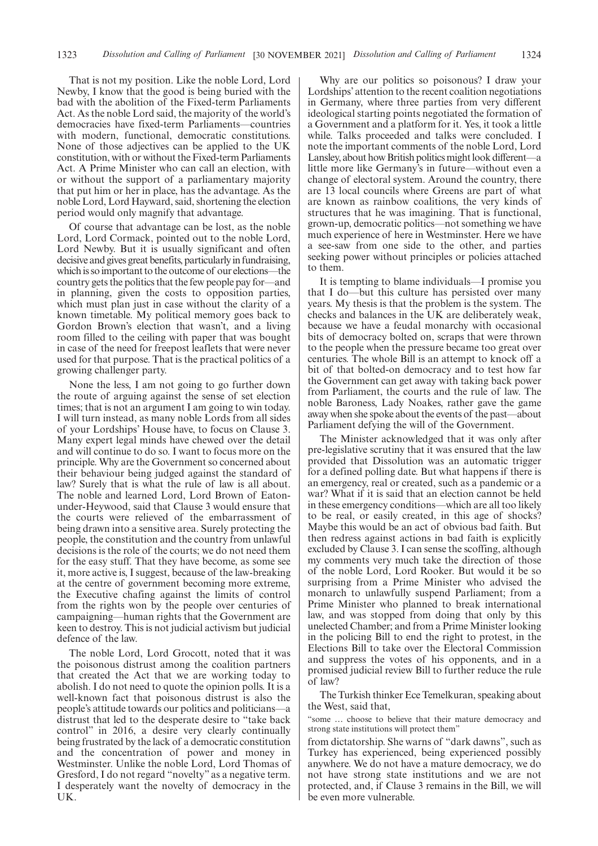That is not my position. Like the noble Lord, Lord Newby, I know that the good is being buried with the bad with the abolition of the Fixed-term Parliaments Act. As the noble Lord said, the majority of the world's democracies have fixed-term Parliaments—countries with modern, functional, democratic constitutions. None of those adjectives can be applied to the UK constitution, with or without the Fixed-term Parliaments Act. A Prime Minister who can call an election, with or without the support of a parliamentary majority that put him or her in place, has the advantage. As the noble Lord, Lord Hayward, said, shortening the election period would only magnify that advantage.

Of course that advantage can be lost, as the noble Lord, Lord Cormack, pointed out to the noble Lord, Lord Newby. But it is usually significant and often decisive and gives great benefits, particularly in fundraising, which is so important to the outcome of our elections—the country gets the politics that the few people pay for—and in planning, given the costs to opposition parties, which must plan just in case without the clarity of a known timetable. My political memory goes back to Gordon Brown's election that wasn't, and a living room filled to the ceiling with paper that was bought in case of the need for freepost leaflets that were never used for that purpose. That is the practical politics of a growing challenger party.

None the less, I am not going to go further down the route of arguing against the sense of set election times; that is not an argument I am going to win today. I will turn instead, as many noble Lords from all sides of your Lordships' House have, to focus on Clause 3. Many expert legal minds have chewed over the detail and will continue to do so. I want to focus more on the principle. Why are the Government so concerned about their behaviour being judged against the standard of law? Surely that is what the rule of law is all about. The noble and learned Lord, Lord Brown of Eatonunder-Heywood, said that Clause 3 would ensure that the courts were relieved of the embarrassment of being drawn into a sensitive area. Surely protecting the people, the constitution and the country from unlawful decisions is the role of the courts; we do not need them for the easy stuff. That they have become, as some see it, more active is, I suggest, because of the law-breaking at the centre of government becoming more extreme, the Executive chafing against the limits of control from the rights won by the people over centuries of campaigning—human rights that the Government are keen to destroy. This is not judicial activism but judicial defence of the law.

The noble Lord, Lord Grocott, noted that it was the poisonous distrust among the coalition partners that created the Act that we are working today to abolish. I do not need to quote the opinion polls. It is a well-known fact that poisonous distrust is also the people's attitude towards our politics and politicians—a distrust that led to the desperate desire to "take back control" in 2016, a desire very clearly continually being frustrated by the lack of a democratic constitution and the concentration of power and money in Westminster. Unlike the noble Lord, Lord Thomas of Gresford, I do not regard "novelty" as a negative term. I desperately want the novelty of democracy in the UK.

Why are our politics so poisonous? I draw your Lordships' attention to the recent coalition negotiations in Germany, where three parties from very different ideological starting points negotiated the formation of a Government and a platform for it. Yes, it took a little while. Talks proceeded and talks were concluded. I note the important comments of the noble Lord, Lord Lansley, about how British politics might look different—a little more like Germany's in future—without even a change of electoral system. Around the country, there are 13 local councils where Greens are part of what are known as rainbow coalitions, the very kinds of structures that he was imagining. That is functional, grown-up, democratic politics—not something we have much experience of here in Westminster. Here we have a see-saw from one side to the other, and parties seeking power without principles or policies attached to them.

It is tempting to blame individuals—I promise you that I do—but this culture has persisted over many years. My thesis is that the problem is the system. The checks and balances in the UK are deliberately weak, because we have a feudal monarchy with occasional bits of democracy bolted on, scraps that were thrown to the people when the pressure became too great over centuries. The whole Bill is an attempt to knock off a bit of that bolted-on democracy and to test how far the Government can get away with taking back power from Parliament, the courts and the rule of law. The noble Baroness, Lady Noakes, rather gave the game away when she spoke about the events of the past—about Parliament defying the will of the Government.

The Minister acknowledged that it was only after pre-legislative scrutiny that it was ensured that the law provided that Dissolution was an automatic trigger for a defined polling date. But what happens if there is an emergency, real or created, such as a pandemic or a war? What if it is said that an election cannot be held in these emergency conditions—which are all too likely to be real, or easily created, in this age of shocks? Maybe this would be an act of obvious bad faith. But then redress against actions in bad faith is explicitly excluded by Clause 3. I can sense the scoffing, although my comments very much take the direction of those of the noble Lord, Lord Rooker. But would it be so surprising from a Prime Minister who advised the monarch to unlawfully suspend Parliament; from a Prime Minister who planned to break international law, and was stopped from doing that only by this unelected Chamber; and from a Prime Minister looking in the policing Bill to end the right to protest, in the Elections Bill to take over the Electoral Commission and suppress the votes of his opponents, and in a promised judicial review Bill to further reduce the rule of law?

The Turkish thinker Ece Temelkuran, speaking about the West, said that,

"some … choose to believe that their mature democracy and strong state institutions will protect them"

from dictatorship. She warns of "dark dawns", such as Turkey has experienced, being experienced possibly anywhere. We do not have a mature democracy, we do not have strong state institutions and we are not protected, and, if Clause 3 remains in the Bill, we will be even more vulnerable.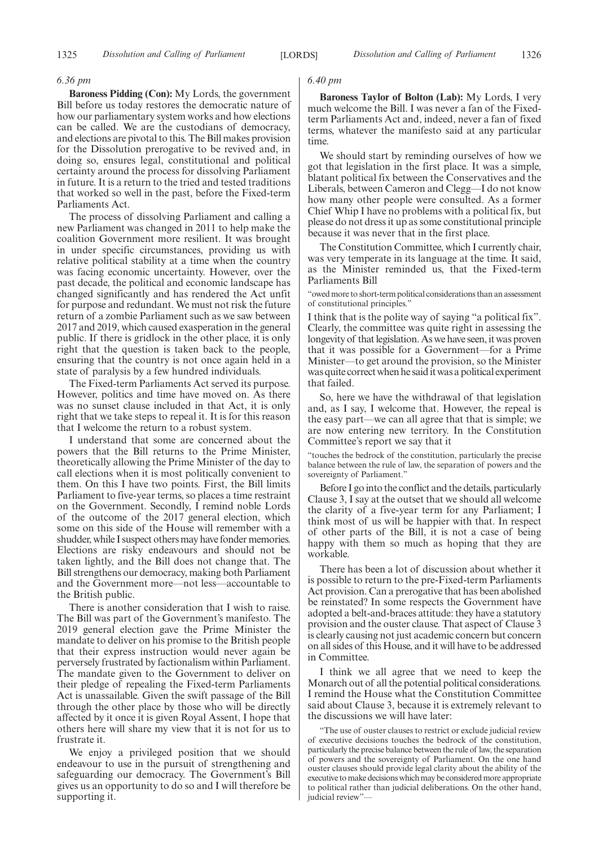#### *6.36 pm*

**Baroness Pidding (Con):** My Lords, the government Bill before us today restores the democratic nature of how our parliamentary system works and how elections can be called. We are the custodians of democracy, and elections are pivotal to this. The Bill makes provision for the Dissolution prerogative to be revived and, in doing so, ensures legal, constitutional and political certainty around the process for dissolving Parliament in future. It is a return to the tried and tested traditions that worked so well in the past, before the Fixed-term Parliaments Act.

The process of dissolving Parliament and calling a new Parliament was changed in 2011 to help make the coalition Government more resilient. It was brought in under specific circumstances, providing us with relative political stability at a time when the country was facing economic uncertainty. However, over the past decade, the political and economic landscape has changed significantly and has rendered the Act unfit for purpose and redundant. We must not risk the future return of a zombie Parliament such as we saw between 2017 and 2019, which caused exasperation in the general public. If there is gridlock in the other place, it is only right that the question is taken back to the people, ensuring that the country is not once again held in a state of paralysis by a few hundred individuals.

The Fixed-term Parliaments Act served its purpose. However, politics and time have moved on. As there was no sunset clause included in that Act, it is only right that we take steps to repeal it. It is for this reason that I welcome the return to a robust system.

I understand that some are concerned about the powers that the Bill returns to the Prime Minister, theoretically allowing the Prime Minister of the day to call elections when it is most politically convenient to them. On this I have two points. First, the Bill limits Parliament to five-year terms, so places a time restraint on the Government. Secondly, I remind noble Lords of the outcome of the 2017 general election, which some on this side of the House will remember with a shudder, while I suspect others may have fonder memories. Elections are risky endeavours and should not be taken lightly, and the Bill does not change that. The Bill strengthens our democracy, making both Parliament and the Government more—not less—accountable to the British public.

There is another consideration that I wish to raise. The Bill was part of the Government's manifesto. The 2019 general election gave the Prime Minister the mandate to deliver on his promise to the British people that their express instruction would never again be perversely frustrated by factionalism within Parliament. The mandate given to the Government to deliver on their pledge of repealing the Fixed-term Parliaments Act is unassailable. Given the swift passage of the Bill through the other place by those who will be directly affected by it once it is given Royal Assent, I hope that others here will share my view that it is not for us to frustrate it.

We enjoy a privileged position that we should endeavour to use in the pursuit of strengthening and safeguarding our democracy. The Government's Bill gives us an opportunity to do so and I will therefore be supporting it.

#### *6.40 pm*

**Baroness Taylor of Bolton (Lab):** My Lords, I very much welcome the Bill. I was never a fan of the Fixedterm Parliaments Act and, indeed, never a fan of fixed terms, whatever the manifesto said at any particular time.

We should start by reminding ourselves of how we got that legislation in the first place. It was a simple, blatant political fix between the Conservatives and the Liberals, between Cameron and Clegg—I do not know how many other people were consulted. As a former Chief Whip I have no problems with a political fix, but please do not dress it up as some constitutional principle because it was never that in the first place.

The Constitution Committee, which I currently chair, was very temperate in its language at the time. It said, as the Minister reminded us, that the Fixed-term Parliaments Bill

"owed more to short-term political considerations than an assessment of constitutional principles."

I think that is the polite way of saying "a political fix". Clearly, the committee was quite right in assessing the longevity of that legislation. As we have seen, it was proven that it was possible for a Government—for a Prime Minister—to get around the provision, so the Minister was quite correct when he said it was a political experiment that failed.

So, here we have the withdrawal of that legislation and, as I say, I welcome that. However, the repeal is the easy part—we can all agree that that is simple; we are now entering new territory. In the Constitution Committee's report we say that it

"touches the bedrock of the constitution, particularly the precise balance between the rule of law, the separation of powers and the sovereignty of Parliament."

Before I go into the conflict and the details, particularly Clause 3, I say at the outset that we should all welcome the clarity of a five-year term for any Parliament; I think most of us will be happier with that. In respect of other parts of the Bill, it is not a case of being happy with them so much as hoping that they are workable.

There has been a lot of discussion about whether it is possible to return to the pre-Fixed-term Parliaments Act provision. Can a prerogative that has been abolished be reinstated? In some respects the Government have adopted a belt-and-braces attitude: they have a statutory provision and the ouster clause. That aspect of Clause 3 is clearly causing not just academic concern but concern on all sides of this House, and it will have to be addressed in Committee.

I think we all agree that we need to keep the Monarch out of all the potential political considerations. I remind the House what the Constitution Committee said about Clause 3, because it is extremely relevant to the discussions we will have later:

"The use of ouster clauses to restrict or exclude judicial review of executive decisions touches the bedrock of the constitution, particularly the precise balance between the rule of law, the separation of powers and the sovereignty of Parliament. On the one hand ouster clauses should provide legal clarity about the ability of the executive to make decisions which may be considered more appropriate to political rather than judicial deliberations. On the other hand, judicial review"—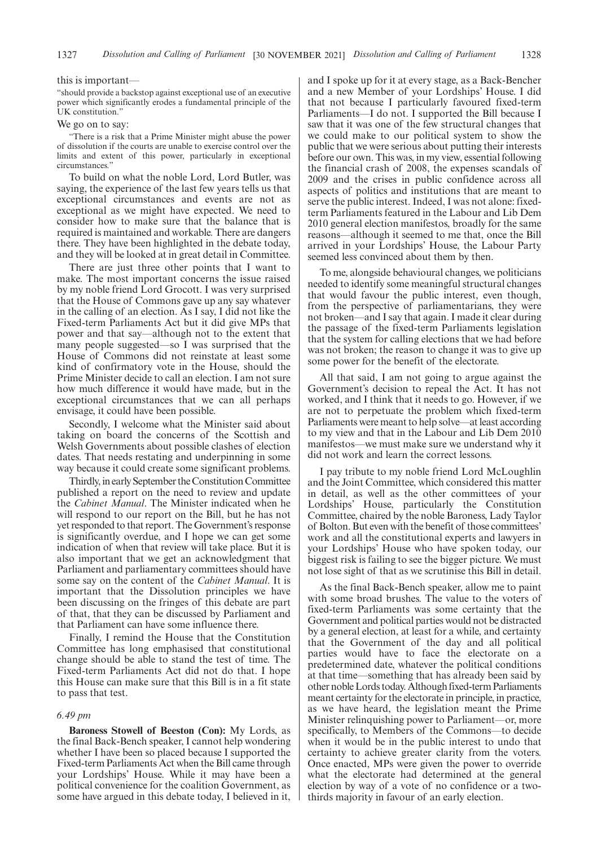#### this is important—

"should provide a backstop against exceptional use of an executive power which significantly erodes a fundamental principle of the UK constitution."

#### We go on to say:

"There is a risk that a Prime Minister might abuse the power of dissolution if the courts are unable to exercise control over the limits and extent of this power, particularly in exceptional circumstances."

To build on what the noble Lord, Lord Butler, was saying, the experience of the last few years tells us that exceptional circumstances and events are not as exceptional as we might have expected. We need to consider how to make sure that the balance that is required is maintained and workable. There are dangers there. They have been highlighted in the debate today, and they will be looked at in great detail in Committee.

There are just three other points that I want to make. The most important concerns the issue raised by my noble friend Lord Grocott. I was very surprised that the House of Commons gave up any say whatever in the calling of an election. As I say, I did not like the Fixed-term Parliaments Act but it did give MPs that power and that say—although not to the extent that many people suggested—so I was surprised that the House of Commons did not reinstate at least some kind of confirmatory vote in the House, should the Prime Minister decide to call an election. I am not sure how much difference it would have made, but in the exceptional circumstances that we can all perhaps envisage, it could have been possible.

Secondly, I welcome what the Minister said about taking on board the concerns of the Scottish and Welsh Governments about possible clashes of election dates. That needs restating and underpinning in some way because it could create some significant problems.

Thirdly, in early September the Constitution Committee published a report on the need to review and update the *Cabinet Manual*. The Minister indicated when he will respond to our report on the Bill, but he has not yet responded to that report. The Government's response is significantly overdue, and I hope we can get some indication of when that review will take place. But it is also important that we get an acknowledgment that Parliament and parliamentary committees should have some say on the content of the *Cabinet Manual*. It is important that the Dissolution principles we have been discussing on the fringes of this debate are part of that, that they can be discussed by Parliament and that Parliament can have some influence there.

Finally, I remind the House that the Constitution Committee has long emphasised that constitutional change should be able to stand the test of time. The Fixed-term Parliaments Act did not do that. I hope this House can make sure that this Bill is in a fit state to pass that test.

#### *6.49 pm*

**Baroness Stowell of Beeston (Con):** My Lords, as the final Back-Bench speaker, I cannot help wondering whether I have been so placed because I supported the Fixed-term Parliaments Act when the Bill came through your Lordships' House. While it may have been a political convenience for the coalition Government, as some have argued in this debate today, I believed in it, and I spoke up for it at every stage, as a Back-Bencher and a new Member of your Lordships' House. I did that not because I particularly favoured fixed-term Parliaments—I do not. I supported the Bill because I saw that it was one of the few structural changes that we could make to our political system to show the public that we were serious about putting their interests before our own. This was, in my view, essential following the financial crash of 2008, the expenses scandals of 2009 and the crises in public confidence across all aspects of politics and institutions that are meant to serve the public interest. Indeed, I was not alone: fixedterm Parliaments featured in the Labour and Lib Dem 2010 general election manifestos, broadly for the same reasons—although it seemed to me that, once the Bill arrived in your Lordships' House, the Labour Party seemed less convinced about them by then.

To me, alongside behavioural changes, we politicians needed to identify some meaningful structural changes that would favour the public interest, even though, from the perspective of parliamentarians, they were not broken—and I say that again. I made it clear during the passage of the fixed-term Parliaments legislation that the system for calling elections that we had before was not broken; the reason to change it was to give up some power for the benefit of the electorate.

All that said, I am not going to argue against the Government's decision to repeal the Act. It has not worked, and I think that it needs to go. However, if we are not to perpetuate the problem which fixed-term Parliaments were meant to help solve—at least according to my view and that in the Labour and Lib Dem 2010 manifestos—we must make sure we understand why it did not work and learn the correct lessons.

I pay tribute to my noble friend Lord McLoughlin and the Joint Committee, which considered this matter in detail, as well as the other committees of your Lordships' House, particularly the Constitution Committee, chaired by the noble Baroness, Lady Taylor of Bolton. But even with the benefit of those committees' work and all the constitutional experts and lawyers in your Lordships' House who have spoken today, our biggest risk is failing to see the bigger picture. We must not lose sight of that as we scrutinise this Bill in detail.

As the final Back-Bench speaker, allow me to paint with some broad brushes. The value to the voters of fixed-term Parliaments was some certainty that the Government and political parties would not be distracted by a general election, at least for a while, and certainty that the Government of the day and all political parties would have to face the electorate on a predetermined date, whatever the political conditions at that time—something that has already been said by other noble Lords today. Although fixed-term Parliaments meant certainty for the electorate in principle, in practice, as we have heard, the legislation meant the Prime Minister relinquishing power to Parliament—or, more specifically, to Members of the Commons—to decide when it would be in the public interest to undo that certainty to achieve greater clarity from the voters. Once enacted, MPs were given the power to override what the electorate had determined at the general election by way of a vote of no confidence or a twothirds majority in favour of an early election.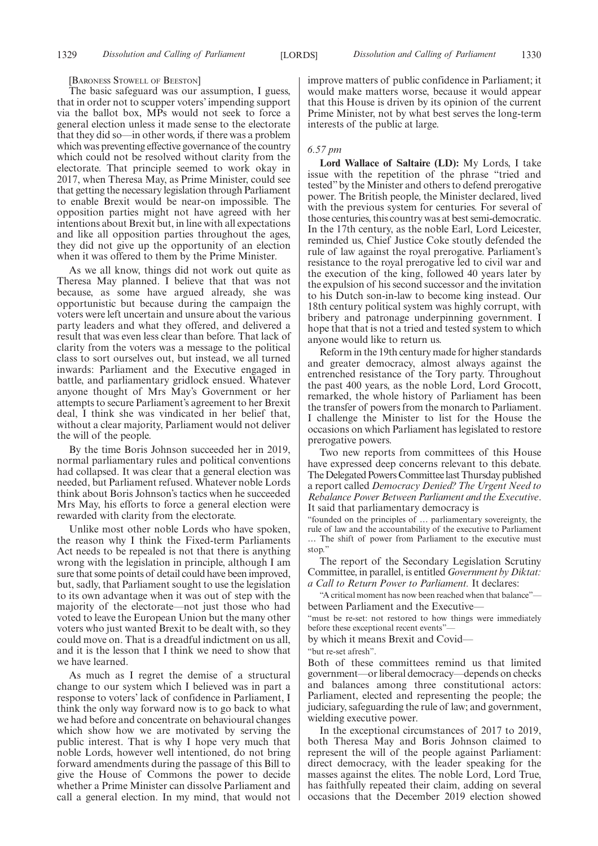#### [BARONESS STOWELL OF BEESTON]

The basic safeguard was our assumption, I guess, that in order not to scupper voters' impending support via the ballot box, MPs would not seek to force a general election unless it made sense to the electorate that they did so—in other words, if there was a problem which was preventing effective governance of the country which could not be resolved without clarity from the electorate. That principle seemed to work okay in 2017, when Theresa May, as Prime Minister, could see that getting the necessary legislation through Parliament to enable Brexit would be near-on impossible. The opposition parties might not have agreed with her intentions about Brexit but, in line with all expectations and like all opposition parties throughout the ages, they did not give up the opportunity of an election when it was offered to them by the Prime Minister.

As we all know, things did not work out quite as Theresa May planned. I believe that that was not because, as some have argued already, she was opportunistic but because during the campaign the voters were left uncertain and unsure about the various party leaders and what they offered, and delivered a result that was even less clear than before. That lack of clarity from the voters was a message to the political class to sort ourselves out, but instead, we all turned inwards: Parliament and the Executive engaged in battle, and parliamentary gridlock ensued. Whatever anyone thought of Mrs May's Government or her attempts to secure Parliament's agreement to her Brexit deal, I think she was vindicated in her belief that, without a clear majority, Parliament would not deliver the will of the people.

By the time Boris Johnson succeeded her in 2019, normal parliamentary rules and political conventions had collapsed. It was clear that a general election was needed, but Parliament refused. Whatever noble Lords think about Boris Johnson's tactics when he succeeded Mrs May, his efforts to force a general election were rewarded with clarity from the electorate.

Unlike most other noble Lords who have spoken, the reason why I think the Fixed-term Parliaments Act needs to be repealed is not that there is anything wrong with the legislation in principle, although I am sure that some points of detail could have been improved, but, sadly, that Parliament sought to use the legislation to its own advantage when it was out of step with the majority of the electorate—not just those who had voted to leave the European Union but the many other voters who just wanted Brexit to be dealt with, so they could move on. That is a dreadful indictment on us all, and it is the lesson that I think we need to show that we have learned.

As much as I regret the demise of a structural change to our system which I believed was in part a response to voters' lack of confidence in Parliament, I think the only way forward now is to go back to what we had before and concentrate on behavioural changes which show how we are motivated by serving the public interest. That is why I hope very much that noble Lords, however well intentioned, do not bring forward amendments during the passage of this Bill to give the House of Commons the power to decide whether a Prime Minister can dissolve Parliament and call a general election. In my mind, that would not improve matters of public confidence in Parliament; it would make matters worse, because it would appear that this House is driven by its opinion of the current Prime Minister, not by what best serves the long-term interests of the public at large.

#### *6.57 pm*

**Lord Wallace of Saltaire (LD):** My Lords, I take issue with the repetition of the phrase "tried and tested"by the Minister and others to defend prerogative power. The British people, the Minister declared, lived with the previous system for centuries. For several of those centuries, this country was at best semi-democratic. In the 17th century, as the noble Earl, Lord Leicester, reminded us, Chief Justice Coke stoutly defended the rule of law against the royal prerogative. Parliament's resistance to the royal prerogative led to civil war and the execution of the king, followed 40 years later by the expulsion of his second successor and the invitation to his Dutch son-in-law to become king instead. Our 18th century political system was highly corrupt, with bribery and patronage underpinning government. I hope that that is not a tried and tested system to which anyone would like to return us.

Reform in the 19th century made for higher standards and greater democracy, almost always against the entrenched resistance of the Tory party. Throughout the past 400 years, as the noble Lord, Lord Grocott, remarked, the whole history of Parliament has been the transfer of powers from the monarch to Parliament. I challenge the Minister to list for the House the occasions on which Parliament has legislated to restore prerogative powers.

Two new reports from committees of this House have expressed deep concerns relevant to this debate. The Delegated Powers Committee last Thursday published a report called *Democracy Denied? The Urgent Need to Rebalance Power Between Parliament and the Executive*. It said that parliamentary democracy is

"founded on the principles of … parliamentary sovereignty, the rule of law and the accountability of the executive to Parliament … The shift of power from Parliament to the executive must stop."

The report of the Secondary Legislation Scrutiny Committee, in parallel, is entitled *Government by Diktat: a Call to Return Power to Parliament.* It declares:

"A critical moment has now been reached when that balance" between Parliament and the Executive—

"must be re-set: not restored to how things were immediately before these exceptional recent events"—

by which it means Brexit and Covid—

"but re-set afresh".

Both of these committees remind us that limited government—or liberal democracy—depends on checks and balances among three constitutional actors: Parliament, elected and representing the people; the judiciary, safeguarding the rule of law; and government, wielding executive power.

In the exceptional circumstances of 2017 to 2019, both Theresa May and Boris Johnson claimed to represent the will of the people against Parliament: direct democracy, with the leader speaking for the masses against the elites. The noble Lord, Lord True, has faithfully repeated their claim, adding on several occasions that the December 2019 election showed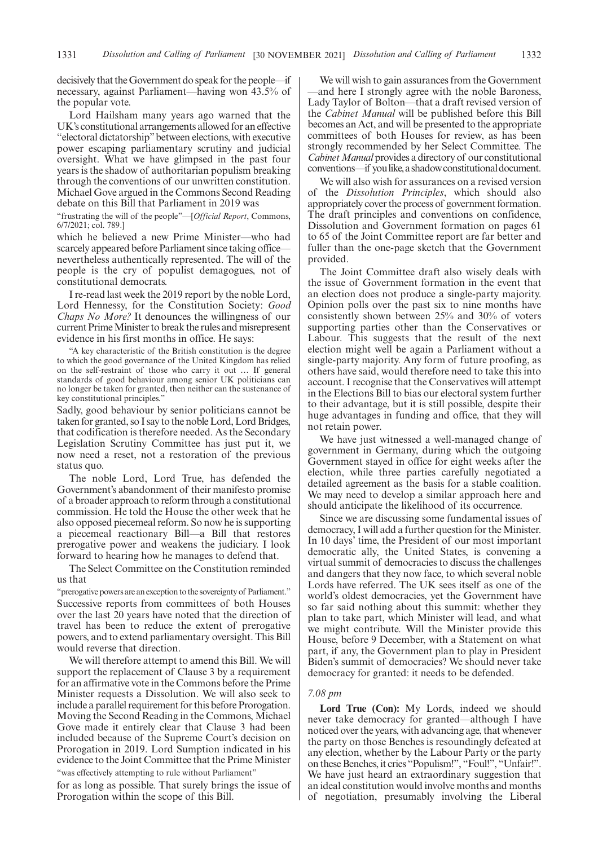decisively that the Government do speak for the people—if necessary, against Parliament—having won 43.5% of the popular vote.

Lord Hailsham many years ago warned that the UK's constitutional arrangements allowed for an effective "electoral dictatorship"between elections, with executive power escaping parliamentary scrutiny and judicial oversight. What we have glimpsed in the past four years is the shadow of authoritarian populism breaking through the conventions of our unwritten constitution. Michael Gove argued in the Commons Second Reading debate on this Bill that Parliament in 2019 was

"frustrating the will of the people"—[*Official Report*, Commons, 6/7/2021; col. 789.]

which he believed a new Prime Minister—who had scarcely appeared before Parliament since taking office nevertheless authentically represented. The will of the people is the cry of populist demagogues, not of constitutional democrats.

I re-read last week the 2019 report by the noble Lord, Lord Hennessy, for the Constitution Society: *Good Chaps No More?* It denounces the willingness of our current Prime Minister to break the rules and misrepresent evidence in his first months in office. He says:

"A key characteristic of the British constitution is the degree to which the good governance of the United Kingdom has relied on the self-restraint of those who carry it out … If general standards of good behaviour among senior UK politicians can no longer be taken for granted, then neither can the sustenance of key constitutional principles."

Sadly, good behaviour by senior politicians cannot be taken for granted, so I say to the noble Lord, Lord Bridges, that codification is therefore needed. As the Secondary Legislation Scrutiny Committee has just put it, we now need a reset, not a restoration of the previous status quo.

The noble Lord, Lord True, has defended the Government's abandonment of their manifesto promise of a broader approach to reform through a constitutional commission. He told the House the other week that he also opposed piecemeal reform. So now he is supporting a piecemeal reactionary Bill—a Bill that restores prerogative power and weakens the judiciary. I look forward to hearing how he manages to defend that.

The Select Committee on the Constitution reminded us that

"prerogative powers are an exception to the sovereignty of Parliament." Successive reports from committees of both Houses over the last 20 years have noted that the direction of travel has been to reduce the extent of prerogative powers, and to extend parliamentary oversight. This Bill would reverse that direction.

We will therefore attempt to amend this Bill. We will support the replacement of Clause 3 by a requirement for an affirmative vote in the Commons before the Prime Minister requests a Dissolution. We will also seek to include a parallel requirement for this before Prorogation. Moving the Second Reading in the Commons, Michael Gove made it entirely clear that Clause 3 had been included because of the Supreme Court's decision on Prorogation in 2019. Lord Sumption indicated in his evidence to the Joint Committee that the Prime Minister "was effectively attempting to rule without Parliament"

for as long as possible. That surely brings the issue of Prorogation within the scope of this Bill.

We will wish to gain assurances from the Government —and here I strongly agree with the noble Baroness, Lady Taylor of Bolton—that a draft revised version of the *Cabinet Manual* will be published before this Bill becomes an Act, and will be presented to the appropriate committees of both Houses for review, as has been strongly recommended by her Select Committee. The *Cabinet Manual* provides a directory of our constitutional conventions—if you like, a shadow constitutional document.

We will also wish for assurances on a revised version of the *Dissolution Principles*, which should also appropriately cover the process of government formation. The draft principles and conventions on confidence, Dissolution and Government formation on pages 61 to 65 of the Joint Committee report are far better and fuller than the one-page sketch that the Government provided.

The Joint Committee draft also wisely deals with the issue of Government formation in the event that an election does not produce a single-party majority. Opinion polls over the past six to nine months have consistently shown between 25% and 30% of voters supporting parties other than the Conservatives or Labour. This suggests that the result of the next election might well be again a Parliament without a single-party majority. Any form of future proofing, as others have said, would therefore need to take this into account. I recognise that the Conservatives will attempt in the Elections Bill to bias our electoral system further to their advantage, but it is still possible, despite their huge advantages in funding and office, that they will not retain power.

We have just witnessed a well-managed change of government in Germany, during which the outgoing Government stayed in office for eight weeks after the election, while three parties carefully negotiated a detailed agreement as the basis for a stable coalition. We may need to develop a similar approach here and should anticipate the likelihood of its occurrence.

Since we are discussing some fundamental issues of democracy, I will add a further question for the Minister. In 10 days' time, the President of our most important democratic ally, the United States, is convening a virtual summit of democracies to discuss the challenges and dangers that they now face, to which several noble Lords have referred. The UK sees itself as one of the world's oldest democracies, yet the Government have so far said nothing about this summit: whether they plan to take part, which Minister will lead, and what we might contribute. Will the Minister provide this House, before 9 December, with a Statement on what part, if any, the Government plan to play in President Biden's summit of democracies? We should never take democracy for granted: it needs to be defended.

#### *7.08 pm*

**Lord True (Con):** My Lords, indeed we should never take democracy for granted—although I have noticed over the years, with advancing age, that whenever the party on those Benches is resoundingly defeated at any election, whether by the Labour Party or the party on these Benches, it cries "Populism!", "Foul!", "Unfair!". We have just heard an extraordinary suggestion that an ideal constitution would involve months and months of negotiation, presumably involving the Liberal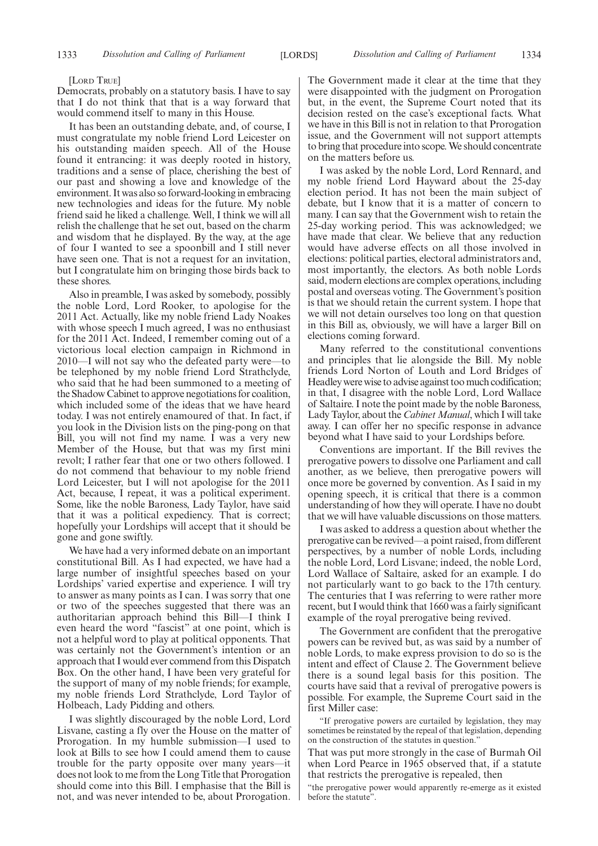#### [LORD TRUE]

Democrats, probably on a statutory basis. I have to say that I do not think that that is a way forward that would commend itself to many in this House.

It has been an outstanding debate, and, of course, I must congratulate my noble friend Lord Leicester on his outstanding maiden speech. All of the House found it entrancing: it was deeply rooted in history, traditions and a sense of place, cherishing the best of our past and showing a love and knowledge of the environment. It was also so forward-looking in embracing new technologies and ideas for the future. My noble friend said he liked a challenge. Well, I think we will all relish the challenge that he set out, based on the charm and wisdom that he displayed. By the way, at the age of four I wanted to see a spoonbill and I still never have seen one. That is not a request for an invitation, but I congratulate him on bringing those birds back to these shores.

Also in preamble, I was asked by somebody, possibly the noble Lord, Lord Rooker, to apologise for the 2011 Act. Actually, like my noble friend Lady Noakes with whose speech I much agreed, I was no enthusiast for the 2011 Act. Indeed, I remember coming out of a victorious local election campaign in Richmond in 2010—I will not say who the defeated party were—to be telephoned by my noble friend Lord Strathclyde, who said that he had been summoned to a meeting of the Shadow Cabinet to approve negotiations for coalition, which included some of the ideas that we have heard today. I was not entirely enamoured of that. In fact, if you look in the Division lists on the ping-pong on that Bill, you will not find my name. I was a very new Member of the House, but that was my first mini revolt; I rather fear that one or two others followed. I do not commend that behaviour to my noble friend Lord Leicester, but I will not apologise for the 2011 Act, because, I repeat, it was a political experiment. Some, like the noble Baroness, Lady Taylor, have said that it was a political expediency. That is correct; hopefully your Lordships will accept that it should be gone and gone swiftly.

We have had a very informed debate on an important constitutional Bill. As I had expected, we have had a large number of insightful speeches based on your Lordships' varied expertise and experience. I will try to answer as many points as I can. I was sorry that one or two of the speeches suggested that there was an authoritarian approach behind this Bill—I think I even heard the word "fascist" at one point, which is not a helpful word to play at political opponents. That was certainly not the Government's intention or an approach that I would ever commend from this Dispatch Box. On the other hand, I have been very grateful for the support of many of my noble friends; for example, my noble friends Lord Strathclyde, Lord Taylor of Holbeach, Lady Pidding and others.

I was slightly discouraged by the noble Lord, Lord Lisvane, casting a fly over the House on the matter of Prorogation. In my humble submission—I used to look at Bills to see how I could amend them to cause trouble for the party opposite over many years—it does not look to me from the Long Title that Prorogation should come into this Bill. I emphasise that the Bill is not, and was never intended to be, about Prorogation. The Government made it clear at the time that they were disappointed with the judgment on Prorogation but, in the event, the Supreme Court noted that its decision rested on the case's exceptional facts. What we have in this Bill is not in relation to that Prorogation issue, and the Government will not support attempts to bring that procedure into scope. We should concentrate on the matters before us.

I was asked by the noble Lord, Lord Rennard, and my noble friend Lord Hayward about the 25-day election period. It has not been the main subject of debate, but I know that it is a matter of concern to many. I can say that the Government wish to retain the 25-day working period. This was acknowledged; we have made that clear. We believe that any reduction would have adverse effects on all those involved in elections: political parties, electoral administrators and, most importantly, the electors. As both noble Lords said, modern elections are complex operations, including postal and overseas voting. The Government's position is that we should retain the current system. I hope that we will not detain ourselves too long on that question in this Bill as, obviously, we will have a larger Bill on elections coming forward.

Many referred to the constitutional conventions and principles that lie alongside the Bill. My noble friends Lord Norton of Louth and Lord Bridges of Headley were wise to advise against too much codification; in that, I disagree with the noble Lord, Lord Wallace of Saltaire. I note the point made by the noble Baroness, Lady Taylor, about the *Cabinet Manual*, which I will take away. I can offer her no specific response in advance beyond what I have said to your Lordships before.

Conventions are important. If the Bill revives the prerogative powers to dissolve one Parliament and call another, as we believe, then prerogative powers will once more be governed by convention. As I said in my opening speech, it is critical that there is a common understanding of how they will operate. I have no doubt that we will have valuable discussions on those matters.

I was asked to address a question about whether the prerogative can be revived—a point raised, from different perspectives, by a number of noble Lords, including the noble Lord, Lord Lisvane; indeed, the noble Lord, Lord Wallace of Saltaire, asked for an example. I do not particularly want to go back to the 17th century. The centuries that I was referring to were rather more recent, but I would think that 1660 was a fairly significant example of the royal prerogative being revived.

The Government are confident that the prerogative powers can be revived but, as was said by a number of noble Lords, to make express provision to do so is the intent and effect of Clause 2. The Government believe there is a sound legal basis for this position. The courts have said that a revival of prerogative powers is possible. For example, the Supreme Court said in the first Miller case:

"If prerogative powers are curtailed by legislation, they may sometimes be reinstated by the repeal of that legislation, depending on the construction of the statutes in question."

That was put more strongly in the case of Burmah Oil when Lord Pearce in 1965 observed that, if a statute that restricts the prerogative is repealed, then

"the prerogative power would apparently re-emerge as it existed before the statute".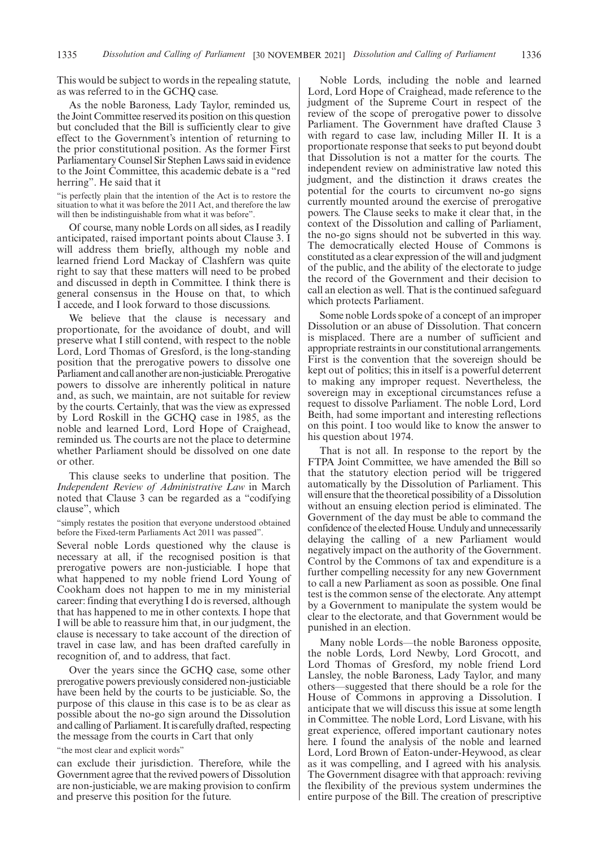This would be subject to words in the repealing statute, as was referred to in the GCHQ case.

As the noble Baroness, Lady Taylor, reminded us, the Joint Committee reserved its position on this question but concluded that the Bill is sufficiently clear to give effect to the Government's intention of returning to the prior constitutional position. As the former First Parliamentary Counsel Sir Stephen Laws said in evidence to the Joint Committee, this academic debate is a "red herring". He said that it

"is perfectly plain that the intention of the Act is to restore the situation to what it was before the 2011 Act, and therefore the law will then be indistinguishable from what it was before".

Of course, many noble Lords on all sides, as I readily anticipated, raised important points about Clause 3. I will address them briefly, although my noble and learned friend Lord Mackay of Clashfern was quite right to say that these matters will need to be probed and discussed in depth in Committee. I think there is general consensus in the House on that, to which I accede, and I look forward to those discussions.

We believe that the clause is necessary and proportionate, for the avoidance of doubt, and will preserve what I still contend, with respect to the noble Lord, Lord Thomas of Gresford, is the long-standing position that the prerogative powers to dissolve one Parliament and call another are non-justiciable. Prerogative powers to dissolve are inherently political in nature and, as such, we maintain, are not suitable for review by the courts. Certainly, that was the view as expressed by Lord Roskill in the GCHQ case in 1985, as the noble and learned Lord, Lord Hope of Craighead, reminded us. The courts are not the place to determine whether Parliament should be dissolved on one date or other.

This clause seeks to underline that position. The *Independent Review of Administrative Law* in March noted that Clause 3 can be regarded as a "codifying clause", which

"simply restates the position that everyone understood obtained before the Fixed-term Parliaments Act 2011 was passed".

Several noble Lords questioned why the clause is necessary at all, if the recognised position is that prerogative powers are non-justiciable. I hope that what happened to my noble friend Lord Young of Cookham does not happen to me in my ministerial career: finding that everything I do is reversed, although that has happened to me in other contexts. I hope that I will be able to reassure him that, in our judgment, the clause is necessary to take account of the direction of travel in case law, and has been drafted carefully in recognition of, and to address, that fact.

Over the years since the GCHQ case, some other prerogative powers previously considered non-justiciable have been held by the courts to be justiciable. So, the purpose of this clause in this case is to be as clear as possible about the no-go sign around the Dissolution and calling of Parliament. It is carefully drafted, respecting the message from the courts in Cart that only

"the most clear and explicit words"

can exclude their jurisdiction. Therefore, while the Government agree that the revived powers of Dissolution are non-justiciable, we are making provision to confirm and preserve this position for the future.

Noble Lords, including the noble and learned Lord, Lord Hope of Craighead, made reference to the judgment of the Supreme Court in respect of the review of the scope of prerogative power to dissolve Parliament. The Government have drafted Clause 3 with regard to case law, including Miller II. It is a proportionate response that seeks to put beyond doubt that Dissolution is not a matter for the courts. The independent review on administrative law noted this judgment, and the distinction it draws creates the potential for the courts to circumvent no-go signs currently mounted around the exercise of prerogative powers. The Clause seeks to make it clear that, in the context of the Dissolution and calling of Parliament, the no-go signs should not be subverted in this way. The democratically elected House of Commons is constituted as a clear expression of the will and judgment of the public, and the ability of the electorate to judge the record of the Government and their decision to call an election as well. That is the continued safeguard which protects Parliament.

Some noble Lords spoke of a concept of an improper Dissolution or an abuse of Dissolution. That concern is misplaced. There are a number of sufficient and appropriate restraints in our constitutional arrangements. First is the convention that the sovereign should be kept out of politics; this in itself is a powerful deterrent to making any improper request. Nevertheless, the sovereign may in exceptional circumstances refuse a request to dissolve Parliament. The noble Lord, Lord Beith, had some important and interesting reflections on this point. I too would like to know the answer to his question about 1974.

That is not all. In response to the report by the FTPA Joint Committee, we have amended the Bill so that the statutory election period will be triggered automatically by the Dissolution of Parliament. This will ensure that the theoretical possibility of a Dissolution without an ensuing election period is eliminated. The Government of the day must be able to command the confidence of the elected House. Unduly and unnecessarily delaying the calling of a new Parliament would negatively impact on the authority of the Government. Control by the Commons of tax and expenditure is a further compelling necessity for any new Government to call a new Parliament as soon as possible. One final test is the common sense of the electorate. Any attempt by a Government to manipulate the system would be clear to the electorate, and that Government would be punished in an election.

Many noble Lords—the noble Baroness opposite, the noble Lords, Lord Newby, Lord Grocott, and Lord Thomas of Gresford, my noble friend Lord Lansley, the noble Baroness, Lady Taylor, and many others—suggested that there should be a role for the House of Commons in approving a Dissolution. I anticipate that we will discuss this issue at some length in Committee. The noble Lord, Lord Lisvane, with his great experience, offered important cautionary notes here. I found the analysis of the noble and learned Lord, Lord Brown of Eaton-under-Heywood, as clear as it was compelling, and I agreed with his analysis. The Government disagree with that approach: reviving the flexibility of the previous system undermines the entire purpose of the Bill. The creation of prescriptive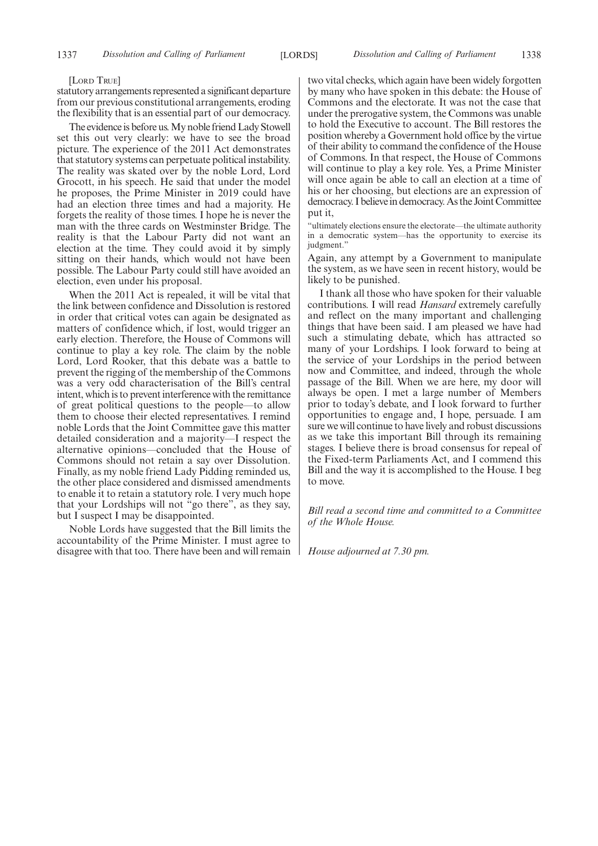#### [LORD TRUE]

statutory arrangements represented a significant departure from our previous constitutional arrangements, eroding the flexibility that is an essential part of our democracy.

The evidence is before us. My noble friend Lady Stowell set this out very clearly: we have to see the broad picture. The experience of the 2011 Act demonstrates that statutory systems can perpetuate political instability. The reality was skated over by the noble Lord, Lord Grocott, in his speech. He said that under the model he proposes, the Prime Minister in 2019 could have had an election three times and had a majority. He forgets the reality of those times. I hope he is never the man with the three cards on Westminster Bridge. The reality is that the Labour Party did not want an election at the time. They could avoid it by simply sitting on their hands, which would not have been possible. The Labour Party could still have avoided an election, even under his proposal.

When the 2011 Act is repealed, it will be vital that the link between confidence and Dissolution is restored in order that critical votes can again be designated as matters of confidence which, if lost, would trigger an early election. Therefore, the House of Commons will continue to play a key role. The claim by the noble Lord, Lord Rooker, that this debate was a battle to prevent the rigging of the membership of the Commons was a very odd characterisation of the Bill's central intent, which is to prevent interference with the remittance of great political questions to the people—to allow them to choose their elected representatives. I remind noble Lords that the Joint Committee gave this matter detailed consideration and a majority—I respect the alternative opinions—concluded that the House of Commons should not retain a say over Dissolution. Finally, as my noble friend Lady Pidding reminded us, the other place considered and dismissed amendments to enable it to retain a statutory role. I very much hope that your Lordships will not "go there", as they say, but I suspect I may be disappointed.

Noble Lords have suggested that the Bill limits the accountability of the Prime Minister. I must agree to disagree with that too. There have been and will remain two vital checks, which again have been widely forgotten by many who have spoken in this debate: the House of Commons and the electorate. It was not the case that under the prerogative system, the Commons was unable to hold the Executive to account. The Bill restores the position whereby a Government hold office by the virtue of their ability to command the confidence of the House of Commons. In that respect, the House of Commons will continue to play a key role. Yes, a Prime Minister will once again be able to call an election at a time of his or her choosing, but elections are an expression of democracy. I believe in democracy. As the Joint Committee put it,

"ultimately elections ensure the electorate—the ultimate authority in a democratic system—has the opportunity to exercise its judgment."

Again, any attempt by a Government to manipulate the system, as we have seen in recent history, would be likely to be punished.

I thank all those who have spoken for their valuable contributions. I will read *Hansard* extremely carefully and reflect on the many important and challenging things that have been said. I am pleased we have had such a stimulating debate, which has attracted so many of your Lordships. I look forward to being at the service of your Lordships in the period between now and Committee, and indeed, through the whole passage of the Bill. When we are here, my door will always be open. I met a large number of Members prior to today's debate, and I look forward to further opportunities to engage and, I hope, persuade. I am sure we will continue to have lively and robust discussions as we take this important Bill through its remaining stages. I believe there is broad consensus for repeal of the Fixed-term Parliaments Act, and I commend this Bill and the way it is accomplished to the House. I beg to move.

*Bill read a second time and committed to a Committee of the Whole House.*

*House adjourned at 7.30 pm.*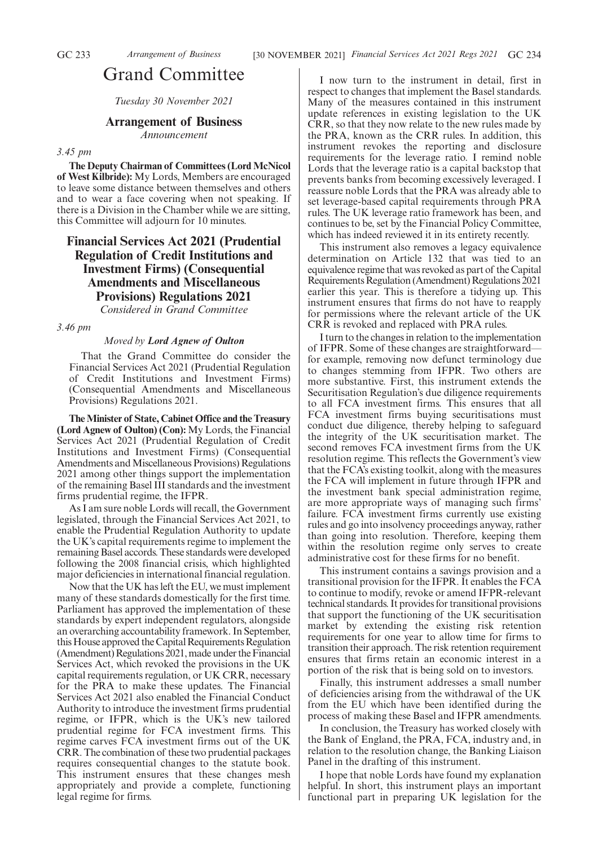# Grand Committee

*Tuesday 30 November 2021*

# **Arrangement of Business**

*Announcement*

### *3.45 pm*

**The Deputy Chairman of Committees (Lord McNicol of West Kilbride):** My Lords, Members are encouraged to leave some distance between themselves and others and to wear a face covering when not speaking. If there is a Division in the Chamber while we are sitting, this Committee will adjourn for 10 minutes.

# **Financial Services Act 2021 (Prudential Regulation of Credit Institutions and Investment Firms) (Consequential Amendments and Miscellaneous Provisions) Regulations 2021**

*Considered in Grand Committee*

*3.46 pm*

#### *Moved by Lord Agnew of Oulton*

That the Grand Committee do consider the Financial Services Act 2021 (Prudential Regulation of Credit Institutions and Investment Firms) (Consequential Amendments and Miscellaneous Provisions) Regulations 2021.

**The Minister of State, Cabinet Office and the Treasury (Lord Agnew of Oulton) (Con):** My Lords, the Financial Services Act 2021 (Prudential Regulation of Credit Institutions and Investment Firms) (Consequential Amendments and Miscellaneous Provisions) Regulations 2021 among other things support the implementation of the remaining Basel III standards and the investment firms prudential regime, the IFPR.

As I am sure noble Lords will recall, the Government legislated, through the Financial Services Act 2021, to enable the Prudential Regulation Authority to update the UK's capital requirements regime to implement the remaining Basel accords. These standards were developed following the 2008 financial crisis, which highlighted major deficiencies in international financial regulation.

Now that the UK has left the EU, we must implement many of these standards domestically for the first time. Parliament has approved the implementation of these standards by expert independent regulators, alongside an overarching accountability framework. In September, this House approved the Capital Requirements Regulation (Amendment) Regulations 2021, made under the Financial Services Act, which revoked the provisions in the UK capital requirements regulation, or UK CRR, necessary for the PRA to make these updates. The Financial Services Act 2021 also enabled the Financial Conduct Authority to introduce the investment firms prudential regime, or IFPR, which is the UK's new tailored prudential regime for FCA investment firms. This regime carves FCA investment firms out of the UK CRR. The combination of these two prudential packages requires consequential changes to the statute book. This instrument ensures that these changes mesh appropriately and provide a complete, functioning legal regime for firms.

I now turn to the instrument in detail, first in respect to changes that implement the Basel standards. Many of the measures contained in this instrument update references in existing legislation to the UK CRR, so that they now relate to the new rules made by the PRA, known as the CRR rules. In addition, this instrument revokes the reporting and disclosure requirements for the leverage ratio. I remind noble Lords that the leverage ratio is a capital backstop that prevents banks from becoming excessively leveraged. I reassure noble Lords that the PRA was already able to set leverage-based capital requirements through PRA rules. The UK leverage ratio framework has been, and continues to be, set by the Financial Policy Committee, which has indeed reviewed it in its entirety recently.

This instrument also removes a legacy equivalence determination on Article 132 that was tied to an equivalence regime that was revoked as part of the Capital Requirements Regulation (Amendment) Regulations 2021 earlier this year. This is therefore a tidying up. This instrument ensures that firms do not have to reapply for permissions where the relevant article of the UK CRR is revoked and replaced with PRA rules.

I turn to the changes in relation to the implementation of IFPR. Some of these changes are straightforward for example, removing now defunct terminology due to changes stemming from IFPR. Two others are more substantive. First, this instrument extends the Securitisation Regulation's due diligence requirements to all FCA investment firms. This ensures that all FCA investment firms buying securitisations must conduct due diligence, thereby helping to safeguard the integrity of the UK securitisation market. The second removes FCA investment firms from the UK resolution regime. This reflects the Government's view that the FCA's existing toolkit, along with the measures the FCA will implement in future through IFPR and the investment bank special administration regime, are more appropriate ways of managing such firms' failure. FCA investment firms currently use existing rules and go into insolvency proceedings anyway, rather than going into resolution. Therefore, keeping them within the resolution regime only serves to create administrative cost for these firms for no benefit.

This instrument contains a savings provision and a transitional provision for the IFPR. It enables the FCA to continue to modify, revoke or amend IFPR-relevant technical standards. It provides for transitional provisions that support the functioning of the UK securitisation market by extending the existing risk retention requirements for one year to allow time for firms to transition their approach. The risk retention requirement ensures that firms retain an economic interest in a portion of the risk that is being sold on to investors.

Finally, this instrument addresses a small number of deficiencies arising from the withdrawal of the UK from the EU which have been identified during the process of making these Basel and IFPR amendments.

In conclusion, the Treasury has worked closely with the Bank of England, the PRA, FCA, industry and, in relation to the resolution change, the Banking Liaison Panel in the drafting of this instrument.

I hope that noble Lords have found my explanation helpful. In short, this instrument plays an important functional part in preparing UK legislation for the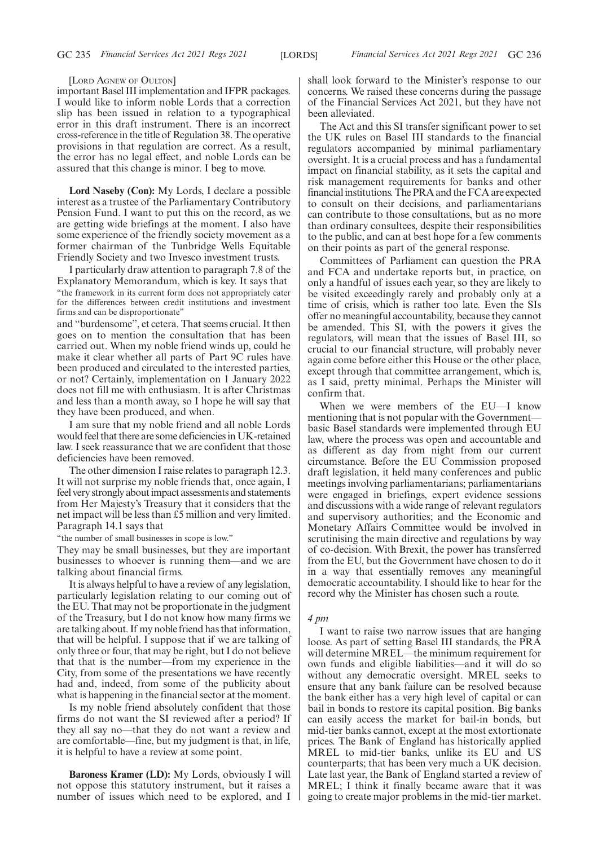#### [LORD AGNEW OF OULTON]

important Basel III implementation and IFPR packages. I would like to inform noble Lords that a correction slip has been issued in relation to a typographical error in this draft instrument. There is an incorrect cross-reference in the title of Regulation 38. The operative provisions in that regulation are correct. As a result, the error has no legal effect, and noble Lords can be assured that this change is minor. I beg to move.

**Lord Naseby (Con):** My Lords, I declare a possible interest as a trustee of the Parliamentary Contributory Pension Fund. I want to put this on the record, as we are getting wide briefings at the moment. I also have some experience of the friendly society movement as a former chairman of the Tunbridge Wells Equitable Friendly Society and two Invesco investment trusts.

I particularly draw attention to paragraph 7.8 of the Explanatory Memorandum, which is key. It says that "the framework in its current form does not appropriately cater for the differences between credit institutions and investment firms and can be disproportionate"

and "burdensome", et cetera. That seems crucial. It then goes on to mention the consultation that has been carried out. When my noble friend winds up, could he make it clear whether all parts of Part 9C rules have been produced and circulated to the interested parties, or not? Certainly, implementation on 1 January 2022 does not fill me with enthusiasm. It is after Christmas and less than a month away, so I hope he will say that they have been produced, and when.

I am sure that my noble friend and all noble Lords would feel that there are some deficiencies in UK-retained law. I seek reassurance that we are confident that those deficiencies have been removed.

The other dimension I raise relates to paragraph 12.3. It will not surprise my noble friends that, once again, I feel very strongly about impact assessments and statements from Her Majesty's Treasury that it considers that the net impact will be less than £5 million and very limited. Paragraph 14.1 says that

"the number of small businesses in scope is low."

They may be small businesses, but they are important businesses to whoever is running them—and we are talking about financial firms.

It is always helpful to have a review of any legislation, particularly legislation relating to our coming out of the EU. That may not be proportionate in the judgment of the Treasury, but I do not know how many firms we are talking about. If my noble friend has that information, that will be helpful. I suppose that if we are talking of only three or four, that may be right, but I do not believe that that is the number—from my experience in the City, from some of the presentations we have recently had and, indeed, from some of the publicity about what is happening in the financial sector at the moment.

Is my noble friend absolutely confident that those firms do not want the SI reviewed after a period? If they all say no—that they do not want a review and are comfortable—fine, but my judgment is that, in life, it is helpful to have a review at some point.

**Baroness Kramer (LD):** My Lords, obviously I will not oppose this statutory instrument, but it raises a number of issues which need to be explored, and I shall look forward to the Minister's response to our concerns. We raised these concerns during the passage of the Financial Services Act 2021, but they have not been alleviated.

The Act and this SI transfer significant power to set the UK rules on Basel III standards to the financial regulators accompanied by minimal parliamentary oversight. It is a crucial process and has a fundamental impact on financial stability, as it sets the capital and risk management requirements for banks and other financial institutions. The PRA and the FCA are expected to consult on their decisions, and parliamentarians can contribute to those consultations, but as no more than ordinary consultees, despite their responsibilities to the public, and can at best hope for a few comments on their points as part of the general response.

Committees of Parliament can question the PRA and FCA and undertake reports but, in practice, on only a handful of issues each year, so they are likely to be visited exceedingly rarely and probably only at a time of crisis, which is rather too late. Even the SIs offer no meaningful accountability, because they cannot be amended. This SI, with the powers it gives the regulators, will mean that the issues of Basel III, so crucial to our financial structure, will probably never again come before either this House or the other place, except through that committee arrangement, which is, as I said, pretty minimal. Perhaps the Minister will confirm that.

When we were members of the EU—I know mentioning that is not popular with the Government basic Basel standards were implemented through EU law, where the process was open and accountable and as different as day from night from our current circumstance. Before the EU Commission proposed draft legislation, it held many conferences and public meetings involving parliamentarians; parliamentarians were engaged in briefings, expert evidence sessions and discussions with a wide range of relevant regulators and supervisory authorities; and the Economic and Monetary Affairs Committee would be involved in scrutinising the main directive and regulations by way of co-decision. With Brexit, the power has transferred from the EU, but the Government have chosen to do it in a way that essentially removes any meaningful democratic accountability. I should like to hear for the record why the Minister has chosen such a route.

#### *4 pm*

I want to raise two narrow issues that are hanging loose. As part of setting Basel III standards, the PRA will determine MREL—the minimum requirement for own funds and eligible liabilities—and it will do so without any democratic oversight. MREL seeks to ensure that any bank failure can be resolved because the bank either has a very high level of capital or can bail in bonds to restore its capital position. Big banks can easily access the market for bail-in bonds, but mid-tier banks cannot, except at the most extortionate prices. The Bank of England has historically applied MREL to mid-tier banks, unlike its EU and US counterparts; that has been very much a UK decision. Late last year, the Bank of England started a review of MREL; I think it finally became aware that it was going to create major problems in the mid-tier market.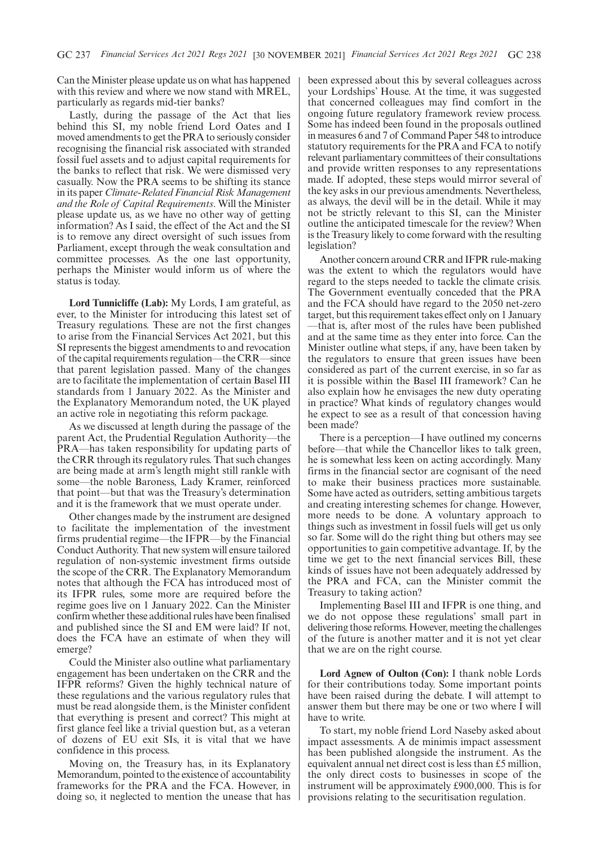Can the Minister please update us on what has happened with this review and where we now stand with MREL, particularly as regards mid-tier banks?

Lastly, during the passage of the Act that lies behind this SI, my noble friend Lord Oates and I moved amendments to get the PRA to seriously consider recognising the financial risk associated with stranded fossil fuel assets and to adjust capital requirements for the banks to reflect that risk. We were dismissed very casually. Now the PRA seems to be shifting its stance in its paper *Climate-Related Financial Risk Management and the Role of Capital Requirements*. Will the Minister please update us, as we have no other way of getting information? As I said, the effect of the Act and the SI is to remove any direct oversight of such issues from Parliament, except through the weak consultation and committee processes. As the one last opportunity, perhaps the Minister would inform us of where the status is today.

**Lord Tunnicliffe (Lab):** My Lords, I am grateful, as ever, to the Minister for introducing this latest set of Treasury regulations. These are not the first changes to arise from the Financial Services Act 2021, but this SI represents the biggest amendments to and revocation of the capital requirements regulation—the CRR—since that parent legislation passed. Many of the changes are to facilitate the implementation of certain Basel III standards from 1 January 2022. As the Minister and the Explanatory Memorandum noted, the UK played an active role in negotiating this reform package.

As we discussed at length during the passage of the parent Act, the Prudential Regulation Authority—the PRA—has taken responsibility for updating parts of the CRR through its regulatory rules. That such changes are being made at arm's length might still rankle with some—the noble Baroness, Lady Kramer, reinforced that point—but that was the Treasury's determination and it is the framework that we must operate under.

Other changes made by the instrument are designed to facilitate the implementation of the investment firms prudential regime—the IFPR—by the Financial Conduct Authority. That new system will ensure tailored regulation of non-systemic investment firms outside the scope of the CRR. The Explanatory Memorandum notes that although the FCA has introduced most of its IFPR rules, some more are required before the regime goes live on 1 January 2022. Can the Minister confirm whether these additional rules have been finalised and published since the SI and EM were laid? If not, does the FCA have an estimate of when they will emerge?

Could the Minister also outline what parliamentary engagement has been undertaken on the CRR and the IFPR reforms? Given the highly technical nature of these regulations and the various regulatory rules that must be read alongside them, is the Minister confident that everything is present and correct? This might at first glance feel like a trivial question but, as a veteran of dozens of EU exit SIs, it is vital that we have confidence in this process.

Moving on, the Treasury has, in its Explanatory Memorandum, pointed to the existence of accountability frameworks for the PRA and the FCA. However, in doing so, it neglected to mention the unease that has been expressed about this by several colleagues across your Lordships' House. At the time, it was suggested that concerned colleagues may find comfort in the ongoing future regulatory framework review process. Some has indeed been found in the proposals outlined in measures 6 and 7 of Command Paper 548 to introduce statutory requirements for the PRA and FCA to notify relevant parliamentary committees of their consultations and provide written responses to any representations made. If adopted, these steps would mirror several of the key asks in our previous amendments. Nevertheless, as always, the devil will be in the detail. While it may not be strictly relevant to this SI, can the Minister outline the anticipated timescale for the review? When is the Treasury likely to come forward with the resulting legislation?

Another concern around CRR and IFPR rule-making was the extent to which the regulators would have regard to the steps needed to tackle the climate crisis. The Government eventually conceded that the PRA and the FCA should have regard to the 2050 net-zero target, but this requirement takes effect only on 1 January —that is, after most of the rules have been published and at the same time as they enter into force. Can the Minister outline what steps, if any, have been taken by the regulators to ensure that green issues have been considered as part of the current exercise, in so far as it is possible within the Basel III framework? Can he also explain how he envisages the new duty operating in practice? What kinds of regulatory changes would he expect to see as a result of that concession having been made?

There is a perception—I have outlined my concerns before—that while the Chancellor likes to talk green, he is somewhat less keen on acting accordingly. Many firms in the financial sector are cognisant of the need to make their business practices more sustainable. Some have acted as outriders, setting ambitious targets and creating interesting schemes for change. However, more needs to be done. A voluntary approach to things such as investment in fossil fuels will get us only so far. Some will do the right thing but others may see opportunities to gain competitive advantage. If, by the time we get to the next financial services Bill, these kinds of issues have not been adequately addressed by the PRA and FCA, can the Minister commit the Treasury to taking action?

Implementing Basel III and IFPR is one thing, and we do not oppose these regulations' small part in delivering those reforms. However, meeting the challenges of the future is another matter and it is not yet clear that we are on the right course.

**Lord Agnew of Oulton (Con):** I thank noble Lords for their contributions today. Some important points have been raised during the debate. I will attempt to answer them but there may be one or two where I will have to write.

To start, my noble friend Lord Naseby asked about impact assessments. A de minimis impact assessment has been published alongside the instrument. As the equivalent annual net direct cost is less than £5 million, the only direct costs to businesses in scope of the instrument will be approximately £900,000. This is for provisions relating to the securitisation regulation.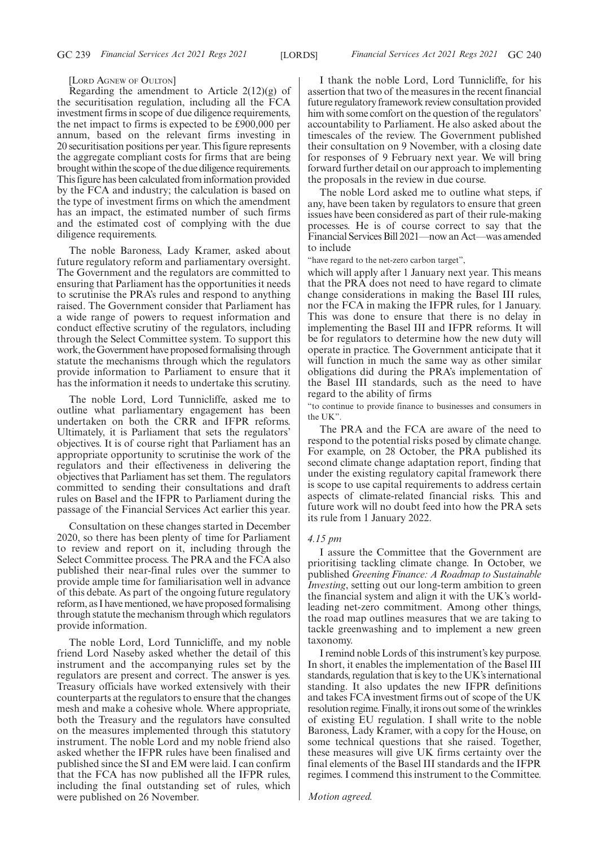#### [LORD AGNEW OF OULTON]

Regarding the amendment to Article  $2(12)(g)$  of the securitisation regulation, including all the FCA investment firms in scope of due diligence requirements, the net impact to firms is expected to be £900,000 per annum, based on the relevant firms investing in 20 securitisation positions per year. This figure represents the aggregate compliant costs for firms that are being brought within the scope of the due diligence requirements. This figure has been calculated from information provided by the FCA and industry; the calculation is based on the type of investment firms on which the amendment has an impact, the estimated number of such firms and the estimated cost of complying with the due diligence requirements.

The noble Baroness, Lady Kramer, asked about future regulatory reform and parliamentary oversight. The Government and the regulators are committed to ensuring that Parliament has the opportunities it needs to scrutinise the PRA's rules and respond to anything raised. The Government consider that Parliament has a wide range of powers to request information and conduct effective scrutiny of the regulators, including through the Select Committee system. To support this work, the Government have proposed formalising through statute the mechanisms through which the regulators provide information to Parliament to ensure that it has the information it needs to undertake this scrutiny.

The noble Lord, Lord Tunnicliffe, asked me to outline what parliamentary engagement has been undertaken on both the CRR and IFPR reforms. Ultimately, it is Parliament that sets the regulators' objectives. It is of course right that Parliament has an appropriate opportunity to scrutinise the work of the regulators and their effectiveness in delivering the objectives that Parliament has set them. The regulators committed to sending their consultations and draft rules on Basel and the IFPR to Parliament during the passage of the Financial Services Act earlier this year.

Consultation on these changes started in December 2020, so there has been plenty of time for Parliament to review and report on it, including through the Select Committee process. The PRA and the FCA also published their near-final rules over the summer to provide ample time for familiarisation well in advance of this debate. As part of the ongoing future regulatory reform, as I have mentioned, we have proposed formalising through statute the mechanism through which regulators provide information.

The noble Lord, Lord Tunnicliffe, and my noble friend Lord Naseby asked whether the detail of this instrument and the accompanying rules set by the regulators are present and correct. The answer is yes. Treasury officials have worked extensively with their counterparts at the regulators to ensure that the changes mesh and make a cohesive whole. Where appropriate, both the Treasury and the regulators have consulted on the measures implemented through this statutory instrument. The noble Lord and my noble friend also asked whether the IFPR rules have been finalised and published since the SI and EM were laid. I can confirm that the FCA has now published all the IFPR rules, including the final outstanding set of rules, which were published on 26 November.

I thank the noble Lord, Lord Tunnicliffe, for his assertion that two of the measures in the recent financial future regulatory framework review consultation provided him with some comfort on the question of the regulators' accountability to Parliament. He also asked about the timescales of the review. The Government published their consultation on 9 November, with a closing date for responses of 9 February next year. We will bring forward further detail on our approach to implementing the proposals in the review in due course.

The noble Lord asked me to outline what steps, if any, have been taken by regulators to ensure that green issues have been considered as part of their rule-making processes. He is of course correct to say that the Financial Services Bill 2021—now an Act—was amended to include

'have regard to the net-zero carbon target".

which will apply after 1 January next year. This means that the PRA does not need to have regard to climate change considerations in making the Basel III rules, nor the FCA in making the IFPR rules, for 1 January. This was done to ensure that there is no delay in implementing the Basel III and IFPR reforms. It will be for regulators to determine how the new duty will operate in practice. The Government anticipate that it will function in much the same way as other similar obligations did during the PRA's implementation of the Basel III standards, such as the need to have regard to the ability of firms

"to continue to provide finance to businesses and consumers in the UK".

The PRA and the FCA are aware of the need to respond to the potential risks posed by climate change. For example, on 28 October, the PRA published its second climate change adaptation report, finding that under the existing regulatory capital framework there is scope to use capital requirements to address certain aspects of climate-related financial risks. This and future work will no doubt feed into how the PRA sets its rule from 1 January 2022.

#### *4.15 pm*

I assure the Committee that the Government are prioritising tackling climate change. In October, we published *Greening Finance: A Roadmap to Sustainable Investing*, setting out our long-term ambition to green the financial system and align it with the UK's worldleading net-zero commitment. Among other things, the road map outlines measures that we are taking to tackle greenwashing and to implement a new green taxonomy.

I remind noble Lords of this instrument's key purpose. In short, it enables the implementation of the Basel III standards, regulation that is key to the UK's international standing. It also updates the new IFPR definitions and takes FCA investment firms out of scope of the UK resolution regime. Finally, it irons out some of the wrinkles of existing EU regulation. I shall write to the noble Baroness, Lady Kramer, with a copy for the House, on some technical questions that she raised. Together, these measures will give UK firms certainty over the final elements of the Basel III standards and the IFPR regimes. I commend this instrument to the Committee.

*Motion agreed.*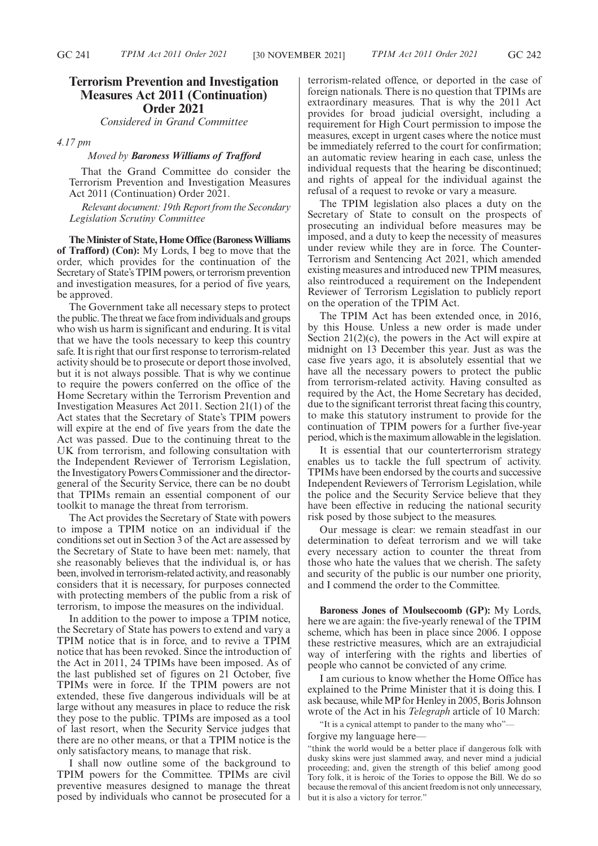# **Terrorism Prevention and Investigation Measures Act 2011 (Continuation) Order 2021**

*Considered in Grand Committee*

*4.17 pm*

#### *Moved by Baroness Williams of Trafford*

That the Grand Committee do consider the Terrorism Prevention and Investigation Measures Act 2011 (Continuation) Order 2021.

*Relevant document: 19th Report from the Secondary Legislation Scrutiny Committee*

**The Minister of State, Home Office (Baroness Williams of Trafford) (Con):** My Lords, I beg to move that the order, which provides for the continuation of the Secretary of State's TPIM powers, or terrorism prevention and investigation measures, for a period of five years, be approved.

The Government take all necessary steps to protect the public. The threat we face from individuals and groups who wish us harm is significant and enduring. It is vital that we have the tools necessary to keep this country safe. It is right that our first response to terrorism-related activity should be to prosecute or deport those involved, but it is not always possible. That is why we continue to require the powers conferred on the office of the Home Secretary within the Terrorism Prevention and Investigation Measures Act 2011. Section 21(1) of the Act states that the Secretary of State's TPIM powers will expire at the end of five years from the date the Act was passed. Due to the continuing threat to the UK from terrorism, and following consultation with the Independent Reviewer of Terrorism Legislation, the Investigatory Powers Commissioner and the directorgeneral of the Security Service, there can be no doubt that TPIMs remain an essential component of our toolkit to manage the threat from terrorism.

The Act provides the Secretary of State with powers to impose a TPIM notice on an individual if the conditions set out in Section 3 of the Act are assessed by the Secretary of State to have been met: namely, that she reasonably believes that the individual is, or has been, involved in terrorism-related activity, and reasonably considers that it is necessary, for purposes connected with protecting members of the public from a risk of terrorism, to impose the measures on the individual.

In addition to the power to impose a TPIM notice, the Secretary of State has powers to extend and vary a TPIM notice that is in force, and to revive a TPIM notice that has been revoked. Since the introduction of the Act in 2011, 24 TPIMs have been imposed. As of the last published set of figures on 21 October, five TPIMs were in force. If the TPIM powers are not extended, these five dangerous individuals will be at large without any measures in place to reduce the risk they pose to the public. TPIMs are imposed as a tool of last resort, when the Security Service judges that there are no other means, or that a TPIM notice is the only satisfactory means, to manage that risk.

I shall now outline some of the background to TPIM powers for the Committee. TPIMs are civil preventive measures designed to manage the threat posed by individuals who cannot be prosecuted for a terrorism-related offence, or deported in the case of foreign nationals. There is no question that TPIMs are extraordinary measures. That is why the 2011 Act provides for broad judicial oversight, including a requirement for High Court permission to impose the measures, except in urgent cases where the notice must be immediately referred to the court for confirmation; an automatic review hearing in each case, unless the individual requests that the hearing be discontinued; and rights of appeal for the individual against the refusal of a request to revoke or vary a measure.

The TPIM legislation also places a duty on the Secretary of State to consult on the prospects of prosecuting an individual before measures may be imposed, and a duty to keep the necessity of measures under review while they are in force. The Counter-Terrorism and Sentencing Act 2021, which amended existing measures and introduced new TPIM measures, also reintroduced a requirement on the Independent Reviewer of Terrorism Legislation to publicly report on the operation of the TPIM Act.

The TPIM Act has been extended once, in 2016, by this House. Unless a new order is made under Section  $21(2)(c)$ , the powers in the Act will expire at midnight on 13 December this year. Just as was the case five years ago, it is absolutely essential that we have all the necessary powers to protect the public from terrorism-related activity. Having consulted as required by the Act, the Home Secretary has decided, due to the significant terrorist threat facing this country, to make this statutory instrument to provide for the continuation of TPIM powers for a further five-year period, which is the maximum allowable in the legislation.

It is essential that our counterterrorism strategy enables us to tackle the full spectrum of activity. TPIMs have been endorsed by the courts and successive Independent Reviewers of Terrorism Legislation, while the police and the Security Service believe that they have been effective in reducing the national security risk posed by those subject to the measures.

Our message is clear: we remain steadfast in our determination to defeat terrorism and we will take every necessary action to counter the threat from those who hate the values that we cherish. The safety and security of the public is our number one priority, and I commend the order to the Committee.

**Baroness Jones of Moulsecoomb (GP):** My Lords, here we are again: the five-yearly renewal of the TPIM scheme, which has been in place since 2006. I oppose these restrictive measures, which are an extrajudicial way of interfering with the rights and liberties of people who cannot be convicted of any crime.

I am curious to know whether the Home Office has explained to the Prime Minister that it is doing this. I ask because, while MP for Henley in 2005, Boris Johnson wrote of the Act in his *Telegraph* article of 10 March:

"It is a cynical attempt to pander to the many who"—

forgive my language here—

"think the world would be a better place if dangerous folk with dusky skins were just slammed away, and never mind a judicial proceeding; and, given the strength of this belief among good Tory folk, it is heroic of the Tories to oppose the Bill. We do so because the removal of this ancient freedom is not only unnecessary, but it is also a victory for terror."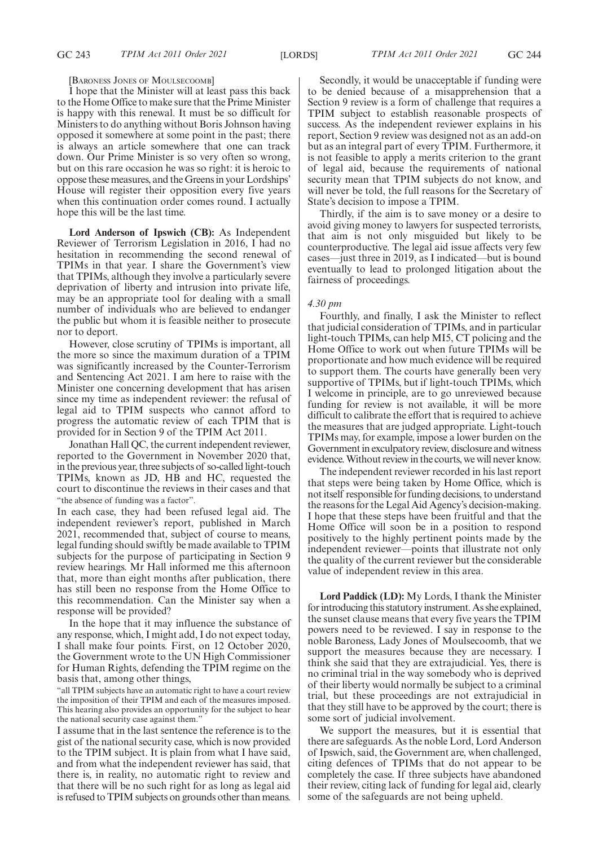#### [BARONESS JONES OF MOULSECOOMB]

I hope that the Minister will at least pass this back to the Home Office to make sure that the Prime Minister is happy with this renewal. It must be so difficult for Ministers to do anything without Boris Johnson having opposed it somewhere at some point in the past; there is always an article somewhere that one can track down. Our Prime Minister is so very often so wrong, but on this rare occasion he was so right: it is heroic to oppose these measures, and the Greens in your Lordships' House will register their opposition every five years when this continuation order comes round. I actually hope this will be the last time.

**Lord Anderson of Ipswich (CB):** As Independent Reviewer of Terrorism Legislation in 2016, I had no hesitation in recommending the second renewal of TPIMs in that year. I share the Government's view that TPIMs, although they involve a particularly severe deprivation of liberty and intrusion into private life, may be an appropriate tool for dealing with a small number of individuals who are believed to endanger the public but whom it is feasible neither to prosecute nor to deport.

However, close scrutiny of TPIMs is important, all the more so since the maximum duration of a TPIM was significantly increased by the Counter-Terrorism and Sentencing Act 2021. I am here to raise with the Minister one concerning development that has arisen since my time as independent reviewer: the refusal of legal aid to TPIM suspects who cannot afford to progress the automatic review of each TPIM that is provided for in Section 9 of the TPIM Act 2011.

Jonathan Hall QC, the current independent reviewer, reported to the Government in November 2020 that, in the previous year, three subjects of so-called light-touch TPIMs, known as JD, HB and HC, requested the court to discontinue the reviews in their cases and that "the absence of funding was a factor".

In each case, they had been refused legal aid. The independent reviewer's report, published in March 2021, recommended that, subject of course to means, legal funding should swiftly be made available to TPIM subjects for the purpose of participating in Section 9 review hearings. Mr Hall informed me this afternoon that, more than eight months after publication, there has still been no response from the Home Office to this recommendation. Can the Minister say when a response will be provided?

In the hope that it may influence the substance of any response, which, I might add, I do not expect today, I shall make four points. First, on 12 October 2020, the Government wrote to the UN High Commissioner for Human Rights, defending the TPIM regime on the basis that, among other things,

"all TPIM subjects have an automatic right to have a court review the imposition of their TPIM and each of the measures imposed. This hearing also provides an opportunity for the subject to hear the national security case against them."

I assume that in the last sentence the reference is to the gist of the national security case, which is now provided to the TPIM subject. It is plain from what I have said, and from what the independent reviewer has said, that there is, in reality, no automatic right to review and that there will be no such right for as long as legal aid is refused to TPIM subjects on grounds other than means.

Secondly, it would be unacceptable if funding were to be denied because of a misapprehension that a Section 9 review is a form of challenge that requires a TPIM subject to establish reasonable prospects of success. As the independent reviewer explains in his report, Section 9 review was designed not as an add-on but as an integral part of every TPIM. Furthermore, it is not feasible to apply a merits criterion to the grant of legal aid, because the requirements of national security mean that TPIM subjects do not know, and will never be told, the full reasons for the Secretary of State's decision to impose a TPIM.

Thirdly, if the aim is to save money or a desire to avoid giving money to lawyers for suspected terrorists, that aim is not only misguided but likely to be counterproductive. The legal aid issue affects very few cases—just three in 2019, as I indicated—but is bound eventually to lead to prolonged litigation about the fairness of proceedings.

### *4.30 pm*

Fourthly, and finally, I ask the Minister to reflect that judicial consideration of TPIMs, and in particular light-touch TPIMs, can help MI5, CT policing and the Home Office to work out when future TPIMs will be proportionate and how much evidence will be required to support them. The courts have generally been very supportive of TPIMs, but if light-touch TPIMs, which I welcome in principle, are to go unreviewed because funding for review is not available, it will be more difficult to calibrate the effort that is required to achieve the measures that are judged appropriate. Light-touch TPIMs may, for example, impose a lower burden on the Government in exculpatory review, disclosure and witness evidence. Without review in the courts, we will never know.

The independent reviewer recorded in his last report that steps were being taken by Home Office, which is not itself responsible for funding decisions, to understand the reasons for the Legal Aid Agency's decision-making. I hope that these steps have been fruitful and that the Home Office will soon be in a position to respond positively to the highly pertinent points made by the independent reviewer—points that illustrate not only the quality of the current reviewer but the considerable value of independent review in this area.

**Lord Paddick (LD):** My Lords, I thank the Minister for introducing this statutory instrument. As she explained, the sunset clause means that every five years the TPIM powers need to be reviewed. I say in response to the noble Baroness, Lady Jones of Moulsecoomb, that we support the measures because they are necessary. I think she said that they are extrajudicial. Yes, there is no criminal trial in the way somebody who is deprived of their liberty would normally be subject to a criminal trial, but these proceedings are not extrajudicial in that they still have to be approved by the court; there is some sort of judicial involvement.

We support the measures, but it is essential that there are safeguards. As the noble Lord, Lord Anderson of Ipswich, said, the Government are, when challenged, citing defences of TPIMs that do not appear to be completely the case. If three subjects have abandoned their review, citing lack of funding for legal aid, clearly some of the safeguards are not being upheld.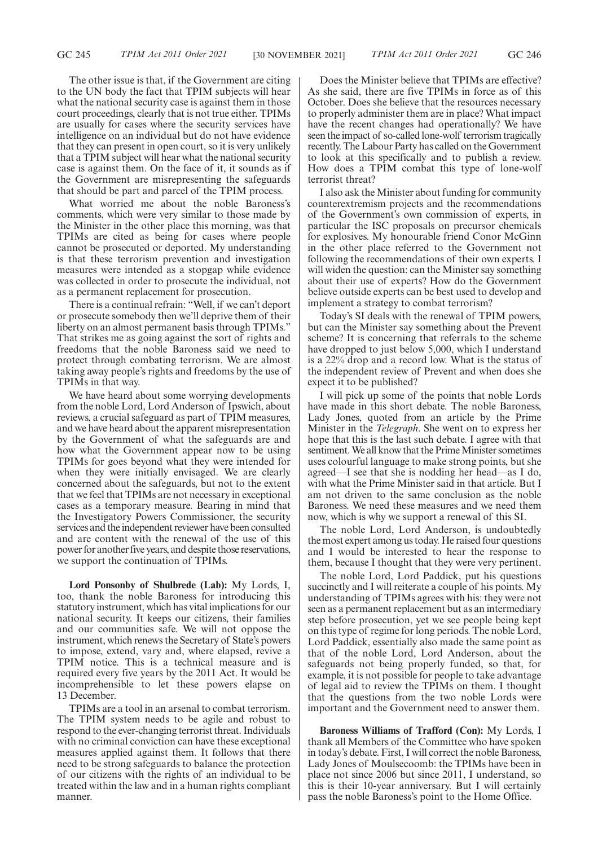The other issue is that, if the Government are citing to the UN body the fact that TPIM subjects will hear what the national security case is against them in those court proceedings, clearly that is not true either. TPIMs are usually for cases where the security services have intelligence on an individual but do not have evidence that they can present in open court, so it is very unlikely that a TPIM subject will hear what the national security case is against them. On the face of it, it sounds as if the Government are misrepresenting the safeguards that should be part and parcel of the TPIM process.

What worried me about the noble Baroness's comments, which were very similar to those made by the Minister in the other place this morning, was that TPIMs are cited as being for cases where people cannot be prosecuted or deported. My understanding is that these terrorism prevention and investigation measures were intended as a stopgap while evidence was collected in order to prosecute the individual, not as a permanent replacement for prosecution.

There is a continual refrain: "Well, if we can't deport or prosecute somebody then we'll deprive them of their liberty on an almost permanent basis through TPIMs." That strikes me as going against the sort of rights and freedoms that the noble Baroness said we need to protect through combating terrorism. We are almost taking away people's rights and freedoms by the use of TPIMs in that way.

We have heard about some worrying developments from the noble Lord, Lord Anderson of Ipswich, about reviews, a crucial safeguard as part of TPIM measures, and we have heard about the apparent misrepresentation by the Government of what the safeguards are and how what the Government appear now to be using TPIMs for goes beyond what they were intended for when they were initially envisaged. We are clearly concerned about the safeguards, but not to the extent that we feel that TPIMs are not necessary in exceptional cases as a temporary measure. Bearing in mind that the Investigatory Powers Commissioner, the security services and the independent reviewer have been consulted and are content with the renewal of the use of this power for another five years, and despite those reservations, we support the continuation of TPIMs.

**Lord Ponsonby of Shulbrede (Lab):** My Lords, I, too, thank the noble Baroness for introducing this statutory instrument, which has vital implications for our national security. It keeps our citizens, their families and our communities safe. We will not oppose the instrument, which renews the Secretary of State's powers to impose, extend, vary and, where elapsed, revive a TPIM notice. This is a technical measure and is required every five years by the 2011 Act. It would be incomprehensible to let these powers elapse on 13 December.

TPIMs are a tool in an arsenal to combat terrorism. The TPIM system needs to be agile and robust to respond to the ever-changing terrorist threat. Individuals with no criminal conviction can have these exceptional measures applied against them. It follows that there need to be strong safeguards to balance the protection of our citizens with the rights of an individual to be treated within the law and in a human rights compliant manner.

Does the Minister believe that TPIMs are effective? As she said, there are five TPIMs in force as of this October. Does she believe that the resources necessary to properly administer them are in place? What impact have the recent changes had operationally? We have seen the impact of so-called lone-wolf terrorism tragically recently. The Labour Party has called on the Government to look at this specifically and to publish a review. How does a TPIM combat this type of lone-wolf terrorist threat?

I also ask the Minister about funding for community counterextremism projects and the recommendations of the Government's own commission of experts, in particular the ISC proposals on precursor chemicals for explosives. My honourable friend Conor McGinn in the other place referred to the Government not following the recommendations of their own experts. I will widen the question: can the Minister say something about their use of experts? How do the Government believe outside experts can be best used to develop and implement a strategy to combat terrorism?

Today's SI deals with the renewal of TPIM powers, but can the Minister say something about the Prevent scheme? It is concerning that referrals to the scheme have dropped to just below 5,000, which I understand is a 22% drop and a record low. What is the status of the independent review of Prevent and when does she expect it to be published?

I will pick up some of the points that noble Lords have made in this short debate. The noble Baroness, Lady Jones, quoted from an article by the Prime Minister in the *Telegraph*. She went on to express her hope that this is the last such debate. I agree with that sentiment. We all know that the Prime Minister sometimes uses colourful language to make strong points, but she agreed—I see that she is nodding her head—as I do, with what the Prime Minister said in that article. But I am not driven to the same conclusion as the noble Baroness. We need these measures and we need them now, which is why we support a renewal of this SI.

The noble Lord, Lord Anderson, is undoubtedly the most expert among us today. He raised four questions and I would be interested to hear the response to them, because I thought that they were very pertinent.

The noble Lord, Lord Paddick, put his questions succinctly and I will reiterate a couple of his points. My understanding of TPIMs agrees with his: they were not seen as a permanent replacement but as an intermediary step before prosecution, yet we see people being kept on this type of regime for long periods. The noble Lord, Lord Paddick, essentially also made the same point as that of the noble Lord, Lord Anderson, about the safeguards not being properly funded, so that, for example, it is not possible for people to take advantage of legal aid to review the TPIMs on them. I thought that the questions from the two noble Lords were important and the Government need to answer them.

**Baroness Williams of Trafford (Con):** My Lords, I thank all Members of the Committee who have spoken in today's debate. First, I will correct the noble Baroness, Lady Jones of Moulsecoomb: the TPIMs have been in place not since 2006 but since 2011, I understand, so this is their 10-year anniversary. But I will certainly pass the noble Baroness's point to the Home Office.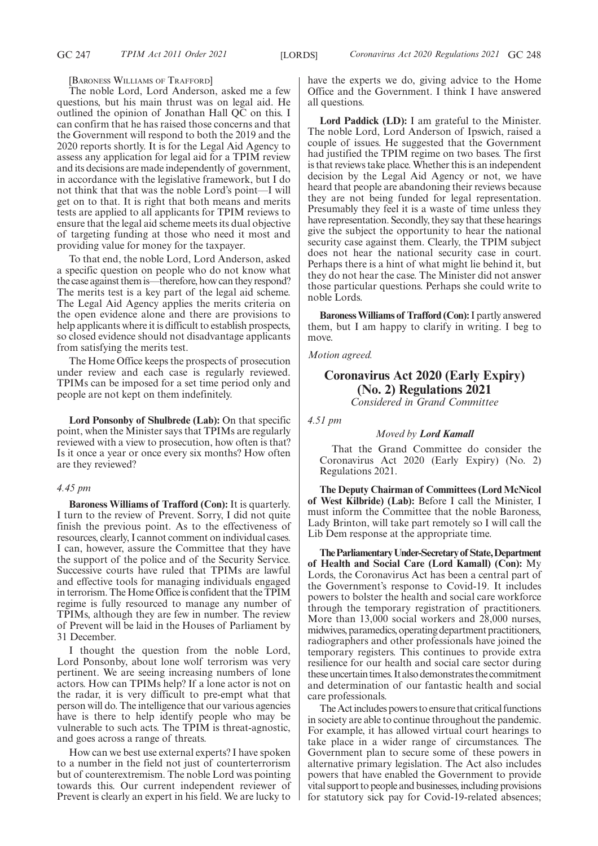[BARONESS WILLIAMS OF TRAFFORD]

The noble Lord, Lord Anderson, asked me a few questions, but his main thrust was on legal aid. He outlined the opinion of Jonathan Hall QC on this. I can confirm that he has raised those concerns and that the Government will respond to both the 2019 and the 2020 reports shortly. It is for the Legal Aid Agency to assess any application for legal aid for a TPIM review and its decisions are made independently of government, in accordance with the legislative framework, but I do not think that that was the noble Lord's point—I will get on to that. It is right that both means and merits tests are applied to all applicants for TPIM reviews to ensure that the legal aid scheme meets its dual objective of targeting funding at those who need it most and providing value for money for the taxpayer.

To that end, the noble Lord, Lord Anderson, asked a specific question on people who do not know what the case against them is—therefore, how can they respond? The merits test is a key part of the legal aid scheme. The Legal Aid Agency applies the merits criteria on the open evidence alone and there are provisions to help applicants where it is difficult to establish prospects, so closed evidence should not disadvantage applicants from satisfying the merits test.

The Home Office keeps the prospects of prosecution under review and each case is regularly reviewed. TPIMs can be imposed for a set time period only and people are not kept on them indefinitely.

**Lord Ponsonby of Shulbrede (Lab):** On that specific point, when the Minister says that TPIMs are regularly reviewed with a view to prosecution, how often is that? Is it once a year or once every six months? How often are they reviewed?

### *4.45 pm*

**Baroness Williams of Trafford (Con):** It is quarterly. I turn to the review of Prevent. Sorry, I did not quite finish the previous point. As to the effectiveness of resources, clearly, I cannot comment on individual cases. I can, however, assure the Committee that they have the support of the police and of the Security Service. Successive courts have ruled that TPIMs are lawful and effective tools for managing individuals engaged in terrorism. The Home Office is confident that the TPIM regime is fully resourced to manage any number of TPIMs, although they are few in number. The review of Prevent will be laid in the Houses of Parliament by 31 December.

I thought the question from the noble Lord, Lord Ponsonby, about lone wolf terrorism was very pertinent. We are seeing increasing numbers of lone actors. How can TPIMs help? If a lone actor is not on the radar, it is very difficult to pre-empt what that person will do. The intelligence that our various agencies have is there to help identify people who may be vulnerable to such acts. The TPIM is threat-agnostic, and goes across a range of threats.

How can we best use external experts? I have spoken to a number in the field not just of counterterrorism but of counterextremism. The noble Lord was pointing towards this. Our current independent reviewer of Prevent is clearly an expert in his field. We are lucky to have the experts we do, giving advice to the Home Office and the Government. I think I have answered all questions.

**Lord Paddick (LD):** I am grateful to the Minister. The noble Lord, Lord Anderson of Ipswich, raised a couple of issues. He suggested that the Government had justified the TPIM regime on two bases. The first is that reviews take place. Whether this is an independent decision by the Legal Aid Agency or not, we have heard that people are abandoning their reviews because they are not being funded for legal representation. Presumably they feel it is a waste of time unless they have representation. Secondly, they say that these hearings give the subject the opportunity to hear the national security case against them. Clearly, the TPIM subject does not hear the national security case in court. Perhaps there is a hint of what might lie behind it, but they do not hear the case. The Minister did not answer those particular questions. Perhaps she could write to noble Lords.

**Baroness Williams of Trafford (Con):**I partly answered them, but I am happy to clarify in writing. I beg to move.

*Motion agreed.*

# **Coronavirus Act 2020 (Early Expiry) (No. 2) Regulations 2021**

*Considered in Grand Committee*

*4.51 pm*

#### *Moved by Lord Kamall*

That the Grand Committee do consider the Coronavirus Act 2020 (Early Expiry) (No. 2) Regulations 2021.

**The Deputy Chairman of Committees (Lord McNicol of West Kilbride) (Lab):** Before I call the Minister, I must inform the Committee that the noble Baroness, Lady Brinton, will take part remotely so I will call the Lib Dem response at the appropriate time.

**TheParliamentaryUnder-Secretaryof State,Department of Health and Social Care (Lord Kamall) (Con):** My Lords, the Coronavirus Act has been a central part of the Government's response to Covid-19. It includes powers to bolster the health and social care workforce through the temporary registration of practitioners. More than 13,000 social workers and 28,000 nurses, midwives, paramedics, operating department practitioners, radiographers and other professionals have joined the temporary registers. This continues to provide extra resilience for our health and social care sector during these uncertain times. It also demonstrates the commitment and determination of our fantastic health and social care professionals.

The Act includes powers to ensure that critical functions in society are able to continue throughout the pandemic. For example, it has allowed virtual court hearings to take place in a wider range of circumstances. The Government plan to secure some of these powers in alternative primary legislation. The Act also includes powers that have enabled the Government to provide vital support to people and businesses, including provisions for statutory sick pay for Covid-19-related absences;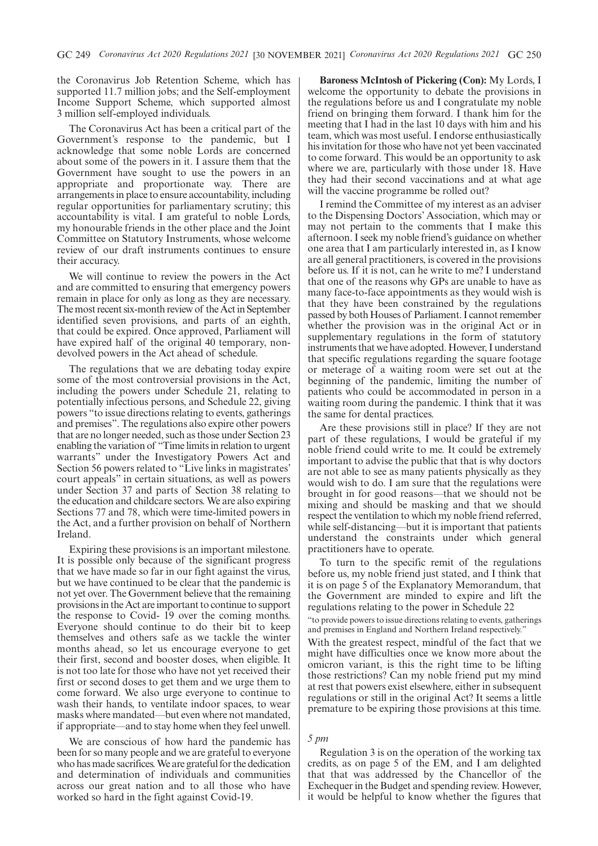the Coronavirus Job Retention Scheme, which has supported 11.7 million jobs; and the Self-employment Income Support Scheme, which supported almost 3 million self-employed individuals.

The Coronavirus Act has been a critical part of the Government's response to the pandemic, but I acknowledge that some noble Lords are concerned about some of the powers in it. I assure them that the Government have sought to use the powers in an appropriate and proportionate way. There are arrangements in place to ensure accountability, including regular opportunities for parliamentary scrutiny; this accountability is vital. I am grateful to noble Lords, my honourable friends in the other place and the Joint Committee on Statutory Instruments, whose welcome review of our draft instruments continues to ensure their accuracy.

We will continue to review the powers in the Act and are committed to ensuring that emergency powers remain in place for only as long as they are necessary. The most recent six-month review of the Act in September identified seven provisions, and parts of an eighth, that could be expired. Once approved, Parliament will have expired half of the original 40 temporary, nondevolved powers in the Act ahead of schedule.

The regulations that we are debating today expire some of the most controversial provisions in the Act, including the powers under Schedule 21, relating to potentially infectious persons, and Schedule 22, giving powers "to issue directions relating to events, gatherings and premises". The regulations also expire other powers that are no longer needed, such as those under Section 23 enabling the variation of "Time limits in relation to urgent warrants" under the Investigatory Powers Act and Section 56 powers related to "Live links in magistrates' court appeals" in certain situations, as well as powers under Section 37 and parts of Section 38 relating to the education and childcare sectors. We are also expiring Sections 77 and 78, which were time-limited powers in the Act, and a further provision on behalf of Northern Ireland.

Expiring these provisions is an important milestone. It is possible only because of the significant progress that we have made so far in our fight against the virus, but we have continued to be clear that the pandemic is not yet over. The Government believe that the remaining provisions in the Act are important to continue to support the response to Covid- 19 over the coming months. Everyone should continue to do their bit to keep themselves and others safe as we tackle the winter months ahead, so let us encourage everyone to get their first, second and booster doses, when eligible. It is not too late for those who have not yet received their first or second doses to get them and we urge them to come forward. We also urge everyone to continue to wash their hands, to ventilate indoor spaces, to wear masks where mandated—but even where not mandated, if appropriate—and to stay home when they feel unwell.

We are conscious of how hard the pandemic has been for so many people and we are grateful to everyone who has made sacrifices. We are grateful for the dedication and determination of individuals and communities across our great nation and to all those who have worked so hard in the fight against Covid-19.

**Baroness McIntosh of Pickering (Con):** My Lords, I welcome the opportunity to debate the provisions in the regulations before us and I congratulate my noble friend on bringing them forward. I thank him for the meeting that I had in the last 10 days with him and his team, which was most useful. I endorse enthusiastically his invitation for those who have not yet been vaccinated to come forward. This would be an opportunity to ask where we are, particularly with those under 18. Have they had their second vaccinations and at what age will the vaccine programme be rolled out?

I remind the Committee of my interest as an adviser to the Dispensing Doctors' Association, which may or may not pertain to the comments that I make this afternoon. I seek my noble friend's guidance on whether one area that I am particularly interested in, as I know are all general practitioners, is covered in the provisions before us. If it is not, can he write to me? I understand that one of the reasons why GPs are unable to have as many face-to-face appointments as they would wish is that they have been constrained by the regulations passed by both Houses of Parliament. I cannot remember whether the provision was in the original Act or in supplementary regulations in the form of statutory instruments that we have adopted. However, I understand that specific regulations regarding the square footage or meterage of a waiting room were set out at the beginning of the pandemic, limiting the number of patients who could be accommodated in person in a waiting room during the pandemic. I think that it was the same for dental practices.

Are these provisions still in place? If they are not part of these regulations, I would be grateful if my noble friend could write to me. It could be extremely important to advise the public that that is why doctors are not able to see as many patients physically as they would wish to do. I am sure that the regulations were brought in for good reasons—that we should not be mixing and should be masking and that we should respect the ventilation to which my noble friend referred, while self-distancing—but it is important that patients understand the constraints under which general practitioners have to operate.

To turn to the specific remit of the regulations before us, my noble friend just stated, and I think that it is on page 5 of the Explanatory Memorandum, that the Government are minded to expire and lift the regulations relating to the power in Schedule 22

"to provide powers to issue directions relating to events, gatherings and premises in England and Northern Ireland respectively."

With the greatest respect, mindful of the fact that we might have difficulties once we know more about the omicron variant, is this the right time to be lifting those restrictions? Can my noble friend put my mind at rest that powers exist elsewhere, either in subsequent regulations or still in the original Act? It seems a little premature to be expiring those provisions at this time.

#### *5 pm*

Regulation 3 is on the operation of the working tax credits, as on page 5 of the EM, and I am delighted that that was addressed by the Chancellor of the Exchequer in the Budget and spending review. However, it would be helpful to know whether the figures that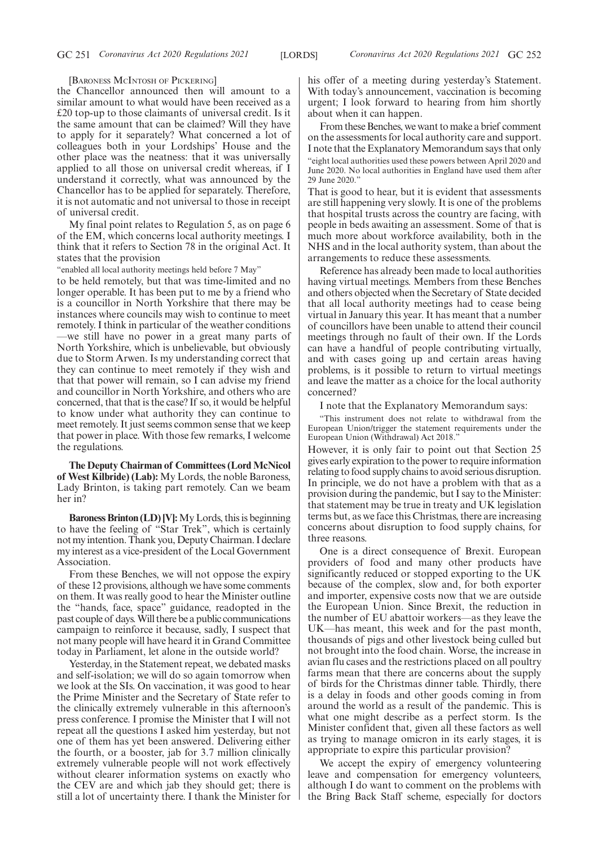[BARONESS MCINTOSH OF PICKERING]

the Chancellor announced then will amount to a similar amount to what would have been received as a £20 top-up to those claimants of universal credit. Is it the same amount that can be claimed? Will they have to apply for it separately? What concerned a lot of colleagues both in your Lordships' House and the other place was the neatness: that it was universally applied to all those on universal credit whereas, if I understand it correctly, what was announced by the Chancellor has to be applied for separately. Therefore, it is not automatic and not universal to those in receipt of universal credit.

My final point relates to Regulation 5, as on page 6 of the EM, which concerns local authority meetings. I think that it refers to Section 78 in the original Act. It states that the provision

"enabled all local authority meetings held before 7 May"

to be held remotely, but that was time-limited and no longer operable. It has been put to me by a friend who is a councillor in North Yorkshire that there may be instances where councils may wish to continue to meet remotely. I think in particular of the weather conditions —we still have no power in a great many parts of North Yorkshire, which is unbelievable, but obviously due to Storm Arwen. Is my understanding correct that they can continue to meet remotely if they wish and that that power will remain, so I can advise my friend and councillor in North Yorkshire, and others who are concerned, that that is the case? If so, it would be helpful to know under what authority they can continue to meet remotely. It just seems common sense that we keep that power in place. With those few remarks, I welcome the regulations.

**The Deputy Chairman of Committees (Lord McNicol of West Kilbride) (Lab):** My Lords, the noble Baroness, Lady Brinton, is taking part remotely. Can we beam her in?

**Baroness Brinton (LD) [V]:**My Lords, this is beginning to have the feeling of "Star Trek", which is certainly not my intention. Thank you, Deputy Chairman. I declare my interest as a vice-president of the Local Government Association.

From these Benches, we will not oppose the expiry of these 12 provisions, although we have some comments on them. It was really good to hear the Minister outline the "hands, face, space" guidance, readopted in the past couple of days. Will there be a public communications campaign to reinforce it because, sadly, I suspect that not many people will have heard it in Grand Committee today in Parliament, let alone in the outside world?

Yesterday, in the Statement repeat, we debated masks and self-isolation; we will do so again tomorrow when we look at the SIs. On vaccination, it was good to hear the Prime Minister and the Secretary of State refer to the clinically extremely vulnerable in this afternoon's press conference. I promise the Minister that I will not repeat all the questions I asked him yesterday, but not one of them has yet been answered. Delivering either the fourth, or a booster, jab for 3.7 million clinically extremely vulnerable people will not work effectively without clearer information systems on exactly who the CEV are and which jab they should get; there is still a lot of uncertainty there. I thank the Minister for his offer of a meeting during yesterday's Statement. With today's announcement, vaccination is becoming urgent; I look forward to hearing from him shortly about when it can happen.

From these Benches, we want to make a brief comment on the assessments for local authority care and support. I note that the Explanatory Memorandum says that only "eight local authorities used these powers between April 2020 and June 2020. No local authorities in England have used them after 29 June 2020."

That is good to hear, but it is evident that assessments are still happening very slowly. It is one of the problems that hospital trusts across the country are facing, with people in beds awaiting an assessment. Some of that is much more about workforce availability, both in the NHS and in the local authority system, than about the arrangements to reduce these assessments.

Reference has already been made to local authorities having virtual meetings. Members from these Benches and others objected when the Secretary of State decided that all local authority meetings had to cease being virtual in January this year. It has meant that a number of councillors have been unable to attend their council meetings through no fault of their own. If the Lords can have a handful of people contributing virtually, and with cases going up and certain areas having problems, is it possible to return to virtual meetings and leave the matter as a choice for the local authority concerned?

I note that the Explanatory Memorandum says:

"This instrument does not relate to withdrawal from the European Union/trigger the statement requirements under the European Union (Withdrawal) Act 2018.'

However, it is only fair to point out that Section 25 gives early expiration to the power to require information relating to food supply chains to avoid serious disruption. In principle, we do not have a problem with that as a provision during the pandemic, but I say to the Minister: that statement may be true in treaty and UK legislation terms but, as we face this Christmas, there are increasing concerns about disruption to food supply chains, for three reasons.

One is a direct consequence of Brexit. European providers of food and many other products have significantly reduced or stopped exporting to the UK because of the complex, slow and, for both exporter and importer, expensive costs now that we are outside the European Union. Since Brexit, the reduction in the number of EU abattoir workers—as they leave the UK—has meant, this week and for the past month, thousands of pigs and other livestock being culled but not brought into the food chain. Worse, the increase in avian flu cases and the restrictions placed on all poultry farms mean that there are concerns about the supply of birds for the Christmas dinner table. Thirdly, there is a delay in foods and other goods coming in from around the world as a result of the pandemic. This is what one might describe as a perfect storm. Is the Minister confident that, given all these factors as well as trying to manage omicron in its early stages, it is appropriate to expire this particular provision?

We accept the expiry of emergency volunteering leave and compensation for emergency volunteers, although I do want to comment on the problems with the Bring Back Staff scheme, especially for doctors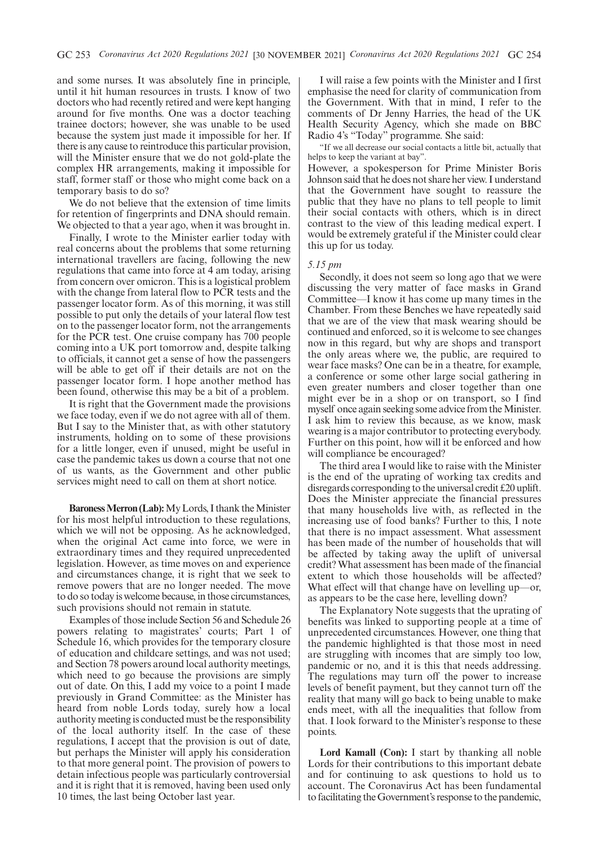and some nurses. It was absolutely fine in principle, until it hit human resources in trusts. I know of two doctors who had recently retired and were kept hanging around for five months. One was a doctor teaching trainee doctors; however, she was unable to be used because the system just made it impossible for her. If there is any cause to reintroduce this particular provision, will the Minister ensure that we do not gold-plate the complex HR arrangements, making it impossible for staff, former staff or those who might come back on a temporary basis to do so?

We do not believe that the extension of time limits for retention of fingerprints and DNA should remain. We objected to that a year ago, when it was brought in.

Finally, I wrote to the Minister earlier today with real concerns about the problems that some returning international travellers are facing, following the new regulations that came into force at 4 am today, arising from concern over omicron. This is a logistical problem with the change from lateral flow to PCR tests and the passenger locator form. As of this morning, it was still possible to put only the details of your lateral flow test on to the passenger locator form, not the arrangements for the PCR test. One cruise company has 700 people coming into a UK port tomorrow and, despite talking to officials, it cannot get a sense of how the passengers will be able to get off if their details are not on the passenger locator form. I hope another method has been found, otherwise this may be a bit of a problem.

It is right that the Government made the provisions we face today, even if we do not agree with all of them. But I say to the Minister that, as with other statutory instruments, holding on to some of these provisions for a little longer, even if unused, might be useful in case the pandemic takes us down a course that not one of us wants, as the Government and other public services might need to call on them at short notice.

**Baroness Merron (Lab):**My Lords, I thank the Minister for his most helpful introduction to these regulations, which we will not be opposing. As he acknowledged, when the original Act came into force, we were in extraordinary times and they required unprecedented legislation. However, as time moves on and experience and circumstances change, it is right that we seek to remove powers that are no longer needed. The move to do so today is welcome because, in those circumstances, such provisions should not remain in statute.

Examples of those include Section 56 and Schedule 26 powers relating to magistrates' courts; Part 1 of Schedule 16, which provides for the temporary closure of education and childcare settings, and was not used; and Section 78 powers around local authority meetings, which need to go because the provisions are simply out of date. On this, I add my voice to a point I made previously in Grand Committee: as the Minister has heard from noble Lords today, surely how a local authority meeting is conducted must be the responsibility of the local authority itself. In the case of these regulations, I accept that the provision is out of date, but perhaps the Minister will apply his consideration to that more general point. The provision of powers to detain infectious people was particularly controversial and it is right that it is removed, having been used only 10 times, the last being October last year.

I will raise a few points with the Minister and I first emphasise the need for clarity of communication from the Government. With that in mind, I refer to the comments of Dr Jenny Harries, the head of the UK Health Security Agency, which she made on BBC Radio 4's "Today" programme. She said:

"If we all decrease our social contacts a little bit, actually that helps to keep the variant at bay".

However, a spokesperson for Prime Minister Boris Johnson said that he does not share her view. I understand that the Government have sought to reassure the public that they have no plans to tell people to limit their social contacts with others, which is in direct contrast to the view of this leading medical expert. I would be extremely grateful if the Minister could clear this up for us today.

#### *5.15 pm*

Secondly, it does not seem so long ago that we were discussing the very matter of face masks in Grand Committee—I know it has come up many times in the Chamber. From these Benches we have repeatedly said that we are of the view that mask wearing should be continued and enforced, so it is welcome to see changes now in this regard, but why are shops and transport the only areas where we, the public, are required to wear face masks? One can be in a theatre, for example, a conference or some other large social gathering in even greater numbers and closer together than one might ever be in a shop or on transport, so I find myself once again seeking some advice from the Minister. I ask him to review this because, as we know, mask wearing is a major contributor to protecting everybody. Further on this point, how will it be enforced and how will compliance be encouraged?

The third area I would like to raise with the Minister is the end of the uprating of working tax credits and disregards corresponding to the universal credit £20 uplift. Does the Minister appreciate the financial pressures that many households live with, as reflected in the increasing use of food banks? Further to this, I note that there is no impact assessment. What assessment has been made of the number of households that will be affected by taking away the uplift of universal credit? What assessment has been made of the financial extent to which those households will be affected? What effect will that change have on levelling up—or, as appears to be the case here, levelling down?

The Explanatory Note suggests that the uprating of benefits was linked to supporting people at a time of unprecedented circumstances. However, one thing that the pandemic highlighted is that those most in need are struggling with incomes that are simply too low, pandemic or no, and it is this that needs addressing. The regulations may turn off the power to increase levels of benefit payment, but they cannot turn off the reality that many will go back to being unable to make ends meet, with all the inequalities that follow from that. I look forward to the Minister's response to these points.

**Lord Kamall (Con):** I start by thanking all noble Lords for their contributions to this important debate and for continuing to ask questions to hold us to account. The Coronavirus Act has been fundamental to facilitating the Government's response to the pandemic,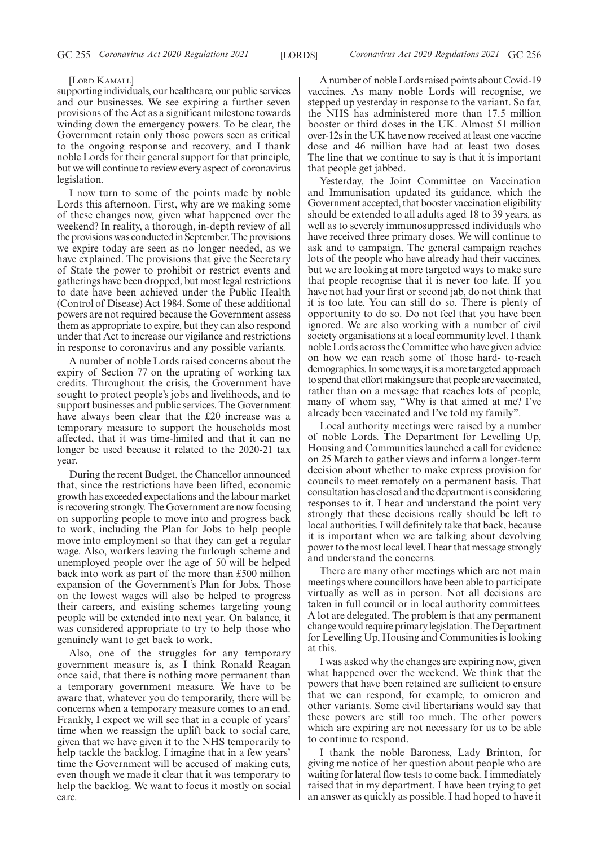#### [LORD KAMALL]

supporting individuals, our healthcare, our public services and our businesses. We see expiring a further seven provisions of the Act as a significant milestone towards winding down the emergency powers. To be clear, the Government retain only those powers seen as critical to the ongoing response and recovery, and I thank noble Lords for their general support for that principle, but we will continue to review every aspect of coronavirus legislation.

I now turn to some of the points made by noble Lords this afternoon. First, why are we making some of these changes now, given what happened over the weekend? In reality, a thorough, in-depth review of all the provisions was conducted in September. The provisions we expire today are seen as no longer needed, as we have explained. The provisions that give the Secretary of State the power to prohibit or restrict events and gatherings have been dropped, but most legal restrictions to date have been achieved under the Public Health (Control of Disease) Act 1984. Some of these additional powers are not required because the Government assess them as appropriate to expire, but they can also respond under that Act to increase our vigilance and restrictions in response to coronavirus and any possible variants.

A number of noble Lords raised concerns about the expiry of Section 77 on the uprating of working tax credits. Throughout the crisis, the Government have sought to protect people's jobs and livelihoods, and to support businesses and public services. The Government have always been clear that the £20 increase was a temporary measure to support the households most affected, that it was time-limited and that it can no longer be used because it related to the 2020-21 tax year.

During the recent Budget, the Chancellor announced that, since the restrictions have been lifted, economic growth has exceeded expectations and the labour market is recovering strongly. The Government are now focusing on supporting people to move into and progress back to work, including the Plan for Jobs to help people move into employment so that they can get a regular wage. Also, workers leaving the furlough scheme and unemployed people over the age of 50 will be helped back into work as part of the more than £500 million expansion of the Government's Plan for Jobs. Those on the lowest wages will also be helped to progress their careers, and existing schemes targeting young people will be extended into next year. On balance, it was considered appropriate to try to help those who genuinely want to get back to work.

Also, one of the struggles for any temporary government measure is, as I think Ronald Reagan once said, that there is nothing more permanent than a temporary government measure. We have to be aware that, whatever you do temporarily, there will be concerns when a temporary measure comes to an end. Frankly, I expect we will see that in a couple of years' time when we reassign the uplift back to social care, given that we have given it to the NHS temporarily to help tackle the backlog. I imagine that in a few years' time the Government will be accused of making cuts, even though we made it clear that it was temporary to help the backlog. We want to focus it mostly on social care.

A number of noble Lords raised points about Covid-19 vaccines. As many noble Lords will recognise, we stepped up yesterday in response to the variant. So far, the NHS has administered more than 17.5 million booster or third doses in the UK. Almost 51 million over-12s in the UK have now received at least one vaccine dose and 46 million have had at least two doses. The line that we continue to say is that it is important that people get jabbed.

Yesterday, the Joint Committee on Vaccination and Immunisation updated its guidance, which the Government accepted, that booster vaccination eligibility should be extended to all adults aged 18 to 39 years, as well as to severely immunosuppressed individuals who have received three primary doses. We will continue to ask and to campaign. The general campaign reaches lots of the people who have already had their vaccines, but we are looking at more targeted ways to make sure that people recognise that it is never too late. If you have not had your first or second jab, do not think that it is too late. You can still do so. There is plenty of opportunity to do so. Do not feel that you have been ignored. We are also working with a number of civil society organisations at a local community level. I thank noble Lords across the Committee who have given advice on how we can reach some of those hard- to-reach demographics. In some ways, it is a more targeted approach to spend that effort making sure that people are vaccinated, rather than on a message that reaches lots of people, many of whom say, "Why is that aimed at me? I've already been vaccinated and I've told my family".

Local authority meetings were raised by a number of noble Lords. The Department for Levelling Up, Housing and Communities launched a call for evidence on 25 March to gather views and inform a longer-term decision about whether to make express provision for councils to meet remotely on a permanent basis. That consultation has closed and the department is considering responses to it. I hear and understand the point very strongly that these decisions really should be left to local authorities. I will definitely take that back, because it is important when we are talking about devolving power to the most local level. I hear that message strongly and understand the concerns.

There are many other meetings which are not main meetings where councillors have been able to participate virtually as well as in person. Not all decisions are taken in full council or in local authority committees. A lot are delegated. The problem is that any permanent change would require primary legislation. The Department for Levelling Up, Housing and Communities is looking at this.

I was asked why the changes are expiring now, given what happened over the weekend. We think that the powers that have been retained are sufficient to ensure that we can respond, for example, to omicron and other variants. Some civil libertarians would say that these powers are still too much. The other powers which are expiring are not necessary for us to be able to continue to respond.

I thank the noble Baroness, Lady Brinton, for giving me notice of her question about people who are waiting for lateral flow tests to come back. I immediately raised that in my department. I have been trying to get an answer as quickly as possible. I had hoped to have it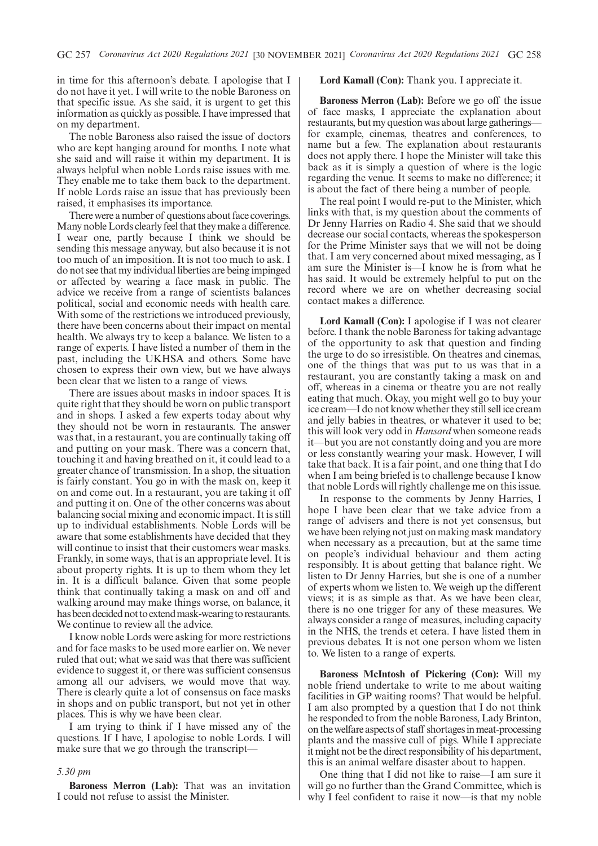in time for this afternoon's debate. I apologise that I do not have it yet. I will write to the noble Baroness on that specific issue. As she said, it is urgent to get this information as quickly as possible. I have impressed that on my department.

The noble Baroness also raised the issue of doctors who are kept hanging around for months. I note what she said and will raise it within my department. It is always helpful when noble Lords raise issues with me. They enable me to take them back to the department. If noble Lords raise an issue that has previously been raised, it emphasises its importance.

There were a number of questions about face coverings. Many noble Lords clearly feel that they make a difference. I wear one, partly because I think we should be sending this message anyway, but also because it is not too much of an imposition. It is not too much to ask. I do not see that my individual liberties are being impinged or affected by wearing a face mask in public. The advice we receive from a range of scientists balances political, social and economic needs with health care. With some of the restrictions we introduced previously, there have been concerns about their impact on mental health. We always try to keep a balance. We listen to a range of experts. I have listed a number of them in the past, including the UKHSA and others. Some have chosen to express their own view, but we have always been clear that we listen to a range of views.

There are issues about masks in indoor spaces. It is quite right that they should be worn on public transport and in shops. I asked a few experts today about why they should not be worn in restaurants. The answer was that, in a restaurant, you are continually taking off and putting on your mask. There was a concern that, touching it and having breathed on it, it could lead to a greater chance of transmission. In a shop, the situation is fairly constant. You go in with the mask on, keep it on and come out. In a restaurant, you are taking it off and putting it on. One of the other concerns was about balancing social mixing and economic impact. It is still up to individual establishments. Noble Lords will be aware that some establishments have decided that they will continue to insist that their customers wear masks. Frankly, in some ways, that is an appropriate level. It is about property rights. It is up to them whom they let in. It is a difficult balance. Given that some people think that continually taking a mask on and off and walking around may make things worse, on balance, it has been decided not to extend mask-wearing to restaurants. We continue to review all the advice.

I know noble Lords were asking for more restrictions and for face masks to be used more earlier on. We never ruled that out; what we said was that there was sufficient evidence to suggest it, or there was sufficient consensus among all our advisers, we would move that way. There is clearly quite a lot of consensus on face masks in shops and on public transport, but not yet in other places. This is why we have been clear.

I am trying to think if I have missed any of the questions. If I have, I apologise to noble Lords. I will make sure that we go through the transcript—

#### *5.30 pm*

**Baroness Merron (Lab):** That was an invitation I could not refuse to assist the Minister.

#### **Lord Kamall (Con):** Thank you. I appreciate it.

**Baroness Merron (Lab):** Before we go off the issue of face masks, I appreciate the explanation about restaurants, but my question was about large gatherings for example, cinemas, theatres and conferences, to name but a few. The explanation about restaurants does not apply there. I hope the Minister will take this back as it is simply a question of where is the logic regarding the venue. It seems to make no difference; it is about the fact of there being a number of people.

The real point I would re-put to the Minister, which links with that, is my question about the comments of Dr Jenny Harries on Radio 4. She said that we should decrease our social contacts, whereas the spokesperson for the Prime Minister says that we will not be doing that. I am very concerned about mixed messaging, as I am sure the Minister is—I know he is from what he has said. It would be extremely helpful to put on the record where we are on whether decreasing social contact makes a difference.

**Lord Kamall (Con):** I apologise if I was not clearer before. I thank the noble Baroness for taking advantage of the opportunity to ask that question and finding the urge to do so irresistible. On theatres and cinemas, one of the things that was put to us was that in a restaurant, you are constantly taking a mask on and off, whereas in a cinema or theatre you are not really eating that much. Okay, you might well go to buy your ice cream—I do not know whether they still sell ice cream and jelly babies in theatres, or whatever it used to be; this will look very odd in *Hansard* when someone reads it—but you are not constantly doing and you are more or less constantly wearing your mask. However, I will take that back. It is a fair point, and one thing that I do when I am being briefed is to challenge because I know that noble Lords will rightly challenge me on this issue.

In response to the comments by Jenny Harries, I hope I have been clear that we take advice from a range of advisers and there is not yet consensus, but we have been relying not just on making mask mandatory when necessary as a precaution, but at the same time on people's individual behaviour and them acting responsibly. It is about getting that balance right. We listen to Dr Jenny Harries, but she is one of a number of experts whom we listen to. We weigh up the different views; it is as simple as that. As we have been clear, there is no one trigger for any of these measures. We always consider a range of measures, including capacity in the NHS, the trends et cetera. I have listed them in previous debates. It is not one person whom we listen to. We listen to a range of experts.

**Baroness McIntosh of Pickering (Con):** Will my noble friend undertake to write to me about waiting facilities in GP waiting rooms? That would be helpful. I am also prompted by a question that I do not think he responded to from the noble Baroness, Lady Brinton, on the welfare aspects of staff shortages in meat-processing plants and the massive cull of pigs. While I appreciate it might not be the direct responsibility of his department, this is an animal welfare disaster about to happen.

One thing that I did not like to raise—I am sure it will go no further than the Grand Committee, which is why I feel confident to raise it now—is that my noble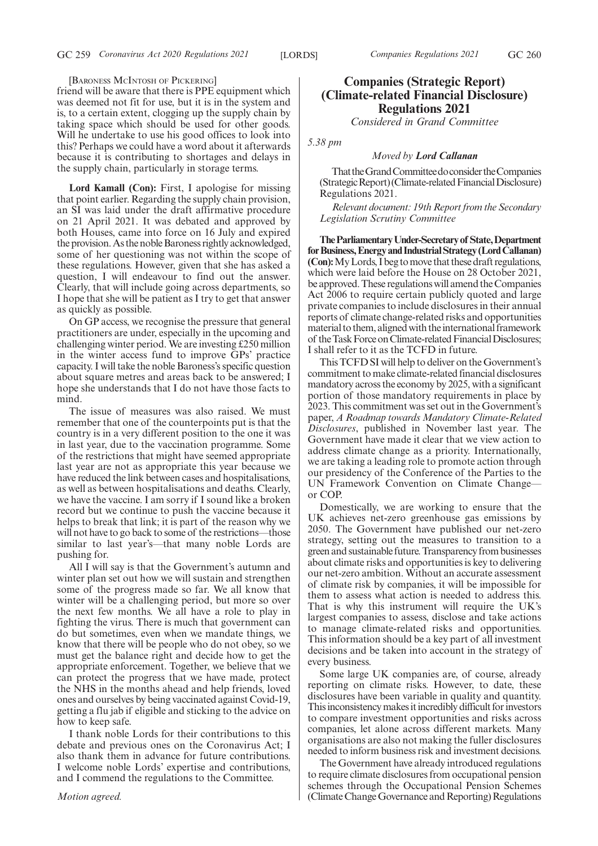[BARONESS MCINTOSH OF PICKERING]

friend will be aware that there is PPE equipment which was deemed not fit for use, but it is in the system and is, to a certain extent, clogging up the supply chain by taking space which should be used for other goods. Will he undertake to use his good offices to look into this? Perhaps we could have a word about it afterwards because it is contributing to shortages and delays in the supply chain, particularly in storage terms.

**Lord Kamall (Con):** First, I apologise for missing that point earlier. Regarding the supply chain provision, an SI was laid under the draft affirmative procedure on 21 April 2021. It was debated and approved by both Houses, came into force on 16 July and expired the provision. As the noble Baroness rightly acknowledged, some of her questioning was not within the scope of these regulations. However, given that she has asked a question, I will endeavour to find out the answer. Clearly, that will include going across departments, so I hope that she will be patient as I try to get that answer as quickly as possible.

On GP access, we recognise the pressure that general practitioners are under, especially in the upcoming and challenging winter period. We are investing £250 million in the winter access fund to improve GPs' practice capacity. I will take the noble Baroness's specific question about square metres and areas back to be answered; I hope she understands that I do not have those facts to mind.

The issue of measures was also raised. We must remember that one of the counterpoints put is that the country is in a very different position to the one it was in last year, due to the vaccination programme. Some of the restrictions that might have seemed appropriate last year are not as appropriate this year because we have reduced the link between cases and hospitalisations, as well as between hospitalisations and deaths. Clearly, we have the vaccine. I am sorry if I sound like a broken record but we continue to push the vaccine because it helps to break that link; it is part of the reason why we will not have to go back to some of the restrictions—those similar to last year's—that many noble Lords are pushing for.

All I will say is that the Government's autumn and winter plan set out how we will sustain and strengthen some of the progress made so far. We all know that winter will be a challenging period, but more so over the next few months. We all have a role to play in fighting the virus. There is much that government can do but sometimes, even when we mandate things, we know that there will be people who do not obey, so we must get the balance right and decide how to get the appropriate enforcement. Together, we believe that we can protect the progress that we have made, protect the NHS in the months ahead and help friends, loved ones and ourselves by being vaccinated against Covid-19, getting a flu jab if eligible and sticking to the advice on how to keep safe.

I thank noble Lords for their contributions to this debate and previous ones on the Coronavirus Act; I also thank them in advance for future contributions. I welcome noble Lords' expertise and contributions, and I commend the regulations to the Committee.

### *Motion agreed.*

# **Companies (Strategic Report) (Climate-related Financial Disclosure) Regulations 2021**

*Considered in Grand Committee*

*5.38 pm*

#### *Moved by Lord Callanan*

That the Grand Committee do consider the Companies (StrategicReport)(Climate-relatedFinancialDisclosure) Regulations 2021.

*Relevant document: 19th Report from the Secondary Legislation Scrutiny Committee*

**TheParliamentaryUnder-Secretaryof State,Department forBusiness,EnergyandIndustrialStrategy(LordCallanan) (Con):** My Lords, I beg to move that these draft regulations, which were laid before the House on 28 October 2021, be approved. These regulations will amend the Companies Act 2006 to require certain publicly quoted and large private companies to include disclosures in their annual reports of climate change-related risks and opportunities material to them, aligned with the international framework of the Task Force on Climate-related Financial Disclosures; I shall refer to it as the TCFD in future.

This TCFD SI will help to deliver on the Government's commitment to make climate-related financial disclosures mandatory across the economy by 2025, with a significant portion of those mandatory requirements in place by 2023. This commitment was set out in the Government's paper, *A Roadmap towards Mandatory Climate-Related Disclosures*, published in November last year. The Government have made it clear that we view action to address climate change as a priority. Internationally, we are taking a leading role to promote action through our presidency of the Conference of the Parties to the UN Framework Convention on Climate Change or COP.

Domestically, we are working to ensure that the UK achieves net-zero greenhouse gas emissions by 2050. The Government have published our net-zero strategy, setting out the measures to transition to a green and sustainable future. Transparency from businesses about climate risks and opportunities is key to delivering our net-zero ambition. Without an accurate assessment of climate risk by companies, it will be impossible for them to assess what action is needed to address this. That is why this instrument will require the UK's largest companies to assess, disclose and take actions to manage climate-related risks and opportunities. This information should be a key part of all investment decisions and be taken into account in the strategy of every business.

Some large UK companies are, of course, already reporting on climate risks. However, to date, these disclosures have been variable in quality and quantity. This inconsistency makes it incredibly difficult for investors to compare investment opportunities and risks across companies, let alone across different markets. Many organisations are also not making the fuller disclosures needed to inform business risk and investment decisions.

The Government have already introduced regulations to require climate disclosures from occupational pension schemes through the Occupational Pension Schemes (Climate Change Governance and Reporting) Regulations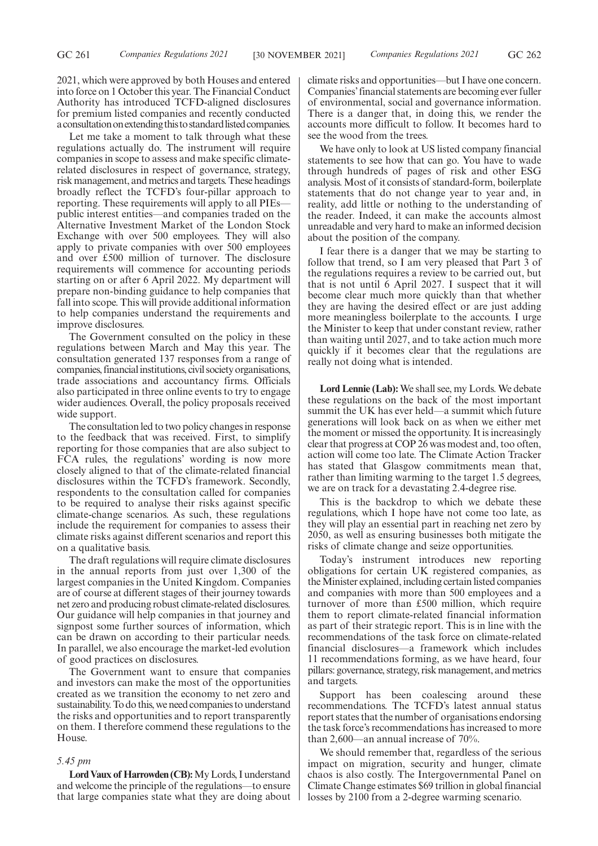2021, which were approved by both Houses and entered into force on 1 October this year. The Financial Conduct Authority has introduced TCFD-aligned disclosures for premium listed companies and recently conducted a consultation on extending this to standard listed companies.

Let me take a moment to talk through what these regulations actually do. The instrument will require companies in scope to assess and make specific climaterelated disclosures in respect of governance, strategy, risk management, and metrics and targets. These headings broadly reflect the TCFD's four-pillar approach to reporting. These requirements will apply to all PIEs public interest entities—and companies traded on the Alternative Investment Market of the London Stock Exchange with over 500 employees. They will also apply to private companies with over 500 employees and over £500 million of turnover. The disclosure requirements will commence for accounting periods starting on or after 6 April 2022. My department will prepare non-binding guidance to help companies that fall into scope. This will provide additional information to help companies understand the requirements and improve disclosures.

The Government consulted on the policy in these regulations between March and May this year. The consultation generated 137 responses from a range of companies, financial institutions, civil society organisations, trade associations and accountancy firms. Officials also participated in three online events to try to engage wider audiences. Overall, the policy proposals received wide support.

The consultation led to two policy changes in response to the feedback that was received. First, to simplify reporting for those companies that are also subject to FCA rules, the regulations' wording is now more closely aligned to that of the climate-related financial disclosures within the TCFD's framework. Secondly, respondents to the consultation called for companies to be required to analyse their risks against specific climate-change scenarios. As such, these regulations include the requirement for companies to assess their climate risks against different scenarios and report this on a qualitative basis.

The draft regulations will require climate disclosures in the annual reports from just over 1,300 of the largest companies in the United Kingdom. Companies are of course at different stages of their journey towards net zero and producing robust climate-related disclosures. Our guidance will help companies in that journey and signpost some further sources of information, which can be drawn on according to their particular needs. In parallel, we also encourage the market-led evolution of good practices on disclosures.

The Government want to ensure that companies and investors can make the most of the opportunities created as we transition the economy to net zero and sustainability. To do this, we need companies to understand the risks and opportunities and to report transparently on them. I therefore commend these regulations to the House.

#### *5.45 pm*

**Lord Vaux of Harrowden (CB):**My Lords, I understand and welcome the principle of the regulations—to ensure that large companies state what they are doing about climate risks and opportunities—but I have one concern. Companies'financial statements are becoming ever fuller of environmental, social and governance information. There is a danger that, in doing this, we render the accounts more difficult to follow. It becomes hard to see the wood from the trees.

We have only to look at US listed company financial statements to see how that can go. You have to wade through hundreds of pages of risk and other ESG analysis. Most of it consists of standard-form, boilerplate statements that do not change year to year and, in reality, add little or nothing to the understanding of the reader. Indeed, it can make the accounts almost unreadable and very hard to make an informed decision about the position of the company.

I fear there is a danger that we may be starting to follow that trend, so I am very pleased that Part 3 of the regulations requires a review to be carried out, but that is not until 6 April 2027. I suspect that it will become clear much more quickly than that whether they are having the desired effect or are just adding more meaningless boilerplate to the accounts. I urge the Minister to keep that under constant review, rather than waiting until 2027, and to take action much more quickly if it becomes clear that the regulations are really not doing what is intended.

Lord Lennie (Lab): We shall see, my Lords. We debate these regulations on the back of the most important summit the UK has ever held—a summit which future generations will look back on as when we either met the moment or missed the opportunity. It is increasingly clear that progress at COP 26 was modest and, too often, action will come too late. The Climate Action Tracker has stated that Glasgow commitments mean that, rather than limiting warming to the target 1.5 degrees, we are on track for a devastating 2.4-degree rise.

This is the backdrop to which we debate these regulations, which I hope have not come too late, as they will play an essential part in reaching net zero by 2050, as well as ensuring businesses both mitigate the risks of climate change and seize opportunities.

Today's instrument introduces new reporting obligations for certain UK registered companies, as the Minister explained, including certain listed companies and companies with more than 500 employees and a turnover of more than £500 million, which require them to report climate-related financial information as part of their strategic report. This is in line with the recommendations of the task force on climate-related financial disclosures—a framework which includes 11 recommendations forming, as we have heard, four pillars: governance, strategy, risk management, and metrics and targets.

Support has been coalescing around these recommendations. The TCFD's latest annual status report states that the number of organisations endorsing the task force's recommendations has increased to more than 2,600—an annual increase of 70%.

We should remember that, regardless of the serious impact on migration, security and hunger, climate chaos is also costly. The Intergovernmental Panel on Climate Change estimates \$69 trillion in global financial losses by 2100 from a 2-degree warming scenario.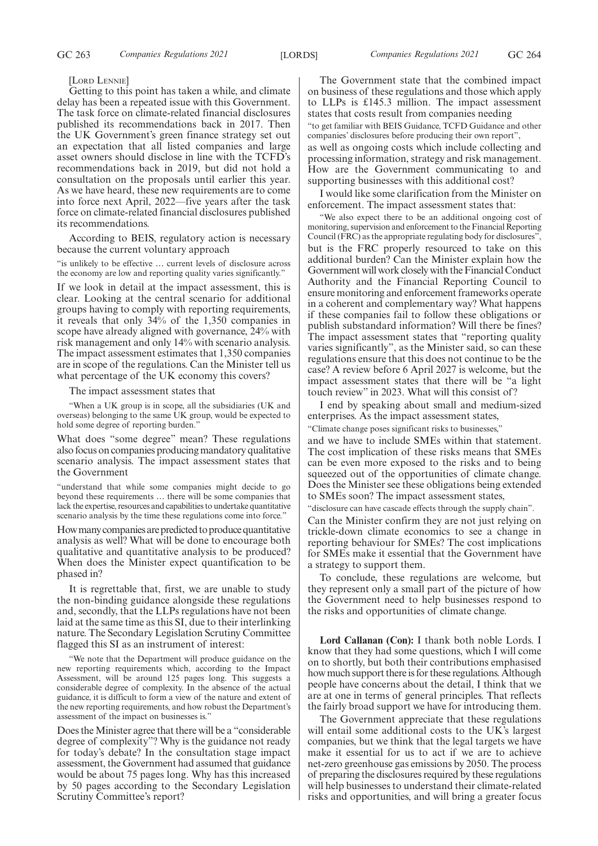#### [LORD LENNIE]

Getting to this point has taken a while, and climate delay has been a repeated issue with this Government. The task force on climate-related financial disclosures published its recommendations back in 2017. Then the UK Government's green finance strategy set out an expectation that all listed companies and large asset owners should disclose in line with the TCFD's recommendations back in 2019, but did not hold a consultation on the proposals until earlier this year. As we have heard, these new requirements are to come into force next April, 2022—five years after the task force on climate-related financial disclosures published its recommendations.

According to BEIS, regulatory action is necessary because the current voluntary approach

"is unlikely to be effective … current levels of disclosure across the economy are low and reporting quality varies significantly."

If we look in detail at the impact assessment, this is clear. Looking at the central scenario for additional groups having to comply with reporting requirements, it reveals that only 34% of the 1,350 companies in scope have already aligned with governance, 24% with risk management and only 14% with scenario analysis. The impact assessment estimates that 1,350 companies are in scope of the regulations. Can the Minister tell us what percentage of the UK economy this covers?

The impact assessment states that

"When a UK group is in scope, all the subsidiaries (UK and overseas) belonging to the same UK group, would be expected to hold some degree of reporting burden."

What does "some degree" mean? These regulations also focus on companies producing mandatory qualitative scenario analysis. The impact assessment states that the Government

"understand that while some companies might decide to go beyond these requirements … there will be some companies that lack the expertise, resources and capabilities to undertake quantitative scenario analysis by the time these regulations come into force."

How many companies are predicted to produce quantitative analysis as well? What will be done to encourage both qualitative and quantitative analysis to be produced? When does the Minister expect quantification to be phased in?

It is regrettable that, first, we are unable to study the non-binding guidance alongside these regulations and, secondly, that the LLPs regulations have not been laid at the same time as this SI, due to their interlinking nature. The Secondary Legislation Scrutiny Committee flagged this SI as an instrument of interest:

"We note that the Department will produce guidance on the new reporting requirements which, according to the Impact Assessment, will be around 125 pages long. This suggests a considerable degree of complexity. In the absence of the actual guidance, it is difficult to form a view of the nature and extent of the new reporting requirements, and how robust the Department's assessment of the impact on businesses is."

Does the Minister agree that there will be a "considerable degree of complexity"? Why is the guidance not ready for today's debate? In the consultation stage impact assessment, the Government had assumed that guidance would be about 75 pages long. Why has this increased by 50 pages according to the Secondary Legislation Scrutiny Committee's report?

The Government state that the combined impact on business of these regulations and those which apply to LLPs is £145.3 million. The impact assessment states that costs result from companies needing "to get familiar with BEIS Guidance, TCFD Guidance and other companies' disclosures before producing their own report", as well as ongoing costs which include collecting and processing information, strategy and risk management. How are the Government communicating to and supporting businesses with this additional cost?

I would like some clarification from the Minister on enforcement. The impact assessment states that:

"We also expect there to be an additional ongoing cost of monitoring, supervision and enforcement to the Financial Reporting Council (FRC) as the appropriate regulating body for disclosures", but is the FRC properly resourced to take on this additional burden? Can the Minister explain how the Government will work closely with the Financial Conduct Authority and the Financial Reporting Council to ensure monitoring and enforcement frameworks operate in a coherent and complementary way? What happens if these companies fail to follow these obligations or publish substandard information? Will there be fines? The impact assessment states that "reporting quality varies significantly", as the Minister said, so can these regulations ensure that this does not continue to be the case? A review before 6 April 2027 is welcome, but the impact assessment states that there will be "a light touch review" in 2023. What will this consist of?

I end by speaking about small and medium-sized enterprises. As the impact assessment states,

"Climate change poses significant risks to businesses,"

and we have to include SMEs within that statement. The cost implication of these risks means that SMEs can be even more exposed to the risks and to being squeezed out of the opportunities of climate change. Does the Minister see these obligations being extended to SMEs soon? The impact assessment states,

"disclosure can have cascade effects through the supply chain". Can the Minister confirm they are not just relying on trickle-down climate economics to see a change in reporting behaviour for SMEs? The cost implications for SMEs make it essential that the Government have a strategy to support them.

To conclude, these regulations are welcome, but they represent only a small part of the picture of how the Government need to help businesses respond to the risks and opportunities of climate change.

**Lord Callanan (Con):** I thank both noble Lords. I know that they had some questions, which I will come on to shortly, but both their contributions emphasised how much support there is for these regulations. Although people have concerns about the detail, I think that we are at one in terms of general principles. That reflects the fairly broad support we have for introducing them.

The Government appreciate that these regulations will entail some additional costs to the UK's largest companies, but we think that the legal targets we have make it essential for us to act if we are to achieve net-zero greenhouse gas emissions by 2050. The process of preparing the disclosures required by these regulations will help businesses to understand their climate-related risks and opportunities, and will bring a greater focus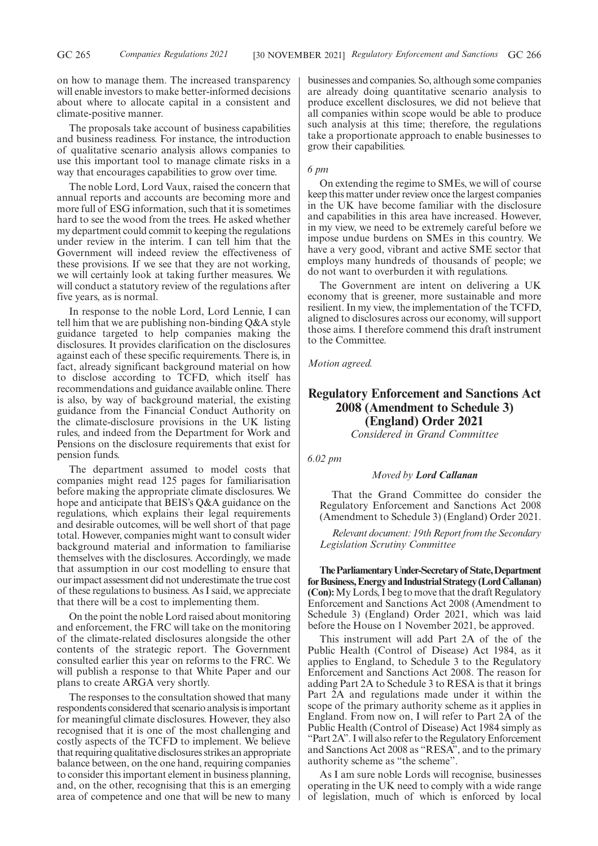on how to manage them. The increased transparency will enable investors to make better-informed decisions about where to allocate capital in a consistent and climate-positive manner.

The proposals take account of business capabilities and business readiness. For instance, the introduction of qualitative scenario analysis allows companies to use this important tool to manage climate risks in a way that encourages capabilities to grow over time.

The noble Lord, Lord Vaux, raised the concern that annual reports and accounts are becoming more and more full of ESG information, such that it is sometimes hard to see the wood from the trees. He asked whether my department could commit to keeping the regulations under review in the interim. I can tell him that the Government will indeed review the effectiveness of these provisions. If we see that they are not working, we will certainly look at taking further measures. We will conduct a statutory review of the regulations after five years, as is normal.

In response to the noble Lord, Lord Lennie, I can tell him that we are publishing non-binding Q&A style guidance targeted to help companies making the disclosures. It provides clarification on the disclosures against each of these specific requirements. There is, in fact, already significant background material on how to disclose according to TCFD, which itself has recommendations and guidance available online. There is also, by way of background material, the existing guidance from the Financial Conduct Authority on the climate-disclosure provisions in the UK listing rules, and indeed from the Department for Work and Pensions on the disclosure requirements that exist for pension funds.

The department assumed to model costs that companies might read 125 pages for familiarisation before making the appropriate climate disclosures. We hope and anticipate that BEIS's Q&A guidance on the regulations, which explains their legal requirements and desirable outcomes, will be well short of that page total. However, companies might want to consult wider background material and information to familiarise themselves with the disclosures. Accordingly, we made that assumption in our cost modelling to ensure that our impact assessment did not underestimate the true cost of these regulations to business. As I said, we appreciate that there will be a cost to implementing them.

On the point the noble Lord raised about monitoring and enforcement, the FRC will take on the monitoring of the climate-related disclosures alongside the other contents of the strategic report. The Government consulted earlier this year on reforms to the FRC. We will publish a response to that White Paper and our plans to create ARGA very shortly.

The responses to the consultation showed that many respondents considered that scenario analysis is important for meaningful climate disclosures. However, they also recognised that it is one of the most challenging and costly aspects of the TCFD to implement. We believe that requiring qualitative disclosures strikes an appropriate balance between, on the one hand, requiring companies to consider this important element in business planning, and, on the other, recognising that this is an emerging area of competence and one that will be new to many businesses and companies. So, although some companies are already doing quantitative scenario analysis to produce excellent disclosures, we did not believe that all companies within scope would be able to produce such analysis at this time; therefore, the regulations take a proportionate approach to enable businesses to grow their capabilities.

#### *6 pm*

On extending the regime to SMEs, we will of course keep this matter under review once the largest companies in the UK have become familiar with the disclosure and capabilities in this area have increased. However, in my view, we need to be extremely careful before we impose undue burdens on SMEs in this country. We have a very good, vibrant and active SME sector that employs many hundreds of thousands of people; we do not want to overburden it with regulations.

The Government are intent on delivering a UK economy that is greener, more sustainable and more resilient. In my view, the implementation of the TCFD, aligned to disclosures across our economy, will support those aims. I therefore commend this draft instrument to the Committee.

*Motion agreed.*

# **Regulatory Enforcement and Sanctions Act 2008 (Amendment to Schedule 3) (England) Order 2021**

*Considered in Grand Committee*

*6.02 pm*

#### *Moved by Lord Callanan*

That the Grand Committee do consider the Regulatory Enforcement and Sanctions Act 2008 (Amendment to Schedule 3) (England) Order 2021.

*Relevant document: 19th Report from the Secondary Legislation Scrutiny Committee*

**TheParliamentaryUnder-Secretaryof State,Department forBusiness,EnergyandIndustrialStrategy(LordCallanan) (Con):**My Lords, I beg to move that the draft Regulatory Enforcement and Sanctions Act 2008 (Amendment to Schedule 3) (England) Order 2021, which was laid before the House on 1 November 2021, be approved.

This instrument will add Part 2A of the of the Public Health (Control of Disease) Act 1984, as it applies to England, to Schedule 3 to the Regulatory Enforcement and Sanctions Act 2008. The reason for adding Part 2A to Schedule 3 to RESA is that it brings Part 2A and regulations made under it within the scope of the primary authority scheme as it applies in England. From now on, I will refer to Part 2A of the Public Health (Control of Disease) Act 1984 simply as "Part 2A". I will also refer to the Regulatory Enforcement and Sanctions Act 2008 as "RESA", and to the primary authority scheme as "the scheme".

As I am sure noble Lords will recognise, businesses operating in the UK need to comply with a wide range of legislation, much of which is enforced by local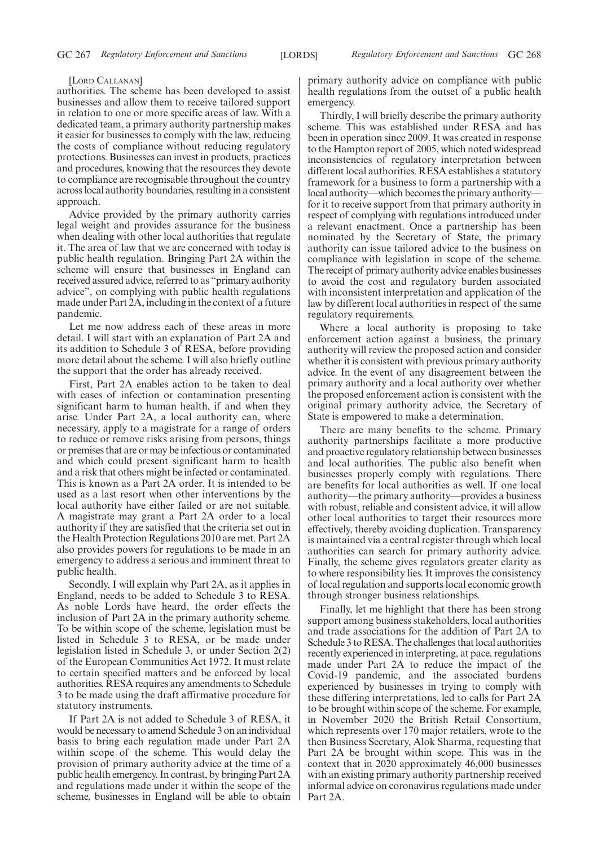#### [LORD CALLANAN]

authorities. The scheme has been developed to assist businesses and allow them to receive tailored support in relation to one or more specific areas of law. With a dedicated team, a primary authority partnership makes it easier for businesses to comply with the law, reducing the costs of compliance without reducing regulatory protections. Businesses can invest in products, practices and procedures, knowing that the resources they devote to compliance are recognisable throughout the country across local authority boundaries, resulting in a consistent approach.

Advice provided by the primary authority carries legal weight and provides assurance for the business when dealing with other local authorities that regulate it. The area of law that we are concerned with today is public health regulation. Bringing Part 2A within the scheme will ensure that businesses in England can received assured advice, referred to as "primary authority advice", on complying with public health regulations made under Part 2A, including in the context of a future pandemic.

Let me now address each of these areas in more detail. I will start with an explanation of Part 2A and its addition to Schedule 3 of RESA, before providing more detail about the scheme. I will also briefly outline the support that the order has already received.

First, Part 2A enables action to be taken to deal with cases of infection or contamination presenting significant harm to human health, if and when they arise. Under Part 2A, a local authority can, where necessary, apply to a magistrate for a range of orders to reduce or remove risks arising from persons, things or premises that are or may be infectious or contaminated and which could present significant harm to health and a risk that others might be infected or contaminated. This is known as a Part 2A order. It is intended to be used as a last resort when other interventions by the local authority have either failed or are not suitable. A magistrate may grant a Part 2A order to a local authority if they are satisfied that the criteria set out in the Health Protection Regulations 2010 are met. Part 2A also provides powers for regulations to be made in an emergency to address a serious and imminent threat to public health.

Secondly, I will explain why Part 2A, as it applies in England, needs to be added to Schedule 3 to RESA. As noble Lords have heard, the order effects the inclusion of Part 2A in the primary authority scheme. To be within scope of the scheme, legislation must be listed in Schedule 3 to RESA, or be made under legislation listed in Schedule 3, or under Section 2(2) of the European Communities Act 1972. It must relate to certain specified matters and be enforced by local authorities. RESA requires any amendments to Schedule 3 to be made using the draft affirmative procedure for statutory instruments.

If Part 2A is not added to Schedule 3 of RESA, it would be necessary to amend Schedule 3 on an individual basis to bring each regulation made under Part 2A within scope of the scheme. This would delay the provision of primary authority advice at the time of a public health emergency. In contrast, by bringing Part 2A and regulations made under it within the scope of the scheme, businesses in England will be able to obtain primary authority advice on compliance with public health regulations from the outset of a public health emergency.

Thirdly, I will briefly describe the primary authority scheme. This was established under RESA and has been in operation since 2009. It was created in response to the Hampton report of 2005, which noted widespread inconsistencies of regulatory interpretation between different local authorities. RESA establishes a statutory framework for a business to form a partnership with a local authority—which becomes the primary authority for it to receive support from that primary authority in respect of complying with regulations introduced under a relevant enactment. Once a partnership has been nominated by the Secretary of State, the primary authority can issue tailored advice to the business on compliance with legislation in scope of the scheme. The receipt of primary authority advice enables businesses to avoid the cost and regulatory burden associated with inconsistent interpretation and application of the law by different local authorities in respect of the same regulatory requirements.

Where a local authority is proposing to take enforcement action against a business, the primary authority will review the proposed action and consider whether it is consistent with previous primary authority advice. In the event of any disagreement between the primary authority and a local authority over whether the proposed enforcement action is consistent with the original primary authority advice, the Secretary of State is empowered to make a determination.

There are many benefits to the scheme. Primary authority partnerships facilitate a more productive and proactive regulatory relationship between businesses and local authorities. The public also benefit when businesses properly comply with regulations. There are benefits for local authorities as well. If one local authority—the primary authority—provides a business with robust, reliable and consistent advice, it will allow other local authorities to target their resources more effectively, thereby avoiding duplication. Transparency is maintained via a central register through which local authorities can search for primary authority advice. Finally, the scheme gives regulators greater clarity as to where responsibility lies. It improves the consistency of local regulation and supports local economic growth through stronger business relationships.

Finally, let me highlight that there has been strong support among business stakeholders, local authorities and trade associations for the addition of Part 2A to Schedule 3 to RESA. The challenges that local authorities recently experienced in interpreting, at pace, regulations made under Part 2A to reduce the impact of the Covid-19 pandemic, and the associated burdens experienced by businesses in trying to comply with these differing interpretations, led to calls for Part 2A to be brought within scope of the scheme. For example, in November 2020 the British Retail Consortium, which represents over 170 major retailers, wrote to the then Business Secretary, Alok Sharma, requesting that Part 2A be brought within scope. This was in the context that in 2020 approximately 46,000 businesses with an existing primary authority partnership received informal advice on coronavirus regulations made under Part 2A.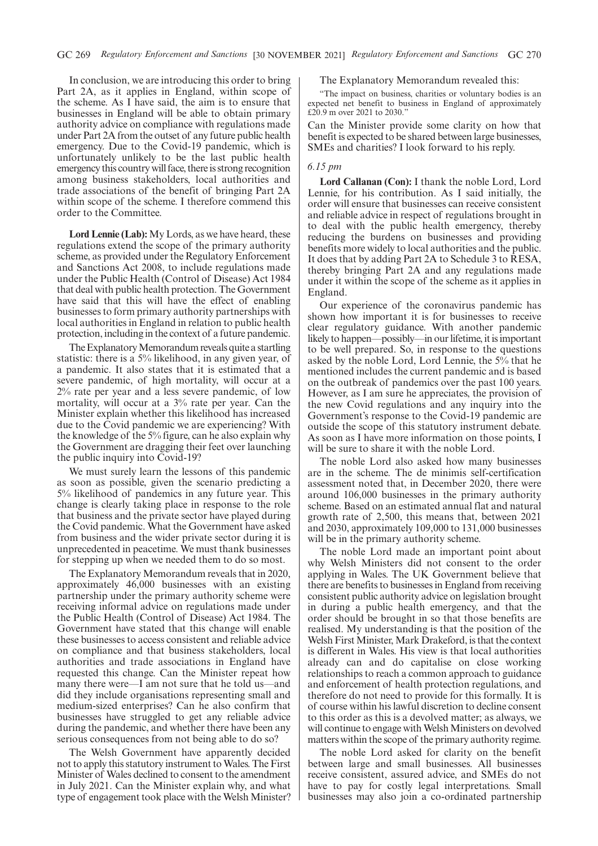In conclusion, we are introducing this order to bring Part 2A, as it applies in England, within scope of the scheme. As I have said, the aim is to ensure that businesses in England will be able to obtain primary authority advice on compliance with regulations made under Part 2A from the outset of any future public health emergency. Due to the Covid-19 pandemic, which is unfortunately unlikely to be the last public health emergency this country will face, there is strong recognition among business stakeholders, local authorities and trade associations of the benefit of bringing Part 2A within scope of the scheme. I therefore commend this order to the Committee.

**Lord Lennie (Lab):** My Lords, as we have heard, these regulations extend the scope of the primary authority scheme, as provided under the Regulatory Enforcement and Sanctions Act 2008, to include regulations made under the Public Health (Control of Disease) Act 1984 that deal with public health protection. The Government have said that this will have the effect of enabling businesses to form primary authority partnerships with local authorities in England in relation to public health protection, including in the context of a future pandemic.

The Explanatory Memorandum reveals quite a startling statistic: there is a 5% likelihood, in any given year, of a pandemic. It also states that it is estimated that a severe pandemic, of high mortality, will occur at a 2% rate per year and a less severe pandemic, of low mortality, will occur at a 3% rate per year. Can the Minister explain whether this likelihood has increased due to the Covid pandemic we are experiencing? With the knowledge of the 5% figure, can he also explain why the Government are dragging their feet over launching the public inquiry into Covid-19?

We must surely learn the lessons of this pandemic as soon as possible, given the scenario predicting a 5% likelihood of pandemics in any future year. This change is clearly taking place in response to the role that business and the private sector have played during the Covid pandemic. What the Government have asked from business and the wider private sector during it is unprecedented in peacetime. We must thank businesses for stepping up when we needed them to do so most.

The Explanatory Memorandum reveals that in 2020, approximately 46,000 businesses with an existing partnership under the primary authority scheme were receiving informal advice on regulations made under the Public Health (Control of Disease) Act 1984. The Government have stated that this change will enable these businesses to access consistent and reliable advice on compliance and that business stakeholders, local authorities and trade associations in England have requested this change. Can the Minister repeat how many there were—I am not sure that he told us—and did they include organisations representing small and medium-sized enterprises? Can he also confirm that businesses have struggled to get any reliable advice during the pandemic, and whether there have been any serious consequences from not being able to do so?

The Welsh Government have apparently decided not to apply this statutory instrument to Wales. The First Minister of Wales declined to consent to the amendment in July 2021. Can the Minister explain why, and what type of engagement took place with the Welsh Minister?

#### The Explanatory Memorandum revealed this:

"The impact on business, charities or voluntary bodies is an expected net benefit to business in England of approximately £20.9 m over 2021 to 2030."

Can the Minister provide some clarity on how that benefit is expected to be shared between large businesses, SMEs and charities? I look forward to his reply.

#### *6.15 pm*

**Lord Callanan (Con):** I thank the noble Lord, Lord Lennie, for his contribution. As I said initially, the order will ensure that businesses can receive consistent and reliable advice in respect of regulations brought in to deal with the public health emergency, thereby reducing the burdens on businesses and providing benefits more widely to local authorities and the public. It does that by adding Part 2A to Schedule 3 to RESA, thereby bringing Part 2A and any regulations made under it within the scope of the scheme as it applies in England.

Our experience of the coronavirus pandemic has shown how important it is for businesses to receive clear regulatory guidance. With another pandemic likely to happen—possibly—in our lifetime, it is important to be well prepared. So, in response to the questions asked by the noble Lord, Lord Lennie, the 5% that he mentioned includes the current pandemic and is based on the outbreak of pandemics over the past 100 years. However, as I am sure he appreciates, the provision of the new Covid regulations and any inquiry into the Government's response to the Covid-19 pandemic are outside the scope of this statutory instrument debate. As soon as I have more information on those points, I will be sure to share it with the noble Lord.

The noble Lord also asked how many businesses are in the scheme. The de minimis self-certification assessment noted that, in December 2020, there were around 106,000 businesses in the primary authority scheme. Based on an estimated annual flat and natural growth rate of 2,500, this means that, between 2021 and 2030, approximately 109,000 to 131,000 businesses will be in the primary authority scheme.

The noble Lord made an important point about why Welsh Ministers did not consent to the order applying in Wales. The UK Government believe that there are benefits to businesses in England from receiving consistent public authority advice on legislation brought in during a public health emergency, and that the order should be brought in so that those benefits are realised. My understanding is that the position of the Welsh First Minister, Mark Drakeford, is that the context is different in Wales. His view is that local authorities already can and do capitalise on close working relationships to reach a common approach to guidance and enforcement of health protection regulations, and therefore do not need to provide for this formally. It is of course within his lawful discretion to decline consent to this order as this is a devolved matter; as always, we will continue to engage with Welsh Ministers on devolved matters within the scope of the primary authority regime.

The noble Lord asked for clarity on the benefit between large and small businesses. All businesses receive consistent, assured advice, and SMEs do not have to pay for costly legal interpretations. Small businesses may also join a co-ordinated partnership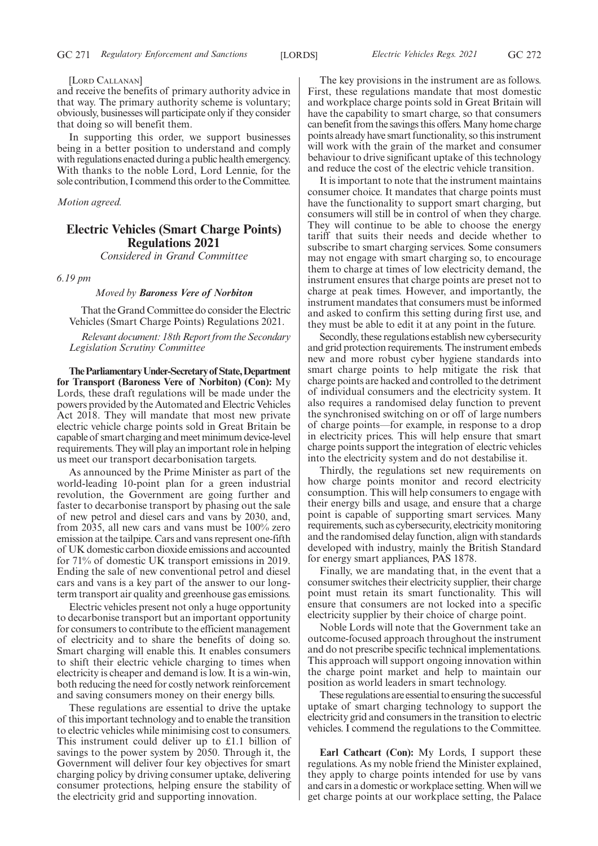#### [LORD CALLANAN]

and receive the benefits of primary authority advice in that way. The primary authority scheme is voluntary; obviously, businesses will participate only if they consider that doing so will benefit them.

In supporting this order, we support businesses being in a better position to understand and comply with regulations enacted during a public health emergency. With thanks to the noble Lord, Lord Lennie, for the sole contribution, I commend this order to the Committee.

*Motion agreed.*

# **Electric Vehicles (Smart Charge Points) Regulations 2021**

*Considered in Grand Committee*

#### *6.19 pm*

#### *Moved by Baroness Vere of Norbiton*

That the Grand Committee do consider the Electric Vehicles (Smart Charge Points) Regulations 2021.

*Relevant document: 18th Report from the Secondary Legislation Scrutiny Committee*

**TheParliamentaryUnder-Secretaryof State,Department for Transport (Baroness Vere of Norbiton) (Con):** My Lords, these draft regulations will be made under the powers provided by the Automated and Electric Vehicles Act 2018. They will mandate that most new private electric vehicle charge points sold in Great Britain be capable of smart charging and meet minimum device-level requirements. They will play an important role in helping us meet our transport decarbonisation targets.

As announced by the Prime Minister as part of the world-leading 10-point plan for a green industrial revolution, the Government are going further and faster to decarbonise transport by phasing out the sale of new petrol and diesel cars and vans by 2030, and, from 2035, all new cars and vans must be 100% zero emission at the tailpipe. Cars and vans represent one-fifth of UK domestic carbon dioxide emissions and accounted for 71% of domestic UK transport emissions in 2019. Ending the sale of new conventional petrol and diesel cars and vans is a key part of the answer to our longterm transport air quality and greenhouse gas emissions.

Electric vehicles present not only a huge opportunity to decarbonise transport but an important opportunity for consumers to contribute to the efficient management of electricity and to share the benefits of doing so. Smart charging will enable this. It enables consumers to shift their electric vehicle charging to times when electricity is cheaper and demand is low. It is a win-win, both reducing the need for costly network reinforcement and saving consumers money on their energy bills.

These regulations are essential to drive the uptake of this important technology and to enable the transition to electric vehicles while minimising cost to consumers. This instrument could deliver up to £1.1 billion of savings to the power system by 2050. Through it, the Government will deliver four key objectives for smart charging policy by driving consumer uptake, delivering consumer protections, helping ensure the stability of the electricity grid and supporting innovation.

The key provisions in the instrument are as follows. First, these regulations mandate that most domestic and workplace charge points sold in Great Britain will have the capability to smart charge, so that consumers can benefit from the savings this offers. Many home charge points already have smart functionality, so this instrument will work with the grain of the market and consumer behaviour to drive significant uptake of this technology and reduce the cost of the electric vehicle transition.

It is important to note that the instrument maintains consumer choice. It mandates that charge points must have the functionality to support smart charging, but consumers will still be in control of when they charge. They will continue to be able to choose the energy tariff that suits their needs and decide whether to subscribe to smart charging services. Some consumers may not engage with smart charging so, to encourage them to charge at times of low electricity demand, the instrument ensures that charge points are preset not to charge at peak times. However, and importantly, the instrument mandates that consumers must be informed and asked to confirm this setting during first use, and they must be able to edit it at any point in the future.

Secondly, these regulations establish new cybersecurity and grid protection requirements. The instrument embeds new and more robust cyber hygiene standards into smart charge points to help mitigate the risk that charge points are hacked and controlled to the detriment of individual consumers and the electricity system. It also requires a randomised delay function to prevent the synchronised switching on or off of large numbers of charge points—for example, in response to a drop in electricity prices. This will help ensure that smart charge points support the integration of electric vehicles into the electricity system and do not destabilise it.

Thirdly, the regulations set new requirements on how charge points monitor and record electricity consumption. This will help consumers to engage with their energy bills and usage, and ensure that a charge point is capable of supporting smart services. Many requirements, such as cybersecurity, electricity monitoring and the randomised delay function, align with standards developed with industry, mainly the British Standard for energy smart appliances, PAS 1878.

Finally, we are mandating that, in the event that a consumer switches their electricity supplier, their charge point must retain its smart functionality. This will ensure that consumers are not locked into a specific electricity supplier by their choice of charge point.

Noble Lords will note that the Government take an outcome-focused approach throughout the instrument and do not prescribe specific technical implementations. This approach will support ongoing innovation within the charge point market and help to maintain our position as world leaders in smart technology.

These regulations are essential to ensuring the successful uptake of smart charging technology to support the electricity grid and consumers in the transition to electric vehicles. I commend the regulations to the Committee.

**Earl Cathcart (Con):** My Lords, I support these regulations. As my noble friend the Minister explained, they apply to charge points intended for use by vans and cars in a domestic or workplace setting. When will we get charge points at our workplace setting, the Palace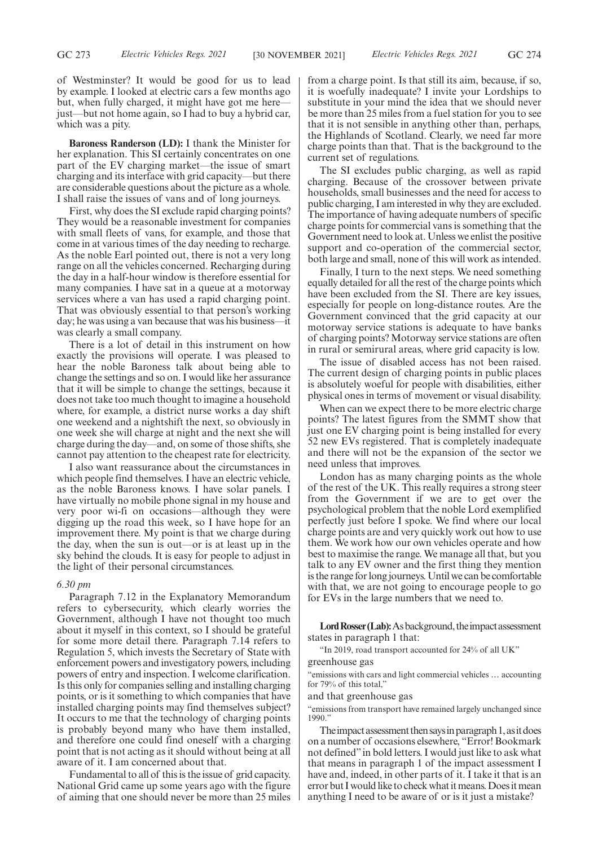of Westminster? It would be good for us to lead by example. I looked at electric cars a few months ago but, when fully charged, it might have got me here just—but not home again, so I had to buy a hybrid car, which was a pity.

**Baroness Randerson (LD):** I thank the Minister for her explanation. This SI certainly concentrates on one part of the EV charging market—the issue of smart charging and its interface with grid capacity—but there are considerable questions about the picture as a whole. I shall raise the issues of vans and of long journeys.

First, why does the SI exclude rapid charging points? They would be a reasonable investment for companies with small fleets of vans, for example, and those that come in at various times of the day needing to recharge. As the noble Earl pointed out, there is not a very long range on all the vehicles concerned. Recharging during the day in a half-hour window is therefore essential for many companies. I have sat in a queue at a motorway services where a van has used a rapid charging point. That was obviously essential to that person's working day; he was using a van because that was his business—it was clearly a small company.

There is a lot of detail in this instrument on how exactly the provisions will operate. I was pleased to hear the noble Baroness talk about being able to change the settings and so on. I would like her assurance that it will be simple to change the settings, because it does not take too much thought to imagine a household where, for example, a district nurse works a day shift one weekend and a nightshift the next, so obviously in one week she will charge at night and the next she will charge during the day—and, on some of those shifts, she cannot pay attention to the cheapest rate for electricity.

I also want reassurance about the circumstances in which people find themselves. I have an electric vehicle, as the noble Baroness knows. I have solar panels. I have virtually no mobile phone signal in my house and very poor wi-fi on occasions—although they were digging up the road this week, so I have hope for an improvement there. My point is that we charge during the day, when the sun is out—or is at least up in the sky behind the clouds. It is easy for people to adjust in the light of their personal circumstances.

#### *6.30 pm*

Paragraph 7.12 in the Explanatory Memorandum refers to cybersecurity, which clearly worries the Government, although I have not thought too much about it myself in this context, so I should be grateful for some more detail there. Paragraph 7.14 refers to Regulation 5, which invests the Secretary of State with enforcement powers and investigatory powers, including powers of entry and inspection. I welcome clarification. Is this only for companies selling and installing charging points, or is it something to which companies that have installed charging points may find themselves subject? It occurs to me that the technology of charging points is probably beyond many who have them installed, and therefore one could find oneself with a charging point that is not acting as it should without being at all aware of it. I am concerned about that.

Fundamental to all of this is the issue of grid capacity. National Grid came up some years ago with the figure of aiming that one should never be more than 25 miles from a charge point. Is that still its aim, because, if so, it is woefully inadequate? I invite your Lordships to substitute in your mind the idea that we should never be more than 25 miles from a fuel station for you to see that it is not sensible in anything other than, perhaps, the Highlands of Scotland. Clearly, we need far more charge points than that. That is the background to the current set of regulations.

The SI excludes public charging, as well as rapid charging. Because of the crossover between private households, small businesses and the need for access to public charging, I am interested in why they are excluded. The importance of having adequate numbers of specific charge points for commercial vans is something that the Government need to look at. Unless we enlist the positive support and co-operation of the commercial sector, both large and small, none of this will work as intended.

Finally, I turn to the next steps. We need something equally detailed for all the rest of the charge points which have been excluded from the SI. There are key issues, especially for people on long-distance routes. Are the Government convinced that the grid capacity at our motorway service stations is adequate to have banks of charging points? Motorway service stations are often in rural or semirural areas, where grid capacity is low.

The issue of disabled access has not been raised. The current design of charging points in public places is absolutely woeful for people with disabilities, either physical ones in terms of movement or visual disability.

When can we expect there to be more electric charge points? The latest figures from the SMMT show that just one EV charging point is being installed for every 52 new EVs registered. That is completely inadequate and there will not be the expansion of the sector we need unless that improves.

London has as many charging points as the whole of the rest of the UK. This really requires a strong steer from the Government if we are to get over the psychological problem that the noble Lord exemplified perfectly just before I spoke. We find where our local charge points are and very quickly work out how to use them. We work how our own vehicles operate and how best to maximise the range. We manage all that, but you talk to any EV owner and the first thing they mention is the range for long journeys. Until we can be comfortable with that, we are not going to encourage people to go for EVs in the large numbers that we need to.

Lord Rosser (Lab): As background, the impact assessment states in paragraph 1 that:

"In 2019, road transport accounted for 24% of all UK"

greenhouse gas

"emissions with cars and light commercial vehicles … accounting for 79% of this total,"

and that greenhouse gas

"emissions from transport have remained largely unchanged since 1990."

The impact assessment then says in paragraph 1, as it does on a number of occasions elsewhere, "Error! Bookmark not defined"in bold letters. I would just like to ask what that means in paragraph 1 of the impact assessment I have and, indeed, in other parts of it. I take it that is an error but I would like to check what it means. Does it mean anything I need to be aware of or is it just a mistake?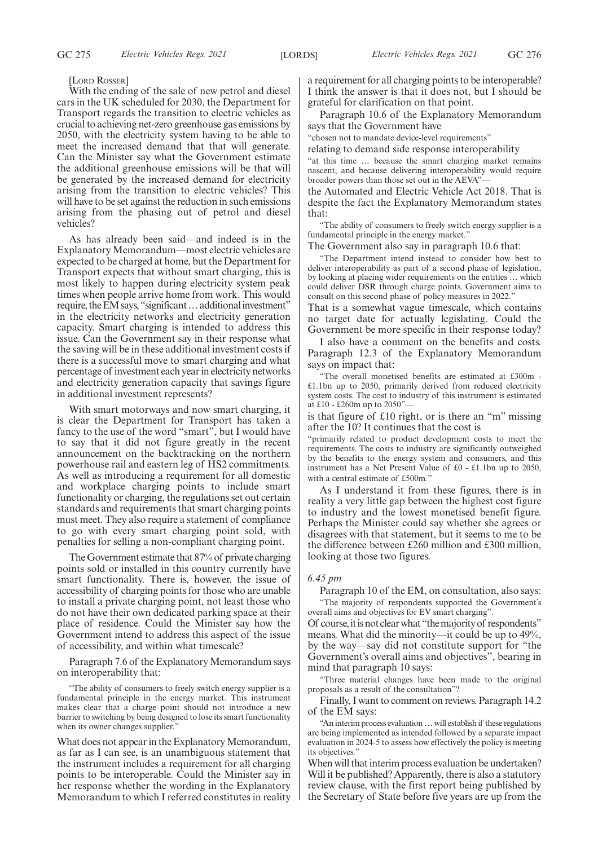#### [LORD ROSSER]

With the ending of the sale of new petrol and diesel cars in the UK scheduled for 2030, the Department for Transport regards the transition to electric vehicles as crucial to achieving net-zero greenhouse gas emissions by 2050, with the electricity system having to be able to meet the increased demand that that will generate. Can the Minister say what the Government estimate the additional greenhouse emissions will be that will be generated by the increased demand for electricity arising from the transition to electric vehicles? This will have to be set against the reduction in such emissions arising from the phasing out of petrol and diesel vehicles?

As has already been said—and indeed is in the Explanatory Memorandum—most electric vehicles are expected to be charged at home, but the Department for Transport expects that without smart charging, this is most likely to happen during electricity system peak times when people arrive home from work. This would require, the EM says, "significant ... additional investment" in the electricity networks and electricity generation capacity. Smart charging is intended to address this issue. Can the Government say in their response what the saving will be in these additional investment costs if there is a successful move to smart charging and what percentage of investment each year in electricity networks and electricity generation capacity that savings figure in additional investment represents?

With smart motorways and now smart charging, it is clear the Department for Transport has taken a fancy to the use of the word "smart", but I would have to say that it did not figure greatly in the recent announcement on the backtracking on the northern powerhouse rail and eastern leg of HS2 commitments. As well as introducing a requirement for all domestic and workplace charging points to include smart functionality or charging, the regulations set out certain standards and requirements that smart charging points must meet. They also require a statement of compliance to go with every smart charging point sold, with penalties for selling a non-compliant charging point.

The Government estimate that 87% of private charging points sold or installed in this country currently have smart functionality. There is, however, the issue of accessibility of charging points for those who are unable to install a private charging point, not least those who do not have their own dedicated parking space at their place of residence. Could the Minister say how the Government intend to address this aspect of the issue of accessibility, and within what timescale?

Paragraph 7.6 of the Explanatory Memorandum says on interoperability that:

"The ability of consumers to freely switch energy supplier is a fundamental principle in the energy market. This instrument makes clear that a charge point should not introduce a new barrier to switching by being designed to lose its smart functionality when its owner changes supplier."

What does not appear in the Explanatory Memorandum, as far as I can see, is an unambiguous statement that the instrument includes a requirement for all charging points to be interoperable. Could the Minister say in her response whether the wording in the Explanatory Memorandum to which I referred constitutes in reality a requirement for all charging points to be interoperable? I think the answer is that it does not, but I should be grateful for clarification on that point.

Paragraph 10.6 of the Explanatory Memorandum says that the Government have

"chosen not to mandate device-level requirements"

relating to demand side response interoperability

"at this time … because the smart charging market remains nascent, and because delivering interoperability would require broader powers than those set out in the AEVA"—

the Automated and Electric Vehicle Act 2018. That is despite the fact the Explanatory Memorandum states that:

"The ability of consumers to freely switch energy supplier is a fundamental principle in the energy market."

The Government also say in paragraph 10.6 that:

"The Department intend instead to consider how best to deliver interoperability as part of a second phase of legislation, by looking at placing wider requirements on the entities … which could deliver DSR through charge points. Government aims to consult on this second phase of policy measures in 2022.'

That is a somewhat vague timescale, which contains no target date for actually legislating. Could the Government be more specific in their response today?

I also have a comment on the benefits and costs. Paragraph 12.3 of the Explanatory Memorandum says on impact that:

"The overall monetised benefits are estimated at £300m - £1.1bn up to 2050, primarily derived from reduced electricity system costs. The cost to industry of this instrument is estimated at £10 - £260m up to 2050"—

is that figure of £10 right, or is there an "m" missing after the 10? It continues that the cost is

"primarily related to product development costs to meet the requirements. The costs to industry are significantly outweighed by the benefits to the energy system and consumers, and this instrument has a Net Present Value of £0 - £1.1bn up to 2050, with a central estimate of £500m.'

As I understand it from these figures, there is in reality a very little gap between the highest cost figure to industry and the lowest monetised benefit figure. Perhaps the Minister could say whether she agrees or disagrees with that statement, but it seems to me to be the difference between £260 million and £300 million, looking at those two figures.

#### *6.45 pm*

Paragraph 10 of the EM, on consultation, also says: "The majority of respondents supported the Government's overall aims and objectives for EV smart charging".

Of course, it is not clear what "the majority of respondents" means. What did the minority—it could be up to 49%, by the way—say did not constitute support for "the Government's overall aims and objectives", bearing in mind that paragraph 10 says:

"Three material changes have been made to the original proposals as a result of the consultation"?

Finally, I want to comment on reviews. Paragraph 14.2 of the EM says:

"An interim process evaluation…will establish if these regulations are being implemented as intended followed by a separate impact evaluation in 2024-5 to assess how effectively the policy is meeting its objectives."

When will that interim process evaluation be undertaken? Will it be published? Apparently, there is also a statutory review clause, with the first report being published by the Secretary of State before five years are up from the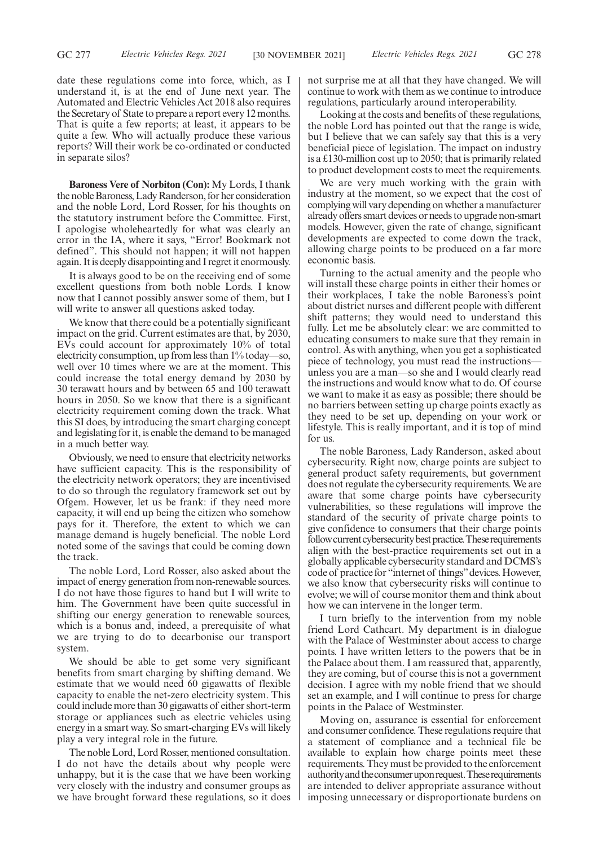date these regulations come into force, which, as I understand it, is at the end of June next year. The Automated and Electric Vehicles Act 2018 also requires the Secretary of State to prepare a report every 12 months. That is quite a few reports; at least, it appears to be quite a few. Who will actually produce these various reports? Will their work be co-ordinated or conducted in separate silos?

**Baroness Vere of Norbiton (Con):** My Lords, I thank the noble Baroness, Lady Randerson, for her consideration and the noble Lord, Lord Rosser, for his thoughts on the statutory instrument before the Committee. First, I apologise wholeheartedly for what was clearly an error in the IA, where it says, "Error! Bookmark not defined". This should not happen; it will not happen again. It is deeply disappointing and I regret it enormously.

It is always good to be on the receiving end of some excellent questions from both noble Lords. I know now that I cannot possibly answer some of them, but I will write to answer all questions asked today.

We know that there could be a potentially significant impact on the grid. Current estimates are that, by 2030, EVs could account for approximately 10% of total electricity consumption, up from less than 1% today—so, well over 10 times where we are at the moment. This could increase the total energy demand by 2030 by 30 terawatt hours and by between 65 and 100 terawatt hours in 2050. So we know that there is a significant electricity requirement coming down the track. What this SI does, by introducing the smart charging concept and legislating for it, is enable the demand to be managed in a much better way.

Obviously, we need to ensure that electricity networks have sufficient capacity. This is the responsibility of the electricity network operators; they are incentivised to do so through the regulatory framework set out by Ofgem. However, let us be frank: if they need more capacity, it will end up being the citizen who somehow pays for it. Therefore, the extent to which we can manage demand is hugely beneficial. The noble Lord noted some of the savings that could be coming down the track.

The noble Lord, Lord Rosser, also asked about the impact of energy generation from non-renewable sources. I do not have those figures to hand but I will write to him. The Government have been quite successful in shifting our energy generation to renewable sources, which is a bonus and, indeed, a prerequisite of what we are trying to do to decarbonise our transport system.

We should be able to get some very significant benefits from smart charging by shifting demand. We estimate that we would need 60 gigawatts of flexible capacity to enable the net-zero electricity system. This could include more than 30 gigawatts of either short-term storage or appliances such as electric vehicles using energy in a smart way. So smart-charging EVs will likely play a very integral role in the future.

The noble Lord, Lord Rosser, mentioned consultation. I do not have the details about why people were unhappy, but it is the case that we have been working very closely with the industry and consumer groups as we have brought forward these regulations, so it does not surprise me at all that they have changed. We will continue to work with them as we continue to introduce regulations, particularly around interoperability.

Looking at the costs and benefits of these regulations, the noble Lord has pointed out that the range is wide, but I believe that we can safely say that this is a very beneficial piece of legislation. The impact on industry is a £130-million cost up to 2050; that is primarily related to product development costs to meet the requirements.

We are very much working with the grain with industry at the moment, so we expect that the cost of complying will vary depending on whether a manufacturer already offers smart devices or needs to upgrade non-smart models. However, given the rate of change, significant developments are expected to come down the track, allowing charge points to be produced on a far more economic basis.

Turning to the actual amenity and the people who will install these charge points in either their homes or their workplaces, I take the noble Baroness's point about district nurses and different people with different shift patterns; they would need to understand this fully. Let me be absolutely clear: we are committed to educating consumers to make sure that they remain in control. As with anything, when you get a sophisticated piece of technology, you must read the instructions unless you are a man—so she and I would clearly read the instructions and would know what to do. Of course we want to make it as easy as possible; there should be no barriers between setting up charge points exactly as they need to be set up, depending on your work or lifestyle. This is really important, and it is top of mind for us.

The noble Baroness, Lady Randerson, asked about cybersecurity. Right now, charge points are subject to general product safety requirements, but government does not regulate the cybersecurity requirements. We are aware that some charge points have cybersecurity vulnerabilities, so these regulations will improve the standard of the security of private charge points to give confidence to consumers that their charge points follow current cybersecurity best practice. These requirements align with the best-practice requirements set out in a globally applicable cybersecurity standard and DCMS's code of practice for "internet of things"devices. However, we also know that cybersecurity risks will continue to evolve; we will of course monitor them and think about how we can intervene in the longer term.

I turn briefly to the intervention from my noble friend Lord Cathcart. My department is in dialogue with the Palace of Westminster about access to charge points. I have written letters to the powers that be in the Palace about them. I am reassured that, apparently, they are coming, but of course this is not a government decision. I agree with my noble friend that we should set an example, and I will continue to press for charge points in the Palace of Westminster.

Moving on, assurance is essential for enforcement and consumer confidence. These regulations require that a statement of compliance and a technical file be available to explain how charge points meet these requirements. They must be provided to the enforcement authority and the consumer upon request. These requirements are intended to deliver appropriate assurance without imposing unnecessary or disproportionate burdens on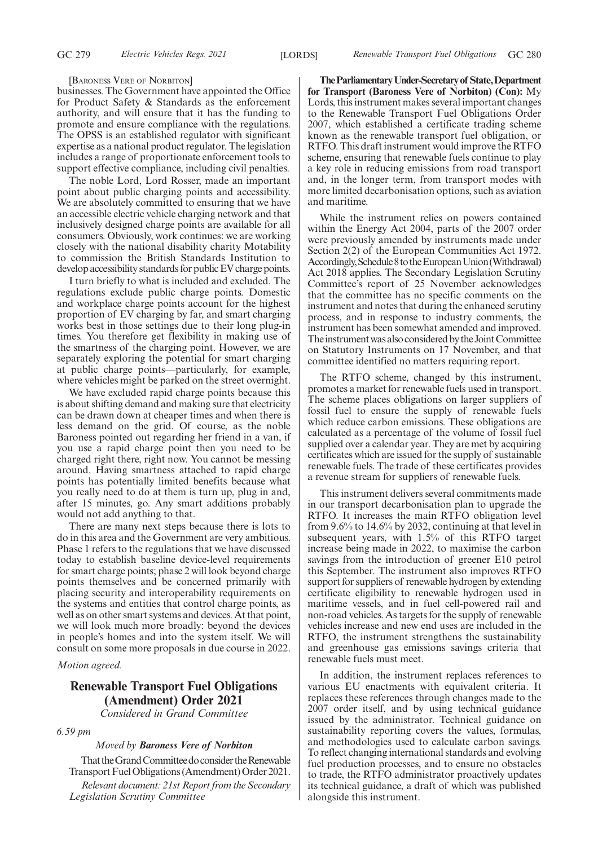#### [BARONESS VERE OF NORBITON]

businesses. The Government have appointed the Office for Product Safety & Standards as the enforcement authority, and will ensure that it has the funding to promote and ensure compliance with the regulations. The OPSS is an established regulator with significant expertise as a national product regulator. The legislation includes a range of proportionate enforcement tools to support effective compliance, including civil penalties.

The noble Lord, Lord Rosser, made an important point about public charging points and accessibility. We are absolutely committed to ensuring that we have an accessible electric vehicle charging network and that inclusively designed charge points are available for all consumers. Obviously, work continues: we are working closely with the national disability charity Motability to commission the British Standards Institution to develop accessibility standards for public EV charge points.

I turn briefly to what is included and excluded. The regulations exclude public charge points. Domestic and workplace charge points account for the highest proportion of EV charging by far, and smart charging works best in those settings due to their long plug-in times. You therefore get flexibility in making use of the smartness of the charging point. However, we are separately exploring the potential for smart charging at public charge points—particularly, for example, where vehicles might be parked on the street overnight.

We have excluded rapid charge points because this is about shifting demand and making sure that electricity can be drawn down at cheaper times and when there is less demand on the grid. Of course, as the noble Baroness pointed out regarding her friend in a van, if you use a rapid charge point then you need to be charged right there, right now. You cannot be messing around. Having smartness attached to rapid charge points has potentially limited benefits because what you really need to do at them is turn up, plug in and, after 15 minutes, go. Any smart additions probably would not add anything to that.

There are many next steps because there is lots to do in this area and the Government are very ambitious. Phase 1 refers to the regulations that we have discussed today to establish baseline device-level requirements for smart charge points; phase 2 will look beyond charge points themselves and be concerned primarily with placing security and interoperability requirements on the systems and entities that control charge points, as well as on other smart systems and devices. At that point, we will look much more broadly: beyond the devices in people's homes and into the system itself. We will consult on some more proposals in due course in 2022.

#### *Motion agreed.*

# **Renewable Transport Fuel Obligations (Amendment) Order 2021** *Considered in Grand Committee*

*6.59 pm*

#### *Moved by Baroness Vere of Norbiton*

That the Grand Committee do consider the Renewable Transport Fuel Obligations (Amendment) Order 2021.

*Relevant document: 21st Report from the Secondary Legislation Scrutiny Committee*

**TheParliamentaryUnder-Secretaryof State,Department for Transport (Baroness Vere of Norbiton) (Con):** My Lords, this instrument makes several important changes to the Renewable Transport Fuel Obligations Order 2007, which established a certificate trading scheme known as the renewable transport fuel obligation, or RTFO. This draft instrument would improve the RTFO scheme, ensuring that renewable fuels continue to play a key role in reducing emissions from road transport and, in the longer term, from transport modes with more limited decarbonisation options, such as aviation and maritime.

While the instrument relies on powers contained within the Energy Act 2004, parts of the 2007 order were previously amended by instruments made under Section 2(2) of the European Communities Act 1972. Accordingly, Schedule 8 to the European Union (Withdrawal) Act 2018 applies. The Secondary Legislation Scrutiny Committee's report of 25 November acknowledges that the committee has no specific comments on the instrument and notes that during the enhanced scrutiny process, and in response to industry comments, the instrument has been somewhat amended and improved. The instrument was also considered by the Joint Committee on Statutory Instruments on 17 November, and that committee identified no matters requiring report.

The RTFO scheme, changed by this instrument, promotes a market for renewable fuels used in transport. The scheme places obligations on larger suppliers of fossil fuel to ensure the supply of renewable fuels which reduce carbon emissions. These obligations are calculated as a percentage of the volume of fossil fuel supplied over a calendar year. They are met by acquiring certificates which are issued for the supply of sustainable renewable fuels. The trade of these certificates provides a revenue stream for suppliers of renewable fuels.

This instrument delivers several commitments made in our transport decarbonisation plan to upgrade the RTFO. It increases the main RTFO obligation level from 9.6% to 14.6% by 2032, continuing at that level in subsequent years, with 1.5% of this RTFO target increase being made in 2022, to maximise the carbon savings from the introduction of greener E10 petrol this September. The instrument also improves RTFO support for suppliers of renewable hydrogen by extending certificate eligibility to renewable hydrogen used in maritime vessels, and in fuel cell-powered rail and non-road vehicles. As targets for the supply of renewable vehicles increase and new end uses are included in the RTFO, the instrument strengthens the sustainability and greenhouse gas emissions savings criteria that renewable fuels must meet.

In addition, the instrument replaces references to various EU enactments with equivalent criteria. It replaces these references through changes made to the 2007 order itself, and by using technical guidance issued by the administrator. Technical guidance on sustainability reporting covers the values, formulas, and methodologies used to calculate carbon savings. To reflect changing international standards and evolving fuel production processes, and to ensure no obstacles to trade, the RTFO administrator proactively updates its technical guidance, a draft of which was published alongside this instrument.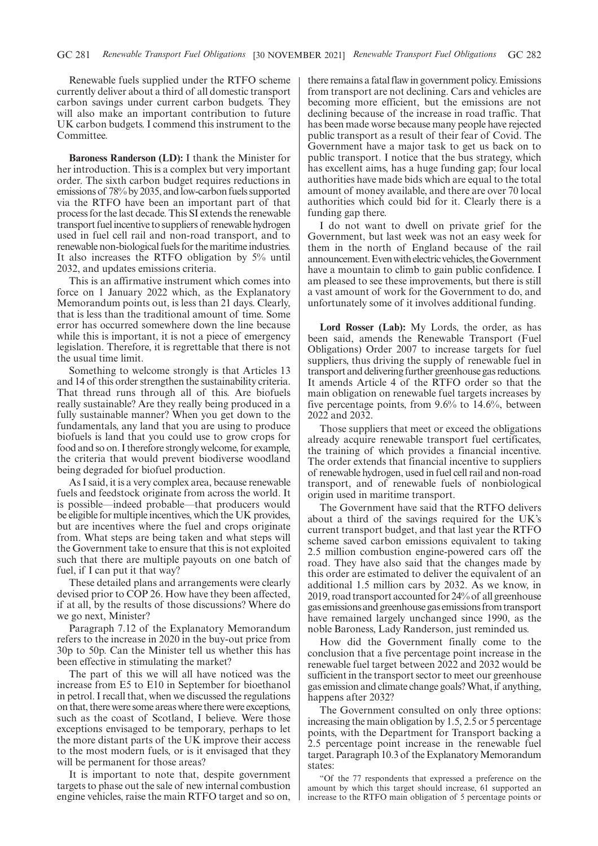Renewable fuels supplied under the RTFO scheme currently deliver about a third of all domestic transport carbon savings under current carbon budgets. They will also make an important contribution to future UK carbon budgets. I commend this instrument to the Committee.

**Baroness Randerson (LD):** I thank the Minister for her introduction. This is a complex but very important order. The sixth carbon budget requires reductions in emissions of 78% by 2035, and low-carbon fuels supported via the RTFO have been an important part of that process for the last decade. This SI extends the renewable transport fuel incentive to suppliers of renewable hydrogen used in fuel cell rail and non-road transport, and to renewable non-biological fuels for the maritime industries. It also increases the RTFO obligation by 5% until 2032, and updates emissions criteria.

This is an affirmative instrument which comes into force on 1 January 2022 which, as the Explanatory Memorandum points out, is less than 21 days. Clearly, that is less than the traditional amount of time. Some error has occurred somewhere down the line because while this is important, it is not a piece of emergency legislation. Therefore, it is regrettable that there is not the usual time limit.

Something to welcome strongly is that Articles 13 and 14 of this order strengthen the sustainability criteria. That thread runs through all of this. Are biofuels really sustainable? Are they really being produced in a fully sustainable manner? When you get down to the fundamentals, any land that you are using to produce biofuels is land that you could use to grow crops for food and so on. I therefore strongly welcome, for example, the criteria that would prevent biodiverse woodland being degraded for biofuel production.

As I said, it is a very complex area, because renewable fuels and feedstock originate from across the world. It is possible—indeed probable—that producers would be eligible for multiple incentives, which the UK provides, but are incentives where the fuel and crops originate from. What steps are being taken and what steps will the Government take to ensure that this is not exploited such that there are multiple payouts on one batch of fuel, if I can put it that way?

These detailed plans and arrangements were clearly devised prior to COP 26. How have they been affected, if at all, by the results of those discussions? Where do we go next, Minister?

Paragraph 7.12 of the Explanatory Memorandum refers to the increase in 2020 in the buy-out price from 30p to 50p. Can the Minister tell us whether this has been effective in stimulating the market?

The part of this we will all have noticed was the increase from E5 to E10 in September for bioethanol in petrol. I recall that, when we discussed the regulations on that, there were some areas where there were exceptions, such as the coast of Scotland, I believe. Were those exceptions envisaged to be temporary, perhaps to let the more distant parts of the UK improve their access to the most modern fuels, or is it envisaged that they will be permanent for those areas?

It is important to note that, despite government targets to phase out the sale of new internal combustion engine vehicles, raise the main RTFO target and so on, there remains a fatal flaw in government policy. Emissions from transport are not declining. Cars and vehicles are becoming more efficient, but the emissions are not declining because of the increase in road traffic. That has been made worse because many people have rejected public transport as a result of their fear of Covid. The Government have a major task to get us back on to public transport. I notice that the bus strategy, which has excellent aims, has a huge funding gap; four local authorities have made bids which are equal to the total amount of money available, and there are over 70 local authorities which could bid for it. Clearly there is a funding gap there.

I do not want to dwell on private grief for the Government, but last week was not an easy week for them in the north of England because of the rail announcement. Even with electric vehicles, the Government have a mountain to climb to gain public confidence. I am pleased to see these improvements, but there is still a vast amount of work for the Government to do, and unfortunately some of it involves additional funding.

**Lord Rosser (Lab):** My Lords, the order, as has been said, amends the Renewable Transport (Fuel Obligations) Order 2007 to increase targets for fuel suppliers, thus driving the supply of renewable fuel in transport and delivering further greenhouse gas reductions. It amends Article 4 of the RTFO order so that the main obligation on renewable fuel targets increases by five percentage points, from 9.6% to 14.6%, between 2022 and 2032.

Those suppliers that meet or exceed the obligations already acquire renewable transport fuel certificates, the training of which provides a financial incentive. The order extends that financial incentive to suppliers of renewable hydrogen, used in fuel cell rail and non-road transport, and of renewable fuels of nonbiological origin used in maritime transport.

The Government have said that the RTFO delivers about a third of the savings required for the UK's current transport budget, and that last year the RTFO scheme saved carbon emissions equivalent to taking 2.5 million combustion engine-powered cars off the road. They have also said that the changes made by this order are estimated to deliver the equivalent of an additional 1.5 million cars by 2032. As we know, in 2019, road transport accounted for 24% of all greenhouse gasemissionsandgreenhousegasemissionsfromtransport have remained largely unchanged since 1990, as the noble Baroness, Lady Randerson, just reminded us.

How did the Government finally come to the conclusion that a five percentage point increase in the renewable fuel target between 2022 and 2032 would be sufficient in the transport sector to meet our greenhouse gas emission and climate change goals? What, if anything, happens after 2032?

The Government consulted on only three options: increasing the main obligation by 1.5, 2.5 or 5 percentage points, with the Department for Transport backing a 2.5 percentage point increase in the renewable fuel target. Paragraph 10.3 of the Explanatory Memorandum states:

"Of the 77 respondents that expressed a preference on the amount by which this target should increase, 61 supported an increase to the RTFO main obligation of 5 percentage points or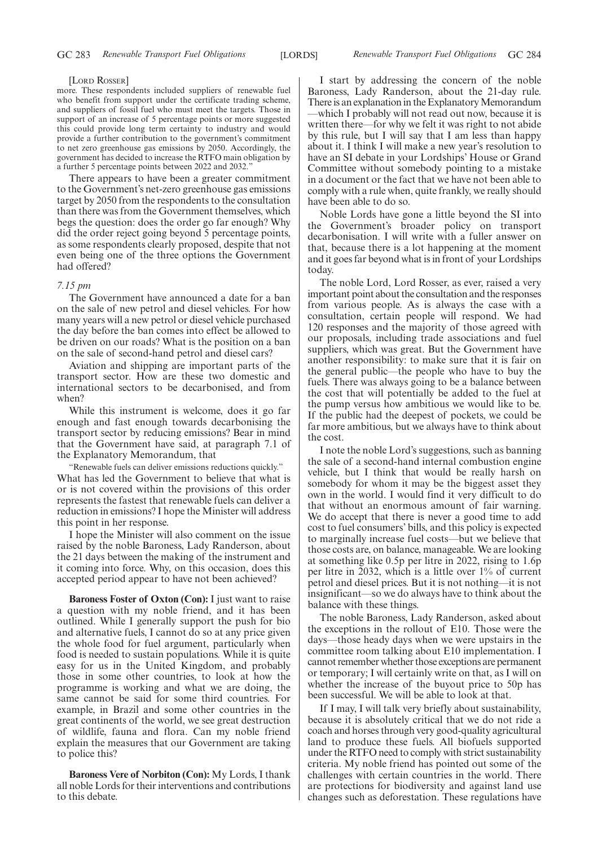#### [LORD ROSSER]

more. These respondents included suppliers of renewable fuel who benefit from support under the certificate trading scheme, and suppliers of fossil fuel who must meet the targets. Those in support of an increase of 5 percentage points or more suggested this could provide long term certainty to industry and would provide a further contribution to the government's commitment to net zero greenhouse gas emissions by 2050. Accordingly, the government has decided to increase the RTFO main obligation by a further 5 percentage points between 2022 and 2032.

There appears to have been a greater commitment to the Government's net-zero greenhouse gas emissions target by 2050 from the respondents to the consultation than there was from the Government themselves, which begs the question: does the order go far enough? Why did the order reject going beyond 5 percentage points, as some respondents clearly proposed, despite that not even being one of the three options the Government had offered?

#### *7.15 pm*

The Government have announced a date for a ban on the sale of new petrol and diesel vehicles. For how many years will a new petrol or diesel vehicle purchased the day before the ban comes into effect be allowed to be driven on our roads? What is the position on a ban on the sale of second-hand petrol and diesel cars?

Aviation and shipping are important parts of the transport sector. How are these two domestic and international sectors to be decarbonised, and from when?

While this instrument is welcome, does it go far enough and fast enough towards decarbonising the transport sector by reducing emissions? Bear in mind that the Government have said, at paragraph 7.1 of the Explanatory Memorandum, that

"Renewable fuels can deliver emissions reductions quickly." What has led the Government to believe that what is or is not covered within the provisions of this order represents the fastest that renewable fuels can deliver a reduction in emissions? I hope the Minister will address this point in her response.

I hope the Minister will also comment on the issue raised by the noble Baroness, Lady Randerson, about the 21 days between the making of the instrument and it coming into force. Why, on this occasion, does this accepted period appear to have not been achieved?

**Baroness Foster of Oxton (Con):** I just want to raise a question with my noble friend, and it has been outlined. While I generally support the push for bio and alternative fuels, I cannot do so at any price given the whole food for fuel argument, particularly when food is needed to sustain populations. While it is quite easy for us in the United Kingdom, and probably those in some other countries, to look at how the programme is working and what we are doing, the same cannot be said for some third countries. For example, in Brazil and some other countries in the great continents of the world, we see great destruction of wildlife, fauna and flora. Can my noble friend explain the measures that our Government are taking to police this?

**Baroness Vere of Norbiton (Con):** My Lords, I thank all noble Lords for their interventions and contributions to this debate.

I start by addressing the concern of the noble Baroness, Lady Randerson, about the 21-day rule. There is an explanation in the Explanatory Memorandum —which I probably will not read out now, because it is written there—for why we felt it was right to not abide by this rule, but I will say that I am less than happy about it. I think I will make a new year's resolution to have an SI debate in your Lordships' House or Grand Committee without somebody pointing to a mistake in a document or the fact that we have not been able to comply with a rule when, quite frankly, we really should have been able to do so.

Noble Lords have gone a little beyond the SI into the Government's broader policy on transport decarbonisation. I will write with a fuller answer on that, because there is a lot happening at the moment and it goes far beyond what is in front of your Lordships today.

The noble Lord, Lord Rosser, as ever, raised a very important point about the consultation and the responses from various people. As is always the case with a consultation, certain people will respond. We had 120 responses and the majority of those agreed with our proposals, including trade associations and fuel suppliers, which was great. But the Government have another responsibility: to make sure that it is fair on the general public—the people who have to buy the fuels. There was always going to be a balance between the cost that will potentially be added to the fuel at the pump versus how ambitious we would like to be. If the public had the deepest of pockets, we could be far more ambitious, but we always have to think about the cost.

I note the noble Lord's suggestions, such as banning the sale of a second-hand internal combustion engine vehicle, but I think that would be really harsh on somebody for whom it may be the biggest asset they own in the world. I would find it very difficult to do that without an enormous amount of fair warning. We do accept that there is never a good time to add cost to fuel consumers' bills, and this policy is expected to marginally increase fuel costs—but we believe that those costs are, on balance, manageable. We are looking at something like 0.5p per litre in 2022, rising to 1.6p per litre in 2032, which is a little over 1% of current petrol and diesel prices. But it is not nothing—it is not insignificant—so we do always have to think about the balance with these things.

The noble Baroness, Lady Randerson, asked about the exceptions in the rollout of E10. Those were the days—those heady days when we were upstairs in the committee room talking about E10 implementation. I cannot remember whether those exceptions are permanent or temporary; I will certainly write on that, as I will on whether the increase of the buyout price to 50p has been successful. We will be able to look at that.

If I may, I will talk very briefly about sustainability, because it is absolutely critical that we do not ride a coach and horses through very good-quality agricultural land to produce these fuels. All biofuels supported under the RTFO need to comply with strict sustainability criteria. My noble friend has pointed out some of the challenges with certain countries in the world. There are protections for biodiversity and against land use changes such as deforestation. These regulations have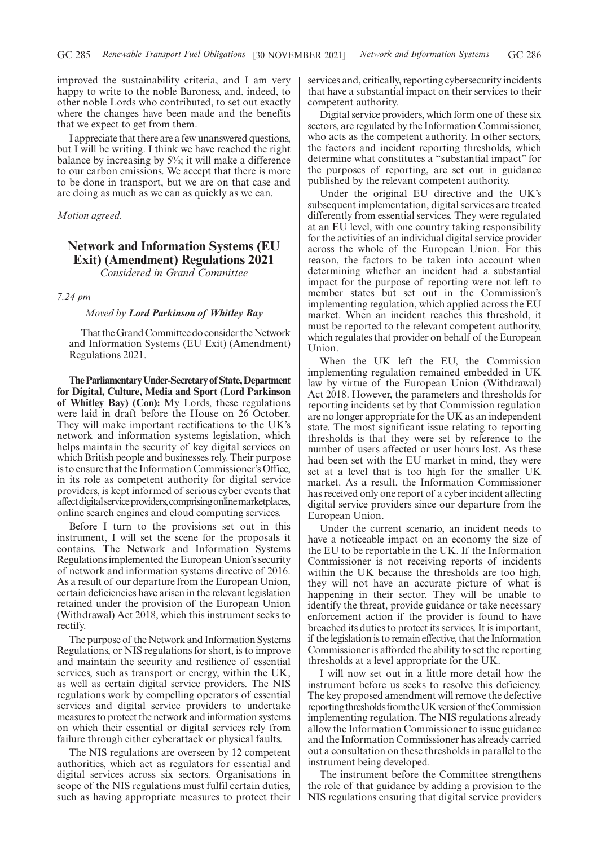improved the sustainability criteria, and I am very happy to write to the noble Baroness, and, indeed, to other noble Lords who contributed, to set out exactly where the changes have been made and the benefits that we expect to get from them.

I appreciate that there are a few unanswered questions, but I will be writing. I think we have reached the right balance by increasing by 5%; it will make a difference to our carbon emissions. We accept that there is more to be done in transport, but we are on that case and are doing as much as we can as quickly as we can.

#### *Motion agreed.*

# **Network and Information Systems (EU Exit) (Amendment) Regulations 2021** *Considered in Grand Committee*

#### *7.24 pm*

#### *Moved by Lord Parkinson of Whitley Bay*

That the Grand Committee do consider the Network and Information Systems (EU Exit) (Amendment) Regulations 2021.

**TheParliamentaryUnder-Secretaryof State,Department for Digital, Culture, Media and Sport (Lord Parkinson of Whitley Bay) (Con):** My Lords, these regulations were laid in draft before the House on 26 October. They will make important rectifications to the UK's network and information systems legislation, which helps maintain the security of key digital services on which British people and businesses rely. Their purpose is to ensure that the Information Commissioner's Office, in its role as competent authority for digital service providers, is kept informed of serious cyber events that affect digital service providers, comprising online marketplaces, online search engines and cloud computing services.

Before I turn to the provisions set out in this instrument, I will set the scene for the proposals it contains. The Network and Information Systems Regulations implemented the European Union's security of network and information systems directive of 2016. As a result of our departure from the European Union, certain deficiencies have arisen in the relevant legislation retained under the provision of the European Union (Withdrawal) Act 2018, which this instrument seeks to rectify.

The purpose of the Network and Information Systems Regulations, or NIS regulations for short, is to improve and maintain the security and resilience of essential services, such as transport or energy, within the UK, as well as certain digital service providers. The NIS regulations work by compelling operators of essential services and digital service providers to undertake measures to protect the network and information systems on which their essential or digital services rely from failure through either cyberattack or physical faults.

The NIS regulations are overseen by 12 competent authorities, which act as regulators for essential and digital services across six sectors. Organisations in scope of the NIS regulations must fulfil certain duties, such as having appropriate measures to protect their services and, critically, reporting cybersecurity incidents that have a substantial impact on their services to their competent authority.

Digital service providers, which form one of these six sectors, are regulated by the Information Commissioner, who acts as the competent authority. In other sectors, the factors and incident reporting thresholds, which determine what constitutes a "substantial impact" for the purposes of reporting, are set out in guidance published by the relevant competent authority.

Under the original EU directive and the UK's subsequent implementation, digital services are treated differently from essential services. They were regulated at an EU level, with one country taking responsibility for the activities of an individual digital service provider across the whole of the European Union. For this reason, the factors to be taken into account when determining whether an incident had a substantial impact for the purpose of reporting were not left to member states but set out in the Commission's implementing regulation, which applied across the EU market. When an incident reaches this threshold, it must be reported to the relevant competent authority, which regulates that provider on behalf of the European Union.

When the UK left the EU, the Commission implementing regulation remained embedded in UK law by virtue of the European Union (Withdrawal) Act 2018. However, the parameters and thresholds for reporting incidents set by that Commission regulation are no longer appropriate for the UK as an independent state. The most significant issue relating to reporting thresholds is that they were set by reference to the number of users affected or user hours lost. As these had been set with the EU market in mind, they were set at a level that is too high for the smaller UK market. As a result, the Information Commissioner has received only one report of a cyber incident affecting digital service providers since our departure from the European Union.

Under the current scenario, an incident needs to have a noticeable impact on an economy the size of the EU to be reportable in the UK. If the Information Commissioner is not receiving reports of incidents within the UK because the thresholds are too high, they will not have an accurate picture of what is happening in their sector. They will be unable to identify the threat, provide guidance or take necessary enforcement action if the provider is found to have breached its duties to protect its services. It is important, if the legislation is to remain effective, that the Information Commissioner is afforded the ability to set the reporting thresholds at a level appropriate for the UK.

I will now set out in a little more detail how the instrument before us seeks to resolve this deficiency. The key proposed amendment will remove the defective reporting thresholds from the UK version of the Commission implementing regulation. The NIS regulations already allow the Information Commissioner to issue guidance and the Information Commissioner has already carried out a consultation on these thresholds in parallel to the instrument being developed.

The instrument before the Committee strengthens the role of that guidance by adding a provision to the NIS regulations ensuring that digital service providers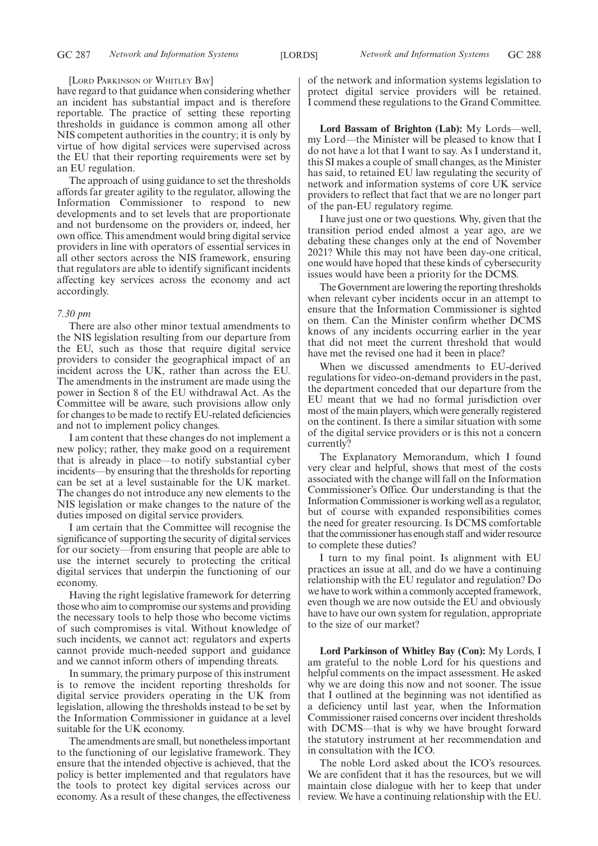#### [LORD PARKINSON OF WHITLEY BAY]

have regard to that guidance when considering whether an incident has substantial impact and is therefore reportable. The practice of setting these reporting thresholds in guidance is common among all other NIS competent authorities in the country; it is only by virtue of how digital services were supervised across the EU that their reporting requirements were set by an EU regulation.

The approach of using guidance to set the thresholds affords far greater agility to the regulator, allowing the Information Commissioner to respond to new developments and to set levels that are proportionate and not burdensome on the providers or, indeed, her own office. This amendment would bring digital service providers in line with operators of essential services in all other sectors across the NIS framework, ensuring that regulators are able to identify significant incidents affecting key services across the economy and act accordingly.

#### *7.30 pm*

There are also other minor textual amendments to the NIS legislation resulting from our departure from the EU, such as those that require digital service providers to consider the geographical impact of an incident across the UK, rather than across the EU. The amendments in the instrument are made using the power in Section 8 of the EU withdrawal Act. As the Committee will be aware, such provisions allow only for changes to be made to rectify EU-related deficiencies and not to implement policy changes.

I am content that these changes do not implement a new policy; rather, they make good on a requirement that is already in place—to notify substantial cyber incidents—by ensuring that the thresholds for reporting can be set at a level sustainable for the UK market. The changes do not introduce any new elements to the NIS legislation or make changes to the nature of the duties imposed on digital service providers.

I am certain that the Committee will recognise the significance of supporting the security of digital services for our society—from ensuring that people are able to use the internet securely to protecting the critical digital services that underpin the functioning of our economy.

Having the right legislative framework for deterring those who aim to compromise our systems and providing the necessary tools to help those who become victims of such compromises is vital. Without knowledge of such incidents, we cannot act: regulators and experts cannot provide much-needed support and guidance and we cannot inform others of impending threats.

In summary, the primary purpose of this instrument is to remove the incident reporting thresholds for digital service providers operating in the UK from legislation, allowing the thresholds instead to be set by the Information Commissioner in guidance at a level suitable for the UK economy.

The amendments are small, but nonetheless important to the functioning of our legislative framework. They ensure that the intended objective is achieved, that the policy is better implemented and that regulators have the tools to protect key digital services across our economy. As a result of these changes, the effectiveness of the network and information systems legislation to protect digital service providers will be retained. I commend these regulations to the Grand Committee.

**Lord Bassam of Brighton (Lab):** My Lords—well, my Lord—the Minister will be pleased to know that I do not have a lot that I want to say. As I understand it, this SI makes a couple of small changes, as the Minister has said, to retained EU law regulating the security of network and information systems of core UK service providers to reflect that fact that we are no longer part of the pan-EU regulatory regime.

I have just one or two questions. Why, given that the transition period ended almost a year ago, are we debating these changes only at the end of November 2021? While this may not have been day-one critical, one would have hoped that these kinds of cybersecurity issues would have been a priority for the DCMS.

The Government are lowering the reporting thresholds when relevant cyber incidents occur in an attempt to ensure that the Information Commissioner is sighted on them. Can the Minister confirm whether DCMS knows of any incidents occurring earlier in the year that did not meet the current threshold that would have met the revised one had it been in place?

When we discussed amendments to EU-derived regulations for video-on-demand providers in the past, the department conceded that our departure from the EU meant that we had no formal jurisdiction over most of the main players, which were generally registered on the continent. Is there a similar situation with some of the digital service providers or is this not a concern currently?

The Explanatory Memorandum, which I found very clear and helpful, shows that most of the costs associated with the change will fall on the Information Commissioner's Office. Our understanding is that the Information Commissioner is working well as a regulator, but of course with expanded responsibilities comes the need for greater resourcing. Is DCMS comfortable that the commissioner has enough staff and wider resource to complete these duties?

I turn to my final point. Is alignment with EU practices an issue at all, and do we have a continuing relationship with the EU regulator and regulation? Do we have to work within a commonly accepted framework, even though we are now outside the EU and obviously have to have our own system for regulation, appropriate to the size of our market?

**Lord Parkinson of Whitley Bay (Con):** My Lords, I am grateful to the noble Lord for his questions and helpful comments on the impact assessment. He asked why we are doing this now and not sooner. The issue that I outlined at the beginning was not identified as a deficiency until last year, when the Information Commissioner raised concerns over incident thresholds with DCMS—that is why we have brought forward the statutory instrument at her recommendation and in consultation with the ICO.

The noble Lord asked about the ICO's resources. We are confident that it has the resources, but we will maintain close dialogue with her to keep that under review. We have a continuing relationship with the EU.